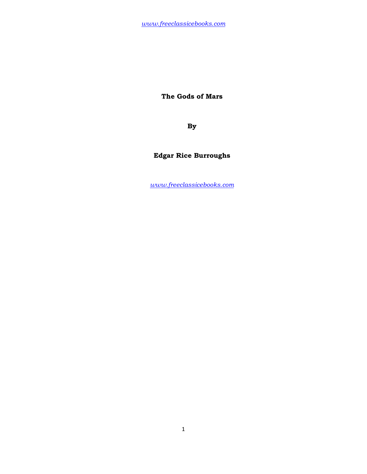**The Gods of Mars** 

**By** 

# **Edgar Rice Burroughs**

*www.freeclassicebooks.com*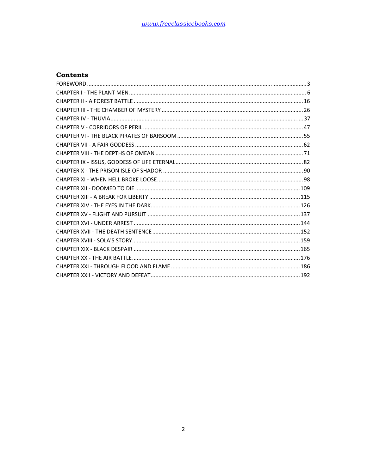#### **Contents**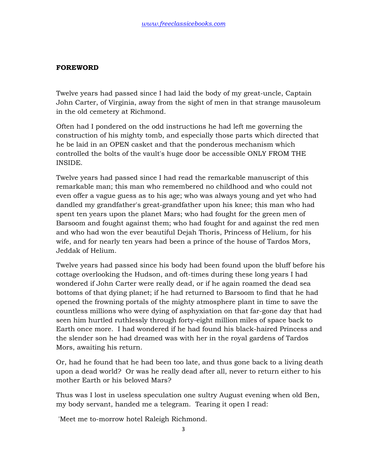### **FOREWORD**

Twelve years had passed since I had laid the body of my great-uncle, Captain John Carter, of Virginia, away from the sight of men in that strange mausoleum in the old cemetery at Richmond.

Often had I pondered on the odd instructions he had left me governing the construction of his mighty tomb, and especially those parts which directed that he be laid in an OPEN casket and that the ponderous mechanism which controlled the bolts of the vault's huge door be accessible ONLY FROM THE INSIDE.

Twelve years had passed since I had read the remarkable manuscript of this remarkable man; this man who remembered no childhood and who could not even offer a vague guess as to his age; who was always young and yet who had dandled my grandfather's great-grandfather upon his knee; this man who had spent ten years upon the planet Mars; who had fought for the green men of Barsoom and fought against them; who had fought for and against the red men and who had won the ever beautiful Dejah Thoris, Princess of Helium, for his wife, and for nearly ten years had been a prince of the house of Tardos Mors, Jeddak of Helium.

Twelve years had passed since his body had been found upon the bluff before his cottage overlooking the Hudson, and oft-times during these long years I had wondered if John Carter were really dead, or if he again roamed the dead sea bottoms of that dying planet; if he had returned to Barsoom to find that he had opened the frowning portals of the mighty atmosphere plant in time to save the countless millions who were dying of asphyxiation on that far-gone day that had seen him hurtled ruthlessly through forty-eight million miles of space back to Earth once more. I had wondered if he had found his black-haired Princess and the slender son he had dreamed was with her in the royal gardens of Tardos Mors, awaiting his return.

Or, had he found that he had been too late, and thus gone back to a living death upon a dead world? Or was he really dead after all, never to return either to his mother Earth or his beloved Mars?

Thus was I lost in useless speculation one sultry August evening when old Ben, my body servant, handed me a telegram. Tearing it open I read:

'Meet me to-morrow hotel Raleigh Richmond.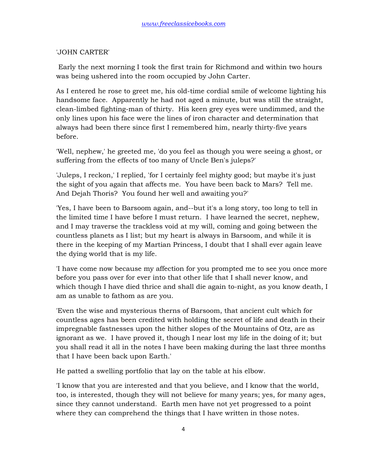### 'JOHN CARTER'

 Early the next morning I took the first train for Richmond and within two hours was being ushered into the room occupied by John Carter.

As I entered he rose to greet me, his old-time cordial smile of welcome lighting his handsome face. Apparently he had not aged a minute, but was still the straight, clean-limbed fighting-man of thirty. His keen grey eyes were undimmed, and the only lines upon his face were the lines of iron character and determination that always had been there since first I remembered him, nearly thirty-five years before.

'Well, nephew,' he greeted me, 'do you feel as though you were seeing a ghost, or suffering from the effects of too many of Uncle Ben's juleps?'

'Juleps, I reckon,' I replied, 'for I certainly feel mighty good; but maybe it's just the sight of you again that affects me. You have been back to Mars? Tell me. And Dejah Thoris? You found her well and awaiting you?'

'Yes, I have been to Barsoom again, and--but it's a long story, too long to tell in the limited time I have before I must return. I have learned the secret, nephew, and I may traverse the trackless void at my will, coming and going between the countless planets as I list; but my heart is always in Barsoom, and while it is there in the keeping of my Martian Princess, I doubt that I shall ever again leave the dying world that is my life.

'I have come now because my affection for you prompted me to see you once more before you pass over for ever into that other life that I shall never know, and which though I have died thrice and shall die again to-night, as you know death, I am as unable to fathom as are you.

'Even the wise and mysterious therns of Barsoom, that ancient cult which for countless ages has been credited with holding the secret of life and death in their impregnable fastnesses upon the hither slopes of the Mountains of Otz, are as ignorant as we. I have proved it, though I near lost my life in the doing of it; but you shall read it all in the notes I have been making during the last three months that I have been back upon Earth.'

He patted a swelling portfolio that lay on the table at his elbow.

'I know that you are interested and that you believe, and I know that the world, too, is interested, though they will not believe for many years; yes, for many ages, since they cannot understand. Earth men have not yet progressed to a point where they can comprehend the things that I have written in those notes.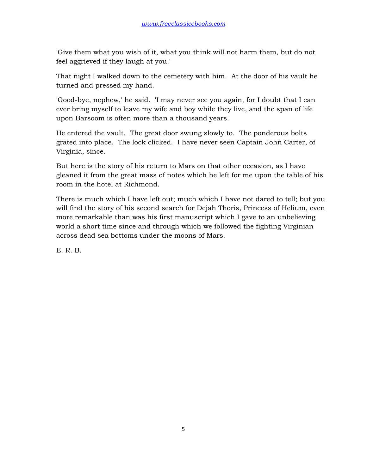'Give them what you wish of it, what you think will not harm them, but do not feel aggrieved if they laugh at you.'

That night I walked down to the cemetery with him. At the door of his vault he turned and pressed my hand.

'Good-bye, nephew,' he said. 'I may never see you again, for I doubt that I can ever bring myself to leave my wife and boy while they live, and the span of life upon Barsoom is often more than a thousand years.'

He entered the vault. The great door swung slowly to. The ponderous bolts grated into place. The lock clicked. I have never seen Captain John Carter, of Virginia, since.

But here is the story of his return to Mars on that other occasion, as I have gleaned it from the great mass of notes which he left for me upon the table of his room in the hotel at Richmond.

There is much which I have left out; much which I have not dared to tell; but you will find the story of his second search for Dejah Thoris, Princess of Helium, even more remarkable than was his first manuscript which I gave to an unbelieving world a short time since and through which we followed the fighting Virginian across dead sea bottoms under the moons of Mars.

E. R. B.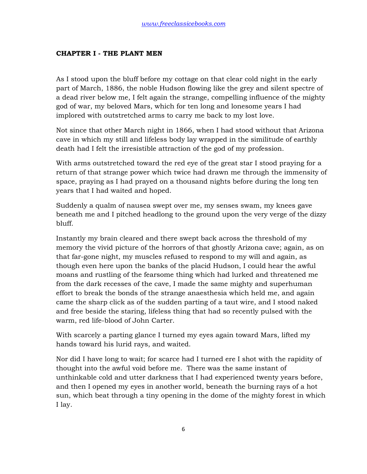#### **CHAPTER I - THE PLANT MEN**

As I stood upon the bluff before my cottage on that clear cold night in the early part of March, 1886, the noble Hudson flowing like the grey and silent spectre of a dead river below me, I felt again the strange, compelling influence of the mighty god of war, my beloved Mars, which for ten long and lonesome years I had implored with outstretched arms to carry me back to my lost love.

Not since that other March night in 1866, when I had stood without that Arizona cave in which my still and lifeless body lay wrapped in the similitude of earthly death had I felt the irresistible attraction of the god of my profession.

With arms outstretched toward the red eye of the great star I stood praying for a return of that strange power which twice had drawn me through the immensity of space, praying as I had prayed on a thousand nights before during the long ten years that I had waited and hoped.

Suddenly a qualm of nausea swept over me, my senses swam, my knees gave beneath me and I pitched headlong to the ground upon the very verge of the dizzy bluff.

Instantly my brain cleared and there swept back across the threshold of my memory the vivid picture of the horrors of that ghostly Arizona cave; again, as on that far-gone night, my muscles refused to respond to my will and again, as though even here upon the banks of the placid Hudson, I could hear the awful moans and rustling of the fearsome thing which had lurked and threatened me from the dark recesses of the cave, I made the same mighty and superhuman effort to break the bonds of the strange anaesthesia which held me, and again came the sharp click as of the sudden parting of a taut wire, and I stood naked and free beside the staring, lifeless thing that had so recently pulsed with the warm, red life-blood of John Carter.

With scarcely a parting glance I turned my eyes again toward Mars, lifted my hands toward his lurid rays, and waited.

Nor did I have long to wait; for scarce had I turned ere I shot with the rapidity of thought into the awful void before me. There was the same instant of unthinkable cold and utter darkness that I had experienced twenty years before, and then I opened my eyes in another world, beneath the burning rays of a hot sun, which beat through a tiny opening in the dome of the mighty forest in which I lay.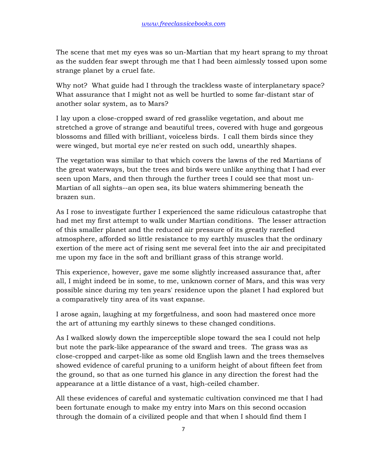The scene that met my eyes was so un-Martian that my heart sprang to my throat as the sudden fear swept through me that I had been aimlessly tossed upon some strange planet by a cruel fate.

Why not? What guide had I through the trackless waste of interplanetary space? What assurance that I might not as well be hurtled to some far-distant star of another solar system, as to Mars?

I lay upon a close-cropped sward of red grasslike vegetation, and about me stretched a grove of strange and beautiful trees, covered with huge and gorgeous blossoms and filled with brilliant, voiceless birds. I call them birds since they were winged, but mortal eye ne'er rested on such odd, unearthly shapes.

The vegetation was similar to that which covers the lawns of the red Martians of the great waterways, but the trees and birds were unlike anything that I had ever seen upon Mars, and then through the further trees I could see that most un-Martian of all sights--an open sea, its blue waters shimmering beneath the brazen sun.

As I rose to investigate further I experienced the same ridiculous catastrophe that had met my first attempt to walk under Martian conditions. The lesser attraction of this smaller planet and the reduced air pressure of its greatly rarefied atmosphere, afforded so little resistance to my earthly muscles that the ordinary exertion of the mere act of rising sent me several feet into the air and precipitated me upon my face in the soft and brilliant grass of this strange world.

This experience, however, gave me some slightly increased assurance that, after all, I might indeed be in some, to me, unknown corner of Mars, and this was very possible since during my ten years' residence upon the planet I had explored but a comparatively tiny area of its vast expanse.

I arose again, laughing at my forgetfulness, and soon had mastered once more the art of attuning my earthly sinews to these changed conditions.

As I walked slowly down the imperceptible slope toward the sea I could not help but note the park-like appearance of the sward and trees. The grass was as close-cropped and carpet-like as some old English lawn and the trees themselves showed evidence of careful pruning to a uniform height of about fifteen feet from the ground, so that as one turned his glance in any direction the forest had the appearance at a little distance of a vast, high-ceiled chamber.

All these evidences of careful and systematic cultivation convinced me that I had been fortunate enough to make my entry into Mars on this second occasion through the domain of a civilized people and that when I should find them I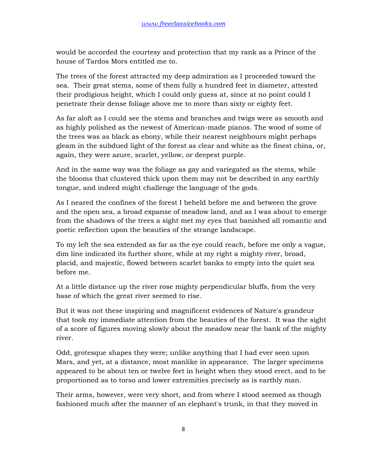would be accorded the courtesy and protection that my rank as a Prince of the house of Tardos Mors entitled me to.

The trees of the forest attracted my deep admiration as I proceeded toward the sea. Their great stems, some of them fully a hundred feet in diameter, attested their prodigious height, which I could only guess at, since at no point could I penetrate their dense foliage above me to more than sixty or eighty feet.

As far aloft as I could see the stems and branches and twigs were as smooth and as highly polished as the newest of American-made pianos. The wood of some of the trees was as black as ebony, while their nearest neighbours might perhaps gleam in the subdued light of the forest as clear and white as the finest china, or, again, they were azure, scarlet, yellow, or deepest purple.

And in the same way was the foliage as gay and variegated as the stems, while the blooms that clustered thick upon them may not be described in any earthly tongue, and indeed might challenge the language of the gods.

As I neared the confines of the forest I beheld before me and between the grove and the open sea, a broad expanse of meadow land, and as I was about to emerge from the shadows of the trees a sight met my eyes that banished all romantic and poetic reflection upon the beauties of the strange landscape.

To my left the sea extended as far as the eye could reach, before me only a vague, dim line indicated its further shore, while at my right a mighty river, broad, placid, and majestic, flowed between scarlet banks to empty into the quiet sea before me.

At a little distance up the river rose mighty perpendicular bluffs, from the very base of which the great river seemed to rise.

But it was not these inspiring and magnificent evidences of Nature's grandeur that took my immediate attention from the beauties of the forest. It was the sight of a score of figures moving slowly about the meadow near the bank of the mighty river.

Odd, grotesque shapes they were; unlike anything that I had ever seen upon Mars, and yet, at a distance, most manlike in appearance. The larger specimens appeared to be about ten or twelve feet in height when they stood erect, and to be proportioned as to torso and lower extremities precisely as is earthly man.

Their arms, however, were very short, and from where I stood seemed as though fashioned much after the manner of an elephant's trunk, in that they moved in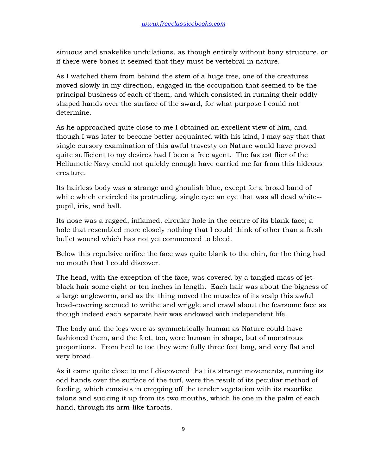sinuous and snakelike undulations, as though entirely without bony structure, or if there were bones it seemed that they must be vertebral in nature.

As I watched them from behind the stem of a huge tree, one of the creatures moved slowly in my direction, engaged in the occupation that seemed to be the principal business of each of them, and which consisted in running their oddly shaped hands over the surface of the sward, for what purpose I could not determine.

As he approached quite close to me I obtained an excellent view of him, and though I was later to become better acquainted with his kind, I may say that that single cursory examination of this awful travesty on Nature would have proved quite sufficient to my desires had I been a free agent. The fastest flier of the Heliumetic Navy could not quickly enough have carried me far from this hideous creature.

Its hairless body was a strange and ghoulish blue, except for a broad band of white which encircled its protruding, single eye: an eye that was all dead white- pupil, iris, and ball.

Its nose was a ragged, inflamed, circular hole in the centre of its blank face; a hole that resembled more closely nothing that I could think of other than a fresh bullet wound which has not yet commenced to bleed.

Below this repulsive orifice the face was quite blank to the chin, for the thing had no mouth that I could discover.

The head, with the exception of the face, was covered by a tangled mass of jetblack hair some eight or ten inches in length. Each hair was about the bigness of a large angleworm, and as the thing moved the muscles of its scalp this awful head-covering seemed to writhe and wriggle and crawl about the fearsome face as though indeed each separate hair was endowed with independent life.

The body and the legs were as symmetrically human as Nature could have fashioned them, and the feet, too, were human in shape, but of monstrous proportions. From heel to toe they were fully three feet long, and very flat and very broad.

As it came quite close to me I discovered that its strange movements, running its odd hands over the surface of the turf, were the result of its peculiar method of feeding, which consists in cropping off the tender vegetation with its razorlike talons and sucking it up from its two mouths, which lie one in the palm of each hand, through its arm-like throats.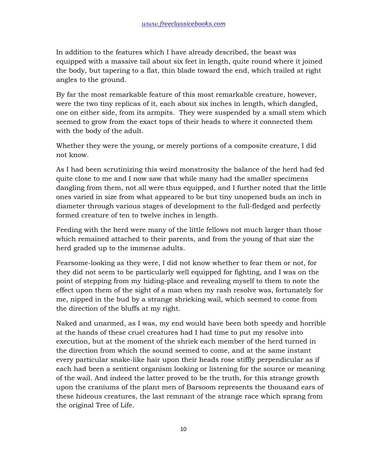In addition to the features which I have already described, the beast was equipped with a massive tail about six feet in length, quite round where it joined the body, but tapering to a flat, thin blade toward the end, which trailed at right angles to the ground.

By far the most remarkable feature of this most remarkable creature, however, were the two tiny replicas of it, each about six inches in length, which dangled, one on either side, from its armpits. They were suspended by a small stem which seemed to grow from the exact tops of their heads to where it connected them with the body of the adult.

Whether they were the young, or merely portions of a composite creature, I did not know.

As I had been scrutinizing this weird monstrosity the balance of the herd had fed quite close to me and I now saw that while many had the smaller specimens dangling from them, not all were thus equipped, and I further noted that the little ones varied in size from what appeared to be but tiny unopened buds an inch in diameter through various stages of development to the full-fledged and perfectly formed creature of ten to twelve inches in length.

Feeding with the herd were many of the little fellows not much larger than those which remained attached to their parents, and from the young of that size the herd graded up to the immense adults.

Fearsome-looking as they were, I did not know whether to fear them or not, for they did not seem to be particularly well equipped for fighting, and I was on the point of stepping from my hiding-place and revealing myself to them to note the effect upon them of the sight of a man when my rash resolve was, fortunately for me, nipped in the bud by a strange shrieking wail, which seemed to come from the direction of the bluffs at my right.

Naked and unarmed, as I was, my end would have been both speedy and horrible at the hands of these cruel creatures had I had time to put my resolve into execution, but at the moment of the shriek each member of the herd turned in the direction from which the sound seemed to come, and at the same instant every particular snake-like hair upon their heads rose stiffly perpendicular as if each had been a sentient organism looking or listening for the source or meaning of the wail. And indeed the latter proved to be the truth, for this strange growth upon the craniums of the plant men of Barsoom represents the thousand ears of these hideous creatures, the last remnant of the strange race which sprang from the original Tree of Life.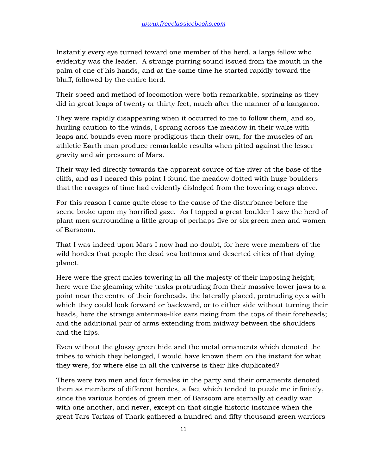Instantly every eye turned toward one member of the herd, a large fellow who evidently was the leader. A strange purring sound issued from the mouth in the palm of one of his hands, and at the same time he started rapidly toward the bluff, followed by the entire herd.

Their speed and method of locomotion were both remarkable, springing as they did in great leaps of twenty or thirty feet, much after the manner of a kangaroo.

They were rapidly disappearing when it occurred to me to follow them, and so, hurling caution to the winds, I sprang across the meadow in their wake with leaps and bounds even more prodigious than their own, for the muscles of an athletic Earth man produce remarkable results when pitted against the lesser gravity and air pressure of Mars.

Their way led directly towards the apparent source of the river at the base of the cliffs, and as I neared this point I found the meadow dotted with huge boulders that the ravages of time had evidently dislodged from the towering crags above.

For this reason I came quite close to the cause of the disturbance before the scene broke upon my horrified gaze. As I topped a great boulder I saw the herd of plant men surrounding a little group of perhaps five or six green men and women of Barsoom.

That I was indeed upon Mars I now had no doubt, for here were members of the wild hordes that people the dead sea bottoms and deserted cities of that dying planet.

Here were the great males towering in all the majesty of their imposing height; here were the gleaming white tusks protruding from their massive lower jaws to a point near the centre of their foreheads, the laterally placed, protruding eyes with which they could look forward or backward, or to either side without turning their heads, here the strange antennae-like ears rising from the tops of their foreheads; and the additional pair of arms extending from midway between the shoulders and the hips.

Even without the glossy green hide and the metal ornaments which denoted the tribes to which they belonged, I would have known them on the instant for what they were, for where else in all the universe is their like duplicated?

There were two men and four females in the party and their ornaments denoted them as members of different hordes, a fact which tended to puzzle me infinitely, since the various hordes of green men of Barsoom are eternally at deadly war with one another, and never, except on that single historic instance when the great Tars Tarkas of Thark gathered a hundred and fifty thousand green warriors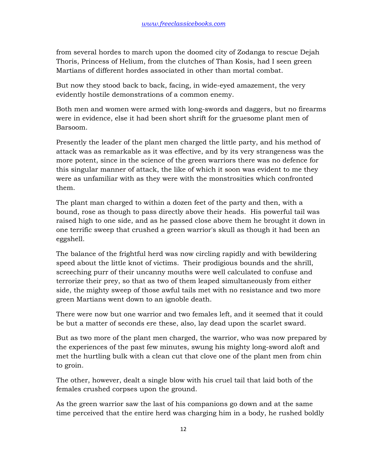from several hordes to march upon the doomed city of Zodanga to rescue Dejah Thoris, Princess of Helium, from the clutches of Than Kosis, had I seen green Martians of different hordes associated in other than mortal combat.

But now they stood back to back, facing, in wide-eyed amazement, the very evidently hostile demonstrations of a common enemy.

Both men and women were armed with long-swords and daggers, but no firearms were in evidence, else it had been short shrift for the gruesome plant men of Barsoom.

Presently the leader of the plant men charged the little party, and his method of attack was as remarkable as it was effective, and by its very strangeness was the more potent, since in the science of the green warriors there was no defence for this singular manner of attack, the like of which it soon was evident to me they were as unfamiliar with as they were with the monstrosities which confronted them.

The plant man charged to within a dozen feet of the party and then, with a bound, rose as though to pass directly above their heads. His powerful tail was raised high to one side, and as he passed close above them he brought it down in one terrific sweep that crushed a green warrior's skull as though it had been an eggshell.

The balance of the frightful herd was now circling rapidly and with bewildering speed about the little knot of victims. Their prodigious bounds and the shrill, screeching purr of their uncanny mouths were well calculated to confuse and terrorize their prey, so that as two of them leaped simultaneously from either side, the mighty sweep of those awful tails met with no resistance and two more green Martians went down to an ignoble death.

There were now but one warrior and two females left, and it seemed that it could be but a matter of seconds ere these, also, lay dead upon the scarlet sward.

But as two more of the plant men charged, the warrior, who was now prepared by the experiences of the past few minutes, swung his mighty long-sword aloft and met the hurtling bulk with a clean cut that clove one of the plant men from chin to groin.

The other, however, dealt a single blow with his cruel tail that laid both of the females crushed corpses upon the ground.

As the green warrior saw the last of his companions go down and at the same time perceived that the entire herd was charging him in a body, he rushed boldly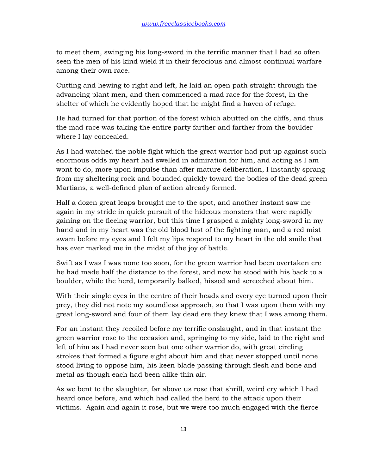to meet them, swinging his long-sword in the terrific manner that I had so often seen the men of his kind wield it in their ferocious and almost continual warfare among their own race.

Cutting and hewing to right and left, he laid an open path straight through the advancing plant men, and then commenced a mad race for the forest, in the shelter of which he evidently hoped that he might find a haven of refuge.

He had turned for that portion of the forest which abutted on the cliffs, and thus the mad race was taking the entire party farther and farther from the boulder where I lay concealed.

As I had watched the noble fight which the great warrior had put up against such enormous odds my heart had swelled in admiration for him, and acting as I am wont to do, more upon impulse than after mature deliberation, I instantly sprang from my sheltering rock and bounded quickly toward the bodies of the dead green Martians, a well-defined plan of action already formed.

Half a dozen great leaps brought me to the spot, and another instant saw me again in my stride in quick pursuit of the hideous monsters that were rapidly gaining on the fleeing warrior, but this time I grasped a mighty long-sword in my hand and in my heart was the old blood lust of the fighting man, and a red mist swam before my eyes and I felt my lips respond to my heart in the old smile that has ever marked me in the midst of the joy of battle.

Swift as I was I was none too soon, for the green warrior had been overtaken ere he had made half the distance to the forest, and now he stood with his back to a boulder, while the herd, temporarily balked, hissed and screeched about him.

With their single eyes in the centre of their heads and every eye turned upon their prey, they did not note my soundless approach, so that I was upon them with my great long-sword and four of them lay dead ere they knew that I was among them.

For an instant they recoiled before my terrific onslaught, and in that instant the green warrior rose to the occasion and, springing to my side, laid to the right and left of him as I had never seen but one other warrior do, with great circling strokes that formed a figure eight about him and that never stopped until none stood living to oppose him, his keen blade passing through flesh and bone and metal as though each had been alike thin air.

As we bent to the slaughter, far above us rose that shrill, weird cry which I had heard once before, and which had called the herd to the attack upon their victims. Again and again it rose, but we were too much engaged with the fierce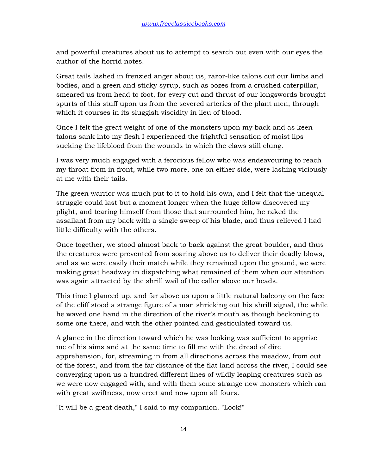and powerful creatures about us to attempt to search out even with our eyes the author of the horrid notes.

Great tails lashed in frenzied anger about us, razor-like talons cut our limbs and bodies, and a green and sticky syrup, such as oozes from a crushed caterpillar, smeared us from head to foot, for every cut and thrust of our longswords brought spurts of this stuff upon us from the severed arteries of the plant men, through which it courses in its sluggish viscidity in lieu of blood.

Once I felt the great weight of one of the monsters upon my back and as keen talons sank into my flesh I experienced the frightful sensation of moist lips sucking the lifeblood from the wounds to which the claws still clung.

I was very much engaged with a ferocious fellow who was endeavouring to reach my throat from in front, while two more, one on either side, were lashing viciously at me with their tails.

The green warrior was much put to it to hold his own, and I felt that the unequal struggle could last but a moment longer when the huge fellow discovered my plight, and tearing himself from those that surrounded him, he raked the assailant from my back with a single sweep of his blade, and thus relieved I had little difficulty with the others.

Once together, we stood almost back to back against the great boulder, and thus the creatures were prevented from soaring above us to deliver their deadly blows, and as we were easily their match while they remained upon the ground, we were making great headway in dispatching what remained of them when our attention was again attracted by the shrill wail of the caller above our heads.

This time I glanced up, and far above us upon a little natural balcony on the face of the cliff stood a strange figure of a man shrieking out his shrill signal, the while he waved one hand in the direction of the river's mouth as though beckoning to some one there, and with the other pointed and gesticulated toward us.

A glance in the direction toward which he was looking was sufficient to apprise me of his aims and at the same time to fill me with the dread of dire apprehension, for, streaming in from all directions across the meadow, from out of the forest, and from the far distance of the flat land across the river, I could see converging upon us a hundred different lines of wildly leaping creatures such as we were now engaged with, and with them some strange new monsters which ran with great swiftness, now erect and now upon all fours.

"It will be a great death," I said to my companion. "Look!"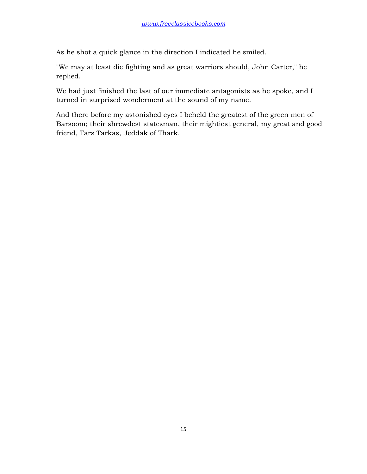As he shot a quick glance in the direction I indicated he smiled.

"We may at least die fighting and as great warriors should, John Carter," he replied.

We had just finished the last of our immediate antagonists as he spoke, and I turned in surprised wonderment at the sound of my name.

And there before my astonished eyes I beheld the greatest of the green men of Barsoom; their shrewdest statesman, their mightiest general, my great and good friend, Tars Tarkas, Jeddak of Thark.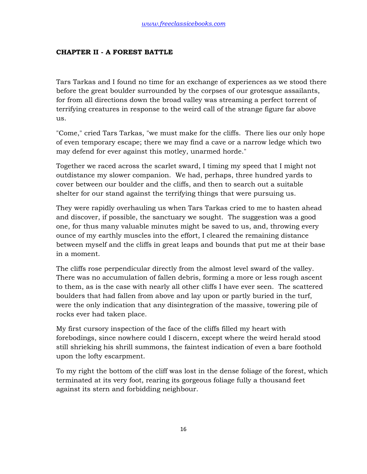## **CHAPTER II - A FOREST BATTLE**

Tars Tarkas and I found no time for an exchange of experiences as we stood there before the great boulder surrounded by the corpses of our grotesque assailants, for from all directions down the broad valley was streaming a perfect torrent of terrifying creatures in response to the weird call of the strange figure far above us.

"Come," cried Tars Tarkas, "we must make for the cliffs. There lies our only hope of even temporary escape; there we may find a cave or a narrow ledge which two may defend for ever against this motley, unarmed horde."

Together we raced across the scarlet sward, I timing my speed that I might not outdistance my slower companion. We had, perhaps, three hundred yards to cover between our boulder and the cliffs, and then to search out a suitable shelter for our stand against the terrifying things that were pursuing us.

They were rapidly overhauling us when Tars Tarkas cried to me to hasten ahead and discover, if possible, the sanctuary we sought. The suggestion was a good one, for thus many valuable minutes might be saved to us, and, throwing every ounce of my earthly muscles into the effort, I cleared the remaining distance between myself and the cliffs in great leaps and bounds that put me at their base in a moment.

The cliffs rose perpendicular directly from the almost level sward of the valley. There was no accumulation of fallen debris, forming a more or less rough ascent to them, as is the case with nearly all other cliffs I have ever seen. The scattered boulders that had fallen from above and lay upon or partly buried in the turf, were the only indication that any disintegration of the massive, towering pile of rocks ever had taken place.

My first cursory inspection of the face of the cliffs filled my heart with forebodings, since nowhere could I discern, except where the weird herald stood still shrieking his shrill summons, the faintest indication of even a bare foothold upon the lofty escarpment.

To my right the bottom of the cliff was lost in the dense foliage of the forest, which terminated at its very foot, rearing its gorgeous foliage fully a thousand feet against its stern and forbidding neighbour.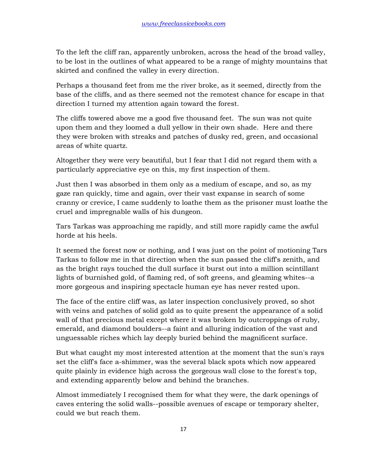To the left the cliff ran, apparently unbroken, across the head of the broad valley, to be lost in the outlines of what appeared to be a range of mighty mountains that skirted and confined the valley in every direction.

Perhaps a thousand feet from me the river broke, as it seemed, directly from the base of the cliffs, and as there seemed not the remotest chance for escape in that direction I turned my attention again toward the forest.

The cliffs towered above me a good five thousand feet. The sun was not quite upon them and they loomed a dull yellow in their own shade. Here and there they were broken with streaks and patches of dusky red, green, and occasional areas of white quartz.

Altogether they were very beautiful, but I fear that I did not regard them with a particularly appreciative eye on this, my first inspection of them.

Just then I was absorbed in them only as a medium of escape, and so, as my gaze ran quickly, time and again, over their vast expanse in search of some cranny or crevice, I came suddenly to loathe them as the prisoner must loathe the cruel and impregnable walls of his dungeon.

Tars Tarkas was approaching me rapidly, and still more rapidly came the awful horde at his heels.

It seemed the forest now or nothing, and I was just on the point of motioning Tars Tarkas to follow me in that direction when the sun passed the cliff's zenith, and as the bright rays touched the dull surface it burst out into a million scintillant lights of burnished gold, of flaming red, of soft greens, and gleaming whites--a more gorgeous and inspiring spectacle human eye has never rested upon.

The face of the entire cliff was, as later inspection conclusively proved, so shot with veins and patches of solid gold as to quite present the appearance of a solid wall of that precious metal except where it was broken by outcroppings of ruby, emerald, and diamond boulders--a faint and alluring indication of the vast and unguessable riches which lay deeply buried behind the magnificent surface.

But what caught my most interested attention at the moment that the sun's rays set the cliff's face a-shimmer, was the several black spots which now appeared quite plainly in evidence high across the gorgeous wall close to the forest's top, and extending apparently below and behind the branches.

Almost immediately I recognised them for what they were, the dark openings of caves entering the solid walls--possible avenues of escape or temporary shelter, could we but reach them.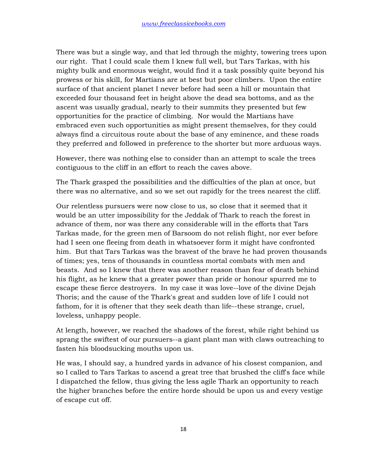There was but a single way, and that led through the mighty, towering trees upon our right. That I could scale them I knew full well, but Tars Tarkas, with his mighty bulk and enormous weight, would find it a task possibly quite beyond his prowess or his skill, for Martians are at best but poor climbers. Upon the entire surface of that ancient planet I never before had seen a hill or mountain that exceeded four thousand feet in height above the dead sea bottoms, and as the ascent was usually gradual, nearly to their summits they presented but few opportunities for the practice of climbing. Nor would the Martians have embraced even such opportunities as might present themselves, for they could always find a circuitous route about the base of any eminence, and these roads they preferred and followed in preference to the shorter but more arduous ways.

However, there was nothing else to consider than an attempt to scale the trees contiguous to the cliff in an effort to reach the caves above.

The Thark grasped the possibilities and the difficulties of the plan at once, but there was no alternative, and so we set out rapidly for the trees nearest the cliff.

Our relentless pursuers were now close to us, so close that it seemed that it would be an utter impossibility for the Jeddak of Thark to reach the forest in advance of them, nor was there any considerable will in the efforts that Tars Tarkas made, for the green men of Barsoom do not relish flight, nor ever before had I seen one fleeing from death in whatsoever form it might have confronted him. But that Tars Tarkas was the bravest of the brave he had proven thousands of times; yes, tens of thousands in countless mortal combats with men and beasts. And so I knew that there was another reason than fear of death behind his flight, as he knew that a greater power than pride or honour spurred me to escape these fierce destroyers. In my case it was love--love of the divine Dejah Thoris; and the cause of the Thark's great and sudden love of life I could not fathom, for it is oftener that they seek death than life--these strange, cruel, loveless, unhappy people.

At length, however, we reached the shadows of the forest, while right behind us sprang the swiftest of our pursuers--a giant plant man with claws outreaching to fasten his bloodsucking mouths upon us.

He was, I should say, a hundred yards in advance of his closest companion, and so I called to Tars Tarkas to ascend a great tree that brushed the cliff's face while I dispatched the fellow, thus giving the less agile Thark an opportunity to reach the higher branches before the entire horde should be upon us and every vestige of escape cut off.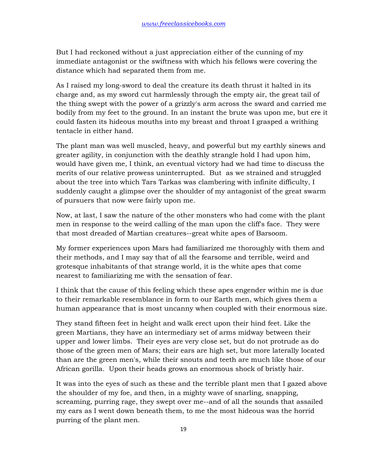But I had reckoned without a just appreciation either of the cunning of my immediate antagonist or the swiftness with which his fellows were covering the distance which had separated them from me.

As I raised my long-sword to deal the creature its death thrust it halted in its charge and, as my sword cut harmlessly through the empty air, the great tail of the thing swept with the power of a grizzly's arm across the sward and carried me bodily from my feet to the ground. In an instant the brute was upon me, but ere it could fasten its hideous mouths into my breast and throat I grasped a writhing tentacle in either hand.

The plant man was well muscled, heavy, and powerful but my earthly sinews and greater agility, in conjunction with the deathly strangle hold I had upon him, would have given me, I think, an eventual victory had we had time to discuss the merits of our relative prowess uninterrupted. But as we strained and struggled about the tree into which Tars Tarkas was clambering with infinite difficulty, I suddenly caught a glimpse over the shoulder of my antagonist of the great swarm of pursuers that now were fairly upon me.

Now, at last, I saw the nature of the other monsters who had come with the plant men in response to the weird calling of the man upon the cliff's face. They were that most dreaded of Martian creatures--great white apes of Barsoom.

My former experiences upon Mars had familiarized me thoroughly with them and their methods, and I may say that of all the fearsome and terrible, weird and grotesque inhabitants of that strange world, it is the white apes that come nearest to familiarizing me with the sensation of fear.

I think that the cause of this feeling which these apes engender within me is due to their remarkable resemblance in form to our Earth men, which gives them a human appearance that is most uncanny when coupled with their enormous size.

They stand fifteen feet in height and walk erect upon their hind feet. Like the green Martians, they have an intermediary set of arms midway between their upper and lower limbs. Their eyes are very close set, but do not protrude as do those of the green men of Mars; their ears are high set, but more laterally located than are the green men's, while their snouts and teeth are much like those of our African gorilla. Upon their heads grows an enormous shock of bristly hair.

It was into the eyes of such as these and the terrible plant men that I gazed above the shoulder of my foe, and then, in a mighty wave of snarling, snapping, screaming, purring rage, they swept over me--and of all the sounds that assailed my ears as I went down beneath them, to me the most hideous was the horrid purring of the plant men.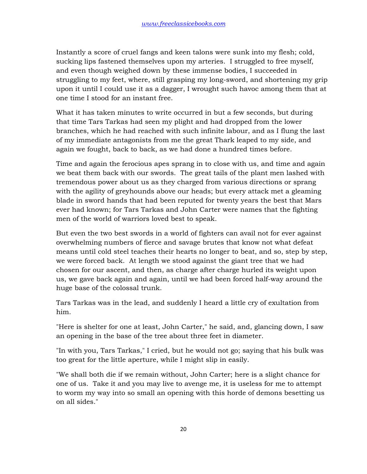Instantly a score of cruel fangs and keen talons were sunk into my flesh; cold, sucking lips fastened themselves upon my arteries. I struggled to free myself, and even though weighed down by these immense bodies, I succeeded in struggling to my feet, where, still grasping my long-sword, and shortening my grip upon it until I could use it as a dagger, I wrought such havoc among them that at one time I stood for an instant free.

What it has taken minutes to write occurred in but a few seconds, but during that time Tars Tarkas had seen my plight and had dropped from the lower branches, which he had reached with such infinite labour, and as I flung the last of my immediate antagonists from me the great Thark leaped to my side, and again we fought, back to back, as we had done a hundred times before.

Time and again the ferocious apes sprang in to close with us, and time and again we beat them back with our swords. The great tails of the plant men lashed with tremendous power about us as they charged from various directions or sprang with the agility of greyhounds above our heads; but every attack met a gleaming blade in sword hands that had been reputed for twenty years the best that Mars ever had known; for Tars Tarkas and John Carter were names that the fighting men of the world of warriors loved best to speak.

But even the two best swords in a world of fighters can avail not for ever against overwhelming numbers of fierce and savage brutes that know not what defeat means until cold steel teaches their hearts no longer to beat, and so, step by step, we were forced back. At length we stood against the giant tree that we had chosen for our ascent, and then, as charge after charge hurled its weight upon us, we gave back again and again, until we had been forced half-way around the huge base of the colossal trunk.

Tars Tarkas was in the lead, and suddenly I heard a little cry of exultation from him.

"Here is shelter for one at least, John Carter," he said, and, glancing down, I saw an opening in the base of the tree about three feet in diameter.

"In with you, Tars Tarkas," I cried, but he would not go; saying that his bulk was too great for the little aperture, while I might slip in easily.

"We shall both die if we remain without, John Carter; here is a slight chance for one of us. Take it and you may live to avenge me, it is useless for me to attempt to worm my way into so small an opening with this horde of demons besetting us on all sides."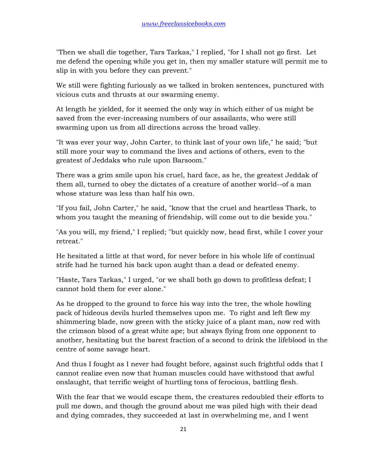"Then we shall die together, Tars Tarkas," I replied, "for I shall not go first. Let me defend the opening while you get in, then my smaller stature will permit me to slip in with you before they can prevent."

We still were fighting furiously as we talked in broken sentences, punctured with vicious cuts and thrusts at our swarming enemy.

At length he yielded, for it seemed the only way in which either of us might be saved from the ever-increasing numbers of our assailants, who were still swarming upon us from all directions across the broad valley.

"It was ever your way, John Carter, to think last of your own life," he said; "but still more your way to command the lives and actions of others, even to the greatest of Jeddaks who rule upon Barsoom."

There was a grim smile upon his cruel, hard face, as he, the greatest Jeddak of them all, turned to obey the dictates of a creature of another world--of a man whose stature was less than half his own.

"If you fail, John Carter," he said, "know that the cruel and heartless Thark, to whom you taught the meaning of friendship, will come out to die beside you."

"As you will, my friend," I replied; "but quickly now, head first, while I cover your retreat."

He hesitated a little at that word, for never before in his whole life of continual strife had he turned his back upon aught than a dead or defeated enemy.

"Haste, Tars Tarkas," I urged, "or we shall both go down to profitless defeat; I cannot hold them for ever alone."

As he dropped to the ground to force his way into the tree, the whole howling pack of hideous devils hurled themselves upon me. To right and left flew my shimmering blade, now green with the sticky juice of a plant man, now red with the crimson blood of a great white ape; but always flying from one opponent to another, hesitating but the barest fraction of a second to drink the lifeblood in the centre of some savage heart.

And thus I fought as I never had fought before, against such frightful odds that I cannot realize even now that human muscles could have withstood that awful onslaught, that terrific weight of hurtling tons of ferocious, battling flesh.

With the fear that we would escape them, the creatures redoubled their efforts to pull me down, and though the ground about me was piled high with their dead and dying comrades, they succeeded at last in overwhelming me, and I went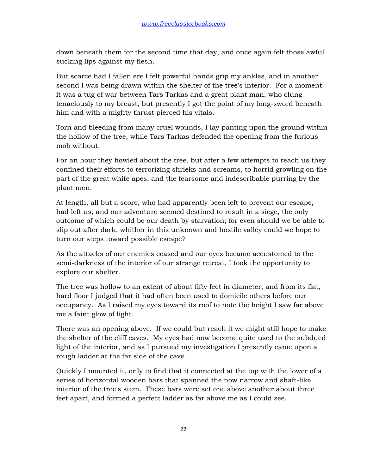down beneath them for the second time that day, and once again felt those awful sucking lips against my flesh.

But scarce had I fallen ere I felt powerful hands grip my ankles, and in another second I was being drawn within the shelter of the tree's interior. For a moment it was a tug of war between Tars Tarkas and a great plant man, who clung tenaciously to my breast, but presently I got the point of my long-sword beneath him and with a mighty thrust pierced his vitals.

Torn and bleeding from many cruel wounds, I lay panting upon the ground within the hollow of the tree, while Tars Tarkas defended the opening from the furious mob without.

For an hour they howled about the tree, but after a few attempts to reach us they confined their efforts to terrorizing shrieks and screams, to horrid growling on the part of the great white apes, and the fearsome and indescribable purring by the plant men.

At length, all but a score, who had apparently been left to prevent our escape, had left us, and our adventure seemed destined to result in a siege, the only outcome of which could be our death by starvation; for even should we be able to slip out after dark, whither in this unknown and hostile valley could we hope to turn our steps toward possible escape?

As the attacks of our enemies ceased and our eyes became accustomed to the semi-darkness of the interior of our strange retreat, I took the opportunity to explore our shelter.

The tree was hollow to an extent of about fifty feet in diameter, and from its flat, hard floor I judged that it had often been used to domicile others before our occupancy. As I raised my eyes toward its roof to note the height I saw far above me a faint glow of light.

There was an opening above. If we could but reach it we might still hope to make the shelter of the cliff caves. My eyes had now become quite used to the subdued light of the interior, and as I pursued my investigation I presently came upon a rough ladder at the far side of the cave.

Quickly I mounted it, only to find that it connected at the top with the lower of a series of horizontal wooden bars that spanned the now narrow and shaft-like interior of the tree's stem. These bars were set one above another about three feet apart, and formed a perfect ladder as far above me as I could see.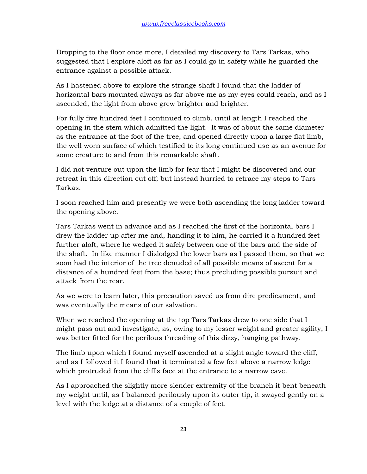Dropping to the floor once more, I detailed my discovery to Tars Tarkas, who suggested that I explore aloft as far as I could go in safety while he guarded the entrance against a possible attack.

As I hastened above to explore the strange shaft I found that the ladder of horizontal bars mounted always as far above me as my eyes could reach, and as I ascended, the light from above grew brighter and brighter.

For fully five hundred feet I continued to climb, until at length I reached the opening in the stem which admitted the light. It was of about the same diameter as the entrance at the foot of the tree, and opened directly upon a large flat limb, the well worn surface of which testified to its long continued use as an avenue for some creature to and from this remarkable shaft.

I did not venture out upon the limb for fear that I might be discovered and our retreat in this direction cut off; but instead hurried to retrace my steps to Tars Tarkas.

I soon reached him and presently we were both ascending the long ladder toward the opening above.

Tars Tarkas went in advance and as I reached the first of the horizontal bars I drew the ladder up after me and, handing it to him, he carried it a hundred feet further aloft, where he wedged it safely between one of the bars and the side of the shaft. In like manner I dislodged the lower bars as I passed them, so that we soon had the interior of the tree denuded of all possible means of ascent for a distance of a hundred feet from the base; thus precluding possible pursuit and attack from the rear.

As we were to learn later, this precaution saved us from dire predicament, and was eventually the means of our salvation.

When we reached the opening at the top Tars Tarkas drew to one side that I might pass out and investigate, as, owing to my lesser weight and greater agility, I was better fitted for the perilous threading of this dizzy, hanging pathway.

The limb upon which I found myself ascended at a slight angle toward the cliff, and as I followed it I found that it terminated a few feet above a narrow ledge which protruded from the cliff's face at the entrance to a narrow cave.

As I approached the slightly more slender extremity of the branch it bent beneath my weight until, as I balanced perilously upon its outer tip, it swayed gently on a level with the ledge at a distance of a couple of feet.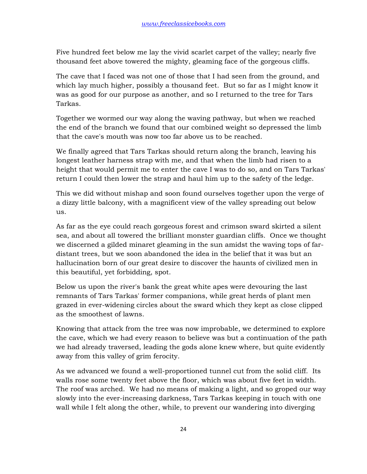Five hundred feet below me lay the vivid scarlet carpet of the valley; nearly five thousand feet above towered the mighty, gleaming face of the gorgeous cliffs.

The cave that I faced was not one of those that I had seen from the ground, and which lay much higher, possibly a thousand feet. But so far as I might know it was as good for our purpose as another, and so I returned to the tree for Tars Tarkas.

Together we wormed our way along the waving pathway, but when we reached the end of the branch we found that our combined weight so depressed the limb that the cave's mouth was now too far above us to be reached.

We finally agreed that Tars Tarkas should return along the branch, leaving his longest leather harness strap with me, and that when the limb had risen to a height that would permit me to enter the cave I was to do so, and on Tars Tarkas' return I could then lower the strap and haul him up to the safety of the ledge.

This we did without mishap and soon found ourselves together upon the verge of a dizzy little balcony, with a magnificent view of the valley spreading out below us.

As far as the eye could reach gorgeous forest and crimson sward skirted a silent sea, and about all towered the brilliant monster guardian cliffs. Once we thought we discerned a gilded minaret gleaming in the sun amidst the waving tops of fardistant trees, but we soon abandoned the idea in the belief that it was but an hallucination born of our great desire to discover the haunts of civilized men in this beautiful, yet forbidding, spot.

Below us upon the river's bank the great white apes were devouring the last remnants of Tars Tarkas' former companions, while great herds of plant men grazed in ever-widening circles about the sward which they kept as close clipped as the smoothest of lawns.

Knowing that attack from the tree was now improbable, we determined to explore the cave, which we had every reason to believe was but a continuation of the path we had already traversed, leading the gods alone knew where, but quite evidently away from this valley of grim ferocity.

As we advanced we found a well-proportioned tunnel cut from the solid cliff. Its walls rose some twenty feet above the floor, which was about five feet in width. The roof was arched. We had no means of making a light, and so groped our way slowly into the ever-increasing darkness, Tars Tarkas keeping in touch with one wall while I felt along the other, while, to prevent our wandering into diverging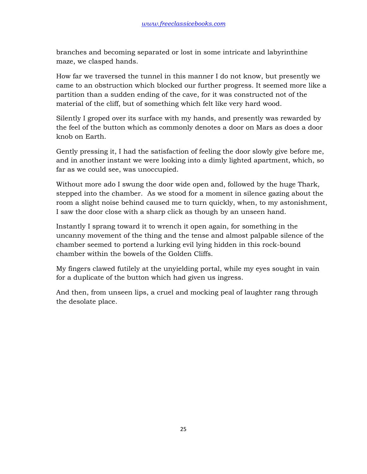branches and becoming separated or lost in some intricate and labyrinthine maze, we clasped hands.

How far we traversed the tunnel in this manner I do not know, but presently we came to an obstruction which blocked our further progress. It seemed more like a partition than a sudden ending of the cave, for it was constructed not of the material of the cliff, but of something which felt like very hard wood.

Silently I groped over its surface with my hands, and presently was rewarded by the feel of the button which as commonly denotes a door on Mars as does a door knob on Earth.

Gently pressing it, I had the satisfaction of feeling the door slowly give before me, and in another instant we were looking into a dimly lighted apartment, which, so far as we could see, was unoccupied.

Without more ado I swung the door wide open and, followed by the huge Thark, stepped into the chamber. As we stood for a moment in silence gazing about the room a slight noise behind caused me to turn quickly, when, to my astonishment, I saw the door close with a sharp click as though by an unseen hand.

Instantly I sprang toward it to wrench it open again, for something in the uncanny movement of the thing and the tense and almost palpable silence of the chamber seemed to portend a lurking evil lying hidden in this rock-bound chamber within the bowels of the Golden Cliffs.

My fingers clawed futilely at the unyielding portal, while my eyes sought in vain for a duplicate of the button which had given us ingress.

And then, from unseen lips, a cruel and mocking peal of laughter rang through the desolate place.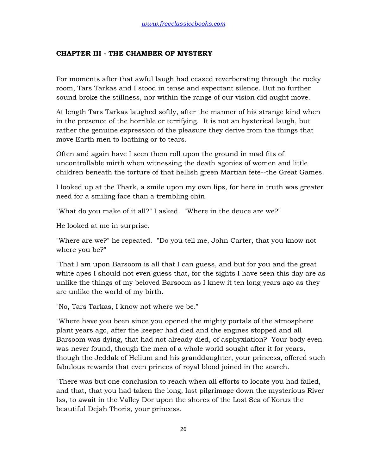#### **CHAPTER III - THE CHAMBER OF MYSTERY**

For moments after that awful laugh had ceased reverberating through the rocky room, Tars Tarkas and I stood in tense and expectant silence. But no further sound broke the stillness, nor within the range of our vision did aught move.

At length Tars Tarkas laughed softly, after the manner of his strange kind when in the presence of the horrible or terrifying. It is not an hysterical laugh, but rather the genuine expression of the pleasure they derive from the things that move Earth men to loathing or to tears.

Often and again have I seen them roll upon the ground in mad fits of uncontrollable mirth when witnessing the death agonies of women and little children beneath the torture of that hellish green Martian fete--the Great Games.

I looked up at the Thark, a smile upon my own lips, for here in truth was greater need for a smiling face than a trembling chin.

"What do you make of it all?" I asked. "Where in the deuce are we?"

He looked at me in surprise.

"Where are we?" he repeated. "Do you tell me, John Carter, that you know not where you be?"

"That I am upon Barsoom is all that I can guess, and but for you and the great white apes I should not even guess that, for the sights I have seen this day are as unlike the things of my beloved Barsoom as I knew it ten long years ago as they are unlike the world of my birth.

"No, Tars Tarkas, I know not where we be."

"Where have you been since you opened the mighty portals of the atmosphere plant years ago, after the keeper had died and the engines stopped and all Barsoom was dying, that had not already died, of asphyxiation? Your body even was never found, though the men of a whole world sought after it for years, though the Jeddak of Helium and his granddaughter, your princess, offered such fabulous rewards that even princes of royal blood joined in the search.

"There was but one conclusion to reach when all efforts to locate you had failed, and that, that you had taken the long, last pilgrimage down the mysterious River Iss, to await in the Valley Dor upon the shores of the Lost Sea of Korus the beautiful Dejah Thoris, your princess.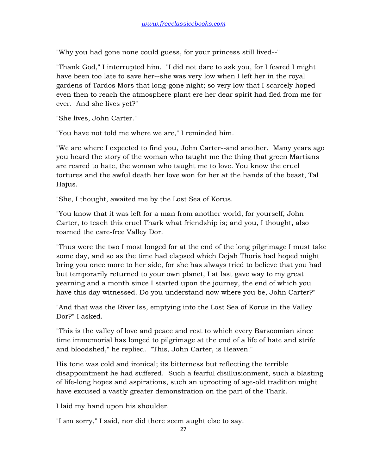"Why you had gone none could guess, for your princess still lived--"

"Thank God," I interrupted him. "I did not dare to ask you, for I feared I might have been too late to save her--she was very low when I left her in the royal gardens of Tardos Mors that long-gone night; so very low that I scarcely hoped even then to reach the atmosphere plant ere her dear spirit had fled from me for ever. And she lives yet?"

"She lives, John Carter."

"You have not told me where we are," I reminded him.

"We are where I expected to find you, John Carter--and another. Many years ago you heard the story of the woman who taught me the thing that green Martians are reared to hate, the woman who taught me to love. You know the cruel tortures and the awful death her love won for her at the hands of the beast, Tal Hajus.

"She, I thought, awaited me by the Lost Sea of Korus.

"You know that it was left for a man from another world, for yourself, John Carter, to teach this cruel Thark what friendship is; and you, I thought, also roamed the care-free Valley Dor.

"Thus were the two I most longed for at the end of the long pilgrimage I must take some day, and so as the time had elapsed which Dejah Thoris had hoped might bring you once more to her side, for she has always tried to believe that you had but temporarily returned to your own planet, I at last gave way to my great yearning and a month since I started upon the journey, the end of which you have this day witnessed. Do you understand now where you be, John Carter?"

"And that was the River Iss, emptying into the Lost Sea of Korus in the Valley Dor?" I asked.

"This is the valley of love and peace and rest to which every Barsoomian since time immemorial has longed to pilgrimage at the end of a life of hate and strife and bloodshed," he replied. "This, John Carter, is Heaven."

His tone was cold and ironical; its bitterness but reflecting the terrible disappointment he had suffered. Such a fearful disillusionment, such a blasting of life-long hopes and aspirations, such an uprooting of age-old tradition might have excused a vastly greater demonstration on the part of the Thark.

I laid my hand upon his shoulder.

"I am sorry," I said, nor did there seem aught else to say.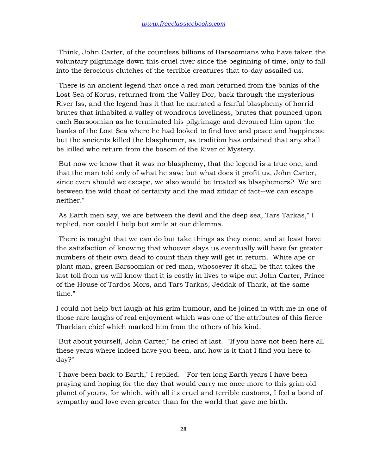"Think, John Carter, of the countless billions of Barsoomians who have taken the voluntary pilgrimage down this cruel river since the beginning of time, only to fall into the ferocious clutches of the terrible creatures that to-day assailed us.

"There is an ancient legend that once a red man returned from the banks of the Lost Sea of Korus, returned from the Valley Dor, back through the mysterious River Iss, and the legend has it that he narrated a fearful blasphemy of horrid brutes that inhabited a valley of wondrous loveliness, brutes that pounced upon each Barsoomian as he terminated his pilgrimage and devoured him upon the banks of the Lost Sea where he had looked to find love and peace and happiness; but the ancients killed the blasphemer, as tradition has ordained that any shall be killed who return from the bosom of the River of Mystery.

"But now we know that it was no blasphemy, that the legend is a true one, and that the man told only of what he saw; but what does it profit us, John Carter, since even should we escape, we also would be treated as blasphemers? We are between the wild thoat of certainty and the mad zitidar of fact--we can escape neither."

"As Earth men say, we are between the devil and the deep sea, Tars Tarkas," I replied, nor could I help but smile at our dilemma.

"There is naught that we can do but take things as they come, and at least have the satisfaction of knowing that whoever slays us eventually will have far greater numbers of their own dead to count than they will get in return. White ape or plant man, green Barsoomian or red man, whosoever it shall be that takes the last toll from us will know that it is costly in lives to wipe out John Carter, Prince of the House of Tardos Mors, and Tars Tarkas, Jeddak of Thark, at the same time."

I could not help but laugh at his grim humour, and he joined in with me in one of those rare laughs of real enjoyment which was one of the attributes of this fierce Tharkian chief which marked him from the others of his kind.

"But about yourself, John Carter," he cried at last. "If you have not been here all these years where indeed have you been, and how is it that I find you here today?"

"I have been back to Earth," I replied. "For ten long Earth years I have been praying and hoping for the day that would carry me once more to this grim old planet of yours, for which, with all its cruel and terrible customs, I feel a bond of sympathy and love even greater than for the world that gave me birth.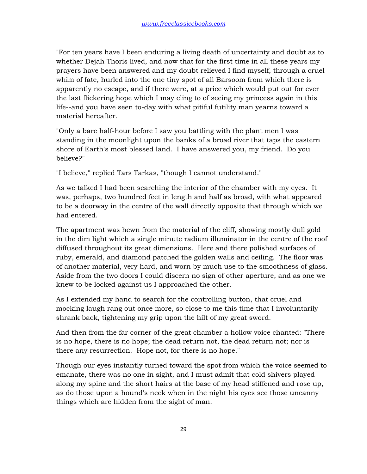"For ten years have I been enduring a living death of uncertainty and doubt as to whether Dejah Thoris lived, and now that for the first time in all these years my prayers have been answered and my doubt relieved I find myself, through a cruel whim of fate, hurled into the one tiny spot of all Barsoom from which there is apparently no escape, and if there were, at a price which would put out for ever the last flickering hope which I may cling to of seeing my princess again in this life--and you have seen to-day with what pitiful futility man yearns toward a material hereafter.

"Only a bare half-hour before I saw you battling with the plant men I was standing in the moonlight upon the banks of a broad river that taps the eastern shore of Earth's most blessed land. I have answered you, my friend. Do you believe?"

"I believe," replied Tars Tarkas, "though I cannot understand."

As we talked I had been searching the interior of the chamber with my eyes. It was, perhaps, two hundred feet in length and half as broad, with what appeared to be a doorway in the centre of the wall directly opposite that through which we had entered.

The apartment was hewn from the material of the cliff, showing mostly dull gold in the dim light which a single minute radium illuminator in the centre of the roof diffused throughout its great dimensions. Here and there polished surfaces of ruby, emerald, and diamond patched the golden walls and ceiling. The floor was of another material, very hard, and worn by much use to the smoothness of glass. Aside from the two doors I could discern no sign of other aperture, and as one we knew to be locked against us I approached the other.

As I extended my hand to search for the controlling button, that cruel and mocking laugh rang out once more, so close to me this time that I involuntarily shrank back, tightening my grip upon the hilt of my great sword.

And then from the far corner of the great chamber a hollow voice chanted: "There is no hope, there is no hope; the dead return not, the dead return not; nor is there any resurrection. Hope not, for there is no hope."

Though our eyes instantly turned toward the spot from which the voice seemed to emanate, there was no one in sight, and I must admit that cold shivers played along my spine and the short hairs at the base of my head stiffened and rose up, as do those upon a hound's neck when in the night his eyes see those uncanny things which are hidden from the sight of man.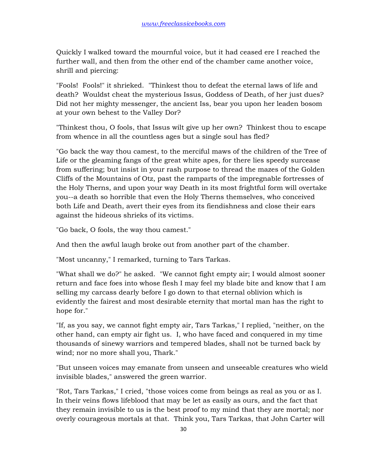Quickly I walked toward the mournful voice, but it had ceased ere I reached the further wall, and then from the other end of the chamber came another voice, shrill and piercing:

"Fools! Fools!" it shrieked. "Thinkest thou to defeat the eternal laws of life and death? Wouldst cheat the mysterious Issus, Goddess of Death, of her just dues? Did not her mighty messenger, the ancient Iss, bear you upon her leaden bosom at your own behest to the Valley Dor?

"Thinkest thou, O fools, that Issus wilt give up her own? Thinkest thou to escape from whence in all the countless ages but a single soul has fled?

"Go back the way thou camest, to the merciful maws of the children of the Tree of Life or the gleaming fangs of the great white apes, for there lies speedy surcease from suffering; but insist in your rash purpose to thread the mazes of the Golden Cliffs of the Mountains of Otz, past the ramparts of the impregnable fortresses of the Holy Therns, and upon your way Death in its most frightful form will overtake you--a death so horrible that even the Holy Therns themselves, who conceived both Life and Death, avert their eyes from its fiendishness and close their ears against the hideous shrieks of its victims.

"Go back, O fools, the way thou camest."

And then the awful laugh broke out from another part of the chamber.

"Most uncanny," I remarked, turning to Tars Tarkas.

"What shall we do?" he asked. "We cannot fight empty air; I would almost sooner return and face foes into whose flesh I may feel my blade bite and know that I am selling my carcass dearly before I go down to that eternal oblivion which is evidently the fairest and most desirable eternity that mortal man has the right to hope for."

"If, as you say, we cannot fight empty air, Tars Tarkas," I replied, "neither, on the other hand, can empty air fight us. I, who have faced and conquered in my time thousands of sinewy warriors and tempered blades, shall not be turned back by wind; nor no more shall you, Thark."

"But unseen voices may emanate from unseen and unseeable creatures who wield invisible blades," answered the green warrior.

"Rot, Tars Tarkas," I cried, "those voices come from beings as real as you or as I. In their veins flows lifeblood that may be let as easily as ours, and the fact that they remain invisible to us is the best proof to my mind that they are mortal; nor overly courageous mortals at that. Think you, Tars Tarkas, that John Carter will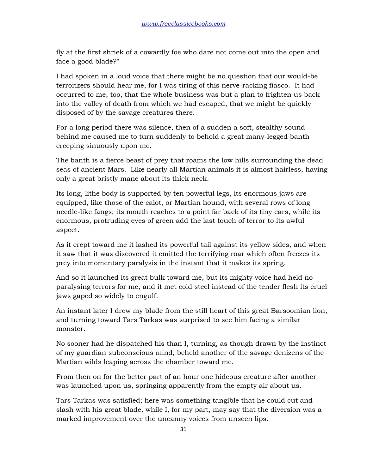fly at the first shriek of a cowardly foe who dare not come out into the open and face a good blade?"

I had spoken in a loud voice that there might be no question that our would-be terrorizers should hear me, for I was tiring of this nerve-racking fiasco. It had occurred to me, too, that the whole business was but a plan to frighten us back into the valley of death from which we had escaped, that we might be quickly disposed of by the savage creatures there.

For a long period there was silence, then of a sudden a soft, stealthy sound behind me caused me to turn suddenly to behold a great many-legged banth creeping sinuously upon me.

The banth is a fierce beast of prey that roams the low hills surrounding the dead seas of ancient Mars. Like nearly all Martian animals it is almost hairless, having only a great bristly mane about its thick neck.

Its long, lithe body is supported by ten powerful legs, its enormous jaws are equipped, like those of the calot, or Martian hound, with several rows of long needle-like fangs; its mouth reaches to a point far back of its tiny ears, while its enormous, protruding eyes of green add the last touch of terror to its awful aspect.

As it crept toward me it lashed its powerful tail against its yellow sides, and when it saw that it was discovered it emitted the terrifying roar which often freezes its prey into momentary paralysis in the instant that it makes its spring.

And so it launched its great bulk toward me, but its mighty voice had held no paralysing terrors for me, and it met cold steel instead of the tender flesh its cruel jaws gaped so widely to engulf.

An instant later I drew my blade from the still heart of this great Barsoomian lion, and turning toward Tars Tarkas was surprised to see him facing a similar monster.

No sooner had he dispatched his than I, turning, as though drawn by the instinct of my guardian subconscious mind, beheld another of the savage denizens of the Martian wilds leaping across the chamber toward me.

From then on for the better part of an hour one hideous creature after another was launched upon us, springing apparently from the empty air about us.

Tars Tarkas was satisfied; here was something tangible that he could cut and slash with his great blade, while I, for my part, may say that the diversion was a marked improvement over the uncanny voices from unseen lips.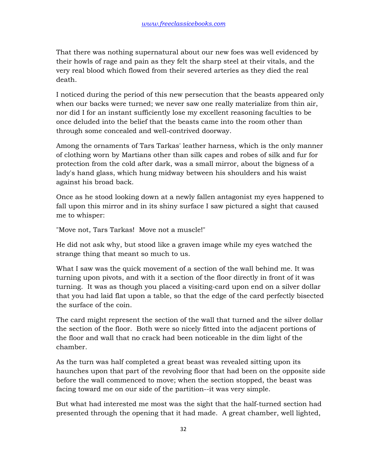That there was nothing supernatural about our new foes was well evidenced by their howls of rage and pain as they felt the sharp steel at their vitals, and the very real blood which flowed from their severed arteries as they died the real death.

I noticed during the period of this new persecution that the beasts appeared only when our backs were turned; we never saw one really materialize from thin air, nor did I for an instant sufficiently lose my excellent reasoning faculties to be once deluded into the belief that the beasts came into the room other than through some concealed and well-contrived doorway.

Among the ornaments of Tars Tarkas' leather harness, which is the only manner of clothing worn by Martians other than silk capes and robes of silk and fur for protection from the cold after dark, was a small mirror, about the bigness of a lady's hand glass, which hung midway between his shoulders and his waist against his broad back.

Once as he stood looking down at a newly fallen antagonist my eyes happened to fall upon this mirror and in its shiny surface I saw pictured a sight that caused me to whisper:

"Move not, Tars Tarkas! Move not a muscle!"

He did not ask why, but stood like a graven image while my eyes watched the strange thing that meant so much to us.

What I saw was the quick movement of a section of the wall behind me. It was turning upon pivots, and with it a section of the floor directly in front of it was turning. It was as though you placed a visiting-card upon end on a silver dollar that you had laid flat upon a table, so that the edge of the card perfectly bisected the surface of the coin.

The card might represent the section of the wall that turned and the silver dollar the section of the floor. Both were so nicely fitted into the adjacent portions of the floor and wall that no crack had been noticeable in the dim light of the chamber.

As the turn was half completed a great beast was revealed sitting upon its haunches upon that part of the revolving floor that had been on the opposite side before the wall commenced to move; when the section stopped, the beast was facing toward me on our side of the partition--it was very simple.

But what had interested me most was the sight that the half-turned section had presented through the opening that it had made. A great chamber, well lighted,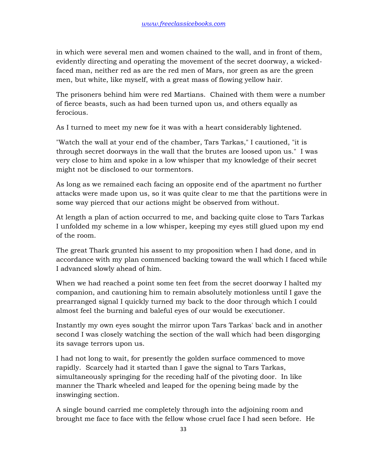in which were several men and women chained to the wall, and in front of them, evidently directing and operating the movement of the secret doorway, a wickedfaced man, neither red as are the red men of Mars, nor green as are the green men, but white, like myself, with a great mass of flowing yellow hair.

The prisoners behind him were red Martians. Chained with them were a number of fierce beasts, such as had been turned upon us, and others equally as ferocious.

As I turned to meet my new foe it was with a heart considerably lightened.

"Watch the wall at your end of the chamber, Tars Tarkas," I cautioned, "it is through secret doorways in the wall that the brutes are loosed upon us." I was very close to him and spoke in a low whisper that my knowledge of their secret might not be disclosed to our tormentors.

As long as we remained each facing an opposite end of the apartment no further attacks were made upon us, so it was quite clear to me that the partitions were in some way pierced that our actions might be observed from without.

At length a plan of action occurred to me, and backing quite close to Tars Tarkas I unfolded my scheme in a low whisper, keeping my eyes still glued upon my end of the room.

The great Thark grunted his assent to my proposition when I had done, and in accordance with my plan commenced backing toward the wall which I faced while I advanced slowly ahead of him.

When we had reached a point some ten feet from the secret doorway I halted my companion, and cautioning him to remain absolutely motionless until I gave the prearranged signal I quickly turned my back to the door through which I could almost feel the burning and baleful eyes of our would be executioner.

Instantly my own eyes sought the mirror upon Tars Tarkas' back and in another second I was closely watching the section of the wall which had been disgorging its savage terrors upon us.

I had not long to wait, for presently the golden surface commenced to move rapidly. Scarcely had it started than I gave the signal to Tars Tarkas, simultaneously springing for the receding half of the pivoting door. In like manner the Thark wheeled and leaped for the opening being made by the inswinging section.

A single bound carried me completely through into the adjoining room and brought me face to face with the fellow whose cruel face I had seen before. He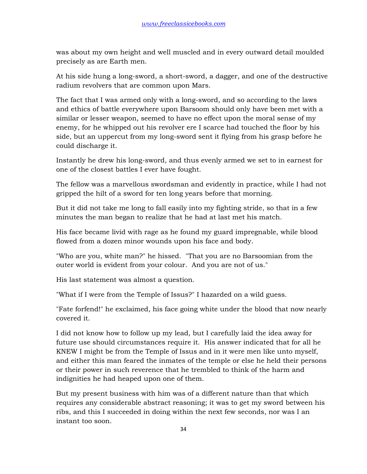was about my own height and well muscled and in every outward detail moulded precisely as are Earth men.

At his side hung a long-sword, a short-sword, a dagger, and one of the destructive radium revolvers that are common upon Mars.

The fact that I was armed only with a long-sword, and so according to the laws and ethics of battle everywhere upon Barsoom should only have been met with a similar or lesser weapon, seemed to have no effect upon the moral sense of my enemy, for he whipped out his revolver ere I scarce had touched the floor by his side, but an uppercut from my long-sword sent it flying from his grasp before he could discharge it.

Instantly he drew his long-sword, and thus evenly armed we set to in earnest for one of the closest battles I ever have fought.

The fellow was a marvellous swordsman and evidently in practice, while I had not gripped the hilt of a sword for ten long years before that morning.

But it did not take me long to fall easily into my fighting stride, so that in a few minutes the man began to realize that he had at last met his match.

His face became livid with rage as he found my guard impregnable, while blood flowed from a dozen minor wounds upon his face and body.

"Who are you, white man?" he hissed. "That you are no Barsoomian from the outer world is evident from your colour. And you are not of us."

His last statement was almost a question.

"What if I were from the Temple of Issus?" I hazarded on a wild guess.

"Fate forfend!" he exclaimed, his face going white under the blood that now nearly covered it.

I did not know how to follow up my lead, but I carefully laid the idea away for future use should circumstances require it. His answer indicated that for all he KNEW I might be from the Temple of Issus and in it were men like unto myself, and either this man feared the inmates of the temple or else he held their persons or their power in such reverence that he trembled to think of the harm and indignities he had heaped upon one of them.

But my present business with him was of a different nature than that which requires any considerable abstract reasoning; it was to get my sword between his ribs, and this I succeeded in doing within the next few seconds, nor was I an instant too soon.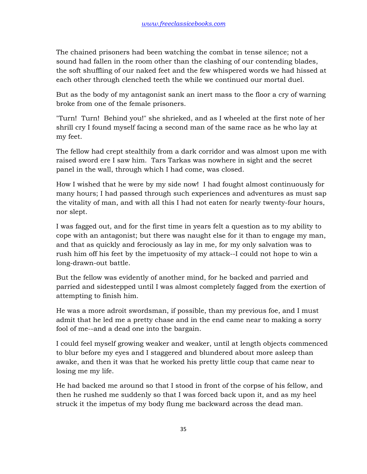The chained prisoners had been watching the combat in tense silence; not a sound had fallen in the room other than the clashing of our contending blades, the soft shuffling of our naked feet and the few whispered words we had hissed at each other through clenched teeth the while we continued our mortal duel.

But as the body of my antagonist sank an inert mass to the floor a cry of warning broke from one of the female prisoners.

"Turn! Turn! Behind you!" she shrieked, and as I wheeled at the first note of her shrill cry I found myself facing a second man of the same race as he who lay at my feet.

The fellow had crept stealthily from a dark corridor and was almost upon me with raised sword ere I saw him. Tars Tarkas was nowhere in sight and the secret panel in the wall, through which I had come, was closed.

How I wished that he were by my side now! I had fought almost continuously for many hours; I had passed through such experiences and adventures as must sap the vitality of man, and with all this I had not eaten for nearly twenty-four hours, nor slept.

I was fagged out, and for the first time in years felt a question as to my ability to cope with an antagonist; but there was naught else for it than to engage my man, and that as quickly and ferociously as lay in me, for my only salvation was to rush him off his feet by the impetuosity of my attack--I could not hope to win a long-drawn-out battle.

But the fellow was evidently of another mind, for he backed and parried and parried and sidestepped until I was almost completely fagged from the exertion of attempting to finish him.

He was a more adroit swordsman, if possible, than my previous foe, and I must admit that he led me a pretty chase and in the end came near to making a sorry fool of me--and a dead one into the bargain.

I could feel myself growing weaker and weaker, until at length objects commenced to blur before my eyes and I staggered and blundered about more asleep than awake, and then it was that he worked his pretty little coup that came near to losing me my life.

He had backed me around so that I stood in front of the corpse of his fellow, and then he rushed me suddenly so that I was forced back upon it, and as my heel struck it the impetus of my body flung me backward across the dead man.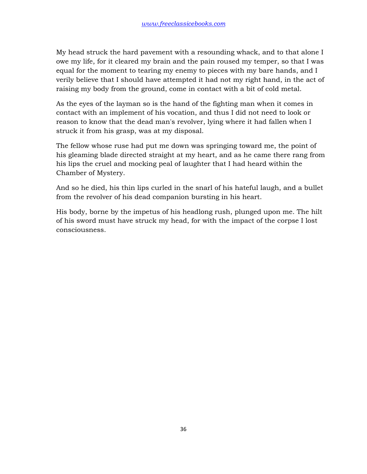My head struck the hard pavement with a resounding whack, and to that alone I owe my life, for it cleared my brain and the pain roused my temper, so that I was equal for the moment to tearing my enemy to pieces with my bare hands, and I verily believe that I should have attempted it had not my right hand, in the act of raising my body from the ground, come in contact with a bit of cold metal.

As the eyes of the layman so is the hand of the fighting man when it comes in contact with an implement of his vocation, and thus I did not need to look or reason to know that the dead man's revolver, lying where it had fallen when I struck it from his grasp, was at my disposal.

The fellow whose ruse had put me down was springing toward me, the point of his gleaming blade directed straight at my heart, and as he came there rang from his lips the cruel and mocking peal of laughter that I had heard within the Chamber of Mystery.

And so he died, his thin lips curled in the snarl of his hateful laugh, and a bullet from the revolver of his dead companion bursting in his heart.

His body, borne by the impetus of his headlong rush, plunged upon me. The hilt of his sword must have struck my head, for with the impact of the corpse I lost consciousness.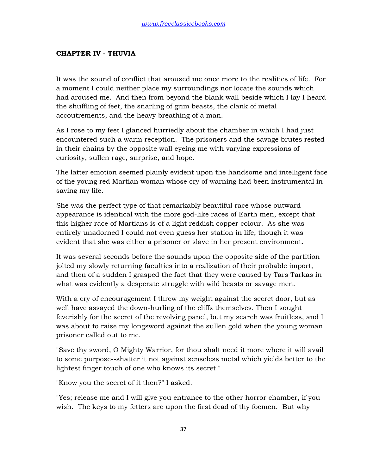## **CHAPTER IV - THUVIA**

It was the sound of conflict that aroused me once more to the realities of life. For a moment I could neither place my surroundings nor locate the sounds which had aroused me. And then from beyond the blank wall beside which I lay I heard the shuffling of feet, the snarling of grim beasts, the clank of metal accoutrements, and the heavy breathing of a man.

As I rose to my feet I glanced hurriedly about the chamber in which I had just encountered such a warm reception. The prisoners and the savage brutes rested in their chains by the opposite wall eyeing me with varying expressions of curiosity, sullen rage, surprise, and hope.

The latter emotion seemed plainly evident upon the handsome and intelligent face of the young red Martian woman whose cry of warning had been instrumental in saving my life.

She was the perfect type of that remarkably beautiful race whose outward appearance is identical with the more god-like races of Earth men, except that this higher race of Martians is of a light reddish copper colour. As she was entirely unadorned I could not even guess her station in life, though it was evident that she was either a prisoner or slave in her present environment.

It was several seconds before the sounds upon the opposite side of the partition jolted my slowly returning faculties into a realization of their probable import, and then of a sudden I grasped the fact that they were caused by Tars Tarkas in what was evidently a desperate struggle with wild beasts or savage men.

With a cry of encouragement I threw my weight against the secret door, but as well have assayed the down-hurling of the cliffs themselves. Then I sought feverishly for the secret of the revolving panel, but my search was fruitless, and I was about to raise my longsword against the sullen gold when the young woman prisoner called out to me.

"Save thy sword, O Mighty Warrior, for thou shalt need it more where it will avail to some purpose--shatter it not against senseless metal which yields better to the lightest finger touch of one who knows its secret."

"Know you the secret of it then?" I asked.

"Yes; release me and I will give you entrance to the other horror chamber, if you wish. The keys to my fetters are upon the first dead of thy foemen. But why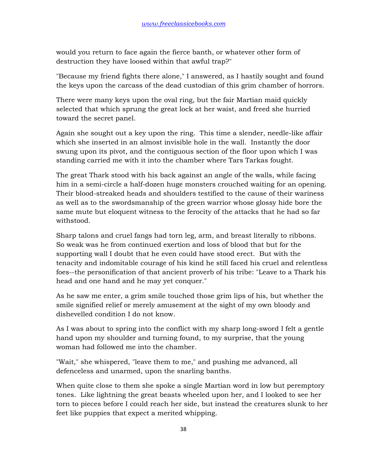would you return to face again the fierce banth, or whatever other form of destruction they have loosed within that awful trap?"

"Because my friend fights there alone," I answered, as I hastily sought and found the keys upon the carcass of the dead custodian of this grim chamber of horrors.

There were many keys upon the oval ring, but the fair Martian maid quickly selected that which sprung the great lock at her waist, and freed she hurried toward the secret panel.

Again she sought out a key upon the ring. This time a slender, needle-like affair which she inserted in an almost invisible hole in the wall. Instantly the door swung upon its pivot, and the contiguous section of the floor upon which I was standing carried me with it into the chamber where Tars Tarkas fought.

The great Thark stood with his back against an angle of the walls, while facing him in a semi-circle a half-dozen huge monsters crouched waiting for an opening. Their blood-streaked heads and shoulders testified to the cause of their wariness as well as to the swordsmanship of the green warrior whose glossy hide bore the same mute but eloquent witness to the ferocity of the attacks that he had so far withstood.

Sharp talons and cruel fangs had torn leg, arm, and breast literally to ribbons. So weak was he from continued exertion and loss of blood that but for the supporting wall I doubt that he even could have stood erect. But with the tenacity and indomitable courage of his kind he still faced his cruel and relentless foes--the personification of that ancient proverb of his tribe: "Leave to a Thark his head and one hand and he may yet conquer."

As he saw me enter, a grim smile touched those grim lips of his, but whether the smile signified relief or merely amusement at the sight of my own bloody and dishevelled condition I do not know.

As I was about to spring into the conflict with my sharp long-sword I felt a gentle hand upon my shoulder and turning found, to my surprise, that the young woman had followed me into the chamber.

"Wait," she whispered, "leave them to me," and pushing me advanced, all defenceless and unarmed, upon the snarling banths.

When quite close to them she spoke a single Martian word in low but peremptory tones. Like lightning the great beasts wheeled upon her, and I looked to see her torn to pieces before I could reach her side, but instead the creatures slunk to her feet like puppies that expect a merited whipping.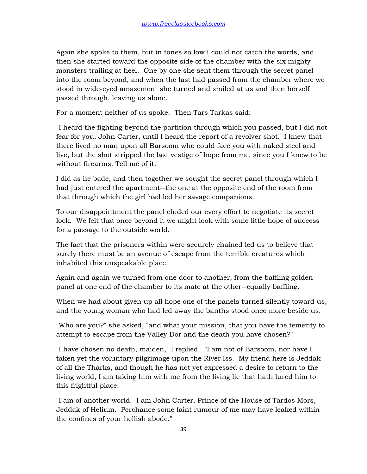Again she spoke to them, but in tones so low I could not catch the words, and then she started toward the opposite side of the chamber with the six mighty monsters trailing at heel. One by one she sent them through the secret panel into the room beyond, and when the last had passed from the chamber where we stood in wide-eyed amazement she turned and smiled at us and then herself passed through, leaving us alone.

For a moment neither of us spoke. Then Tars Tarkas said:

"I heard the fighting beyond the partition through which you passed, but I did not fear for you, John Carter, until I heard the report of a revolver shot. I knew that there lived no man upon all Barsoom who could face you with naked steel and live, but the shot stripped the last vestige of hope from me, since you I knew to be without firearms. Tell me of it."

I did as he bade, and then together we sought the secret panel through which I had just entered the apartment--the one at the opposite end of the room from that through which the girl had led her savage companions.

To our disappointment the panel eluded our every effort to negotiate its secret lock. We felt that once beyond it we might look with some little hope of success for a passage to the outside world.

The fact that the prisoners within were securely chained led us to believe that surely there must be an avenue of escape from the terrible creatures which inhabited this unspeakable place.

Again and again we turned from one door to another, from the baffling golden panel at one end of the chamber to its mate at the other--equally baffling.

When we had about given up all hope one of the panels turned silently toward us, and the young woman who had led away the banths stood once more beside us.

"Who are you?" she asked, "and what your mission, that you have the temerity to attempt to escape from the Valley Dor and the death you have chosen?"

"I have chosen no death, maiden," I replied. "I am not of Barsoom, nor have I taken yet the voluntary pilgrimage upon the River Iss. My friend here is Jeddak of all the Tharks, and though he has not yet expressed a desire to return to the living world, I am taking him with me from the living lie that hath lured him to this frightful place.

"I am of another world. I am John Carter, Prince of the House of Tardos Mors, Jeddak of Helium. Perchance some faint rumour of me may have leaked within the confines of your hellish abode."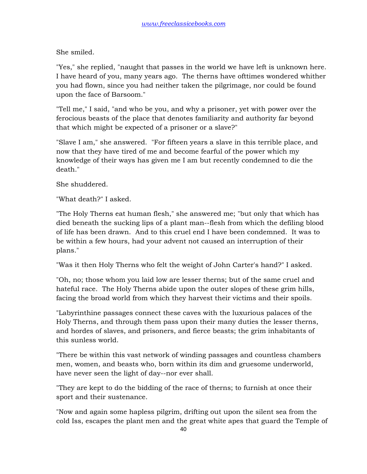She smiled.

"Yes," she replied, "naught that passes in the world we have left is unknown here. I have heard of you, many years ago. The therns have ofttimes wondered whither you had flown, since you had neither taken the pilgrimage, nor could be found upon the face of Barsoom."

"Tell me," I said, "and who be you, and why a prisoner, yet with power over the ferocious beasts of the place that denotes familiarity and authority far beyond that which might be expected of a prisoner or a slave?"

"Slave I am," she answered. "For fifteen years a slave in this terrible place, and now that they have tired of me and become fearful of the power which my knowledge of their ways has given me I am but recently condemned to die the death."

She shuddered.

"What death?" I asked.

"The Holy Therns eat human flesh," she answered me; "but only that which has died beneath the sucking lips of a plant man--flesh from which the defiling blood of life has been drawn. And to this cruel end I have been condemned. It was to be within a few hours, had your advent not caused an interruption of their plans."

"Was it then Holy Therns who felt the weight of John Carter's hand?" I asked.

"Oh, no; those whom you laid low are lesser therns; but of the same cruel and hateful race. The Holy Therns abide upon the outer slopes of these grim hills, facing the broad world from which they harvest their victims and their spoils.

"Labyrinthine passages connect these caves with the luxurious palaces of the Holy Therns, and through them pass upon their many duties the lesser therns, and hordes of slaves, and prisoners, and fierce beasts; the grim inhabitants of this sunless world.

"There be within this vast network of winding passages and countless chambers men, women, and beasts who, born within its dim and gruesome underworld, have never seen the light of day--nor ever shall.

"They are kept to do the bidding of the race of therns; to furnish at once their sport and their sustenance.

"Now and again some hapless pilgrim, drifting out upon the silent sea from the cold Iss, escapes the plant men and the great white apes that guard the Temple of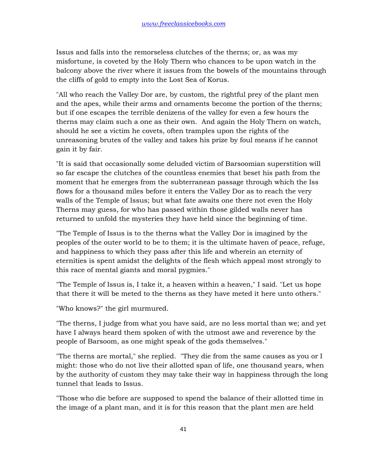Issus and falls into the remorseless clutches of the therns; or, as was my misfortune, is coveted by the Holy Thern who chances to be upon watch in the balcony above the river where it issues from the bowels of the mountains through the cliffs of gold to empty into the Lost Sea of Korus.

"All who reach the Valley Dor are, by custom, the rightful prey of the plant men and the apes, while their arms and ornaments become the portion of the therns; but if one escapes the terrible denizens of the valley for even a few hours the therns may claim such a one as their own. And again the Holy Thern on watch, should he see a victim he covets, often tramples upon the rights of the unreasoning brutes of the valley and takes his prize by foul means if he cannot gain it by fair.

"It is said that occasionally some deluded victim of Barsoomian superstition will so far escape the clutches of the countless enemies that beset his path from the moment that he emerges from the subterranean passage through which the Iss flows for a thousand miles before it enters the Valley Dor as to reach the very walls of the Temple of Issus; but what fate awaits one there not even the Holy Therns may guess, for who has passed within those gilded walls never has returned to unfold the mysteries they have held since the beginning of time.

"The Temple of Issus is to the therns what the Valley Dor is imagined by the peoples of the outer world to be to them; it is the ultimate haven of peace, refuge, and happiness to which they pass after this life and wherein an eternity of eternities is spent amidst the delights of the flesh which appeal most strongly to this race of mental giants and moral pygmies."

"The Temple of Issus is, I take it, a heaven within a heaven," I said. "Let us hope that there it will be meted to the therns as they have meted it here unto others."

"Who knows?" the girl murmured.

"The therns, I judge from what you have said, are no less mortal than we; and yet have I always heard them spoken of with the utmost awe and reverence by the people of Barsoom, as one might speak of the gods themselves."

"The therns are mortal," she replied. "They die from the same causes as you or I might: those who do not live their allotted span of life, one thousand years, when by the authority of custom they may take their way in happiness through the long tunnel that leads to Issus.

"Those who die before are supposed to spend the balance of their allotted time in the image of a plant man, and it is for this reason that the plant men are held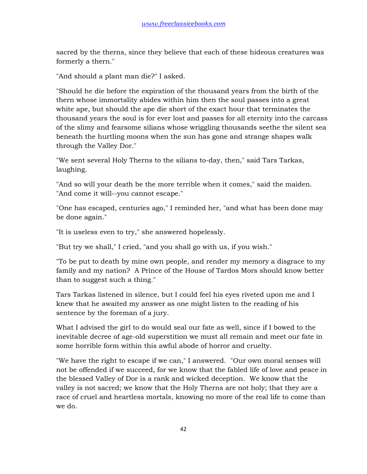sacred by the therns, since they believe that each of these hideous creatures was formerly a thern."

"And should a plant man die?" I asked.

"Should he die before the expiration of the thousand years from the birth of the thern whose immortality abides within him then the soul passes into a great white ape, but should the ape die short of the exact hour that terminates the thousand years the soul is for ever lost and passes for all eternity into the carcass of the slimy and fearsome silians whose wriggling thousands seethe the silent sea beneath the hurtling moons when the sun has gone and strange shapes walk through the Valley Dor."

"We sent several Holy Therns to the silians to-day, then," said Tars Tarkas, laughing.

"And so will your death be the more terrible when it comes," said the maiden. "And come it will--you cannot escape."

"One has escaped, centuries ago," I reminded her, "and what has been done may be done again."

"It is useless even to try," she answered hopelessly.

"But try we shall," I cried, "and you shall go with us, if you wish."

"To be put to death by mine own people, and render my memory a disgrace to my family and my nation? A Prince of the House of Tardos Mors should know better than to suggest such a thing."

Tars Tarkas listened in silence, but I could feel his eyes riveted upon me and I knew that he awaited my answer as one might listen to the reading of his sentence by the foreman of a jury.

What I advised the girl to do would seal our fate as well, since if I bowed to the inevitable decree of age-old superstition we must all remain and meet our fate in some horrible form within this awful abode of horror and cruelty.

"We have the right to escape if we can," I answered. "Our own moral senses will not be offended if we succeed, for we know that the fabled life of love and peace in the blessed Valley of Dor is a rank and wicked deception. We know that the valley is not sacred; we know that the Holy Therns are not holy; that they are a race of cruel and heartless mortals, knowing no more of the real life to come than we do.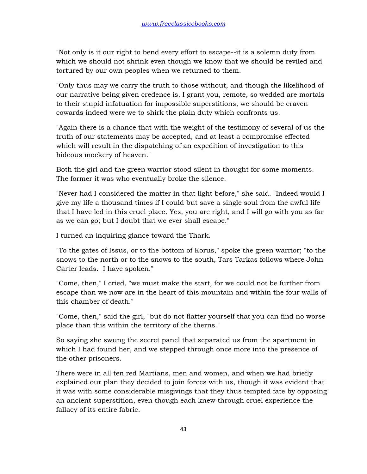"Not only is it our right to bend every effort to escape--it is a solemn duty from which we should not shrink even though we know that we should be reviled and tortured by our own peoples when we returned to them.

"Only thus may we carry the truth to those without, and though the likelihood of our narrative being given credence is, I grant you, remote, so wedded are mortals to their stupid infatuation for impossible superstitions, we should be craven cowards indeed were we to shirk the plain duty which confronts us.

"Again there is a chance that with the weight of the testimony of several of us the truth of our statements may be accepted, and at least a compromise effected which will result in the dispatching of an expedition of investigation to this hideous mockery of heaven."

Both the girl and the green warrior stood silent in thought for some moments. The former it was who eventually broke the silence.

"Never had I considered the matter in that light before," she said. "Indeed would I give my life a thousand times if I could but save a single soul from the awful life that I have led in this cruel place. Yes, you are right, and I will go with you as far as we can go; but I doubt that we ever shall escape."

I turned an inquiring glance toward the Thark.

"To the gates of Issus, or to the bottom of Korus," spoke the green warrior; "to the snows to the north or to the snows to the south, Tars Tarkas follows where John Carter leads. I have spoken."

"Come, then," I cried, "we must make the start, for we could not be further from escape than we now are in the heart of this mountain and within the four walls of this chamber of death."

"Come, then," said the girl, "but do not flatter yourself that you can find no worse place than this within the territory of the therns."

So saying she swung the secret panel that separated us from the apartment in which I had found her, and we stepped through once more into the presence of the other prisoners.

There were in all ten red Martians, men and women, and when we had briefly explained our plan they decided to join forces with us, though it was evident that it was with some considerable misgivings that they thus tempted fate by opposing an ancient superstition, even though each knew through cruel experience the fallacy of its entire fabric.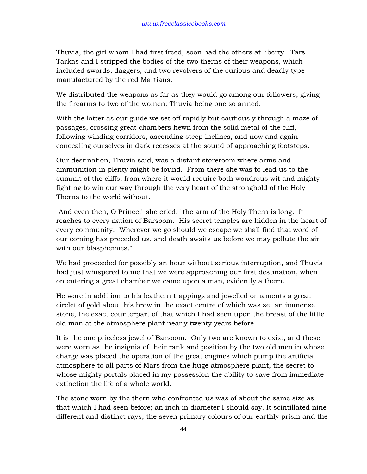Thuvia, the girl whom I had first freed, soon had the others at liberty. Tars Tarkas and I stripped the bodies of the two therns of their weapons, which included swords, daggers, and two revolvers of the curious and deadly type manufactured by the red Martians.

We distributed the weapons as far as they would go among our followers, giving the firearms to two of the women; Thuvia being one so armed.

With the latter as our guide we set off rapidly but cautiously through a maze of passages, crossing great chambers hewn from the solid metal of the cliff, following winding corridors, ascending steep inclines, and now and again concealing ourselves in dark recesses at the sound of approaching footsteps.

Our destination, Thuvia said, was a distant storeroom where arms and ammunition in plenty might be found. From there she was to lead us to the summit of the cliffs, from where it would require both wondrous wit and mighty fighting to win our way through the very heart of the stronghold of the Holy Therns to the world without.

"And even then, O Prince," she cried, "the arm of the Holy Thern is long. It reaches to every nation of Barsoom. His secret temples are hidden in the heart of every community. Wherever we go should we escape we shall find that word of our coming has preceded us, and death awaits us before we may pollute the air with our blasphemies."

We had proceeded for possibly an hour without serious interruption, and Thuvia had just whispered to me that we were approaching our first destination, when on entering a great chamber we came upon a man, evidently a thern.

He wore in addition to his leathern trappings and jewelled ornaments a great circlet of gold about his brow in the exact centre of which was set an immense stone, the exact counterpart of that which I had seen upon the breast of the little old man at the atmosphere plant nearly twenty years before.

It is the one priceless jewel of Barsoom. Only two are known to exist, and these were worn as the insignia of their rank and position by the two old men in whose charge was placed the operation of the great engines which pump the artificial atmosphere to all parts of Mars from the huge atmosphere plant, the secret to whose mighty portals placed in my possession the ability to save from immediate extinction the life of a whole world.

The stone worn by the thern who confronted us was of about the same size as that which I had seen before; an inch in diameter I should say. It scintillated nine different and distinct rays; the seven primary colours of our earthly prism and the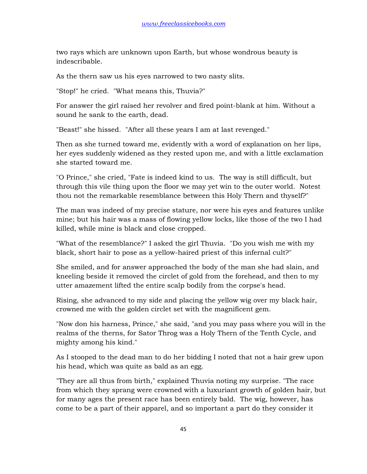two rays which are unknown upon Earth, but whose wondrous beauty is indescribable.

As the thern saw us his eyes narrowed to two nasty slits.

"Stop!" he cried. "What means this, Thuvia?"

For answer the girl raised her revolver and fired point-blank at him. Without a sound he sank to the earth, dead.

"Beast!" she hissed. "After all these years I am at last revenged."

Then as she turned toward me, evidently with a word of explanation on her lips, her eyes suddenly widened as they rested upon me, and with a little exclamation she started toward me.

"O Prince," she cried, "Fate is indeed kind to us. The way is still difficult, but through this vile thing upon the floor we may yet win to the outer world. Notest thou not the remarkable resemblance between this Holy Thern and thyself?"

The man was indeed of my precise stature, nor were his eyes and features unlike mine; but his hair was a mass of flowing yellow locks, like those of the two I had killed, while mine is black and close cropped.

"What of the resemblance?" I asked the girl Thuvia. "Do you wish me with my black, short hair to pose as a yellow-haired priest of this infernal cult?"

She smiled, and for answer approached the body of the man she had slain, and kneeling beside it removed the circlet of gold from the forehead, and then to my utter amazement lifted the entire scalp bodily from the corpse's head.

Rising, she advanced to my side and placing the yellow wig over my black hair, crowned me with the golden circlet set with the magnificent gem.

"Now don his harness, Prince," she said, "and you may pass where you will in the realms of the therns, for Sator Throg was a Holy Thern of the Tenth Cycle, and mighty among his kind."

As I stooped to the dead man to do her bidding I noted that not a hair grew upon his head, which was quite as bald as an egg.

"They are all thus from birth," explained Thuvia noting my surprise. "The race from which they sprang were crowned with a luxuriant growth of golden hair, but for many ages the present race has been entirely bald. The wig, however, has come to be a part of their apparel, and so important a part do they consider it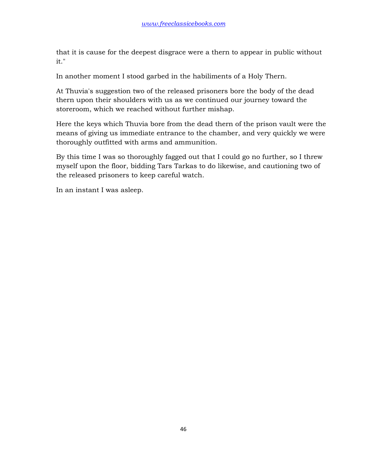that it is cause for the deepest disgrace were a thern to appear in public without it."

In another moment I stood garbed in the habiliments of a Holy Thern.

At Thuvia's suggestion two of the released prisoners bore the body of the dead thern upon their shoulders with us as we continued our journey toward the storeroom, which we reached without further mishap.

Here the keys which Thuvia bore from the dead thern of the prison vault were the means of giving us immediate entrance to the chamber, and very quickly we were thoroughly outfitted with arms and ammunition.

By this time I was so thoroughly fagged out that I could go no further, so I threw myself upon the floor, bidding Tars Tarkas to do likewise, and cautioning two of the released prisoners to keep careful watch.

In an instant I was asleep.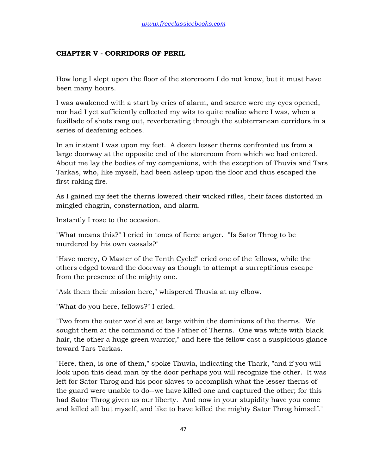# **CHAPTER V - CORRIDORS OF PERIL**

How long I slept upon the floor of the storeroom I do not know, but it must have been many hours.

I was awakened with a start by cries of alarm, and scarce were my eyes opened, nor had I yet sufficiently collected my wits to quite realize where I was, when a fusillade of shots rang out, reverberating through the subterranean corridors in a series of deafening echoes.

In an instant I was upon my feet. A dozen lesser therns confronted us from a large doorway at the opposite end of the storeroom from which we had entered. About me lay the bodies of my companions, with the exception of Thuvia and Tars Tarkas, who, like myself, had been asleep upon the floor and thus escaped the first raking fire.

As I gained my feet the therns lowered their wicked rifles, their faces distorted in mingled chagrin, consternation, and alarm.

Instantly I rose to the occasion.

"What means this?" I cried in tones of fierce anger. "Is Sator Throg to be murdered by his own vassals?"

"Have mercy, O Master of the Tenth Cycle!" cried one of the fellows, while the others edged toward the doorway as though to attempt a surreptitious escape from the presence of the mighty one.

"Ask them their mission here," whispered Thuvia at my elbow.

"What do you here, fellows?" I cried.

"Two from the outer world are at large within the dominions of the therns. We sought them at the command of the Father of Therns. One was white with black hair, the other a huge green warrior," and here the fellow cast a suspicious glance toward Tars Tarkas.

"Here, then, is one of them," spoke Thuvia, indicating the Thark, "and if you will look upon this dead man by the door perhaps you will recognize the other. It was left for Sator Throg and his poor slaves to accomplish what the lesser therns of the guard were unable to do--we have killed one and captured the other; for this had Sator Throg given us our liberty. And now in your stupidity have you come and killed all but myself, and like to have killed the mighty Sator Throg himself."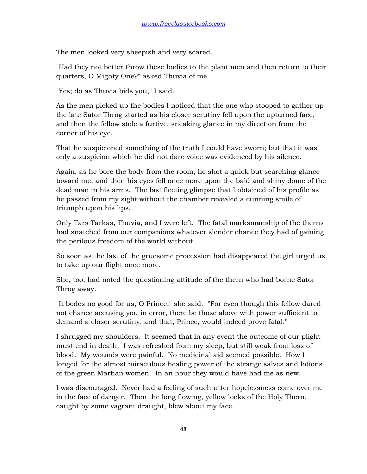The men looked very sheepish and very scared.

"Had they not better throw these bodies to the plant men and then return to their quarters, O Mighty One?" asked Thuvia of me.

"Yes; do as Thuvia bids you," I said.

As the men picked up the bodies I noticed that the one who stooped to gather up the late Sator Throg started as his closer scrutiny fell upon the upturned face, and then the fellow stole a furtive, sneaking glance in my direction from the corner of his eye.

That he suspicioned something of the truth I could have sworn; but that it was only a suspicion which he did not dare voice was evidenced by his silence.

Again, as he bore the body from the room, he shot a quick but searching glance toward me, and then his eyes fell once more upon the bald and shiny dome of the dead man in his arms. The last fleeting glimpse that I obtained of his profile as he passed from my sight without the chamber revealed a cunning smile of triumph upon his lips.

Only Tars Tarkas, Thuvia, and I were left. The fatal marksmanship of the therns had snatched from our companions whatever slender chance they had of gaining the perilous freedom of the world without.

So soon as the last of the gruesome procession had disappeared the girl urged us to take up our flight once more.

She, too, had noted the questioning attitude of the thern who had borne Sator Throg away.

"It bodes no good for us, O Prince," she said. "For even though this fellow dared not chance accusing you in error, there be those above with power sufficient to demand a closer scrutiny, and that, Prince, would indeed prove fatal."

I shrugged my shoulders. It seemed that in any event the outcome of our plight must end in death. I was refreshed from my sleep, but still weak from loss of blood. My wounds were painful. No medicinal aid seemed possible. How I longed for the almost miraculous healing power of the strange salves and lotions of the green Martian women. In an hour they would have had me as new.

I was discouraged. Never had a feeling of such utter hopelessness come over me in the face of danger. Then the long flowing, yellow locks of the Holy Thern, caught by some vagrant draught, blew about my face.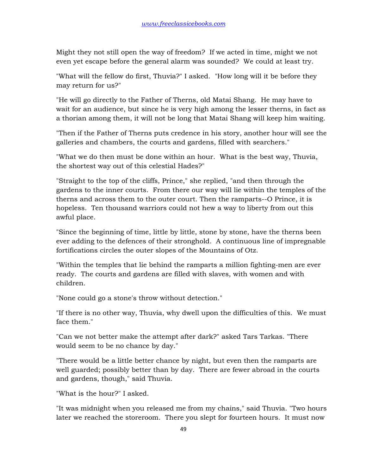Might they not still open the way of freedom? If we acted in time, might we not even yet escape before the general alarm was sounded? We could at least try.

"What will the fellow do first, Thuvia?" I asked. "How long will it be before they may return for us?"

"He will go directly to the Father of Therns, old Matai Shang. He may have to wait for an audience, but since he is very high among the lesser therns, in fact as a thorian among them, it will not be long that Matai Shang will keep him waiting.

"Then if the Father of Therns puts credence in his story, another hour will see the galleries and chambers, the courts and gardens, filled with searchers."

"What we do then must be done within an hour. What is the best way, Thuvia, the shortest way out of this celestial Hades?"

"Straight to the top of the cliffs, Prince," she replied, "and then through the gardens to the inner courts. From there our way will lie within the temples of the therns and across them to the outer court. Then the ramparts--O Prince, it is hopeless. Ten thousand warriors could not hew a way to liberty from out this awful place.

"Since the beginning of time, little by little, stone by stone, have the therns been ever adding to the defences of their stronghold. A continuous line of impregnable fortifications circles the outer slopes of the Mountains of Otz.

"Within the temples that lie behind the ramparts a million fighting-men are ever ready. The courts and gardens are filled with slaves, with women and with children.

"None could go a stone's throw without detection."

"If there is no other way, Thuvia, why dwell upon the difficulties of this. We must face them."

"Can we not better make the attempt after dark?" asked Tars Tarkas. "There would seem to be no chance by day."

"There would be a little better chance by night, but even then the ramparts are well guarded; possibly better than by day. There are fewer abroad in the courts and gardens, though," said Thuvia.

"What is the hour?" I asked.

"It was midnight when you released me from my chains," said Thuvia. "Two hours later we reached the storeroom. There you slept for fourteen hours. It must now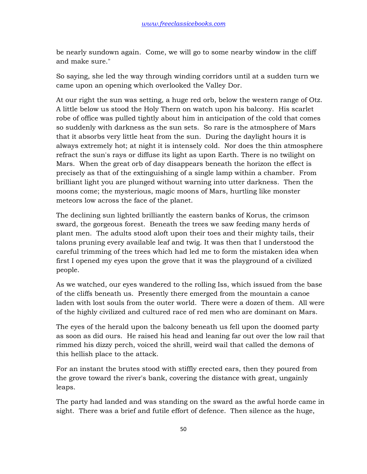be nearly sundown again. Come, we will go to some nearby window in the cliff and make sure."

So saying, she led the way through winding corridors until at a sudden turn we came upon an opening which overlooked the Valley Dor.

At our right the sun was setting, a huge red orb, below the western range of Otz. A little below us stood the Holy Thern on watch upon his balcony. His scarlet robe of office was pulled tightly about him in anticipation of the cold that comes so suddenly with darkness as the sun sets. So rare is the atmosphere of Mars that it absorbs very little heat from the sun. During the daylight hours it is always extremely hot; at night it is intensely cold. Nor does the thin atmosphere refract the sun's rays or diffuse its light as upon Earth. There is no twilight on Mars. When the great orb of day disappears beneath the horizon the effect is precisely as that of the extinguishing of a single lamp within a chamber. From brilliant light you are plunged without warning into utter darkness. Then the moons come; the mysterious, magic moons of Mars, hurtling like monster meteors low across the face of the planet.

The declining sun lighted brilliantly the eastern banks of Korus, the crimson sward, the gorgeous forest. Beneath the trees we saw feeding many herds of plant men. The adults stood aloft upon their toes and their mighty tails, their talons pruning every available leaf and twig. It was then that I understood the careful trimming of the trees which had led me to form the mistaken idea when first I opened my eyes upon the grove that it was the playground of a civilized people.

As we watched, our eyes wandered to the rolling Iss, which issued from the base of the cliffs beneath us. Presently there emerged from the mountain a canoe laden with lost souls from the outer world. There were a dozen of them. All were of the highly civilized and cultured race of red men who are dominant on Mars.

The eyes of the herald upon the balcony beneath us fell upon the doomed party as soon as did ours. He raised his head and leaning far out over the low rail that rimmed his dizzy perch, voiced the shrill, weird wail that called the demons of this hellish place to the attack.

For an instant the brutes stood with stiffly erected ears, then they poured from the grove toward the river's bank, covering the distance with great, ungainly leaps.

The party had landed and was standing on the sward as the awful horde came in sight. There was a brief and futile effort of defence. Then silence as the huge,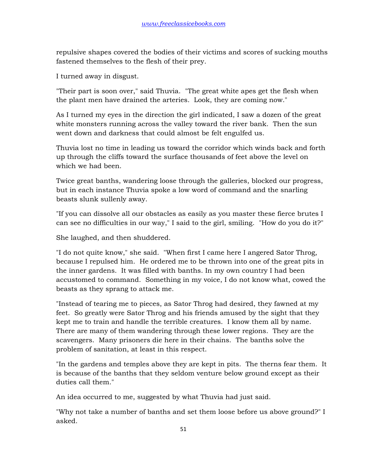repulsive shapes covered the bodies of their victims and scores of sucking mouths fastened themselves to the flesh of their prey.

I turned away in disgust.

"Their part is soon over," said Thuvia. "The great white apes get the flesh when the plant men have drained the arteries. Look, they are coming now."

As I turned my eyes in the direction the girl indicated, I saw a dozen of the great white monsters running across the valley toward the river bank. Then the sun went down and darkness that could almost be felt engulfed us.

Thuvia lost no time in leading us toward the corridor which winds back and forth up through the cliffs toward the surface thousands of feet above the level on which we had been.

Twice great banths, wandering loose through the galleries, blocked our progress, but in each instance Thuvia spoke a low word of command and the snarling beasts slunk sullenly away.

"If you can dissolve all our obstacles as easily as you master these fierce brutes I can see no difficulties in our way," I said to the girl, smiling. "How do you do it?"

She laughed, and then shuddered.

"I do not quite know," she said. "When first I came here I angered Sator Throg, because I repulsed him. He ordered me to be thrown into one of the great pits in the inner gardens. It was filled with banths. In my own country I had been accustomed to command. Something in my voice, I do not know what, cowed the beasts as they sprang to attack me.

"Instead of tearing me to pieces, as Sator Throg had desired, they fawned at my feet. So greatly were Sator Throg and his friends amused by the sight that they kept me to train and handle the terrible creatures. I know them all by name. There are many of them wandering through these lower regions. They are the scavengers. Many prisoners die here in their chains. The banths solve the problem of sanitation, at least in this respect.

"In the gardens and temples above they are kept in pits. The therns fear them. It is because of the banths that they seldom venture below ground except as their duties call them."

An idea occurred to me, suggested by what Thuvia had just said.

"Why not take a number of banths and set them loose before us above ground?" I asked.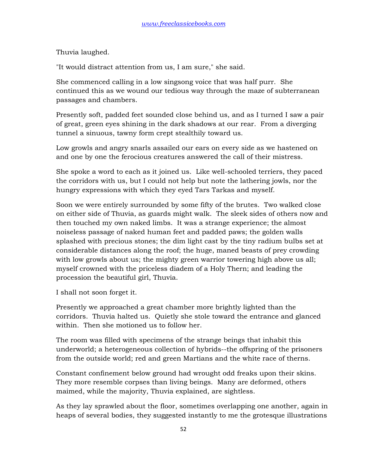Thuvia laughed.

"It would distract attention from us, I am sure," she said.

She commenced calling in a low singsong voice that was half purr. She continued this as we wound our tedious way through the maze of subterranean passages and chambers.

Presently soft, padded feet sounded close behind us, and as I turned I saw a pair of great, green eyes shining in the dark shadows at our rear. From a diverging tunnel a sinuous, tawny form crept stealthily toward us.

Low growls and angry snarls assailed our ears on every side as we hastened on and one by one the ferocious creatures answered the call of their mistress.

She spoke a word to each as it joined us. Like well-schooled terriers, they paced the corridors with us, but I could not help but note the lathering jowls, nor the hungry expressions with which they eyed Tars Tarkas and myself.

Soon we were entirely surrounded by some fifty of the brutes. Two walked close on either side of Thuvia, as guards might walk. The sleek sides of others now and then touched my own naked limbs. It was a strange experience; the almost noiseless passage of naked human feet and padded paws; the golden walls splashed with precious stones; the dim light cast by the tiny radium bulbs set at considerable distances along the roof; the huge, maned beasts of prey crowding with low growls about us; the mighty green warrior towering high above us all; myself crowned with the priceless diadem of a Holy Thern; and leading the procession the beautiful girl, Thuvia.

I shall not soon forget it.

Presently we approached a great chamber more brightly lighted than the corridors. Thuvia halted us. Quietly she stole toward the entrance and glanced within. Then she motioned us to follow her.

The room was filled with specimens of the strange beings that inhabit this underworld; a heterogeneous collection of hybrids--the offspring of the prisoners from the outside world; red and green Martians and the white race of therns.

Constant confinement below ground had wrought odd freaks upon their skins. They more resemble corpses than living beings. Many are deformed, others maimed, while the majority, Thuvia explained, are sightless.

As they lay sprawled about the floor, sometimes overlapping one another, again in heaps of several bodies, they suggested instantly to me the grotesque illustrations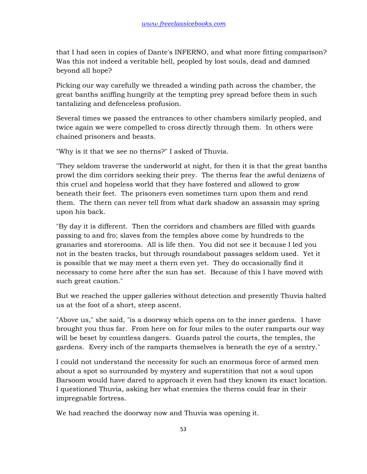that I had seen in copies of Dante's INFERNO, and what more fitting comparison? Was this not indeed a veritable hell, peopled by lost souls, dead and damned beyond all hope?

Picking our way carefully we threaded a winding path across the chamber, the great banths sniffing hungrily at the tempting prey spread before them in such tantalizing and defenceless profusion.

Several times we passed the entrances to other chambers similarly peopled, and twice again we were compelled to cross directly through them. In others were chained prisoners and beasts.

"Why is it that we see no therns?" I asked of Thuvia.

"They seldom traverse the underworld at night, for then it is that the great banths prowl the dim corridors seeking their prey. The therns fear the awful denizens of this cruel and hopeless world that they have fostered and allowed to grow beneath their feet. The prisoners even sometimes turn upon them and rend them. The thern can never tell from what dark shadow an assassin may spring upon his back.

"By day it is different. Then the corridors and chambers are filled with guards passing to and fro; slaves from the temples above come by hundreds to the granaries and storerooms. All is life then. You did not see it because I led you not in the beaten tracks, but through roundabout passages seldom used. Yet it is possible that we may meet a thern even yet. They do occasionally find it necessary to come here after the sun has set. Because of this I have moved with such great caution."

But we reached the upper galleries without detection and presently Thuvia halted us at the foot of a short, steep ascent.

"Above us," she said, "is a doorway which opens on to the inner gardens. I have brought you thus far. From here on for four miles to the outer ramparts our way will be beset by countless dangers. Guards patrol the courts, the temples, the gardens. Every inch of the ramparts themselves is beneath the eye of a sentry."

I could not understand the necessity for such an enormous force of armed men about a spot so surrounded by mystery and superstition that not a soul upon Barsoom would have dared to approach it even had they known its exact location. I questioned Thuvia, asking her what enemies the therns could fear in their impregnable fortress.

We had reached the doorway now and Thuvia was opening it.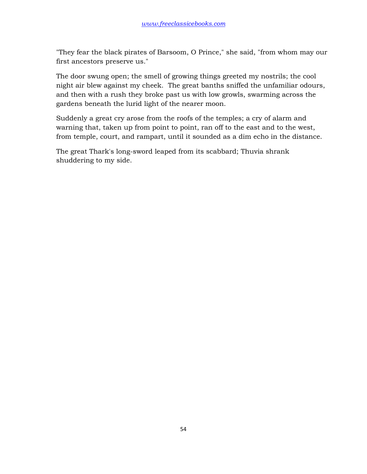"They fear the black pirates of Barsoom, O Prince," she said, "from whom may our first ancestors preserve us."

The door swung open; the smell of growing things greeted my nostrils; the cool night air blew against my cheek. The great banths sniffed the unfamiliar odours, and then with a rush they broke past us with low growls, swarming across the gardens beneath the lurid light of the nearer moon.

Suddenly a great cry arose from the roofs of the temples; a cry of alarm and warning that, taken up from point to point, ran off to the east and to the west, from temple, court, and rampart, until it sounded as a dim echo in the distance.

The great Thark's long-sword leaped from its scabbard; Thuvia shrank shuddering to my side.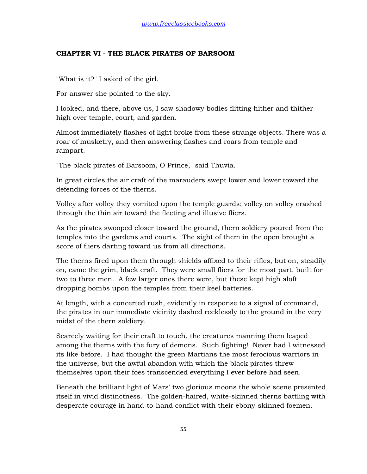## **CHAPTER VI - THE BLACK PIRATES OF BARSOOM**

"What is it?" I asked of the girl.

For answer she pointed to the sky.

I looked, and there, above us, I saw shadowy bodies flitting hither and thither high over temple, court, and garden.

Almost immediately flashes of light broke from these strange objects. There was a roar of musketry, and then answering flashes and roars from temple and rampart.

"The black pirates of Barsoom, O Prince," said Thuvia.

In great circles the air craft of the marauders swept lower and lower toward the defending forces of the therns.

Volley after volley they vomited upon the temple guards; volley on volley crashed through the thin air toward the fleeting and illusive fliers.

As the pirates swooped closer toward the ground, thern soldiery poured from the temples into the gardens and courts. The sight of them in the open brought a score of fliers darting toward us from all directions.

The therns fired upon them through shields affixed to their rifles, but on, steadily on, came the grim, black craft. They were small fliers for the most part, built for two to three men. A few larger ones there were, but these kept high aloft dropping bombs upon the temples from their keel batteries.

At length, with a concerted rush, evidently in response to a signal of command, the pirates in our immediate vicinity dashed recklessly to the ground in the very midst of the thern soldiery.

Scarcely waiting for their craft to touch, the creatures manning them leaped among the therns with the fury of demons. Such fighting! Never had I witnessed its like before. I had thought the green Martians the most ferocious warriors in the universe, but the awful abandon with which the black pirates threw themselves upon their foes transcended everything I ever before had seen.

Beneath the brilliant light of Mars' two glorious moons the whole scene presented itself in vivid distinctness. The golden-haired, white-skinned therns battling with desperate courage in hand-to-hand conflict with their ebony-skinned foemen.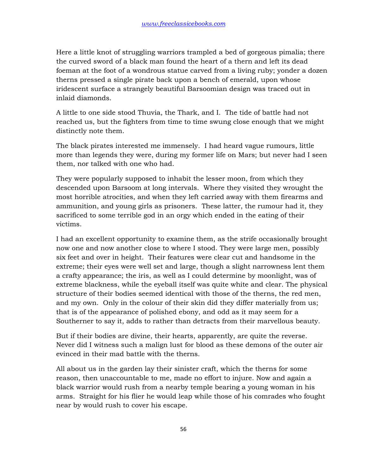Here a little knot of struggling warriors trampled a bed of gorgeous pimalia; there the curved sword of a black man found the heart of a thern and left its dead foeman at the foot of a wondrous statue carved from a living ruby; yonder a dozen therns pressed a single pirate back upon a bench of emerald, upon whose iridescent surface a strangely beautiful Barsoomian design was traced out in inlaid diamonds.

A little to one side stood Thuvia, the Thark, and I. The tide of battle had not reached us, but the fighters from time to time swung close enough that we might distinctly note them.

The black pirates interested me immensely. I had heard vague rumours, little more than legends they were, during my former life on Mars; but never had I seen them, nor talked with one who had.

They were popularly supposed to inhabit the lesser moon, from which they descended upon Barsoom at long intervals. Where they visited they wrought the most horrible atrocities, and when they left carried away with them firearms and ammunition, and young girls as prisoners. These latter, the rumour had it, they sacrificed to some terrible god in an orgy which ended in the eating of their victims.

I had an excellent opportunity to examine them, as the strife occasionally brought now one and now another close to where I stood. They were large men, possibly six feet and over in height. Their features were clear cut and handsome in the extreme; their eyes were well set and large, though a slight narrowness lent them a crafty appearance; the iris, as well as I could determine by moonlight, was of extreme blackness, while the eyeball itself was quite white and clear. The physical structure of their bodies seemed identical with those of the therns, the red men, and my own. Only in the colour of their skin did they differ materially from us; that is of the appearance of polished ebony, and odd as it may seem for a Southerner to say it, adds to rather than detracts from their marvellous beauty.

But if their bodies are divine, their hearts, apparently, are quite the reverse. Never did I witness such a malign lust for blood as these demons of the outer air evinced in their mad battle with the therns.

All about us in the garden lay their sinister craft, which the therns for some reason, then unaccountable to me, made no effort to injure. Now and again a black warrior would rush from a nearby temple bearing a young woman in his arms. Straight for his flier he would leap while those of his comrades who fought near by would rush to cover his escape.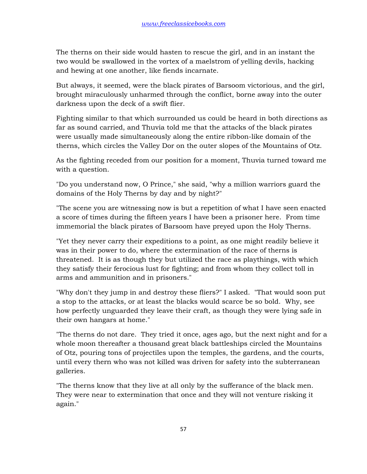The therns on their side would hasten to rescue the girl, and in an instant the two would be swallowed in the vortex of a maelstrom of yelling devils, hacking and hewing at one another, like fiends incarnate.

But always, it seemed, were the black pirates of Barsoom victorious, and the girl, brought miraculously unharmed through the conflict, borne away into the outer darkness upon the deck of a swift flier.

Fighting similar to that which surrounded us could be heard in both directions as far as sound carried, and Thuvia told me that the attacks of the black pirates were usually made simultaneously along the entire ribbon-like domain of the therns, which circles the Valley Dor on the outer slopes of the Mountains of Otz.

As the fighting receded from our position for a moment, Thuvia turned toward me with a question.

"Do you understand now, O Prince," she said, "why a million warriors guard the domains of the Holy Therns by day and by night?"

"The scene you are witnessing now is but a repetition of what I have seen enacted a score of times during the fifteen years I have been a prisoner here. From time immemorial the black pirates of Barsoom have preyed upon the Holy Therns.

"Yet they never carry their expeditions to a point, as one might readily believe it was in their power to do, where the extermination of the race of therns is threatened. It is as though they but utilized the race as playthings, with which they satisfy their ferocious lust for fighting; and from whom they collect toll in arms and ammunition and in prisoners."

"Why don't they jump in and destroy these fliers?" I asked. "That would soon put a stop to the attacks, or at least the blacks would scarce be so bold. Why, see how perfectly unguarded they leave their craft, as though they were lying safe in their own hangars at home."

"The therns do not dare. They tried it once, ages ago, but the next night and for a whole moon thereafter a thousand great black battleships circled the Mountains of Otz, pouring tons of projectiles upon the temples, the gardens, and the courts, until every thern who was not killed was driven for safety into the subterranean galleries.

"The therns know that they live at all only by the sufferance of the black men. They were near to extermination that once and they will not venture risking it again."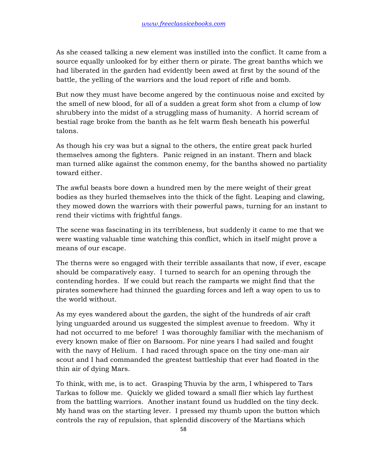As she ceased talking a new element was instilled into the conflict. It came from a source equally unlooked for by either thern or pirate. The great banths which we had liberated in the garden had evidently been awed at first by the sound of the battle, the yelling of the warriors and the loud report of rifle and bomb.

But now they must have become angered by the continuous noise and excited by the smell of new blood, for all of a sudden a great form shot from a clump of low shrubbery into the midst of a struggling mass of humanity. A horrid scream of bestial rage broke from the banth as he felt warm flesh beneath his powerful talons.

As though his cry was but a signal to the others, the entire great pack hurled themselves among the fighters. Panic reigned in an instant. Thern and black man turned alike against the common enemy, for the banths showed no partiality toward either.

The awful beasts bore down a hundred men by the mere weight of their great bodies as they hurled themselves into the thick of the fight. Leaping and clawing, they mowed down the warriors with their powerful paws, turning for an instant to rend their victims with frightful fangs.

The scene was fascinating in its terribleness, but suddenly it came to me that we were wasting valuable time watching this conflict, which in itself might prove a means of our escape.

The therns were so engaged with their terrible assailants that now, if ever, escape should be comparatively easy. I turned to search for an opening through the contending hordes. If we could but reach the ramparts we might find that the pirates somewhere had thinned the guarding forces and left a way open to us to the world without.

As my eyes wandered about the garden, the sight of the hundreds of air craft lying unguarded around us suggested the simplest avenue to freedom. Why it had not occurred to me before! I was thoroughly familiar with the mechanism of every known make of flier on Barsoom. For nine years I had sailed and fought with the navy of Helium. I had raced through space on the tiny one-man air scout and I had commanded the greatest battleship that ever had floated in the thin air of dying Mars.

To think, with me, is to act. Grasping Thuvia by the arm, I whispered to Tars Tarkas to follow me. Quickly we glided toward a small flier which lay furthest from the battling warriors. Another instant found us huddled on the tiny deck. My hand was on the starting lever. I pressed my thumb upon the button which controls the ray of repulsion, that splendid discovery of the Martians which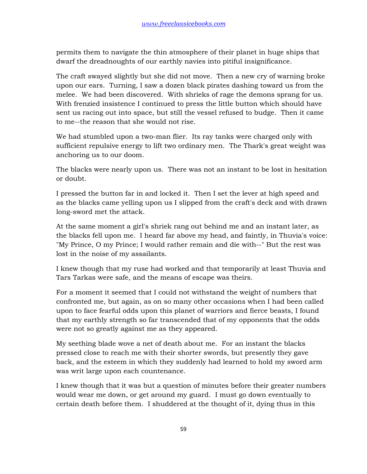permits them to navigate the thin atmosphere of their planet in huge ships that dwarf the dreadnoughts of our earthly navies into pitiful insignificance.

The craft swayed slightly but she did not move. Then a new cry of warning broke upon our ears. Turning, I saw a dozen black pirates dashing toward us from the melee. We had been discovered. With shrieks of rage the demons sprang for us. With frenzied insistence I continued to press the little button which should have sent us racing out into space, but still the vessel refused to budge. Then it came to me--the reason that she would not rise.

We had stumbled upon a two-man flier. Its ray tanks were charged only with sufficient repulsive energy to lift two ordinary men. The Thark's great weight was anchoring us to our doom.

The blacks were nearly upon us. There was not an instant to be lost in hesitation or doubt.

I pressed the button far in and locked it. Then I set the lever at high speed and as the blacks came yelling upon us I slipped from the craft's deck and with drawn long-sword met the attack.

At the same moment a girl's shriek rang out behind me and an instant later, as the blacks fell upon me. I heard far above my head, and faintly, in Thuvia's voice: "My Prince, O my Prince; I would rather remain and die with--" But the rest was lost in the noise of my assailants.

I knew though that my ruse had worked and that temporarily at least Thuvia and Tars Tarkas were safe, and the means of escape was theirs.

For a moment it seemed that I could not withstand the weight of numbers that confronted me, but again, as on so many other occasions when I had been called upon to face fearful odds upon this planet of warriors and fierce beasts, I found that my earthly strength so far transcended that of my opponents that the odds were not so greatly against me as they appeared.

My seething blade wove a net of death about me. For an instant the blacks pressed close to reach me with their shorter swords, but presently they gave back, and the esteem in which they suddenly had learned to hold my sword arm was writ large upon each countenance.

I knew though that it was but a question of minutes before their greater numbers would wear me down, or get around my guard. I must go down eventually to certain death before them. I shuddered at the thought of it, dying thus in this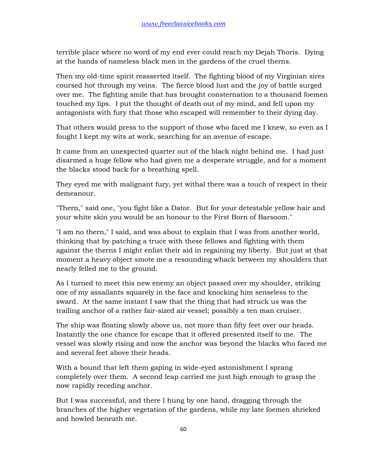terrible place where no word of my end ever could reach my Dejah Thoris. Dying at the hands of nameless black men in the gardens of the cruel therns.

Then my old-time spirit reasserted itself. The fighting blood of my Virginian sires coursed hot through my veins. The fierce blood lust and the joy of battle surged over me. The fighting smile that has brought consternation to a thousand foemen touched my lips. I put the thought of death out of my mind, and fell upon my antagonists with fury that those who escaped will remember to their dying day.

That others would press to the support of those who faced me I knew, so even as I fought I kept my wits at work, searching for an avenue of escape.

It came from an unexpected quarter out of the black night behind me. I had just disarmed a huge fellow who had given me a desperate struggle, and for a moment the blacks stood back for a breathing spell.

They eyed me with malignant fury, yet withal there was a touch of respect in their demeanour.

"Thern," said one, "you fight like a Dator. But for your detestable yellow hair and your white skin you would be an honour to the First Born of Barsoom."

"I am no thern," I said, and was about to explain that I was from another world, thinking that by patching a truce with these fellows and fighting with them against the therns I might enlist their aid in regaining my liberty. But just at that moment a heavy object smote me a resounding whack between my shoulders that nearly felled me to the ground.

As I turned to meet this new enemy an object passed over my shoulder, striking one of my assailants squarely in the face and knocking him senseless to the sward. At the same instant I saw that the thing that had struck us was the trailing anchor of a rather fair-sized air vessel; possibly a ten man cruiser.

The ship was floating slowly above us, not more than fifty feet over our heads. Instantly the one chance for escape that it offered presented itself to me. The vessel was slowly rising and now the anchor was beyond the blacks who faced me and several feet above their heads.

With a bound that left them gaping in wide-eyed astonishment I sprang completely over them. A second leap carried me just high enough to grasp the now rapidly receding anchor.

But I was successful, and there I hung by one hand, dragging through the branches of the higher vegetation of the gardens, while my late foemen shrieked and howled beneath me.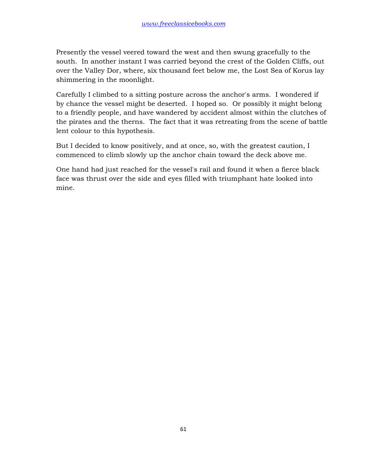Presently the vessel veered toward the west and then swung gracefully to the south. In another instant I was carried beyond the crest of the Golden Cliffs, out over the Valley Dor, where, six thousand feet below me, the Lost Sea of Korus lay shimmering in the moonlight.

Carefully I climbed to a sitting posture across the anchor's arms. I wondered if by chance the vessel might be deserted. I hoped so. Or possibly it might belong to a friendly people, and have wandered by accident almost within the clutches of the pirates and the therns. The fact that it was retreating from the scene of battle lent colour to this hypothesis.

But I decided to know positively, and at once, so, with the greatest caution, I commenced to climb slowly up the anchor chain toward the deck above me.

One hand had just reached for the vessel's rail and found it when a fierce black face was thrust over the side and eyes filled with triumphant hate looked into mine.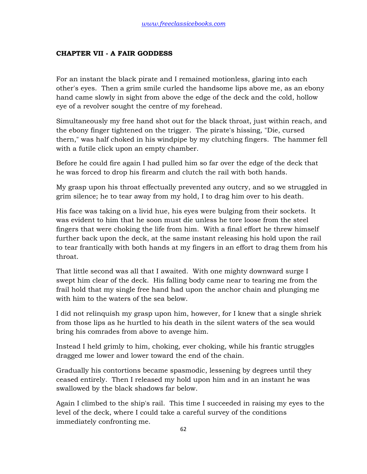## **CHAPTER VII - A FAIR GODDESS**

For an instant the black pirate and I remained motionless, glaring into each other's eyes. Then a grim smile curled the handsome lips above me, as an ebony hand came slowly in sight from above the edge of the deck and the cold, hollow eye of a revolver sought the centre of my forehead.

Simultaneously my free hand shot out for the black throat, just within reach, and the ebony finger tightened on the trigger. The pirate's hissing, "Die, cursed thern," was half choked in his windpipe by my clutching fingers. The hammer fell with a futile click upon an empty chamber.

Before he could fire again I had pulled him so far over the edge of the deck that he was forced to drop his firearm and clutch the rail with both hands.

My grasp upon his throat effectually prevented any outcry, and so we struggled in grim silence; he to tear away from my hold, I to drag him over to his death.

His face was taking on a livid hue, his eyes were bulging from their sockets. It was evident to him that he soon must die unless he tore loose from the steel fingers that were choking the life from him. With a final effort he threw himself further back upon the deck, at the same instant releasing his hold upon the rail to tear frantically with both hands at my fingers in an effort to drag them from his throat.

That little second was all that I awaited. With one mighty downward surge I swept him clear of the deck. His falling body came near to tearing me from the frail hold that my single free hand had upon the anchor chain and plunging me with him to the waters of the sea below.

I did not relinquish my grasp upon him, however, for I knew that a single shriek from those lips as he hurtled to his death in the silent waters of the sea would bring his comrades from above to avenge him.

Instead I held grimly to him, choking, ever choking, while his frantic struggles dragged me lower and lower toward the end of the chain.

Gradually his contortions became spasmodic, lessening by degrees until they ceased entirely. Then I released my hold upon him and in an instant he was swallowed by the black shadows far below.

Again I climbed to the ship's rail. This time I succeeded in raising my eyes to the level of the deck, where I could take a careful survey of the conditions immediately confronting me.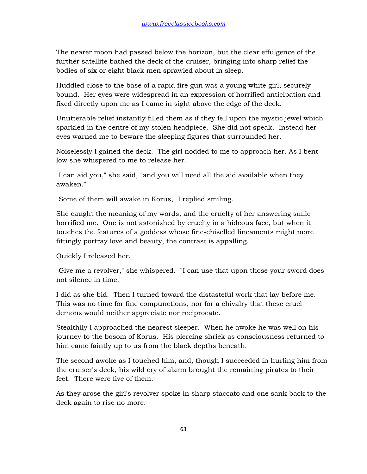The nearer moon had passed below the horizon, but the clear effulgence of the further satellite bathed the deck of the cruiser, bringing into sharp relief the bodies of six or eight black men sprawled about in sleep.

Huddled close to the base of a rapid fire gun was a young white girl, securely bound. Her eyes were widespread in an expression of horrified anticipation and fixed directly upon me as I came in sight above the edge of the deck.

Unutterable relief instantly filled them as if they fell upon the mystic jewel which sparkled in the centre of my stolen headpiece. She did not speak. Instead her eyes warned me to beware the sleeping figures that surrounded her.

Noiselessly I gained the deck. The girl nodded to me to approach her. As I bent low she whispered to me to release her.

"I can aid you," she said, "and you will need all the aid available when they awaken."

"Some of them will awake in Korus," I replied smiling.

She caught the meaning of my words, and the cruelty of her answering smile horrified me. One is not astonished by cruelty in a hideous face, but when it touches the features of a goddess whose fine-chiselled lineaments might more fittingly portray love and beauty, the contrast is appalling.

Quickly I released her.

"Give me a revolver," she whispered. "I can use that upon those your sword does not silence in time."

I did as she bid. Then I turned toward the distasteful work that lay before me. This was no time for fine compunctions, nor for a chivalry that these cruel demons would neither appreciate nor reciprocate.

Stealthily I approached the nearest sleeper. When he awoke he was well on his journey to the bosom of Korus. His piercing shriek as consciousness returned to him came faintly up to us from the black depths beneath.

The second awoke as I touched him, and, though I succeeded in hurling him from the cruiser's deck, his wild cry of alarm brought the remaining pirates to their feet. There were five of them.

As they arose the girl's revolver spoke in sharp staccato and one sank back to the deck again to rise no more.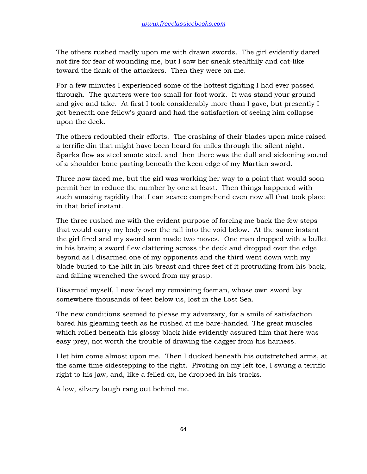The others rushed madly upon me with drawn swords. The girl evidently dared not fire for fear of wounding me, but I saw her sneak stealthily and cat-like toward the flank of the attackers. Then they were on me.

For a few minutes I experienced some of the hottest fighting I had ever passed through. The quarters were too small for foot work. It was stand your ground and give and take. At first I took considerably more than I gave, but presently I got beneath one fellow's guard and had the satisfaction of seeing him collapse upon the deck.

The others redoubled their efforts. The crashing of their blades upon mine raised a terrific din that might have been heard for miles through the silent night. Sparks flew as steel smote steel, and then there was the dull and sickening sound of a shoulder bone parting beneath the keen edge of my Martian sword.

Three now faced me, but the girl was working her way to a point that would soon permit her to reduce the number by one at least. Then things happened with such amazing rapidity that I can scarce comprehend even now all that took place in that brief instant.

The three rushed me with the evident purpose of forcing me back the few steps that would carry my body over the rail into the void below. At the same instant the girl fired and my sword arm made two moves. One man dropped with a bullet in his brain; a sword flew clattering across the deck and dropped over the edge beyond as I disarmed one of my opponents and the third went down with my blade buried to the hilt in his breast and three feet of it protruding from his back, and falling wrenched the sword from my grasp.

Disarmed myself, I now faced my remaining foeman, whose own sword lay somewhere thousands of feet below us, lost in the Lost Sea.

The new conditions seemed to please my adversary, for a smile of satisfaction bared his gleaming teeth as he rushed at me bare-handed. The great muscles which rolled beneath his glossy black hide evidently assured him that here was easy prey, not worth the trouble of drawing the dagger from his harness.

I let him come almost upon me. Then I ducked beneath his outstretched arms, at the same time sidestepping to the right. Pivoting on my left toe, I swung a terrific right to his jaw, and, like a felled ox, he dropped in his tracks.

A low, silvery laugh rang out behind me.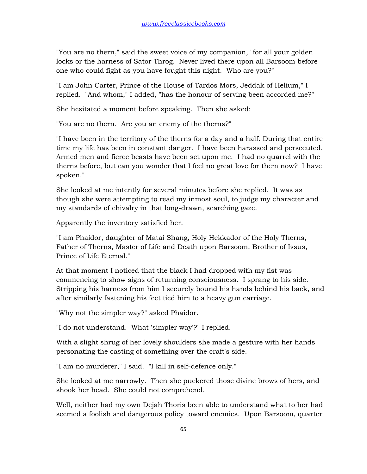"You are no thern," said the sweet voice of my companion, "for all your golden locks or the harness of Sator Throg. Never lived there upon all Barsoom before one who could fight as you have fought this night. Who are you?"

"I am John Carter, Prince of the House of Tardos Mors, Jeddak of Helium," I replied. "And whom," I added, "has the honour of serving been accorded me?"

She hesitated a moment before speaking. Then she asked:

"You are no thern. Are you an enemy of the therns?"

"I have been in the territory of the therns for a day and a half. During that entire time my life has been in constant danger. I have been harassed and persecuted. Armed men and fierce beasts have been set upon me. I had no quarrel with the therns before, but can you wonder that I feel no great love for them now? I have spoken."

She looked at me intently for several minutes before she replied. It was as though she were attempting to read my inmost soul, to judge my character and my standards of chivalry in that long-drawn, searching gaze.

Apparently the inventory satisfied her.

"I am Phaidor, daughter of Matai Shang, Holy Hekkador of the Holy Therns, Father of Therns, Master of Life and Death upon Barsoom, Brother of Issus, Prince of Life Eternal."

At that moment I noticed that the black I had dropped with my fist was commencing to show signs of returning consciousness. I sprang to his side. Stripping his harness from him I securely bound his hands behind his back, and after similarly fastening his feet tied him to a heavy gun carriage.

"Why not the simpler way?" asked Phaidor.

"I do not understand. What 'simpler way'?" I replied.

With a slight shrug of her lovely shoulders she made a gesture with her hands personating the casting of something over the craft's side.

"I am no murderer," I said. "I kill in self-defence only."

She looked at me narrowly. Then she puckered those divine brows of hers, and shook her head. She could not comprehend.

Well, neither had my own Dejah Thoris been able to understand what to her had seemed a foolish and dangerous policy toward enemies. Upon Barsoom, quarter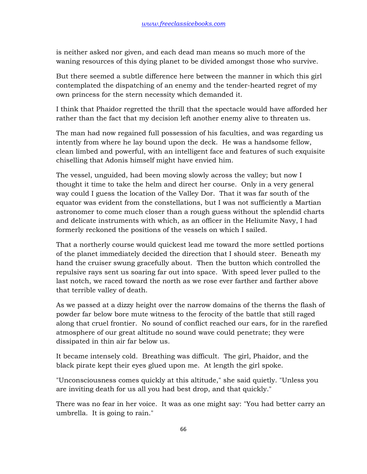is neither asked nor given, and each dead man means so much more of the waning resources of this dying planet to be divided amongst those who survive.

But there seemed a subtle difference here between the manner in which this girl contemplated the dispatching of an enemy and the tender-hearted regret of my own princess for the stern necessity which demanded it.

I think that Phaidor regretted the thrill that the spectacle would have afforded her rather than the fact that my decision left another enemy alive to threaten us.

The man had now regained full possession of his faculties, and was regarding us intently from where he lay bound upon the deck. He was a handsome fellow, clean limbed and powerful, with an intelligent face and features of such exquisite chiselling that Adonis himself might have envied him.

The vessel, unguided, had been moving slowly across the valley; but now I thought it time to take the helm and direct her course. Only in a very general way could I guess the location of the Valley Dor. That it was far south of the equator was evident from the constellations, but I was not sufficiently a Martian astronomer to come much closer than a rough guess without the splendid charts and delicate instruments with which, as an officer in the Heliumite Navy, I had formerly reckoned the positions of the vessels on which I sailed.

That a northerly course would quickest lead me toward the more settled portions of the planet immediately decided the direction that I should steer. Beneath my hand the cruiser swung gracefully about. Then the button which controlled the repulsive rays sent us soaring far out into space. With speed lever pulled to the last notch, we raced toward the north as we rose ever farther and farther above that terrible valley of death.

As we passed at a dizzy height over the narrow domains of the therns the flash of powder far below bore mute witness to the ferocity of the battle that still raged along that cruel frontier. No sound of conflict reached our ears, for in the rarefied atmosphere of our great altitude no sound wave could penetrate; they were dissipated in thin air far below us.

It became intensely cold. Breathing was difficult. The girl, Phaidor, and the black pirate kept their eyes glued upon me. At length the girl spoke.

"Unconsciousness comes quickly at this altitude," she said quietly. "Unless you are inviting death for us all you had best drop, and that quickly."

There was no fear in her voice. It was as one might say: "You had better carry an umbrella. It is going to rain."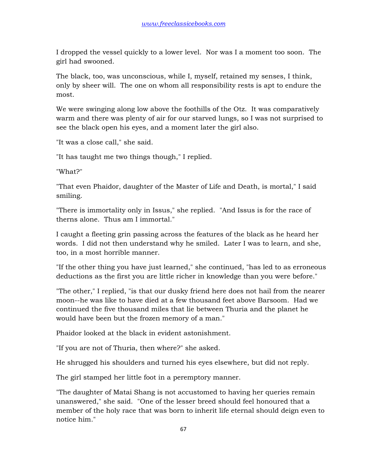I dropped the vessel quickly to a lower level. Nor was I a moment too soon. The girl had swooned.

The black, too, was unconscious, while I, myself, retained my senses, I think, only by sheer will. The one on whom all responsibility rests is apt to endure the most.

We were swinging along low above the foothills of the Otz. It was comparatively warm and there was plenty of air for our starved lungs, so I was not surprised to see the black open his eyes, and a moment later the girl also.

"It was a close call," she said.

"It has taught me two things though," I replied.

"What?"

"That even Phaidor, daughter of the Master of Life and Death, is mortal," I said smiling.

"There is immortality only in Issus," she replied. "And Issus is for the race of therns alone. Thus am I immortal."

I caught a fleeting grin passing across the features of the black as he heard her words. I did not then understand why he smiled. Later I was to learn, and she, too, in a most horrible manner.

"If the other thing you have just learned," she continued, "has led to as erroneous deductions as the first you are little richer in knowledge than you were before."

"The other," I replied, "is that our dusky friend here does not hail from the nearer moon--he was like to have died at a few thousand feet above Barsoom. Had we continued the five thousand miles that lie between Thuria and the planet he would have been but the frozen memory of a man."

Phaidor looked at the black in evident astonishment.

"If you are not of Thuria, then where?" she asked.

He shrugged his shoulders and turned his eyes elsewhere, but did not reply.

The girl stamped her little foot in a peremptory manner.

"The daughter of Matai Shang is not accustomed to having her queries remain unanswered," she said. "One of the lesser breed should feel honoured that a member of the holy race that was born to inherit life eternal should deign even to notice him."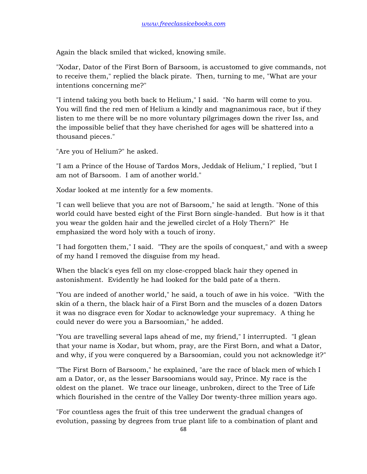Again the black smiled that wicked, knowing smile.

"Xodar, Dator of the First Born of Barsoom, is accustomed to give commands, not to receive them," replied the black pirate. Then, turning to me, "What are your intentions concerning me?"

"I intend taking you both back to Helium," I said. "No harm will come to you. You will find the red men of Helium a kindly and magnanimous race, but if they listen to me there will be no more voluntary pilgrimages down the river Iss, and the impossible belief that they have cherished for ages will be shattered into a thousand pieces."

"Are you of Helium?" he asked.

"I am a Prince of the House of Tardos Mors, Jeddak of Helium," I replied, "but I am not of Barsoom. I am of another world."

Xodar looked at me intently for a few moments.

"I can well believe that you are not of Barsoom," he said at length. "None of this world could have bested eight of the First Born single-handed. But how is it that you wear the golden hair and the jewelled circlet of a Holy Thern?" He emphasized the word holy with a touch of irony.

"I had forgotten them," I said. "They are the spoils of conquest," and with a sweep of my hand I removed the disguise from my head.

When the black's eyes fell on my close-cropped black hair they opened in astonishment. Evidently he had looked for the bald pate of a thern.

"You are indeed of another world," he said, a touch of awe in his voice. "With the skin of a thern, the black hair of a First Born and the muscles of a dozen Dators it was no disgrace even for Xodar to acknowledge your supremacy. A thing he could never do were you a Barsoomian," he added.

"You are travelling several laps ahead of me, my friend," I interrupted. "I glean that your name is Xodar, but whom, pray, are the First Born, and what a Dator, and why, if you were conquered by a Barsoomian, could you not acknowledge it?"

"The First Born of Barsoom," he explained, "are the race of black men of which I am a Dator, or, as the lesser Barsoomians would say, Prince. My race is the oldest on the planet. We trace our lineage, unbroken, direct to the Tree of Life which flourished in the centre of the Valley Dor twenty-three million years ago.

"For countless ages the fruit of this tree underwent the gradual changes of evolution, passing by degrees from true plant life to a combination of plant and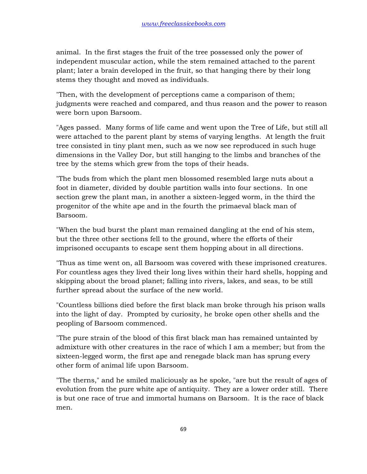animal. In the first stages the fruit of the tree possessed only the power of independent muscular action, while the stem remained attached to the parent plant; later a brain developed in the fruit, so that hanging there by their long stems they thought and moved as individuals.

"Then, with the development of perceptions came a comparison of them; judgments were reached and compared, and thus reason and the power to reason were born upon Barsoom.

"Ages passed. Many forms of life came and went upon the Tree of Life, but still all were attached to the parent plant by stems of varying lengths. At length the fruit tree consisted in tiny plant men, such as we now see reproduced in such huge dimensions in the Valley Dor, but still hanging to the limbs and branches of the tree by the stems which grew from the tops of their heads.

"The buds from which the plant men blossomed resembled large nuts about a foot in diameter, divided by double partition walls into four sections. In one section grew the plant man, in another a sixteen-legged worm, in the third the progenitor of the white ape and in the fourth the primaeval black man of Barsoom.

"When the bud burst the plant man remained dangling at the end of his stem, but the three other sections fell to the ground, where the efforts of their imprisoned occupants to escape sent them hopping about in all directions.

"Thus as time went on, all Barsoom was covered with these imprisoned creatures. For countless ages they lived their long lives within their hard shells, hopping and skipping about the broad planet; falling into rivers, lakes, and seas, to be still further spread about the surface of the new world.

"Countless billions died before the first black man broke through his prison walls into the light of day. Prompted by curiosity, he broke open other shells and the peopling of Barsoom commenced.

"The pure strain of the blood of this first black man has remained untainted by admixture with other creatures in the race of which I am a member; but from the sixteen-legged worm, the first ape and renegade black man has sprung every other form of animal life upon Barsoom.

"The therns," and he smiled maliciously as he spoke, "are but the result of ages of evolution from the pure white ape of antiquity. They are a lower order still. There is but one race of true and immortal humans on Barsoom. It is the race of black men.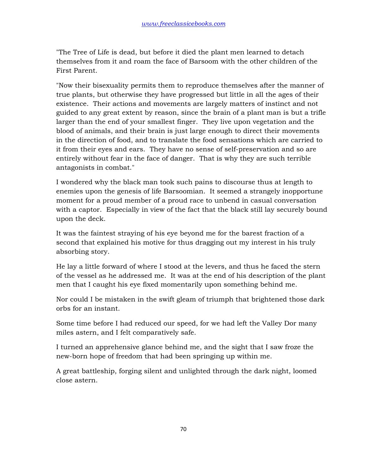"The Tree of Life is dead, but before it died the plant men learned to detach themselves from it and roam the face of Barsoom with the other children of the First Parent.

"Now their bisexuality permits them to reproduce themselves after the manner of true plants, but otherwise they have progressed but little in all the ages of their existence. Their actions and movements are largely matters of instinct and not guided to any great extent by reason, since the brain of a plant man is but a trifle larger than the end of your smallest finger. They live upon vegetation and the blood of animals, and their brain is just large enough to direct their movements in the direction of food, and to translate the food sensations which are carried to it from their eyes and ears. They have no sense of self-preservation and so are entirely without fear in the face of danger. That is why they are such terrible antagonists in combat."

I wondered why the black man took such pains to discourse thus at length to enemies upon the genesis of life Barsoomian. It seemed a strangely inopportune moment for a proud member of a proud race to unbend in casual conversation with a captor. Especially in view of the fact that the black still lay securely bound upon the deck.

It was the faintest straying of his eye beyond me for the barest fraction of a second that explained his motive for thus dragging out my interest in his truly absorbing story.

He lay a little forward of where I stood at the levers, and thus he faced the stern of the vessel as he addressed me. It was at the end of his description of the plant men that I caught his eye fixed momentarily upon something behind me.

Nor could I be mistaken in the swift gleam of triumph that brightened those dark orbs for an instant.

Some time before I had reduced our speed, for we had left the Valley Dor many miles astern, and I felt comparatively safe.

I turned an apprehensive glance behind me, and the sight that I saw froze the new-born hope of freedom that had been springing up within me.

A great battleship, forging silent and unlighted through the dark night, loomed close astern.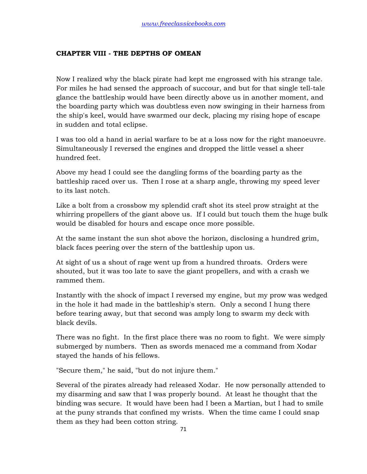## **CHAPTER VIII - THE DEPTHS OF OMEAN**

Now I realized why the black pirate had kept me engrossed with his strange tale. For miles he had sensed the approach of succour, and but for that single tell-tale glance the battleship would have been directly above us in another moment, and the boarding party which was doubtless even now swinging in their harness from the ship's keel, would have swarmed our deck, placing my rising hope of escape in sudden and total eclipse.

I was too old a hand in aerial warfare to be at a loss now for the right manoeuvre. Simultaneously I reversed the engines and dropped the little vessel a sheer hundred feet.

Above my head I could see the dangling forms of the boarding party as the battleship raced over us. Then I rose at a sharp angle, throwing my speed lever to its last notch.

Like a bolt from a crossbow my splendid craft shot its steel prow straight at the whirring propellers of the giant above us. If I could but touch them the huge bulk would be disabled for hours and escape once more possible.

At the same instant the sun shot above the horizon, disclosing a hundred grim, black faces peering over the stern of the battleship upon us.

At sight of us a shout of rage went up from a hundred throats. Orders were shouted, but it was too late to save the giant propellers, and with a crash we rammed them.

Instantly with the shock of impact I reversed my engine, but my prow was wedged in the hole it had made in the battleship's stern. Only a second I hung there before tearing away, but that second was amply long to swarm my deck with black devils.

There was no fight. In the first place there was no room to fight. We were simply submerged by numbers. Then as swords menaced me a command from Xodar stayed the hands of his fellows.

"Secure them," he said, "but do not injure them."

Several of the pirates already had released Xodar. He now personally attended to my disarming and saw that I was properly bound. At least he thought that the binding was secure. It would have been had I been a Martian, but I had to smile at the puny strands that confined my wrists. When the time came I could snap them as they had been cotton string.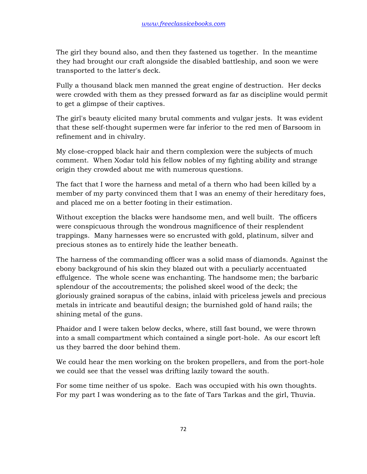The girl they bound also, and then they fastened us together. In the meantime they had brought our craft alongside the disabled battleship, and soon we were transported to the latter's deck.

Fully a thousand black men manned the great engine of destruction. Her decks were crowded with them as they pressed forward as far as discipline would permit to get a glimpse of their captives.

The girl's beauty elicited many brutal comments and vulgar jests. It was evident that these self-thought supermen were far inferior to the red men of Barsoom in refinement and in chivalry.

My close-cropped black hair and thern complexion were the subjects of much comment. When Xodar told his fellow nobles of my fighting ability and strange origin they crowded about me with numerous questions.

The fact that I wore the harness and metal of a thern who had been killed by a member of my party convinced them that I was an enemy of their hereditary foes, and placed me on a better footing in their estimation.

Without exception the blacks were handsome men, and well built. The officers were conspicuous through the wondrous magnificence of their resplendent trappings. Many harnesses were so encrusted with gold, platinum, silver and precious stones as to entirely hide the leather beneath.

The harness of the commanding officer was a solid mass of diamonds. Against the ebony background of his skin they blazed out with a peculiarly accentuated effulgence. The whole scene was enchanting. The handsome men; the barbaric splendour of the accoutrements; the polished skeel wood of the deck; the gloriously grained sorapus of the cabins, inlaid with priceless jewels and precious metals in intricate and beautiful design; the burnished gold of hand rails; the shining metal of the guns.

Phaidor and I were taken below decks, where, still fast bound, we were thrown into a small compartment which contained a single port-hole. As our escort left us they barred the door behind them.

We could hear the men working on the broken propellers, and from the port-hole we could see that the vessel was drifting lazily toward the south.

For some time neither of us spoke. Each was occupied with his own thoughts. For my part I was wondering as to the fate of Tars Tarkas and the girl, Thuvia.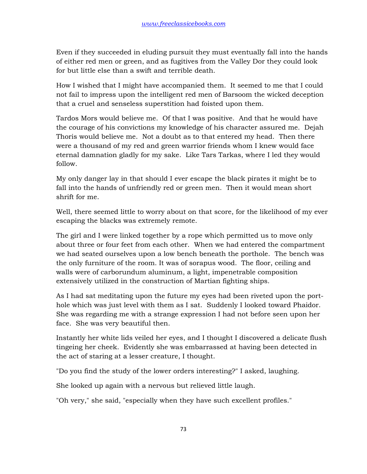Even if they succeeded in eluding pursuit they must eventually fall into the hands of either red men or green, and as fugitives from the Valley Dor they could look for but little else than a swift and terrible death.

How I wished that I might have accompanied them. It seemed to me that I could not fail to impress upon the intelligent red men of Barsoom the wicked deception that a cruel and senseless superstition had foisted upon them.

Tardos Mors would believe me. Of that I was positive. And that he would have the courage of his convictions my knowledge of his character assured me. Dejah Thoris would believe me. Not a doubt as to that entered my head. Then there were a thousand of my red and green warrior friends whom I knew would face eternal damnation gladly for my sake. Like Tars Tarkas, where I led they would follow.

My only danger lay in that should I ever escape the black pirates it might be to fall into the hands of unfriendly red or green men. Then it would mean short shrift for me.

Well, there seemed little to worry about on that score, for the likelihood of my ever escaping the blacks was extremely remote.

The girl and I were linked together by a rope which permitted us to move only about three or four feet from each other. When we had entered the compartment we had seated ourselves upon a low bench beneath the porthole. The bench was the only furniture of the room. It was of sorapus wood. The floor, ceiling and walls were of carborundum aluminum, a light, impenetrable composition extensively utilized in the construction of Martian fighting ships.

As I had sat meditating upon the future my eyes had been riveted upon the porthole which was just level with them as I sat. Suddenly I looked toward Phaidor. She was regarding me with a strange expression I had not before seen upon her face. She was very beautiful then.

Instantly her white lids veiled her eyes, and I thought I discovered a delicate flush tingeing her cheek. Evidently she was embarrassed at having been detected in the act of staring at a lesser creature, I thought.

"Do you find the study of the lower orders interesting?" I asked, laughing.

She looked up again with a nervous but relieved little laugh.

"Oh very," she said, "especially when they have such excellent profiles."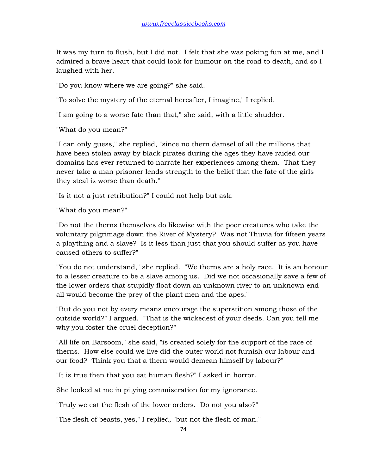It was my turn to flush, but I did not. I felt that she was poking fun at me, and I admired a brave heart that could look for humour on the road to death, and so I laughed with her.

"Do you know where we are going?" she said.

"To solve the mystery of the eternal hereafter, I imagine," I replied.

"I am going to a worse fate than that," she said, with a little shudder.

"What do you mean?"

"I can only guess," she replied, "since no thern damsel of all the millions that have been stolen away by black pirates during the ages they have raided our domains has ever returned to narrate her experiences among them. That they never take a man prisoner lends strength to the belief that the fate of the girls they steal is worse than death."

"Is it not a just retribution?" I could not help but ask.

"What do you mean?"

"Do not the therns themselves do likewise with the poor creatures who take the voluntary pilgrimage down the River of Mystery? Was not Thuvia for fifteen years a plaything and a slave? Is it less than just that you should suffer as you have caused others to suffer?"

"You do not understand," she replied. "We therns are a holy race. It is an honour to a lesser creature to be a slave among us. Did we not occasionally save a few of the lower orders that stupidly float down an unknown river to an unknown end all would become the prey of the plant men and the apes."

"But do you not by every means encourage the superstition among those of the outside world?" I argued. "That is the wickedest of your deeds. Can you tell me why you foster the cruel deception?"

"All life on Barsoom," she said, "is created solely for the support of the race of therns. How else could we live did the outer world not furnish our labour and our food? Think you that a thern would demean himself by labour?"

"It is true then that you eat human flesh?" I asked in horror.

She looked at me in pitying commiseration for my ignorance.

"Truly we eat the flesh of the lower orders. Do not you also?"

"The flesh of beasts, yes," I replied, "but not the flesh of man."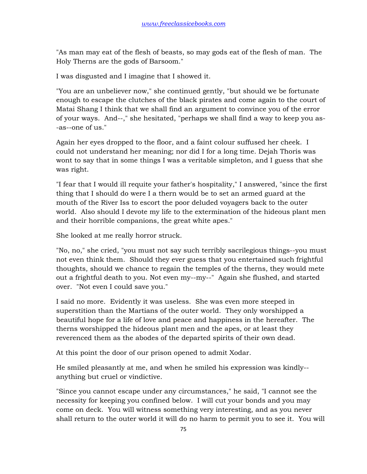"As man may eat of the flesh of beasts, so may gods eat of the flesh of man. The Holy Therns are the gods of Barsoom."

I was disgusted and I imagine that I showed it.

"You are an unbeliever now," she continued gently, "but should we be fortunate enough to escape the clutches of the black pirates and come again to the court of Matai Shang I think that we shall find an argument to convince you of the error of your ways. And--," she hesitated, "perhaps we shall find a way to keep you as- -as--one of us."

Again her eyes dropped to the floor, and a faint colour suffused her cheek. I could not understand her meaning; nor did I for a long time. Dejah Thoris was wont to say that in some things I was a veritable simpleton, and I guess that she was right.

"I fear that I would ill requite your father's hospitality," I answered, "since the first thing that I should do were I a thern would be to set an armed guard at the mouth of the River Iss to escort the poor deluded voyagers back to the outer world. Also should I devote my life to the extermination of the hideous plant men and their horrible companions, the great white apes."

She looked at me really horror struck.

"No, no," she cried, "you must not say such terribly sacrilegious things--you must not even think them. Should they ever guess that you entertained such frightful thoughts, should we chance to regain the temples of the therns, they would mete out a frightful death to you. Not even my--my--" Again she flushed, and started over. "Not even I could save you."

I said no more. Evidently it was useless. She was even more steeped in superstition than the Martians of the outer world. They only worshipped a beautiful hope for a life of love and peace and happiness in the hereafter. The therns worshipped the hideous plant men and the apes, or at least they reverenced them as the abodes of the departed spirits of their own dead.

At this point the door of our prison opened to admit Xodar.

He smiled pleasantly at me, and when he smiled his expression was kindly- anything but cruel or vindictive.

"Since you cannot escape under any circumstances," he said, "I cannot see the necessity for keeping you confined below. I will cut your bonds and you may come on deck. You will witness something very interesting, and as you never shall return to the outer world it will do no harm to permit you to see it. You will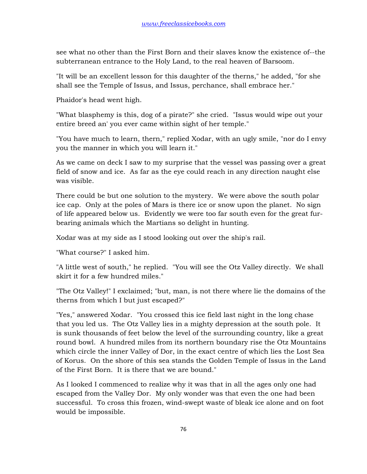see what no other than the First Born and their slaves know the existence of--the subterranean entrance to the Holy Land, to the real heaven of Barsoom.

"It will be an excellent lesson for this daughter of the therns," he added, "for she shall see the Temple of Issus, and Issus, perchance, shall embrace her."

Phaidor's head went high.

"What blasphemy is this, dog of a pirate?" she cried. "Issus would wipe out your entire breed an' you ever came within sight of her temple."

"You have much to learn, thern," replied Xodar, with an ugly smile, "nor do I envy you the manner in which you will learn it."

As we came on deck I saw to my surprise that the vessel was passing over a great field of snow and ice. As far as the eye could reach in any direction naught else was visible.

There could be but one solution to the mystery. We were above the south polar ice cap. Only at the poles of Mars is there ice or snow upon the planet. No sign of life appeared below us. Evidently we were too far south even for the great furbearing animals which the Martians so delight in hunting.

Xodar was at my side as I stood looking out over the ship's rail.

"What course?" I asked him.

"A little west of south," he replied. "You will see the Otz Valley directly. We shall skirt it for a few hundred miles."

"The Otz Valley!" I exclaimed; "but, man, is not there where lie the domains of the therns from which I but just escaped?"

"Yes," answered Xodar. "You crossed this ice field last night in the long chase that you led us. The Otz Valley lies in a mighty depression at the south pole. It is sunk thousands of feet below the level of the surrounding country, like a great round bowl. A hundred miles from its northern boundary rise the Otz Mountains which circle the inner Valley of Dor, in the exact centre of which lies the Lost Sea of Korus. On the shore of this sea stands the Golden Temple of Issus in the Land of the First Born. It is there that we are bound."

As I looked I commenced to realize why it was that in all the ages only one had escaped from the Valley Dor. My only wonder was that even the one had been successful. To cross this frozen, wind-swept waste of bleak ice alone and on foot would be impossible.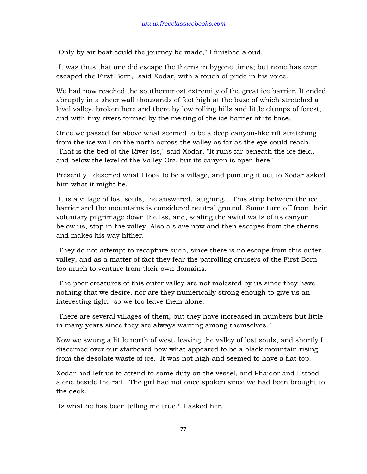"Only by air boat could the journey be made," I finished aloud.

"It was thus that one did escape the therns in bygone times; but none has ever escaped the First Born," said Xodar, with a touch of pride in his voice.

We had now reached the southernmost extremity of the great ice barrier. It ended abruptly in a sheer wall thousands of feet high at the base of which stretched a level valley, broken here and there by low rolling hills and little clumps of forest, and with tiny rivers formed by the melting of the ice barrier at its base.

Once we passed far above what seemed to be a deep canyon-like rift stretching from the ice wall on the north across the valley as far as the eye could reach. "That is the bed of the River Iss," said Xodar. "It runs far beneath the ice field, and below the level of the Valley Otz, but its canyon is open here."

Presently I descried what I took to be a village, and pointing it out to Xodar asked him what it might be.

"It is a village of lost souls," he answered, laughing. "This strip between the ice barrier and the mountains is considered neutral ground. Some turn off from their voluntary pilgrimage down the Iss, and, scaling the awful walls of its canyon below us, stop in the valley. Also a slave now and then escapes from the therns and makes his way hither.

"They do not attempt to recapture such, since there is no escape from this outer valley, and as a matter of fact they fear the patrolling cruisers of the First Born too much to venture from their own domains.

"The poor creatures of this outer valley are not molested by us since they have nothing that we desire, nor are they numerically strong enough to give us an interesting fight--so we too leave them alone.

"There are several villages of them, but they have increased in numbers but little in many years since they are always warring among themselves."

Now we swung a little north of west, leaving the valley of lost souls, and shortly I discerned over our starboard bow what appeared to be a black mountain rising from the desolate waste of ice. It was not high and seemed to have a flat top.

Xodar had left us to attend to some duty on the vessel, and Phaidor and I stood alone beside the rail. The girl had not once spoken since we had been brought to the deck.

"Is what he has been telling me true?" I asked her.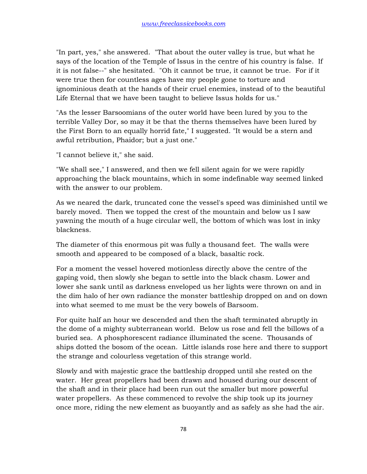"In part, yes," she answered. "That about the outer valley is true, but what he says of the location of the Temple of Issus in the centre of his country is false. If it is not false--" she hesitated. "Oh it cannot be true, it cannot be true. For if it were true then for countless ages have my people gone to torture and ignominious death at the hands of their cruel enemies, instead of to the beautiful Life Eternal that we have been taught to believe Issus holds for us."

"As the lesser Barsoomians of the outer world have been lured by you to the terrible Valley Dor, so may it be that the therns themselves have been lured by the First Born to an equally horrid fate," I suggested. "It would be a stern and awful retribution, Phaidor; but a just one."

"I cannot believe it," she said.

"We shall see," I answered, and then we fell silent again for we were rapidly approaching the black mountains, which in some indefinable way seemed linked with the answer to our problem.

As we neared the dark, truncated cone the vessel's speed was diminished until we barely moved. Then we topped the crest of the mountain and below us I saw yawning the mouth of a huge circular well, the bottom of which was lost in inky blackness.

The diameter of this enormous pit was fully a thousand feet. The walls were smooth and appeared to be composed of a black, basaltic rock.

For a moment the vessel hovered motionless directly above the centre of the gaping void, then slowly she began to settle into the black chasm. Lower and lower she sank until as darkness enveloped us her lights were thrown on and in the dim halo of her own radiance the monster battleship dropped on and on down into what seemed to me must be the very bowels of Barsoom.

For quite half an hour we descended and then the shaft terminated abruptly in the dome of a mighty subterranean world. Below us rose and fell the billows of a buried sea. A phosphorescent radiance illuminated the scene. Thousands of ships dotted the bosom of the ocean. Little islands rose here and there to support the strange and colourless vegetation of this strange world.

Slowly and with majestic grace the battleship dropped until she rested on the water. Her great propellers had been drawn and housed during our descent of the shaft and in their place had been run out the smaller but more powerful water propellers. As these commenced to revolve the ship took up its journey once more, riding the new element as buoyantly and as safely as she had the air.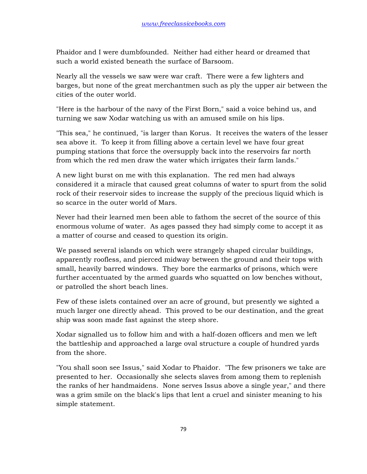Phaidor and I were dumbfounded. Neither had either heard or dreamed that such a world existed beneath the surface of Barsoom.

Nearly all the vessels we saw were war craft. There were a few lighters and barges, but none of the great merchantmen such as ply the upper air between the cities of the outer world.

"Here is the harbour of the navy of the First Born," said a voice behind us, and turning we saw Xodar watching us with an amused smile on his lips.

"This sea," he continued, "is larger than Korus. It receives the waters of the lesser sea above it. To keep it from filling above a certain level we have four great pumping stations that force the oversupply back into the reservoirs far north from which the red men draw the water which irrigates their farm lands."

A new light burst on me with this explanation. The red men had always considered it a miracle that caused great columns of water to spurt from the solid rock of their reservoir sides to increase the supply of the precious liquid which is so scarce in the outer world of Mars.

Never had their learned men been able to fathom the secret of the source of this enormous volume of water. As ages passed they had simply come to accept it as a matter of course and ceased to question its origin.

We passed several islands on which were strangely shaped circular buildings, apparently roofless, and pierced midway between the ground and their tops with small, heavily barred windows. They bore the earmarks of prisons, which were further accentuated by the armed guards who squatted on low benches without, or patrolled the short beach lines.

Few of these islets contained over an acre of ground, but presently we sighted a much larger one directly ahead. This proved to be our destination, and the great ship was soon made fast against the steep shore.

Xodar signalled us to follow him and with a half-dozen officers and men we left the battleship and approached a large oval structure a couple of hundred yards from the shore.

"You shall soon see Issus," said Xodar to Phaidor. "The few prisoners we take are presented to her. Occasionally she selects slaves from among them to replenish the ranks of her handmaidens. None serves Issus above a single year," and there was a grim smile on the black's lips that lent a cruel and sinister meaning to his simple statement.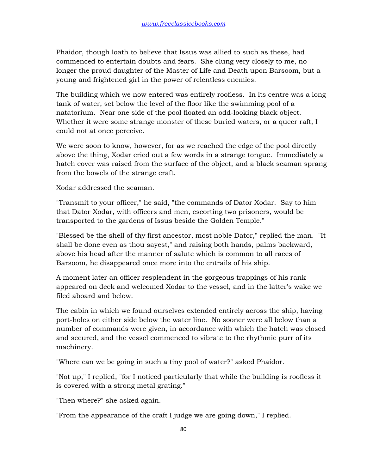Phaidor, though loath to believe that Issus was allied to such as these, had commenced to entertain doubts and fears. She clung very closely to me, no longer the proud daughter of the Master of Life and Death upon Barsoom, but a young and frightened girl in the power of relentless enemies.

The building which we now entered was entirely roofless. In its centre was a long tank of water, set below the level of the floor like the swimming pool of a natatorium. Near one side of the pool floated an odd-looking black object. Whether it were some strange monster of these buried waters, or a queer raft, I could not at once perceive.

We were soon to know, however, for as we reached the edge of the pool directly above the thing, Xodar cried out a few words in a strange tongue. Immediately a hatch cover was raised from the surface of the object, and a black seaman sprang from the bowels of the strange craft.

Xodar addressed the seaman.

"Transmit to your officer," he said, "the commands of Dator Xodar. Say to him that Dator Xodar, with officers and men, escorting two prisoners, would be transported to the gardens of Issus beside the Golden Temple."

"Blessed be the shell of thy first ancestor, most noble Dator," replied the man. "It shall be done even as thou sayest," and raising both hands, palms backward, above his head after the manner of salute which is common to all races of Barsoom, he disappeared once more into the entrails of his ship.

A moment later an officer resplendent in the gorgeous trappings of his rank appeared on deck and welcomed Xodar to the vessel, and in the latter's wake we filed aboard and below.

The cabin in which we found ourselves extended entirely across the ship, having port-holes on either side below the water line. No sooner were all below than a number of commands were given, in accordance with which the hatch was closed and secured, and the vessel commenced to vibrate to the rhythmic purr of its machinery.

"Where can we be going in such a tiny pool of water?" asked Phaidor.

"Not up," I replied, "for I noticed particularly that while the building is roofless it is covered with a strong metal grating."

"Then where?" she asked again.

"From the appearance of the craft I judge we are going down," I replied.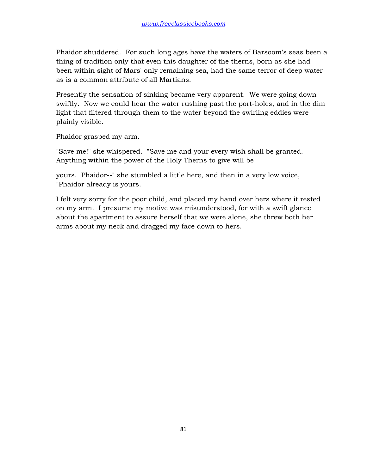Phaidor shuddered. For such long ages have the waters of Barsoom's seas been a thing of tradition only that even this daughter of the therns, born as she had been within sight of Mars' only remaining sea, had the same terror of deep water as is a common attribute of all Martians.

Presently the sensation of sinking became very apparent. We were going down swiftly. Now we could hear the water rushing past the port-holes, and in the dim light that filtered through them to the water beyond the swirling eddies were plainly visible.

Phaidor grasped my arm.

"Save me!" she whispered. "Save me and your every wish shall be granted. Anything within the power of the Holy Therns to give will be

yours. Phaidor--" she stumbled a little here, and then in a very low voice, "Phaidor already is yours."

I felt very sorry for the poor child, and placed my hand over hers where it rested on my arm. I presume my motive was misunderstood, for with a swift glance about the apartment to assure herself that we were alone, she threw both her arms about my neck and dragged my face down to hers.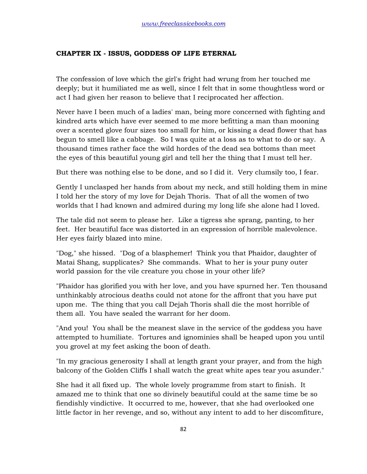## **CHAPTER IX - ISSUS, GODDESS OF LIFE ETERNAL**

The confession of love which the girl's fright had wrung from her touched me deeply; but it humiliated me as well, since I felt that in some thoughtless word or act I had given her reason to believe that I reciprocated her affection.

Never have I been much of a ladies' man, being more concerned with fighting and kindred arts which have ever seemed to me more befitting a man than mooning over a scented glove four sizes too small for him, or kissing a dead flower that has begun to smell like a cabbage. So I was quite at a loss as to what to do or say. A thousand times rather face the wild hordes of the dead sea bottoms than meet the eyes of this beautiful young girl and tell her the thing that I must tell her.

But there was nothing else to be done, and so I did it. Very clumsily too, I fear.

Gently I unclasped her hands from about my neck, and still holding them in mine I told her the story of my love for Dejah Thoris. That of all the women of two worlds that I had known and admired during my long life she alone had I loved.

The tale did not seem to please her. Like a tigress she sprang, panting, to her feet. Her beautiful face was distorted in an expression of horrible malevolence. Her eyes fairly blazed into mine.

"Dog," she hissed. "Dog of a blasphemer! Think you that Phaidor, daughter of Matai Shang, supplicates? She commands. What to her is your puny outer world passion for the vile creature you chose in your other life?

"Phaidor has glorified you with her love, and you have spurned her. Ten thousand unthinkably atrocious deaths could not atone for the affront that you have put upon me. The thing that you call Dejah Thoris shall die the most horrible of them all. You have sealed the warrant for her doom.

"And you! You shall be the meanest slave in the service of the goddess you have attempted to humiliate. Tortures and ignominies shall be heaped upon you until you grovel at my feet asking the boon of death.

"In my gracious generosity I shall at length grant your prayer, and from the high balcony of the Golden Cliffs I shall watch the great white apes tear you asunder."

She had it all fixed up. The whole lovely programme from start to finish. It amazed me to think that one so divinely beautiful could at the same time be so fiendishly vindictive. It occurred to me, however, that she had overlooked one little factor in her revenge, and so, without any intent to add to her discomfiture,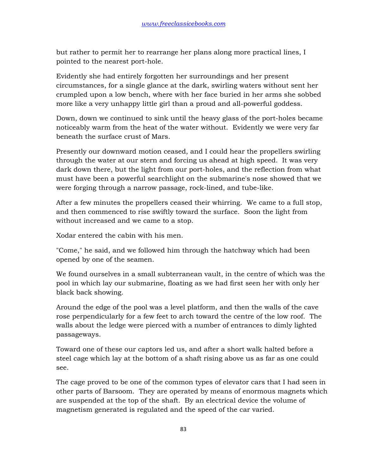but rather to permit her to rearrange her plans along more practical lines, I pointed to the nearest port-hole.

Evidently she had entirely forgotten her surroundings and her present circumstances, for a single glance at the dark, swirling waters without sent her crumpled upon a low bench, where with her face buried in her arms she sobbed more like a very unhappy little girl than a proud and all-powerful goddess.

Down, down we continued to sink until the heavy glass of the port-holes became noticeably warm from the heat of the water without. Evidently we were very far beneath the surface crust of Mars.

Presently our downward motion ceased, and I could hear the propellers swirling through the water at our stern and forcing us ahead at high speed. It was very dark down there, but the light from our port-holes, and the reflection from what must have been a powerful searchlight on the submarine's nose showed that we were forging through a narrow passage, rock-lined, and tube-like.

After a few minutes the propellers ceased their whirring. We came to a full stop, and then commenced to rise swiftly toward the surface. Soon the light from without increased and we came to a stop.

Xodar entered the cabin with his men.

"Come," he said, and we followed him through the hatchway which had been opened by one of the seamen.

We found ourselves in a small subterranean vault, in the centre of which was the pool in which lay our submarine, floating as we had first seen her with only her black back showing.

Around the edge of the pool was a level platform, and then the walls of the cave rose perpendicularly for a few feet to arch toward the centre of the low roof. The walls about the ledge were pierced with a number of entrances to dimly lighted passageways.

Toward one of these our captors led us, and after a short walk halted before a steel cage which lay at the bottom of a shaft rising above us as far as one could see.

The cage proved to be one of the common types of elevator cars that I had seen in other parts of Barsoom. They are operated by means of enormous magnets which are suspended at the top of the shaft. By an electrical device the volume of magnetism generated is regulated and the speed of the car varied.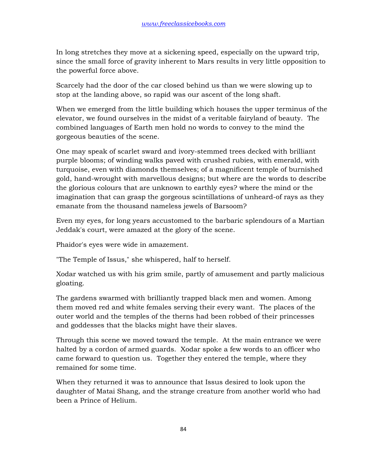In long stretches they move at a sickening speed, especially on the upward trip, since the small force of gravity inherent to Mars results in very little opposition to the powerful force above.

Scarcely had the door of the car closed behind us than we were slowing up to stop at the landing above, so rapid was our ascent of the long shaft.

When we emerged from the little building which houses the upper terminus of the elevator, we found ourselves in the midst of a veritable fairyland of beauty. The combined languages of Earth men hold no words to convey to the mind the gorgeous beauties of the scene.

One may speak of scarlet sward and ivory-stemmed trees decked with brilliant purple blooms; of winding walks paved with crushed rubies, with emerald, with turquoise, even with diamonds themselves; of a magnificent temple of burnished gold, hand-wrought with marvellous designs; but where are the words to describe the glorious colours that are unknown to earthly eyes? where the mind or the imagination that can grasp the gorgeous scintillations of unheard-of rays as they emanate from the thousand nameless jewels of Barsoom?

Even my eyes, for long years accustomed to the barbaric splendours of a Martian Jeddak's court, were amazed at the glory of the scene.

Phaidor's eyes were wide in amazement.

"The Temple of Issus," she whispered, half to herself.

Xodar watched us with his grim smile, partly of amusement and partly malicious gloating.

The gardens swarmed with brilliantly trapped black men and women. Among them moved red and white females serving their every want. The places of the outer world and the temples of the therns had been robbed of their princesses and goddesses that the blacks might have their slaves.

Through this scene we moved toward the temple. At the main entrance we were halted by a cordon of armed guards. Xodar spoke a few words to an officer who came forward to question us. Together they entered the temple, where they remained for some time.

When they returned it was to announce that Issus desired to look upon the daughter of Matai Shang, and the strange creature from another world who had been a Prince of Helium.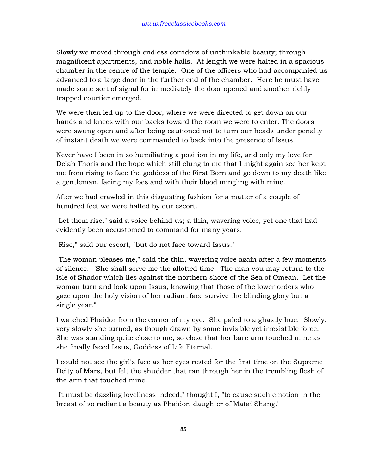Slowly we moved through endless corridors of unthinkable beauty; through magnificent apartments, and noble halls. At length we were halted in a spacious chamber in the centre of the temple. One of the officers who had accompanied us advanced to a large door in the further end of the chamber. Here he must have made some sort of signal for immediately the door opened and another richly trapped courtier emerged.

We were then led up to the door, where we were directed to get down on our hands and knees with our backs toward the room we were to enter. The doors were swung open and after being cautioned not to turn our heads under penalty of instant death we were commanded to back into the presence of Issus.

Never have I been in so humiliating a position in my life, and only my love for Dejah Thoris and the hope which still clung to me that I might again see her kept me from rising to face the goddess of the First Born and go down to my death like a gentleman, facing my foes and with their blood mingling with mine.

After we had crawled in this disgusting fashion for a matter of a couple of hundred feet we were halted by our escort.

"Let them rise," said a voice behind us; a thin, wavering voice, yet one that had evidently been accustomed to command for many years.

"Rise," said our escort, "but do not face toward Issus."

"The woman pleases me," said the thin, wavering voice again after a few moments of silence. "She shall serve me the allotted time. The man you may return to the Isle of Shador which lies against the northern shore of the Sea of Omean. Let the woman turn and look upon Issus, knowing that those of the lower orders who gaze upon the holy vision of her radiant face survive the blinding glory but a single year."

I watched Phaidor from the corner of my eye. She paled to a ghastly hue. Slowly, very slowly she turned, as though drawn by some invisible yet irresistible force. She was standing quite close to me, so close that her bare arm touched mine as she finally faced Issus, Goddess of Life Eternal.

I could not see the girl's face as her eyes rested for the first time on the Supreme Deity of Mars, but felt the shudder that ran through her in the trembling flesh of the arm that touched mine.

"It must be dazzling loveliness indeed," thought I, "to cause such emotion in the breast of so radiant a beauty as Phaidor, daughter of Matai Shang."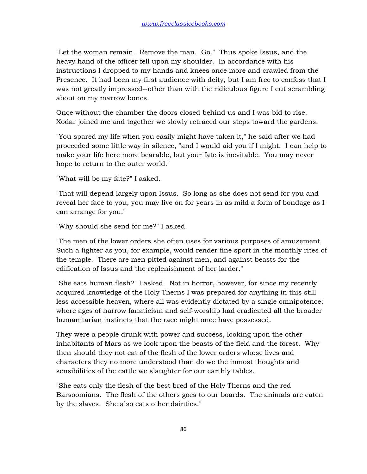"Let the woman remain. Remove the man. Go." Thus spoke Issus, and the heavy hand of the officer fell upon my shoulder. In accordance with his instructions I dropped to my hands and knees once more and crawled from the Presence. It had been my first audience with deity, but I am free to confess that I was not greatly impressed--other than with the ridiculous figure I cut scrambling about on my marrow bones.

Once without the chamber the doors closed behind us and I was bid to rise. Xodar joined me and together we slowly retraced our steps toward the gardens.

"You spared my life when you easily might have taken it," he said after we had proceeded some little way in silence, "and I would aid you if I might. I can help to make your life here more bearable, but your fate is inevitable. You may never hope to return to the outer world."

"What will be my fate?" I asked.

"That will depend largely upon Issus. So long as she does not send for you and reveal her face to you, you may live on for years in as mild a form of bondage as I can arrange for you."

"Why should she send for me?" I asked.

"The men of the lower orders she often uses for various purposes of amusement. Such a fighter as you, for example, would render fine sport in the monthly rites of the temple. There are men pitted against men, and against beasts for the edification of Issus and the replenishment of her larder."

"She eats human flesh?" I asked. Not in horror, however, for since my recently acquired knowledge of the Holy Therns I was prepared for anything in this still less accessible heaven, where all was evidently dictated by a single omnipotence; where ages of narrow fanaticism and self-worship had eradicated all the broader humanitarian instincts that the race might once have possessed.

They were a people drunk with power and success, looking upon the other inhabitants of Mars as we look upon the beasts of the field and the forest. Why then should they not eat of the flesh of the lower orders whose lives and characters they no more understood than do we the inmost thoughts and sensibilities of the cattle we slaughter for our earthly tables.

"She eats only the flesh of the best bred of the Holy Therns and the red Barsoomians. The flesh of the others goes to our boards. The animals are eaten by the slaves. She also eats other dainties."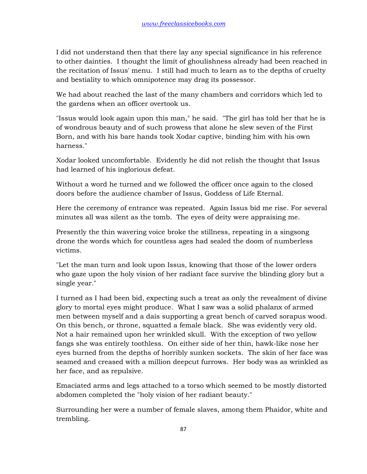I did not understand then that there lay any special significance in his reference to other dainties. I thought the limit of ghoulishness already had been reached in the recitation of Issus' menu. I still had much to learn as to the depths of cruelty and bestiality to which omnipotence may drag its possessor.

We had about reached the last of the many chambers and corridors which led to the gardens when an officer overtook us.

"Issus would look again upon this man," he said. "The girl has told her that he is of wondrous beauty and of such prowess that alone he slew seven of the First Born, and with his bare hands took Xodar captive, binding him with his own harness."

Xodar looked uncomfortable. Evidently he did not relish the thought that Issus had learned of his inglorious defeat.

Without a word he turned and we followed the officer once again to the closed doors before the audience chamber of Issus, Goddess of Life Eternal.

Here the ceremony of entrance was repeated. Again Issus bid me rise. For several minutes all was silent as the tomb. The eyes of deity were appraising me.

Presently the thin wavering voice broke the stillness, repeating in a singsong drone the words which for countless ages had sealed the doom of numberless victims.

"Let the man turn and look upon Issus, knowing that those of the lower orders who gaze upon the holy vision of her radiant face survive the blinding glory but a single year."

I turned as I had been bid, expecting such a treat as only the revealment of divine glory to mortal eyes might produce. What I saw was a solid phalanx of armed men between myself and a dais supporting a great bench of carved sorapus wood. On this bench, or throne, squatted a female black. She was evidently very old. Not a hair remained upon her wrinkled skull. With the exception of two yellow fangs she was entirely toothless. On either side of her thin, hawk-like nose her eyes burned from the depths of horribly sunken sockets. The skin of her face was seamed and creased with a million deepcut furrows. Her body was as wrinkled as her face, and as repulsive.

Emaciated arms and legs attached to a torso which seemed to be mostly distorted abdomen completed the "holy vision of her radiant beauty."

Surrounding her were a number of female slaves, among them Phaidor, white and trembling.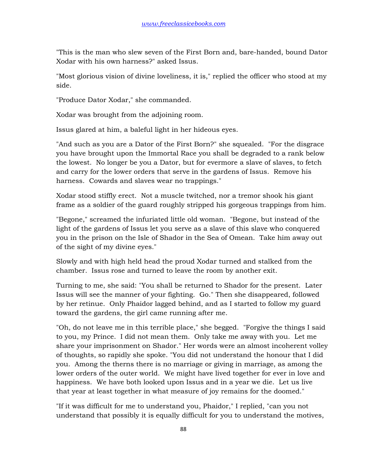"This is the man who slew seven of the First Born and, bare-handed, bound Dator Xodar with his own harness?" asked Issus.

"Most glorious vision of divine loveliness, it is," replied the officer who stood at my side.

"Produce Dator Xodar," she commanded.

Xodar was brought from the adjoining room.

Issus glared at him, a baleful light in her hideous eyes.

"And such as you are a Dator of the First Born?" she squealed. "For the disgrace you have brought upon the Immortal Race you shall be degraded to a rank below the lowest. No longer be you a Dator, but for evermore a slave of slaves, to fetch and carry for the lower orders that serve in the gardens of Issus. Remove his harness. Cowards and slaves wear no trappings."

Xodar stood stiffly erect. Not a muscle twitched, nor a tremor shook his giant frame as a soldier of the guard roughly stripped his gorgeous trappings from him.

"Begone," screamed the infuriated little old woman. "Begone, but instead of the light of the gardens of Issus let you serve as a slave of this slave who conquered you in the prison on the Isle of Shador in the Sea of Omean. Take him away out of the sight of my divine eyes."

Slowly and with high held head the proud Xodar turned and stalked from the chamber. Issus rose and turned to leave the room by another exit.

Turning to me, she said: "You shall be returned to Shador for the present. Later Issus will see the manner of your fighting. Go." Then she disappeared, followed by her retinue. Only Phaidor lagged behind, and as I started to follow my guard toward the gardens, the girl came running after me.

"Oh, do not leave me in this terrible place," she begged. "Forgive the things I said to you, my Prince. I did not mean them. Only take me away with you. Let me share your imprisonment on Shador." Her words were an almost incoherent volley of thoughts, so rapidly she spoke. "You did not understand the honour that I did you. Among the therns there is no marriage or giving in marriage, as among the lower orders of the outer world. We might have lived together for ever in love and happiness. We have both looked upon Issus and in a year we die. Let us live that year at least together in what measure of joy remains for the doomed."

"If it was difficult for me to understand you, Phaidor," I replied, "can you not understand that possibly it is equally difficult for you to understand the motives,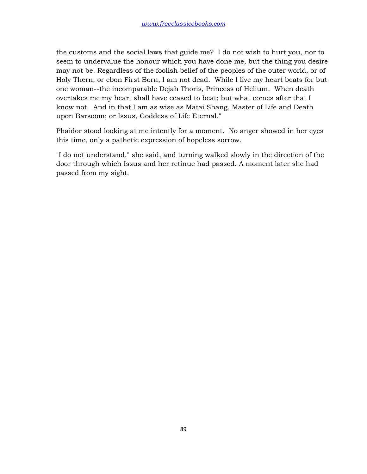the customs and the social laws that guide me? I do not wish to hurt you, nor to seem to undervalue the honour which you have done me, but the thing you desire may not be. Regardless of the foolish belief of the peoples of the outer world, or of Holy Thern, or ebon First Born, I am not dead. While I live my heart beats for but one woman--the incomparable Dejah Thoris, Princess of Helium. When death overtakes me my heart shall have ceased to beat; but what comes after that I know not. And in that I am as wise as Matai Shang, Master of Life and Death upon Barsoom; or Issus, Goddess of Life Eternal."

Phaidor stood looking at me intently for a moment. No anger showed in her eyes this time, only a pathetic expression of hopeless sorrow.

"I do not understand," she said, and turning walked slowly in the direction of the door through which Issus and her retinue had passed. A moment later she had passed from my sight.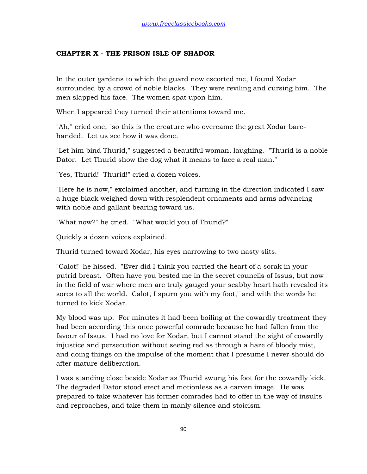## **CHAPTER X - THE PRISON ISLE OF SHADOR**

In the outer gardens to which the guard now escorted me, I found Xodar surrounded by a crowd of noble blacks. They were reviling and cursing him. The men slapped his face. The women spat upon him.

When I appeared they turned their attentions toward me.

"Ah," cried one, "so this is the creature who overcame the great Xodar barehanded. Let us see how it was done."

"Let him bind Thurid," suggested a beautiful woman, laughing. "Thurid is a noble Dator. Let Thurid show the dog what it means to face a real man."

"Yes, Thurid! Thurid!" cried a dozen voices.

"Here he is now," exclaimed another, and turning in the direction indicated I saw a huge black weighed down with resplendent ornaments and arms advancing with noble and gallant bearing toward us.

"What now?" he cried. "What would you of Thurid?"

Quickly a dozen voices explained.

Thurid turned toward Xodar, his eyes narrowing to two nasty slits.

"Calot!" he hissed. "Ever did I think you carried the heart of a sorak in your putrid breast. Often have you bested me in the secret councils of Issus, but now in the field of war where men are truly gauged your scabby heart hath revealed its sores to all the world. Calot, I spurn you with my foot," and with the words he turned to kick Xodar.

My blood was up. For minutes it had been boiling at the cowardly treatment they had been according this once powerful comrade because he had fallen from the favour of Issus. I had no love for Xodar, but I cannot stand the sight of cowardly injustice and persecution without seeing red as through a haze of bloody mist, and doing things on the impulse of the moment that I presume I never should do after mature deliberation.

I was standing close beside Xodar as Thurid swung his foot for the cowardly kick. The degraded Dator stood erect and motionless as a carven image. He was prepared to take whatever his former comrades had to offer in the way of insults and reproaches, and take them in manly silence and stoicism.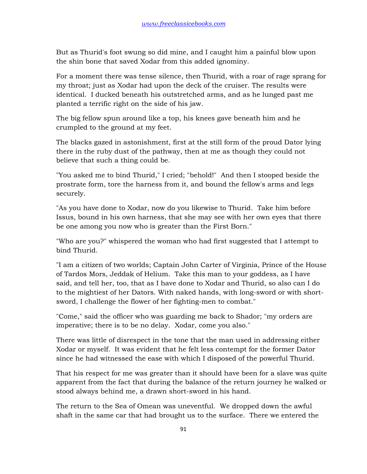But as Thurid's foot swung so did mine, and I caught him a painful blow upon the shin bone that saved Xodar from this added ignominy.

For a moment there was tense silence, then Thurid, with a roar of rage sprang for my throat; just as Xodar had upon the deck of the cruiser. The results were identical. I ducked beneath his outstretched arms, and as he lunged past me planted a terrific right on the side of his jaw.

The big fellow spun around like a top, his knees gave beneath him and he crumpled to the ground at my feet.

The blacks gazed in astonishment, first at the still form of the proud Dator lying there in the ruby dust of the pathway, then at me as though they could not believe that such a thing could be.

"You asked me to bind Thurid," I cried; "behold!" And then I stooped beside the prostrate form, tore the harness from it, and bound the fellow's arms and legs securely.

"As you have done to Xodar, now do you likewise to Thurid. Take him before Issus, bound in his own harness, that she may see with her own eyes that there be one among you now who is greater than the First Born."

"Who are you?" whispered the woman who had first suggested that I attempt to bind Thurid.

"I am a citizen of two worlds; Captain John Carter of Virginia, Prince of the House of Tardos Mors, Jeddak of Helium. Take this man to your goddess, as I have said, and tell her, too, that as I have done to Xodar and Thurid, so also can I do to the mightiest of her Dators. With naked hands, with long-sword or with shortsword, I challenge the flower of her fighting-men to combat."

"Come," said the officer who was guarding me back to Shador; "my orders are imperative; there is to be no delay. Xodar, come you also."

There was little of disrespect in the tone that the man used in addressing either Xodar or myself. It was evident that he felt less contempt for the former Dator since he had witnessed the ease with which I disposed of the powerful Thurid.

That his respect for me was greater than it should have been for a slave was quite apparent from the fact that during the balance of the return journey he walked or stood always behind me, a drawn short-sword in his hand.

The return to the Sea of Omean was uneventful. We dropped down the awful shaft in the same car that had brought us to the surface. There we entered the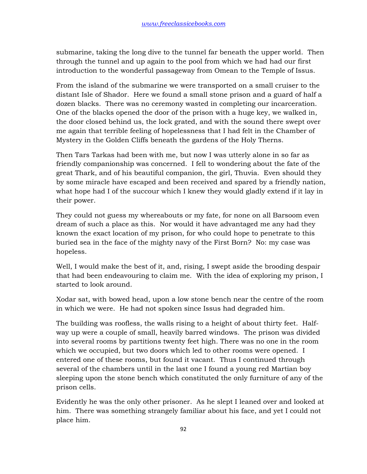submarine, taking the long dive to the tunnel far beneath the upper world. Then through the tunnel and up again to the pool from which we had had our first introduction to the wonderful passageway from Omean to the Temple of Issus.

From the island of the submarine we were transported on a small cruiser to the distant Isle of Shador. Here we found a small stone prison and a guard of half a dozen blacks. There was no ceremony wasted in completing our incarceration. One of the blacks opened the door of the prison with a huge key, we walked in, the door closed behind us, the lock grated, and with the sound there swept over me again that terrible feeling of hopelessness that I had felt in the Chamber of Mystery in the Golden Cliffs beneath the gardens of the Holy Therns.

Then Tars Tarkas had been with me, but now I was utterly alone in so far as friendly companionship was concerned. I fell to wondering about the fate of the great Thark, and of his beautiful companion, the girl, Thuvia. Even should they by some miracle have escaped and been received and spared by a friendly nation, what hope had I of the succour which I knew they would gladly extend if it lay in their power.

They could not guess my whereabouts or my fate, for none on all Barsoom even dream of such a place as this. Nor would it have advantaged me any had they known the exact location of my prison, for who could hope to penetrate to this buried sea in the face of the mighty navy of the First Born? No: my case was hopeless.

Well, I would make the best of it, and, rising, I swept aside the brooding despair that had been endeavouring to claim me. With the idea of exploring my prison, I started to look around.

Xodar sat, with bowed head, upon a low stone bench near the centre of the room in which we were. He had not spoken since Issus had degraded him.

The building was roofless, the walls rising to a height of about thirty feet. Halfway up were a couple of small, heavily barred windows. The prison was divided into several rooms by partitions twenty feet high. There was no one in the room which we occupied, but two doors which led to other rooms were opened. I entered one of these rooms, but found it vacant. Thus I continued through several of the chambers until in the last one I found a young red Martian boy sleeping upon the stone bench which constituted the only furniture of any of the prison cells.

Evidently he was the only other prisoner. As he slept I leaned over and looked at him. There was something strangely familiar about his face, and yet I could not place him.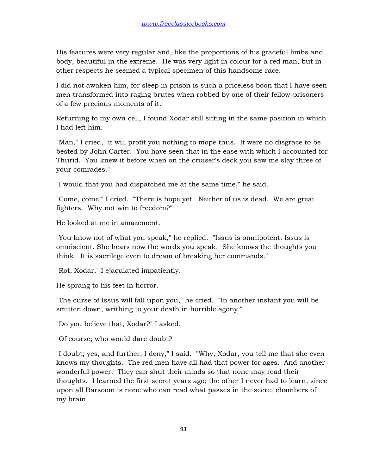His features were very regular and, like the proportions of his graceful limbs and body, beautiful in the extreme. He was very light in colour for a red man, but in other respects he seemed a typical specimen of this handsome race.

I did not awaken him, for sleep in prison is such a priceless boon that I have seen men transformed into raging brutes when robbed by one of their fellow-prisoners of a few precious moments of it.

Returning to my own cell, I found Xodar still sitting in the same position in which I had left him.

"Man," I cried, "it will profit you nothing to mope thus. It were no disgrace to be bested by John Carter. You have seen that in the ease with which I accounted for Thurid. You knew it before when on the cruiser's deck you saw me slay three of your comrades."

"I would that you had dispatched me at the same time," he said.

"Come, come!" I cried. "There is hope yet. Neither of us is dead. We are great fighters. Why not win to freedom?"

He looked at me in amazement.

"You know not of what you speak," he replied. "Issus is omnipotent. Issus is omniscient. She hears now the words you speak. She knows the thoughts you think. It is sacrilege even to dream of breaking her commands."

"Rot, Xodar," I ejaculated impatiently.

He sprang to his feet in horror.

"The curse of Issus will fall upon you," he cried. "In another instant you will be smitten down, writhing to your death in horrible agony."

"Do you believe that, Xodar?" I asked.

"Of course; who would dare doubt?"

"I doubt; yes, and further, I deny," I said. "Why, Xodar, you tell me that she even knows my thoughts. The red men have all had that power for ages. And another wonderful power. They can shut their minds so that none may read their thoughts. I learned the first secret years ago; the other I never had to learn, since upon all Barsoom is none who can read what passes in the secret chambers of my brain.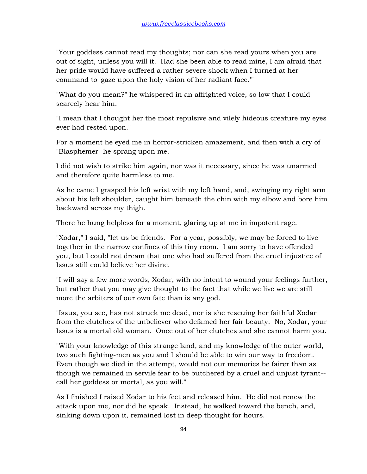"Your goddess cannot read my thoughts; nor can she read yours when you are out of sight, unless you will it. Had she been able to read mine, I am afraid that her pride would have suffered a rather severe shock when I turned at her command to 'gaze upon the holy vision of her radiant face.'"

"What do you mean?" he whispered in an affrighted voice, so low that I could scarcely hear him.

"I mean that I thought her the most repulsive and vilely hideous creature my eyes ever had rested upon."

For a moment he eyed me in horror-stricken amazement, and then with a cry of "Blasphemer" he sprang upon me.

I did not wish to strike him again, nor was it necessary, since he was unarmed and therefore quite harmless to me.

As he came I grasped his left wrist with my left hand, and, swinging my right arm about his left shoulder, caught him beneath the chin with my elbow and bore him backward across my thigh.

There he hung helpless for a moment, glaring up at me in impotent rage.

"Xodar," I said, "let us be friends. For a year, possibly, we may be forced to live together in the narrow confines of this tiny room. I am sorry to have offended you, but I could not dream that one who had suffered from the cruel injustice of Issus still could believe her divine.

"I will say a few more words, Xodar, with no intent to wound your feelings further, but rather that you may give thought to the fact that while we live we are still more the arbiters of our own fate than is any god.

"Issus, you see, has not struck me dead, nor is she rescuing her faithful Xodar from the clutches of the unbeliever who defamed her fair beauty. No, Xodar, your Issus is a mortal old woman. Once out of her clutches and she cannot harm you.

"With your knowledge of this strange land, and my knowledge of the outer world, two such fighting-men as you and I should be able to win our way to freedom. Even though we died in the attempt, would not our memories be fairer than as though we remained in servile fear to be butchered by a cruel and unjust tyrant- call her goddess or mortal, as you will."

As I finished I raised Xodar to his feet and released him. He did not renew the attack upon me, nor did he speak. Instead, he walked toward the bench, and, sinking down upon it, remained lost in deep thought for hours.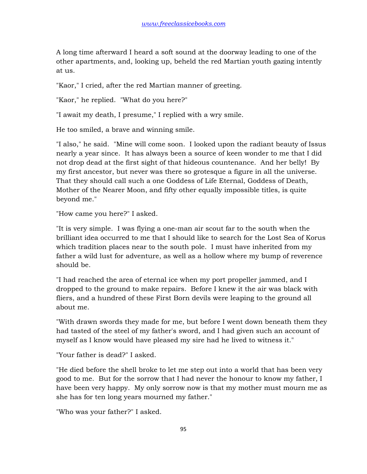A long time afterward I heard a soft sound at the doorway leading to one of the other apartments, and, looking up, beheld the red Martian youth gazing intently at us.

"Kaor," I cried, after the red Martian manner of greeting.

"Kaor," he replied. "What do you here?"

"I await my death, I presume," I replied with a wry smile.

He too smiled, a brave and winning smile.

"I also," he said. "Mine will come soon. I looked upon the radiant beauty of Issus nearly a year since. It has always been a source of keen wonder to me that I did not drop dead at the first sight of that hideous countenance. And her belly! By my first ancestor, but never was there so grotesque a figure in all the universe. That they should call such a one Goddess of Life Eternal, Goddess of Death, Mother of the Nearer Moon, and fifty other equally impossible titles, is quite beyond me."

"How came you here?" I asked.

"It is very simple. I was flying a one-man air scout far to the south when the brilliant idea occurred to me that I should like to search for the Lost Sea of Korus which tradition places near to the south pole. I must have inherited from my father a wild lust for adventure, as well as a hollow where my bump of reverence should be.

"I had reached the area of eternal ice when my port propeller jammed, and I dropped to the ground to make repairs. Before I knew it the air was black with fliers, and a hundred of these First Born devils were leaping to the ground all about me.

"With drawn swords they made for me, but before I went down beneath them they had tasted of the steel of my father's sword, and I had given such an account of myself as I know would have pleased my sire had he lived to witness it."

"Your father is dead?" I asked.

"He died before the shell broke to let me step out into a world that has been very good to me. But for the sorrow that I had never the honour to know my father, I have been very happy. My only sorrow now is that my mother must mourn me as she has for ten long years mourned my father."

"Who was your father?" I asked.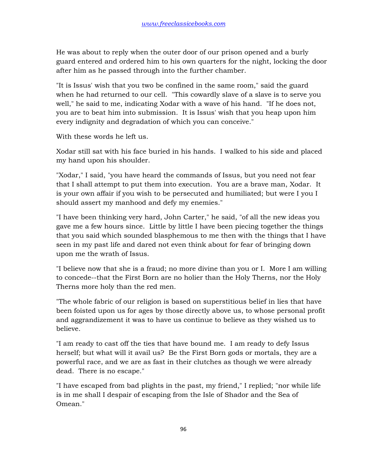He was about to reply when the outer door of our prison opened and a burly guard entered and ordered him to his own quarters for the night, locking the door after him as he passed through into the further chamber.

"It is Issus' wish that you two be confined in the same room," said the guard when he had returned to our cell. "This cowardly slave of a slave is to serve you well," he said to me, indicating Xodar with a wave of his hand. "If he does not, you are to beat him into submission. It is Issus' wish that you heap upon him every indignity and degradation of which you can conceive."

With these words he left us.

Xodar still sat with his face buried in his hands. I walked to his side and placed my hand upon his shoulder.

"Xodar," I said, "you have heard the commands of Issus, but you need not fear that I shall attempt to put them into execution. You are a brave man, Xodar. It is your own affair if you wish to be persecuted and humiliated; but were I you I should assert my manhood and defy my enemies."

"I have been thinking very hard, John Carter," he said, "of all the new ideas you gave me a few hours since. Little by little I have been piecing together the things that you said which sounded blasphemous to me then with the things that I have seen in my past life and dared not even think about for fear of bringing down upon me the wrath of Issus.

"I believe now that she is a fraud; no more divine than you or I. More I am willing to concede--that the First Born are no holier than the Holy Therns, nor the Holy Therns more holy than the red men.

"The whole fabric of our religion is based on superstitious belief in lies that have been foisted upon us for ages by those directly above us, to whose personal profit and aggrandizement it was to have us continue to believe as they wished us to believe.

"I am ready to cast off the ties that have bound me. I am ready to defy Issus herself; but what will it avail us? Be the First Born gods or mortals, they are a powerful race, and we are as fast in their clutches as though we were already dead. There is no escape."

"I have escaped from bad plights in the past, my friend," I replied; "nor while life is in me shall I despair of escaping from the Isle of Shador and the Sea of Omean."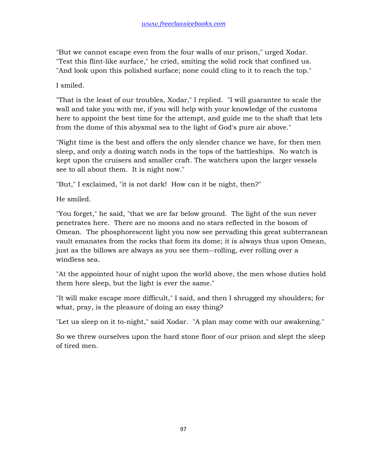"But we cannot escape even from the four walls of our prison," urged Xodar. "Test this flint-like surface," he cried, smiting the solid rock that confined us. "And look upon this polished surface; none could cling to it to reach the top."

I smiled.

"That is the least of our troubles, Xodar," I replied. "I will guarantee to scale the wall and take you with me, if you will help with your knowledge of the customs here to appoint the best time for the attempt, and guide me to the shaft that lets from the dome of this abysmal sea to the light of God's pure air above."

"Night time is the best and offers the only slender chance we have, for then men sleep, and only a dozing watch nods in the tops of the battleships. No watch is kept upon the cruisers and smaller craft. The watchers upon the larger vessels see to all about them. It is night now."

"But," I exclaimed, "it is not dark! How can it be night, then?"

He smiled.

"You forget," he said, "that we are far below ground. The light of the sun never penetrates here. There are no moons and no stars reflected in the bosom of Omean. The phosphorescent light you now see pervading this great subterranean vault emanates from the rocks that form its dome; it is always thus upon Omean, just as the billows are always as you see them--rolling, ever rolling over a windless sea.

"At the appointed hour of night upon the world above, the men whose duties hold them here sleep, but the light is ever the same."

"It will make escape more difficult," I said, and then I shrugged my shoulders; for what, pray, is the pleasure of doing an easy thing?

"Let us sleep on it to-night," said Xodar. "A plan may come with our awakening."

So we threw ourselves upon the hard stone floor of our prison and slept the sleep of tired men.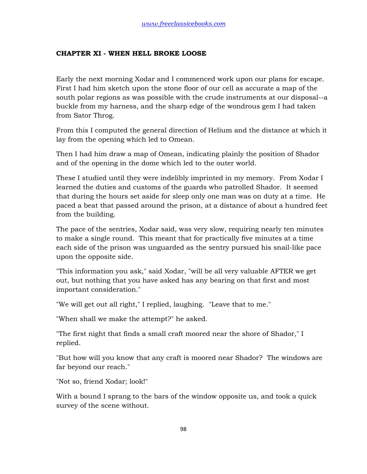## **CHAPTER XI - WHEN HELL BROKE LOOSE**

Early the next morning Xodar and I commenced work upon our plans for escape. First I had him sketch upon the stone floor of our cell as accurate a map of the south polar regions as was possible with the crude instruments at our disposal--a buckle from my harness, and the sharp edge of the wondrous gem I had taken from Sator Throg.

From this I computed the general direction of Helium and the distance at which it lay from the opening which led to Omean.

Then I had him draw a map of Omean, indicating plainly the position of Shador and of the opening in the dome which led to the outer world.

These I studied until they were indelibly imprinted in my memory. From Xodar I learned the duties and customs of the guards who patrolled Shador. It seemed that during the hours set aside for sleep only one man was on duty at a time. He paced a beat that passed around the prison, at a distance of about a hundred feet from the building.

The pace of the sentries, Xodar said, was very slow, requiring nearly ten minutes to make a single round. This meant that for practically five minutes at a time each side of the prison was unguarded as the sentry pursued his snail-like pace upon the opposite side.

"This information you ask," said Xodar, "will be all very valuable AFTER we get out, but nothing that you have asked has any bearing on that first and most important consideration."

"We will get out all right," I replied, laughing. "Leave that to me."

"When shall we make the attempt?" he asked.

"The first night that finds a small craft moored near the shore of Shador," I replied.

"But how will you know that any craft is moored near Shador? The windows are far beyond our reach."

"Not so, friend Xodar; look!"

With a bound I sprang to the bars of the window opposite us, and took a quick survey of the scene without.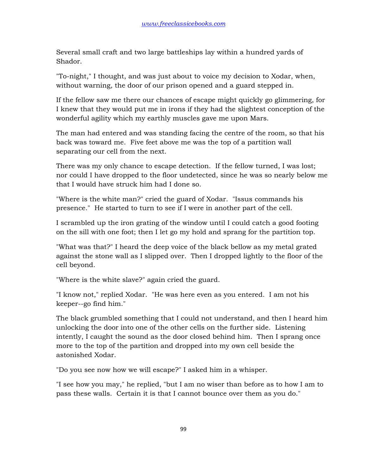Several small craft and two large battleships lay within a hundred yards of Shador.

"To-night," I thought, and was just about to voice my decision to Xodar, when, without warning, the door of our prison opened and a guard stepped in.

If the fellow saw me there our chances of escape might quickly go glimmering, for I knew that they would put me in irons if they had the slightest conception of the wonderful agility which my earthly muscles gave me upon Mars.

The man had entered and was standing facing the centre of the room, so that his back was toward me. Five feet above me was the top of a partition wall separating our cell from the next.

There was my only chance to escape detection. If the fellow turned, I was lost; nor could I have dropped to the floor undetected, since he was so nearly below me that I would have struck him had I done so.

"Where is the white man?" cried the guard of Xodar. "Issus commands his presence." He started to turn to see if I were in another part of the cell.

I scrambled up the iron grating of the window until I could catch a good footing on the sill with one foot; then I let go my hold and sprang for the partition top.

"What was that?" I heard the deep voice of the black bellow as my metal grated against the stone wall as I slipped over. Then I dropped lightly to the floor of the cell beyond.

"Where is the white slave?" again cried the guard.

"I know not," replied Xodar. "He was here even as you entered. I am not his keeper--go find him."

The black grumbled something that I could not understand, and then I heard him unlocking the door into one of the other cells on the further side. Listening intently, I caught the sound as the door closed behind him. Then I sprang once more to the top of the partition and dropped into my own cell beside the astonished Xodar.

"Do you see now how we will escape?" I asked him in a whisper.

"I see how you may," he replied, "but I am no wiser than before as to how I am to pass these walls. Certain it is that I cannot bounce over them as you do."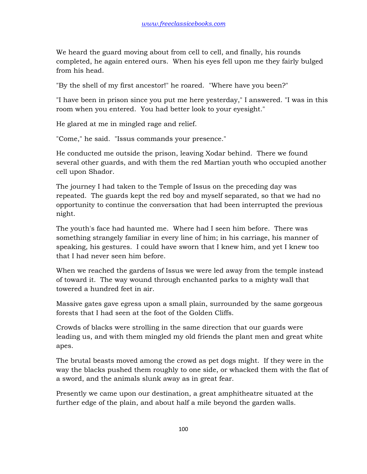We heard the guard moving about from cell to cell, and finally, his rounds completed, he again entered ours. When his eyes fell upon me they fairly bulged from his head.

"By the shell of my first ancestor!" he roared. "Where have you been?"

"I have been in prison since you put me here yesterday," I answered. "I was in this room when you entered. You had better look to your eyesight."

He glared at me in mingled rage and relief.

"Come," he said. "Issus commands your presence."

He conducted me outside the prison, leaving Xodar behind. There we found several other guards, and with them the red Martian youth who occupied another cell upon Shador.

The journey I had taken to the Temple of Issus on the preceding day was repeated. The guards kept the red boy and myself separated, so that we had no opportunity to continue the conversation that had been interrupted the previous night.

The youth's face had haunted me. Where had I seen him before. There was something strangely familiar in every line of him; in his carriage, his manner of speaking, his gestures. I could have sworn that I knew him, and yet I knew too that I had never seen him before.

When we reached the gardens of Issus we were led away from the temple instead of toward it. The way wound through enchanted parks to a mighty wall that towered a hundred feet in air.

Massive gates gave egress upon a small plain, surrounded by the same gorgeous forests that I had seen at the foot of the Golden Cliffs.

Crowds of blacks were strolling in the same direction that our guards were leading us, and with them mingled my old friends the plant men and great white apes.

The brutal beasts moved among the crowd as pet dogs might. If they were in the way the blacks pushed them roughly to one side, or whacked them with the flat of a sword, and the animals slunk away as in great fear.

Presently we came upon our destination, a great amphitheatre situated at the further edge of the plain, and about half a mile beyond the garden walls.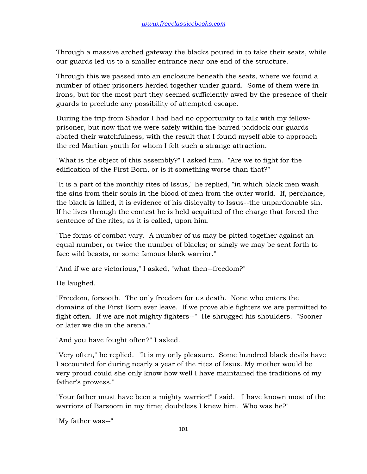Through a massive arched gateway the blacks poured in to take their seats, while our guards led us to a smaller entrance near one end of the structure.

Through this we passed into an enclosure beneath the seats, where we found a number of other prisoners herded together under guard. Some of them were in irons, but for the most part they seemed sufficiently awed by the presence of their guards to preclude any possibility of attempted escape.

During the trip from Shador I had had no opportunity to talk with my fellowprisoner, but now that we were safely within the barred paddock our guards abated their watchfulness, with the result that I found myself able to approach the red Martian youth for whom I felt such a strange attraction.

"What is the object of this assembly?" I asked him. "Are we to fight for the edification of the First Born, or is it something worse than that?"

"It is a part of the monthly rites of Issus," he replied, "in which black men wash the sins from their souls in the blood of men from the outer world. If, perchance, the black is killed, it is evidence of his disloyalty to Issus--the unpardonable sin. If he lives through the contest he is held acquitted of the charge that forced the sentence of the rites, as it is called, upon him.

"The forms of combat vary. A number of us may be pitted together against an equal number, or twice the number of blacks; or singly we may be sent forth to face wild beasts, or some famous black warrior."

"And if we are victorious," I asked, "what then--freedom?"

He laughed.

"Freedom, forsooth. The only freedom for us death. None who enters the domains of the First Born ever leave. If we prove able fighters we are permitted to fight often. If we are not mighty fighters--" He shrugged his shoulders. "Sooner or later we die in the arena."

"And you have fought often?" I asked.

"Very often," he replied. "It is my only pleasure. Some hundred black devils have I accounted for during nearly a year of the rites of Issus. My mother would be very proud could she only know how well I have maintained the traditions of my father's prowess."

"Your father must have been a mighty warrior!" I said. "I have known most of the warriors of Barsoom in my time; doubtless I knew him. Who was he?"

"My father was--"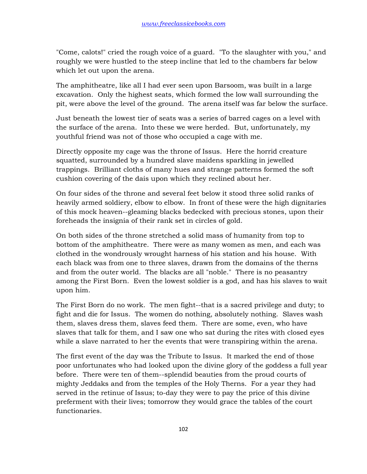"Come, calots!" cried the rough voice of a guard. "To the slaughter with you," and roughly we were hustled to the steep incline that led to the chambers far below which let out upon the arena.

The amphitheatre, like all I had ever seen upon Barsoom, was built in a large excavation. Only the highest seats, which formed the low wall surrounding the pit, were above the level of the ground. The arena itself was far below the surface.

Just beneath the lowest tier of seats was a series of barred cages on a level with the surface of the arena. Into these we were herded. But, unfortunately, my youthful friend was not of those who occupied a cage with me.

Directly opposite my cage was the throne of Issus. Here the horrid creature squatted, surrounded by a hundred slave maidens sparkling in jewelled trappings. Brilliant cloths of many hues and strange patterns formed the soft cushion covering of the dais upon which they reclined about her.

On four sides of the throne and several feet below it stood three solid ranks of heavily armed soldiery, elbow to elbow. In front of these were the high dignitaries of this mock heaven--gleaming blacks bedecked with precious stones, upon their foreheads the insignia of their rank set in circles of gold.

On both sides of the throne stretched a solid mass of humanity from top to bottom of the amphitheatre. There were as many women as men, and each was clothed in the wondrously wrought harness of his station and his house. With each black was from one to three slaves, drawn from the domains of the therns and from the outer world. The blacks are all "noble." There is no peasantry among the First Born. Even the lowest soldier is a god, and has his slaves to wait upon him.

The First Born do no work. The men fight--that is a sacred privilege and duty; to fight and die for Issus. The women do nothing, absolutely nothing. Slaves wash them, slaves dress them, slaves feed them. There are some, even, who have slaves that talk for them, and I saw one who sat during the rites with closed eyes while a slave narrated to her the events that were transpiring within the arena.

The first event of the day was the Tribute to Issus. It marked the end of those poor unfortunates who had looked upon the divine glory of the goddess a full year before. There were ten of them--splendid beauties from the proud courts of mighty Jeddaks and from the temples of the Holy Therns. For a year they had served in the retinue of Issus; to-day they were to pay the price of this divine preferment with their lives; tomorrow they would grace the tables of the court functionaries.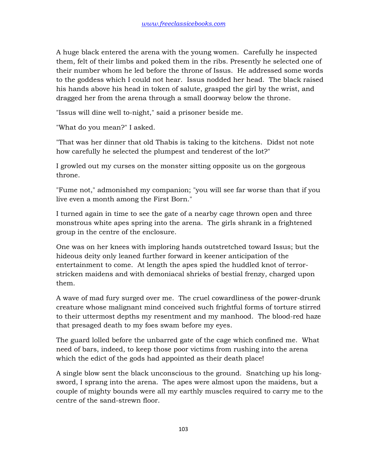A huge black entered the arena with the young women. Carefully he inspected them, felt of their limbs and poked them in the ribs. Presently he selected one of their number whom he led before the throne of Issus. He addressed some words to the goddess which I could not hear. Issus nodded her head. The black raised his hands above his head in token of salute, grasped the girl by the wrist, and dragged her from the arena through a small doorway below the throne.

"Issus will dine well to-night," said a prisoner beside me.

"What do you mean?" I asked.

"That was her dinner that old Thabis is taking to the kitchens. Didst not note how carefully he selected the plumpest and tenderest of the lot?"

I growled out my curses on the monster sitting opposite us on the gorgeous throne.

"Fume not," admonished my companion; "you will see far worse than that if you live even a month among the First Born."

I turned again in time to see the gate of a nearby cage thrown open and three monstrous white apes spring into the arena. The girls shrank in a frightened group in the centre of the enclosure.

One was on her knees with imploring hands outstretched toward Issus; but the hideous deity only leaned further forward in keener anticipation of the entertainment to come. At length the apes spied the huddled knot of terrorstricken maidens and with demoniacal shrieks of bestial frenzy, charged upon them.

A wave of mad fury surged over me. The cruel cowardliness of the power-drunk creature whose malignant mind conceived such frightful forms of torture stirred to their uttermost depths my resentment and my manhood. The blood-red haze that presaged death to my foes swam before my eyes.

The guard lolled before the unbarred gate of the cage which confined me. What need of bars, indeed, to keep those poor victims from rushing into the arena which the edict of the gods had appointed as their death place!

A single blow sent the black unconscious to the ground. Snatching up his longsword, I sprang into the arena. The apes were almost upon the maidens, but a couple of mighty bounds were all my earthly muscles required to carry me to the centre of the sand-strewn floor.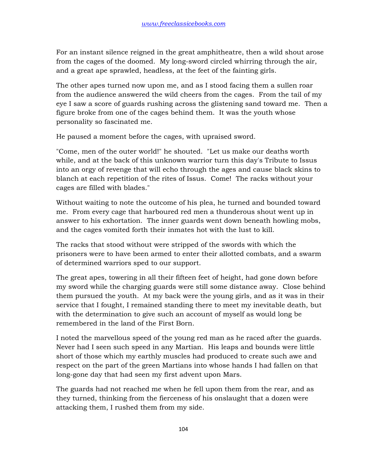For an instant silence reigned in the great amphitheatre, then a wild shout arose from the cages of the doomed. My long-sword circled whirring through the air, and a great ape sprawled, headless, at the feet of the fainting girls.

The other apes turned now upon me, and as I stood facing them a sullen roar from the audience answered the wild cheers from the cages. From the tail of my eye I saw a score of guards rushing across the glistening sand toward me. Then a figure broke from one of the cages behind them. It was the youth whose personality so fascinated me.

He paused a moment before the cages, with upraised sword.

"Come, men of the outer world!" he shouted. "Let us make our deaths worth while, and at the back of this unknown warrior turn this day's Tribute to Issus into an orgy of revenge that will echo through the ages and cause black skins to blanch at each repetition of the rites of Issus. Come! The racks without your cages are filled with blades."

Without waiting to note the outcome of his plea, he turned and bounded toward me. From every cage that harboured red men a thunderous shout went up in answer to his exhortation. The inner guards went down beneath howling mobs, and the cages vomited forth their inmates hot with the lust to kill.

The racks that stood without were stripped of the swords with which the prisoners were to have been armed to enter their allotted combats, and a swarm of determined warriors sped to our support.

The great apes, towering in all their fifteen feet of height, had gone down before my sword while the charging guards were still some distance away. Close behind them pursued the youth. At my back were the young girls, and as it was in their service that I fought, I remained standing there to meet my inevitable death, but with the determination to give such an account of myself as would long be remembered in the land of the First Born.

I noted the marvellous speed of the young red man as he raced after the guards. Never had I seen such speed in any Martian. His leaps and bounds were little short of those which my earthly muscles had produced to create such awe and respect on the part of the green Martians into whose hands I had fallen on that long-gone day that had seen my first advent upon Mars.

The guards had not reached me when he fell upon them from the rear, and as they turned, thinking from the fierceness of his onslaught that a dozen were attacking them, I rushed them from my side.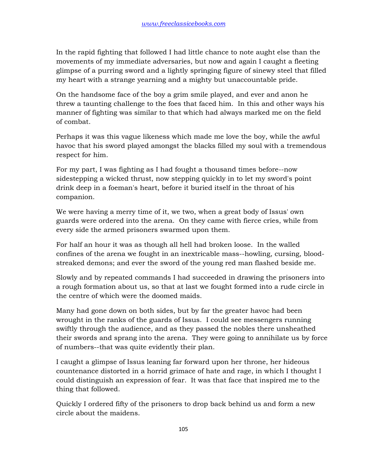In the rapid fighting that followed I had little chance to note aught else than the movements of my immediate adversaries, but now and again I caught a fleeting glimpse of a purring sword and a lightly springing figure of sinewy steel that filled my heart with a strange yearning and a mighty but unaccountable pride.

On the handsome face of the boy a grim smile played, and ever and anon he threw a taunting challenge to the foes that faced him. In this and other ways his manner of fighting was similar to that which had always marked me on the field of combat.

Perhaps it was this vague likeness which made me love the boy, while the awful havoc that his sword played amongst the blacks filled my soul with a tremendous respect for him.

For my part, I was fighting as I had fought a thousand times before--now sidestepping a wicked thrust, now stepping quickly in to let my sword's point drink deep in a foeman's heart, before it buried itself in the throat of his companion.

We were having a merry time of it, we two, when a great body of Issus' own guards were ordered into the arena. On they came with fierce cries, while from every side the armed prisoners swarmed upon them.

For half an hour it was as though all hell had broken loose. In the walled confines of the arena we fought in an inextricable mass--howling, cursing, bloodstreaked demons; and ever the sword of the young red man flashed beside me.

Slowly and by repeated commands I had succeeded in drawing the prisoners into a rough formation about us, so that at last we fought formed into a rude circle in the centre of which were the doomed maids.

Many had gone down on both sides, but by far the greater havoc had been wrought in the ranks of the guards of Issus. I could see messengers running swiftly through the audience, and as they passed the nobles there unsheathed their swords and sprang into the arena. They were going to annihilate us by force of numbers--that was quite evidently their plan.

I caught a glimpse of Issus leaning far forward upon her throne, her hideous countenance distorted in a horrid grimace of hate and rage, in which I thought I could distinguish an expression of fear. It was that face that inspired me to the thing that followed.

Quickly I ordered fifty of the prisoners to drop back behind us and form a new circle about the maidens.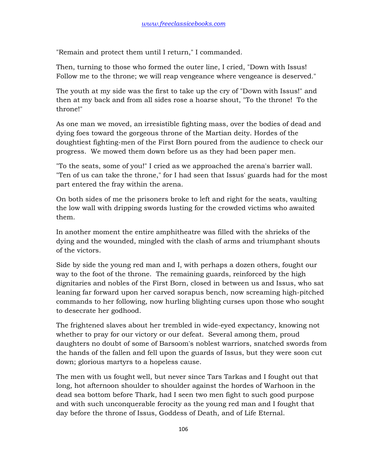"Remain and protect them until I return," I commanded.

Then, turning to those who formed the outer line, I cried, "Down with Issus! Follow me to the throne; we will reap vengeance where vengeance is deserved."

The youth at my side was the first to take up the cry of "Down with Issus!" and then at my back and from all sides rose a hoarse shout, "To the throne! To the throne!"

As one man we moved, an irresistible fighting mass, over the bodies of dead and dying foes toward the gorgeous throne of the Martian deity. Hordes of the doughtiest fighting-men of the First Born poured from the audience to check our progress. We mowed them down before us as they had been paper men.

"To the seats, some of you!" I cried as we approached the arena's barrier wall. "Ten of us can take the throne," for I had seen that Issus' guards had for the most part entered the fray within the arena.

On both sides of me the prisoners broke to left and right for the seats, vaulting the low wall with dripping swords lusting for the crowded victims who awaited them.

In another moment the entire amphitheatre was filled with the shrieks of the dying and the wounded, mingled with the clash of arms and triumphant shouts of the victors.

Side by side the young red man and I, with perhaps a dozen others, fought our way to the foot of the throne. The remaining guards, reinforced by the high dignitaries and nobles of the First Born, closed in between us and Issus, who sat leaning far forward upon her carved sorapus bench, now screaming high-pitched commands to her following, now hurling blighting curses upon those who sought to desecrate her godhood.

The frightened slaves about her trembled in wide-eyed expectancy, knowing not whether to pray for our victory or our defeat. Several among them, proud daughters no doubt of some of Barsoom's noblest warriors, snatched swords from the hands of the fallen and fell upon the guards of Issus, but they were soon cut down; glorious martyrs to a hopeless cause.

The men with us fought well, but never since Tars Tarkas and I fought out that long, hot afternoon shoulder to shoulder against the hordes of Warhoon in the dead sea bottom before Thark, had I seen two men fight to such good purpose and with such unconquerable ferocity as the young red man and I fought that day before the throne of Issus, Goddess of Death, and of Life Eternal.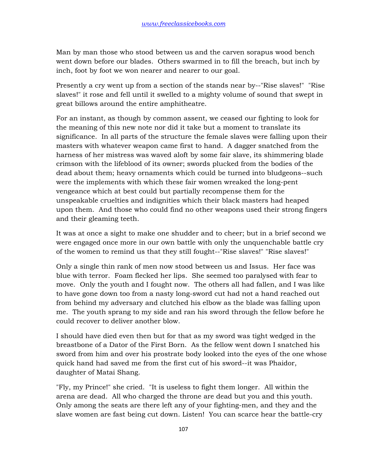Man by man those who stood between us and the carven sorapus wood bench went down before our blades. Others swarmed in to fill the breach, but inch by inch, foot by foot we won nearer and nearer to our goal.

Presently a cry went up from a section of the stands near by--"Rise slaves!" "Rise slaves!" it rose and fell until it swelled to a mighty volume of sound that swept in great billows around the entire amphitheatre.

For an instant, as though by common assent, we ceased our fighting to look for the meaning of this new note nor did it take but a moment to translate its significance. In all parts of the structure the female slaves were falling upon their masters with whatever weapon came first to hand. A dagger snatched from the harness of her mistress was waved aloft by some fair slave, its shimmering blade crimson with the lifeblood of its owner; swords plucked from the bodies of the dead about them; heavy ornaments which could be turned into bludgeons--such were the implements with which these fair women wreaked the long-pent vengeance which at best could but partially recompense them for the unspeakable cruelties and indignities which their black masters had heaped upon them. And those who could find no other weapons used their strong fingers and their gleaming teeth.

It was at once a sight to make one shudder and to cheer; but in a brief second we were engaged once more in our own battle with only the unquenchable battle cry of the women to remind us that they still fought--"Rise slaves!" "Rise slaves!"

Only a single thin rank of men now stood between us and Issus. Her face was blue with terror. Foam flecked her lips. She seemed too paralysed with fear to move. Only the youth and I fought now. The others all had fallen, and I was like to have gone down too from a nasty long-sword cut had not a hand reached out from behind my adversary and clutched his elbow as the blade was falling upon me. The youth sprang to my side and ran his sword through the fellow before he could recover to deliver another blow.

I should have died even then but for that as my sword was tight wedged in the breastbone of a Dator of the First Born. As the fellow went down I snatched his sword from him and over his prostrate body looked into the eyes of the one whose quick hand had saved me from the first cut of his sword--it was Phaidor, daughter of Matai Shang.

"Fly, my Prince!" she cried. "It is useless to fight them longer. All within the arena are dead. All who charged the throne are dead but you and this youth. Only among the seats are there left any of your fighting-men, and they and the slave women are fast being cut down. Listen! You can scarce hear the battle-cry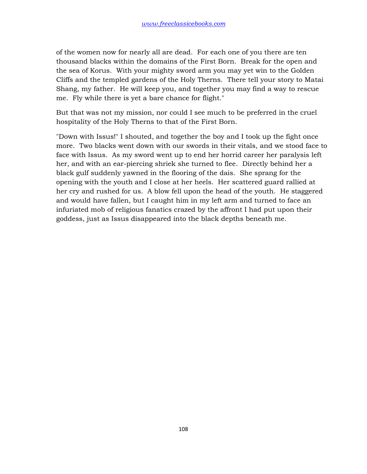of the women now for nearly all are dead. For each one of you there are ten thousand blacks within the domains of the First Born. Break for the open and the sea of Korus. With your mighty sword arm you may yet win to the Golden Cliffs and the templed gardens of the Holy Therns. There tell your story to Matai Shang, my father. He will keep you, and together you may find a way to rescue me. Fly while there is yet a bare chance for flight."

But that was not my mission, nor could I see much to be preferred in the cruel hospitality of the Holy Therns to that of the First Born.

"Down with Issus!" I shouted, and together the boy and I took up the fight once more. Two blacks went down with our swords in their vitals, and we stood face to face with Issus. As my sword went up to end her horrid career her paralysis left her, and with an ear-piercing shriek she turned to flee. Directly behind her a black gulf suddenly yawned in the flooring of the dais. She sprang for the opening with the youth and I close at her heels. Her scattered guard rallied at her cry and rushed for us. A blow fell upon the head of the youth. He staggered and would have fallen, but I caught him in my left arm and turned to face an infuriated mob of religious fanatics crazed by the affront I had put upon their goddess, just as Issus disappeared into the black depths beneath me.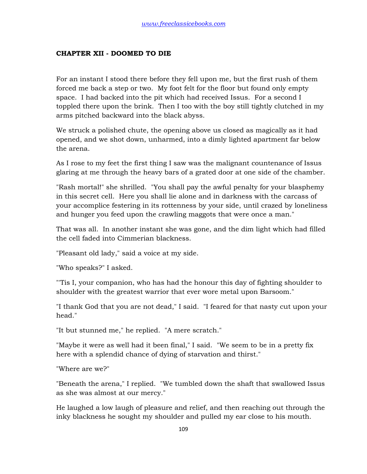## **CHAPTER XII - DOOMED TO DIE**

For an instant I stood there before they fell upon me, but the first rush of them forced me back a step or two. My foot felt for the floor but found only empty space. I had backed into the pit which had received Issus. For a second I toppled there upon the brink. Then I too with the boy still tightly clutched in my arms pitched backward into the black abyss.

We struck a polished chute, the opening above us closed as magically as it had opened, and we shot down, unharmed, into a dimly lighted apartment far below the arena.

As I rose to my feet the first thing I saw was the malignant countenance of Issus glaring at me through the heavy bars of a grated door at one side of the chamber.

"Rash mortal!" she shrilled. "You shall pay the awful penalty for your blasphemy in this secret cell. Here you shall lie alone and in darkness with the carcass of your accomplice festering in its rottenness by your side, until crazed by loneliness and hunger you feed upon the crawling maggots that were once a man."

That was all. In another instant she was gone, and the dim light which had filled the cell faded into Cimmerian blackness.

"Pleasant old lady," said a voice at my side.

"Who speaks?" I asked.

"'Tis I, your companion, who has had the honour this day of fighting shoulder to shoulder with the greatest warrior that ever wore metal upon Barsoom."

"I thank God that you are not dead," I said. "I feared for that nasty cut upon your head."

"It but stunned me," he replied. "A mere scratch."

"Maybe it were as well had it been final," I said. "We seem to be in a pretty fix here with a splendid chance of dying of starvation and thirst."

"Where are we?"

"Beneath the arena," I replied. "We tumbled down the shaft that swallowed Issus as she was almost at our mercy."

He laughed a low laugh of pleasure and relief, and then reaching out through the inky blackness he sought my shoulder and pulled my ear close to his mouth.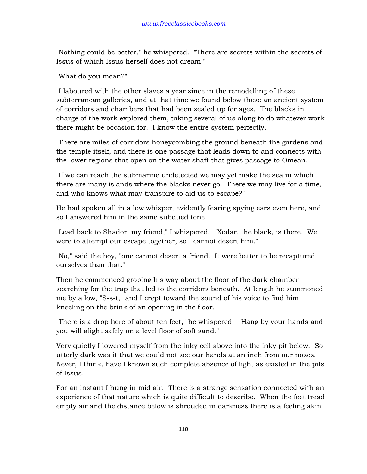"Nothing could be better," he whispered. "There are secrets within the secrets of Issus of which Issus herself does not dream."

"What do you mean?"

"I laboured with the other slaves a year since in the remodelling of these subterranean galleries, and at that time we found below these an ancient system of corridors and chambers that had been sealed up for ages. The blacks in charge of the work explored them, taking several of us along to do whatever work there might be occasion for. I know the entire system perfectly.

"There are miles of corridors honeycombing the ground beneath the gardens and the temple itself, and there is one passage that leads down to and connects with the lower regions that open on the water shaft that gives passage to Omean.

"If we can reach the submarine undetected we may yet make the sea in which there are many islands where the blacks never go. There we may live for a time, and who knows what may transpire to aid us to escape?"

He had spoken all in a low whisper, evidently fearing spying ears even here, and so I answered him in the same subdued tone.

"Lead back to Shador, my friend," I whispered. "Xodar, the black, is there. We were to attempt our escape together, so I cannot desert him."

"No," said the boy, "one cannot desert a friend. It were better to be recaptured ourselves than that."

Then he commenced groping his way about the floor of the dark chamber searching for the trap that led to the corridors beneath. At length he summoned me by a low, "S-s-t," and I crept toward the sound of his voice to find him kneeling on the brink of an opening in the floor.

"There is a drop here of about ten feet," he whispered. "Hang by your hands and you will alight safely on a level floor of soft sand."

Very quietly I lowered myself from the inky cell above into the inky pit below. So utterly dark was it that we could not see our hands at an inch from our noses. Never, I think, have I known such complete absence of light as existed in the pits of Issus.

For an instant I hung in mid air. There is a strange sensation connected with an experience of that nature which is quite difficult to describe. When the feet tread empty air and the distance below is shrouded in darkness there is a feeling akin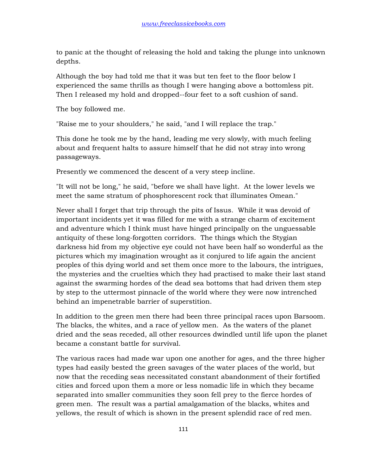to panic at the thought of releasing the hold and taking the plunge into unknown depths.

Although the boy had told me that it was but ten feet to the floor below I experienced the same thrills as though I were hanging above a bottomless pit. Then I released my hold and dropped--four feet to a soft cushion of sand.

The boy followed me.

"Raise me to your shoulders," he said, "and I will replace the trap."

This done he took me by the hand, leading me very slowly, with much feeling about and frequent halts to assure himself that he did not stray into wrong passageways.

Presently we commenced the descent of a very steep incline.

"It will not be long," he said, "before we shall have light. At the lower levels we meet the same stratum of phosphorescent rock that illuminates Omean."

Never shall I forget that trip through the pits of Issus. While it was devoid of important incidents yet it was filled for me with a strange charm of excitement and adventure which I think must have hinged principally on the unguessable antiquity of these long-forgotten corridors. The things which the Stygian darkness hid from my objective eye could not have been half so wonderful as the pictures which my imagination wrought as it conjured to life again the ancient peoples of this dying world and set them once more to the labours, the intrigues, the mysteries and the cruelties which they had practised to make their last stand against the swarming hordes of the dead sea bottoms that had driven them step by step to the uttermost pinnacle of the world where they were now intrenched behind an impenetrable barrier of superstition.

In addition to the green men there had been three principal races upon Barsoom. The blacks, the whites, and a race of yellow men. As the waters of the planet dried and the seas receded, all other resources dwindled until life upon the planet became a constant battle for survival.

The various races had made war upon one another for ages, and the three higher types had easily bested the green savages of the water places of the world, but now that the receding seas necessitated constant abandonment of their fortified cities and forced upon them a more or less nomadic life in which they became separated into smaller communities they soon fell prey to the fierce hordes of green men. The result was a partial amalgamation of the blacks, whites and yellows, the result of which is shown in the present splendid race of red men.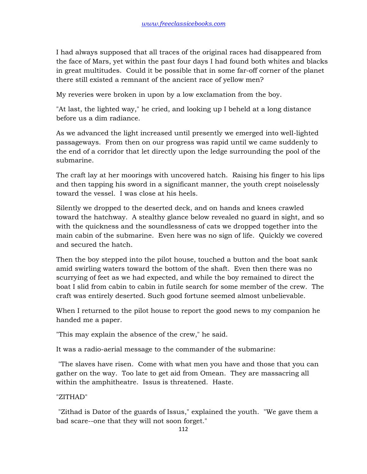I had always supposed that all traces of the original races had disappeared from the face of Mars, yet within the past four days I had found both whites and blacks in great multitudes. Could it be possible that in some far-off corner of the planet there still existed a remnant of the ancient race of yellow men?

My reveries were broken in upon by a low exclamation from the boy.

"At last, the lighted way," he cried, and looking up I beheld at a long distance before us a dim radiance.

As we advanced the light increased until presently we emerged into well-lighted passageways. From then on our progress was rapid until we came suddenly to the end of a corridor that let directly upon the ledge surrounding the pool of the submarine.

The craft lay at her moorings with uncovered hatch. Raising his finger to his lips and then tapping his sword in a significant manner, the youth crept noiselessly toward the vessel. I was close at his heels.

Silently we dropped to the deserted deck, and on hands and knees crawled toward the hatchway. A stealthy glance below revealed no guard in sight, and so with the quickness and the soundlessness of cats we dropped together into the main cabin of the submarine. Even here was no sign of life. Quickly we covered and secured the hatch.

Then the boy stepped into the pilot house, touched a button and the boat sank amid swirling waters toward the bottom of the shaft. Even then there was no scurrying of feet as we had expected, and while the boy remained to direct the boat I slid from cabin to cabin in futile search for some member of the crew. The craft was entirely deserted. Such good fortune seemed almost unbelievable.

When I returned to the pilot house to report the good news to my companion he handed me a paper.

"This may explain the absence of the crew," he said.

It was a radio-aerial message to the commander of the submarine:

 "The slaves have risen. Come with what men you have and those that you can gather on the way. Too late to get aid from Omean. They are massacring all within the amphitheatre. Issus is threatened. Haste.

"ZITHAD"

 "Zithad is Dator of the guards of Issus," explained the youth. "We gave them a bad scare--one that they will not soon forget."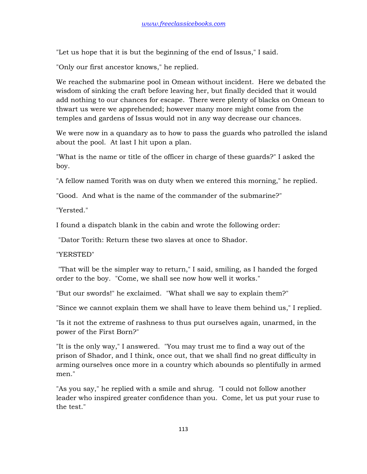"Let us hope that it is but the beginning of the end of Issus," I said.

"Only our first ancestor knows," he replied.

We reached the submarine pool in Omean without incident. Here we debated the wisdom of sinking the craft before leaving her, but finally decided that it would add nothing to our chances for escape. There were plenty of blacks on Omean to thwart us were we apprehended; however many more might come from the temples and gardens of Issus would not in any way decrease our chances.

We were now in a quandary as to how to pass the guards who patrolled the island about the pool. At last I hit upon a plan.

"What is the name or title of the officer in charge of these guards?" I asked the boy.

"A fellow named Torith was on duty when we entered this morning," he replied.

"Good. And what is the name of the commander of the submarine?"

"Yersted."

I found a dispatch blank in the cabin and wrote the following order:

"Dator Torith: Return these two slaves at once to Shador.

"YERSTED"

 "That will be the simpler way to return," I said, smiling, as I handed the forged order to the boy. "Come, we shall see now how well it works."

"But our swords!" he exclaimed. "What shall we say to explain them?"

"Since we cannot explain them we shall have to leave them behind us," I replied.

"Is it not the extreme of rashness to thus put ourselves again, unarmed, in the power of the First Born?"

"It is the only way," I answered. "You may trust me to find a way out of the prison of Shador, and I think, once out, that we shall find no great difficulty in arming ourselves once more in a country which abounds so plentifully in armed men."

"As you say," he replied with a smile and shrug. "I could not follow another leader who inspired greater confidence than you. Come, let us put your ruse to the test."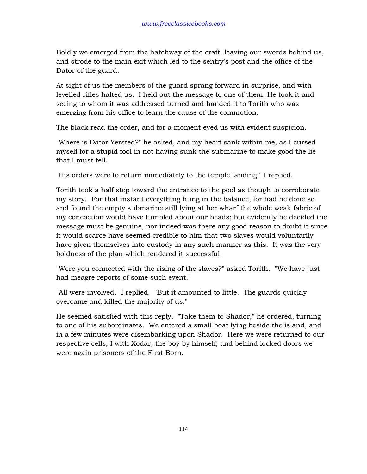Boldly we emerged from the hatchway of the craft, leaving our swords behind us, and strode to the main exit which led to the sentry's post and the office of the Dator of the guard.

At sight of us the members of the guard sprang forward in surprise, and with levelled rifles halted us. I held out the message to one of them. He took it and seeing to whom it was addressed turned and handed it to Torith who was emerging from his office to learn the cause of the commotion.

The black read the order, and for a moment eyed us with evident suspicion.

"Where is Dator Yersted?" he asked, and my heart sank within me, as I cursed myself for a stupid fool in not having sunk the submarine to make good the lie that I must tell.

"His orders were to return immediately to the temple landing," I replied.

Torith took a half step toward the entrance to the pool as though to corroborate my story. For that instant everything hung in the balance, for had he done so and found the empty submarine still lying at her wharf the whole weak fabric of my concoction would have tumbled about our heads; but evidently he decided the message must be genuine, nor indeed was there any good reason to doubt it since it would scarce have seemed credible to him that two slaves would voluntarily have given themselves into custody in any such manner as this. It was the very boldness of the plan which rendered it successful.

"Were you connected with the rising of the slaves?" asked Torith. "We have just had meagre reports of some such event."

"All were involved," I replied. "But it amounted to little. The guards quickly overcame and killed the majority of us."

He seemed satisfied with this reply. "Take them to Shador," he ordered, turning to one of his subordinates. We entered a small boat lying beside the island, and in a few minutes were disembarking upon Shador. Here we were returned to our respective cells; I with Xodar, the boy by himself; and behind locked doors we were again prisoners of the First Born.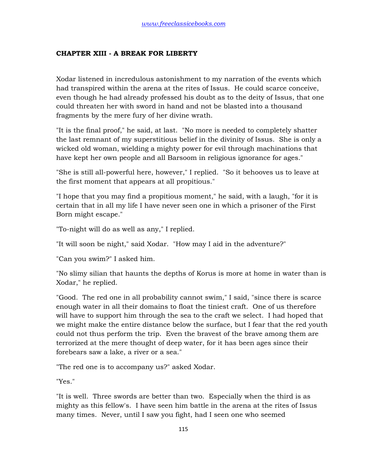## **CHAPTER XIII - A BREAK FOR LIBERTY**

Xodar listened in incredulous astonishment to my narration of the events which had transpired within the arena at the rites of Issus. He could scarce conceive, even though he had already professed his doubt as to the deity of Issus, that one could threaten her with sword in hand and not be blasted into a thousand fragments by the mere fury of her divine wrath.

"It is the final proof," he said, at last. "No more is needed to completely shatter the last remnant of my superstitious belief in the divinity of Issus. She is only a wicked old woman, wielding a mighty power for evil through machinations that have kept her own people and all Barsoom in religious ignorance for ages."

"She is still all-powerful here, however," I replied. "So it behooves us to leave at the first moment that appears at all propitious."

"I hope that you may find a propitious moment," he said, with a laugh, "for it is certain that in all my life I have never seen one in which a prisoner of the First Born might escape."

"To-night will do as well as any," I replied.

"It will soon be night," said Xodar. "How may I aid in the adventure?"

"Can you swim?" I asked him.

"No slimy silian that haunts the depths of Korus is more at home in water than is Xodar," he replied.

"Good. The red one in all probability cannot swim," I said, "since there is scarce enough water in all their domains to float the tiniest craft. One of us therefore will have to support him through the sea to the craft we select. I had hoped that we might make the entire distance below the surface, but I fear that the red youth could not thus perform the trip. Even the bravest of the brave among them are terrorized at the mere thought of deep water, for it has been ages since their forebears saw a lake, a river or a sea."

"The red one is to accompany us?" asked Xodar.

"Yes."

"It is well. Three swords are better than two. Especially when the third is as mighty as this fellow's. I have seen him battle in the arena at the rites of Issus many times. Never, until I saw you fight, had I seen one who seemed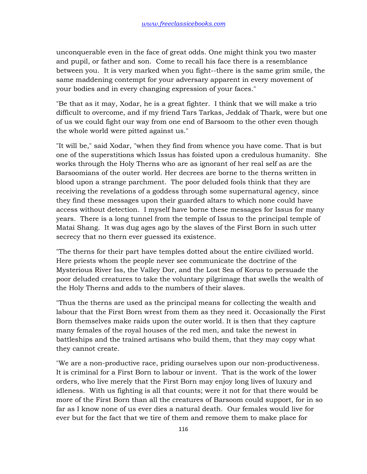unconquerable even in the face of great odds. One might think you two master and pupil, or father and son. Come to recall his face there is a resemblance between you. It is very marked when you fight--there is the same grim smile, the same maddening contempt for your adversary apparent in every movement of your bodies and in every changing expression of your faces."

"Be that as it may, Xodar, he is a great fighter. I think that we will make a trio difficult to overcome, and if my friend Tars Tarkas, Jeddak of Thark, were but one of us we could fight our way from one end of Barsoom to the other even though the whole world were pitted against us."

"It will be," said Xodar, "when they find from whence you have come. That is but one of the superstitions which Issus has foisted upon a credulous humanity. She works through the Holy Therns who are as ignorant of her real self as are the Barsoomians of the outer world. Her decrees are borne to the therns written in blood upon a strange parchment. The poor deluded fools think that they are receiving the revelations of a goddess through some supernatural agency, since they find these messages upon their guarded altars to which none could have access without detection. I myself have borne these messages for Issus for many years. There is a long tunnel from the temple of Issus to the principal temple of Matai Shang. It was dug ages ago by the slaves of the First Born in such utter secrecy that no thern ever guessed its existence.

"The therns for their part have temples dotted about the entire civilized world. Here priests whom the people never see communicate the doctrine of the Mysterious River Iss, the Valley Dor, and the Lost Sea of Korus to persuade the poor deluded creatures to take the voluntary pilgrimage that swells the wealth of the Holy Therns and adds to the numbers of their slaves.

"Thus the therns are used as the principal means for collecting the wealth and labour that the First Born wrest from them as they need it. Occasionally the First Born themselves make raids upon the outer world. It is then that they capture many females of the royal houses of the red men, and take the newest in battleships and the trained artisans who build them, that they may copy what they cannot create.

"We are a non-productive race, priding ourselves upon our non-productiveness. It is criminal for a First Born to labour or invent. That is the work of the lower orders, who live merely that the First Born may enjoy long lives of luxury and idleness. With us fighting is all that counts; were it not for that there would be more of the First Born than all the creatures of Barsoom could support, for in so far as I know none of us ever dies a natural death. Our females would live for ever but for the fact that we tire of them and remove them to make place for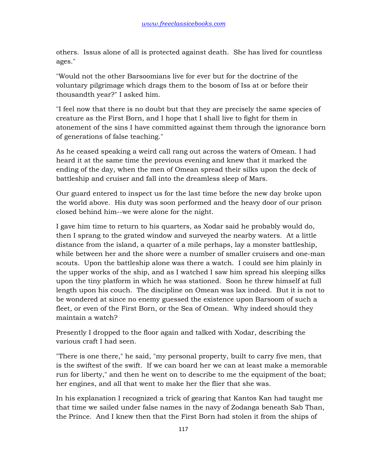others. Issus alone of all is protected against death. She has lived for countless ages."

"Would not the other Barsoomians live for ever but for the doctrine of the voluntary pilgrimage which drags them to the bosom of Iss at or before their thousandth year?" I asked him.

"I feel now that there is no doubt but that they are precisely the same species of creature as the First Born, and I hope that I shall live to fight for them in atonement of the sins I have committed against them through the ignorance born of generations of false teaching."

As he ceased speaking a weird call rang out across the waters of Omean. I had heard it at the same time the previous evening and knew that it marked the ending of the day, when the men of Omean spread their silks upon the deck of battleship and cruiser and fall into the dreamless sleep of Mars.

Our guard entered to inspect us for the last time before the new day broke upon the world above. His duty was soon performed and the heavy door of our prison closed behind him--we were alone for the night.

I gave him time to return to his quarters, as Xodar said he probably would do, then I sprang to the grated window and surveyed the nearby waters. At a little distance from the island, a quarter of a mile perhaps, lay a monster battleship, while between her and the shore were a number of smaller cruisers and one-man scouts. Upon the battleship alone was there a watch. I could see him plainly in the upper works of the ship, and as I watched I saw him spread his sleeping silks upon the tiny platform in which he was stationed. Soon he threw himself at full length upon his couch. The discipline on Omean was lax indeed. But it is not to be wondered at since no enemy guessed the existence upon Barsoom of such a fleet, or even of the First Born, or the Sea of Omean. Why indeed should they maintain a watch?

Presently I dropped to the floor again and talked with Xodar, describing the various craft I had seen.

"There is one there," he said, "my personal property, built to carry five men, that is the swiftest of the swift. If we can board her we can at least make a memorable run for liberty," and then he went on to describe to me the equipment of the boat; her engines, and all that went to make her the flier that she was.

In his explanation I recognized a trick of gearing that Kantos Kan had taught me that time we sailed under false names in the navy of Zodanga beneath Sab Than, the Prince. And I knew then that the First Born had stolen it from the ships of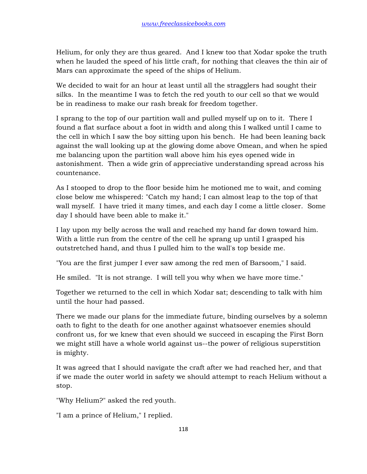Helium, for only they are thus geared. And I knew too that Xodar spoke the truth when he lauded the speed of his little craft, for nothing that cleaves the thin air of Mars can approximate the speed of the ships of Helium.

We decided to wait for an hour at least until all the stragglers had sought their silks. In the meantime I was to fetch the red youth to our cell so that we would be in readiness to make our rash break for freedom together.

I sprang to the top of our partition wall and pulled myself up on to it. There I found a flat surface about a foot in width and along this I walked until I came to the cell in which I saw the boy sitting upon his bench. He had been leaning back against the wall looking up at the glowing dome above Omean, and when he spied me balancing upon the partition wall above him his eyes opened wide in astonishment. Then a wide grin of appreciative understanding spread across his countenance.

As I stooped to drop to the floor beside him he motioned me to wait, and coming close below me whispered: "Catch my hand; I can almost leap to the top of that wall myself. I have tried it many times, and each day I come a little closer. Some day I should have been able to make it."

I lay upon my belly across the wall and reached my hand far down toward him. With a little run from the centre of the cell he sprang up until I grasped his outstretched hand, and thus I pulled him to the wall's top beside me.

"You are the first jumper I ever saw among the red men of Barsoom," I said.

He smiled. "It is not strange. I will tell you why when we have more time."

Together we returned to the cell in which Xodar sat; descending to talk with him until the hour had passed.

There we made our plans for the immediate future, binding ourselves by a solemn oath to fight to the death for one another against whatsoever enemies should confront us, for we knew that even should we succeed in escaping the First Born we might still have a whole world against us--the power of religious superstition is mighty.

It was agreed that I should navigate the craft after we had reached her, and that if we made the outer world in safety we should attempt to reach Helium without a stop.

"Why Helium?" asked the red youth.

"I am a prince of Helium," I replied.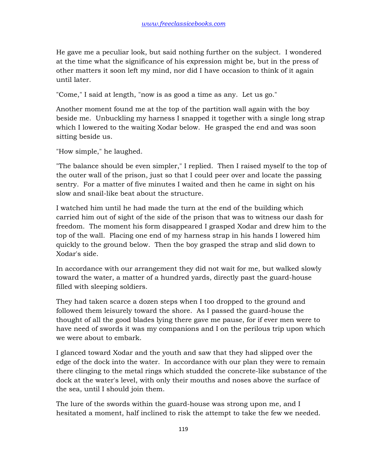He gave me a peculiar look, but said nothing further on the subject. I wondered at the time what the significance of his expression might be, but in the press of other matters it soon left my mind, nor did I have occasion to think of it again until later.

"Come," I said at length, "now is as good a time as any. Let us go."

Another moment found me at the top of the partition wall again with the boy beside me. Unbuckling my harness I snapped it together with a single long strap which I lowered to the waiting Xodar below. He grasped the end and was soon sitting beside us.

"How simple," he laughed.

"The balance should be even simpler," I replied. Then I raised myself to the top of the outer wall of the prison, just so that I could peer over and locate the passing sentry. For a matter of five minutes I waited and then he came in sight on his slow and snail-like beat about the structure.

I watched him until he had made the turn at the end of the building which carried him out of sight of the side of the prison that was to witness our dash for freedom. The moment his form disappeared I grasped Xodar and drew him to the top of the wall. Placing one end of my harness strap in his hands I lowered him quickly to the ground below. Then the boy grasped the strap and slid down to Xodar's side.

In accordance with our arrangement they did not wait for me, but walked slowly toward the water, a matter of a hundred yards, directly past the guard-house filled with sleeping soldiers.

They had taken scarce a dozen steps when I too dropped to the ground and followed them leisurely toward the shore. As I passed the guard-house the thought of all the good blades lying there gave me pause, for if ever men were to have need of swords it was my companions and I on the perilous trip upon which we were about to embark.

I glanced toward Xodar and the youth and saw that they had slipped over the edge of the dock into the water. In accordance with our plan they were to remain there clinging to the metal rings which studded the concrete-like substance of the dock at the water's level, with only their mouths and noses above the surface of the sea, until I should join them.

The lure of the swords within the guard-house was strong upon me, and I hesitated a moment, half inclined to risk the attempt to take the few we needed.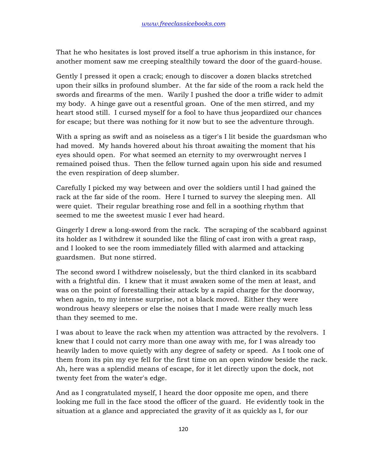That he who hesitates is lost proved itself a true aphorism in this instance, for another moment saw me creeping stealthily toward the door of the guard-house.

Gently I pressed it open a crack; enough to discover a dozen blacks stretched upon their silks in profound slumber. At the far side of the room a rack held the swords and firearms of the men. Warily I pushed the door a trifle wider to admit my body. A hinge gave out a resentful groan. One of the men stirred, and my heart stood still. I cursed myself for a fool to have thus jeopardized our chances for escape; but there was nothing for it now but to see the adventure through.

With a spring as swift and as noiseless as a tiger's I lit beside the guardsman who had moved. My hands hovered about his throat awaiting the moment that his eyes should open. For what seemed an eternity to my overwrought nerves I remained poised thus. Then the fellow turned again upon his side and resumed the even respiration of deep slumber.

Carefully I picked my way between and over the soldiers until I had gained the rack at the far side of the room. Here I turned to survey the sleeping men. All were quiet. Their regular breathing rose and fell in a soothing rhythm that seemed to me the sweetest music I ever had heard.

Gingerly I drew a long-sword from the rack. The scraping of the scabbard against its holder as I withdrew it sounded like the filing of cast iron with a great rasp, and I looked to see the room immediately filled with alarmed and attacking guardsmen. But none stirred.

The second sword I withdrew noiselessly, but the third clanked in its scabbard with a frightful din. I knew that it must awaken some of the men at least, and was on the point of forestalling their attack by a rapid charge for the doorway, when again, to my intense surprise, not a black moved. Either they were wondrous heavy sleepers or else the noises that I made were really much less than they seemed to me.

I was about to leave the rack when my attention was attracted by the revolvers. I knew that I could not carry more than one away with me, for I was already too heavily laden to move quietly with any degree of safety or speed. As I took one of them from its pin my eye fell for the first time on an open window beside the rack. Ah, here was a splendid means of escape, for it let directly upon the dock, not twenty feet from the water's edge.

And as I congratulated myself, I heard the door opposite me open, and there looking me full in the face stood the officer of the guard. He evidently took in the situation at a glance and appreciated the gravity of it as quickly as I, for our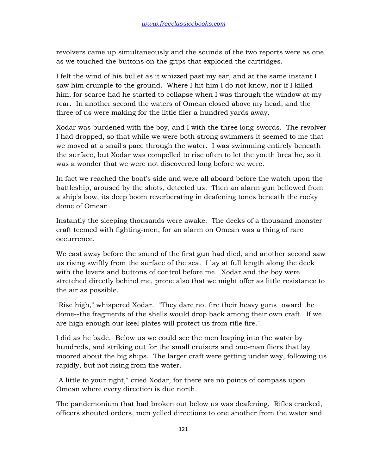revolvers came up simultaneously and the sounds of the two reports were as one as we touched the buttons on the grips that exploded the cartridges.

I felt the wind of his bullet as it whizzed past my ear, and at the same instant I saw him crumple to the ground. Where I hit him I do not know, nor if I killed him, for scarce had he started to collapse when I was through the window at my rear. In another second the waters of Omean closed above my head, and the three of us were making for the little flier a hundred yards away.

Xodar was burdened with the boy, and I with the three long-swords. The revolver I had dropped, so that while we were both strong swimmers it seemed to me that we moved at a snail's pace through the water. I was swimming entirely beneath the surface, but Xodar was compelled to rise often to let the youth breathe, so it was a wonder that we were not discovered long before we were.

In fact we reached the boat's side and were all aboard before the watch upon the battleship, aroused by the shots, detected us. Then an alarm gun bellowed from a ship's bow, its deep boom reverberating in deafening tones beneath the rocky dome of Omean.

Instantly the sleeping thousands were awake. The decks of a thousand monster craft teemed with fighting-men, for an alarm on Omean was a thing of rare occurrence.

We cast away before the sound of the first gun had died, and another second saw us rising swiftly from the surface of the sea. I lay at full length along the deck with the levers and buttons of control before me. Xodar and the boy were stretched directly behind me, prone also that we might offer as little resistance to the air as possible.

"Rise high," whispered Xodar. "They dare not fire their heavy guns toward the dome--the fragments of the shells would drop back among their own craft. If we are high enough our keel plates will protect us from rifle fire."

I did as he bade. Below us we could see the men leaping into the water by hundreds, and striking out for the small cruisers and one-man fliers that lay moored about the big ships. The larger craft were getting under way, following us rapidly, but not rising from the water.

"A little to your right," cried Xodar, for there are no points of compass upon Omean where every direction is due north.

The pandemonium that had broken out below us was deafening. Rifles cracked, officers shouted orders, men yelled directions to one another from the water and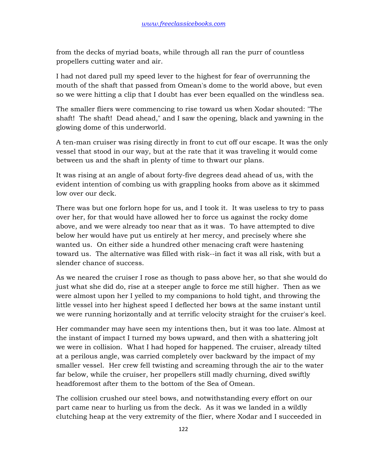from the decks of myriad boats, while through all ran the purr of countless propellers cutting water and air.

I had not dared pull my speed lever to the highest for fear of overrunning the mouth of the shaft that passed from Omean's dome to the world above, but even so we were hitting a clip that I doubt has ever been equalled on the windless sea.

The smaller fliers were commencing to rise toward us when Xodar shouted: "The shaft! The shaft! Dead ahead," and I saw the opening, black and yawning in the glowing dome of this underworld.

A ten-man cruiser was rising directly in front to cut off our escape. It was the only vessel that stood in our way, but at the rate that it was traveling it would come between us and the shaft in plenty of time to thwart our plans.

It was rising at an angle of about forty-five degrees dead ahead of us, with the evident intention of combing us with grappling hooks from above as it skimmed low over our deck.

There was but one forlorn hope for us, and I took it. It was useless to try to pass over her, for that would have allowed her to force us against the rocky dome above, and we were already too near that as it was. To have attempted to dive below her would have put us entirely at her mercy, and precisely where she wanted us. On either side a hundred other menacing craft were hastening toward us. The alternative was filled with risk--in fact it was all risk, with but a slender chance of success.

As we neared the cruiser I rose as though to pass above her, so that she would do just what she did do, rise at a steeper angle to force me still higher. Then as we were almost upon her I yelled to my companions to hold tight, and throwing the little vessel into her highest speed I deflected her bows at the same instant until we were running horizontally and at terrific velocity straight for the cruiser's keel.

Her commander may have seen my intentions then, but it was too late. Almost at the instant of impact I turned my bows upward, and then with a shattering jolt we were in collision. What I had hoped for happened. The cruiser, already tilted at a perilous angle, was carried completely over backward by the impact of my smaller vessel. Her crew fell twisting and screaming through the air to the water far below, while the cruiser, her propellers still madly churning, dived swiftly headforemost after them to the bottom of the Sea of Omean.

The collision crushed our steel bows, and notwithstanding every effort on our part came near to hurling us from the deck. As it was we landed in a wildly clutching heap at the very extremity of the flier, where Xodar and I succeeded in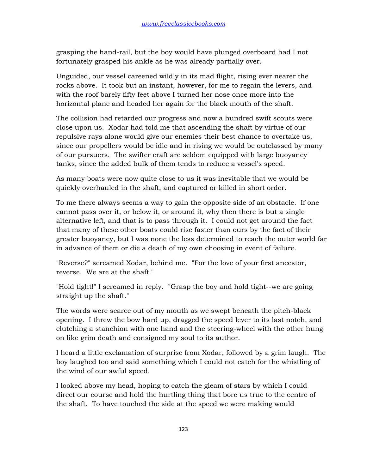grasping the hand-rail, but the boy would have plunged overboard had I not fortunately grasped his ankle as he was already partially over.

Unguided, our vessel careened wildly in its mad flight, rising ever nearer the rocks above. It took but an instant, however, for me to regain the levers, and with the roof barely fifty feet above I turned her nose once more into the horizontal plane and headed her again for the black mouth of the shaft.

The collision had retarded our progress and now a hundred swift scouts were close upon us. Xodar had told me that ascending the shaft by virtue of our repulsive rays alone would give our enemies their best chance to overtake us, since our propellers would be idle and in rising we would be outclassed by many of our pursuers. The swifter craft are seldom equipped with large buoyancy tanks, since the added bulk of them tends to reduce a vessel's speed.

As many boats were now quite close to us it was inevitable that we would be quickly overhauled in the shaft, and captured or killed in short order.

To me there always seems a way to gain the opposite side of an obstacle. If one cannot pass over it, or below it, or around it, why then there is but a single alternative left, and that is to pass through it. I could not get around the fact that many of these other boats could rise faster than ours by the fact of their greater buoyancy, but I was none the less determined to reach the outer world far in advance of them or die a death of my own choosing in event of failure.

"Reverse?" screamed Xodar, behind me. "For the love of your first ancestor, reverse. We are at the shaft."

"Hold tight!" I screamed in reply. "Grasp the boy and hold tight--we are going straight up the shaft."

The words were scarce out of my mouth as we swept beneath the pitch-black opening. I threw the bow hard up, dragged the speed lever to its last notch, and clutching a stanchion with one hand and the steering-wheel with the other hung on like grim death and consigned my soul to its author.

I heard a little exclamation of surprise from Xodar, followed by a grim laugh. The boy laughed too and said something which I could not catch for the whistling of the wind of our awful speed.

I looked above my head, hoping to catch the gleam of stars by which I could direct our course and hold the hurtling thing that bore us true to the centre of the shaft. To have touched the side at the speed we were making would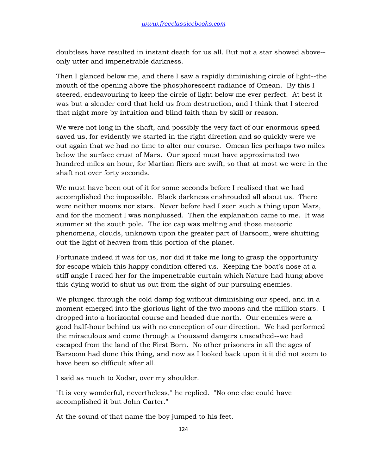doubtless have resulted in instant death for us all. But not a star showed above- only utter and impenetrable darkness.

Then I glanced below me, and there I saw a rapidly diminishing circle of light--the mouth of the opening above the phosphorescent radiance of Omean. By this I steered, endeavouring to keep the circle of light below me ever perfect. At best it was but a slender cord that held us from destruction, and I think that I steered that night more by intuition and blind faith than by skill or reason.

We were not long in the shaft, and possibly the very fact of our enormous speed saved us, for evidently we started in the right direction and so quickly were we out again that we had no time to alter our course. Omean lies perhaps two miles below the surface crust of Mars. Our speed must have approximated two hundred miles an hour, for Martian fliers are swift, so that at most we were in the shaft not over forty seconds.

We must have been out of it for some seconds before I realised that we had accomplished the impossible. Black darkness enshrouded all about us. There were neither moons nor stars. Never before had I seen such a thing upon Mars, and for the moment I was nonplussed. Then the explanation came to me. It was summer at the south pole. The ice cap was melting and those meteoric phenomena, clouds, unknown upon the greater part of Barsoom, were shutting out the light of heaven from this portion of the planet.

Fortunate indeed it was for us, nor did it take me long to grasp the opportunity for escape which this happy condition offered us. Keeping the boat's nose at a stiff angle I raced her for the impenetrable curtain which Nature had hung above this dying world to shut us out from the sight of our pursuing enemies.

We plunged through the cold damp fog without diminishing our speed, and in a moment emerged into the glorious light of the two moons and the million stars. I dropped into a horizontal course and headed due north. Our enemies were a good half-hour behind us with no conception of our direction. We had performed the miraculous and come through a thousand dangers unscathed--we had escaped from the land of the First Born. No other prisoners in all the ages of Barsoom had done this thing, and now as I looked back upon it it did not seem to have been so difficult after all.

I said as much to Xodar, over my shoulder.

"It is very wonderful, nevertheless," he replied. "No one else could have accomplished it but John Carter."

At the sound of that name the boy jumped to his feet.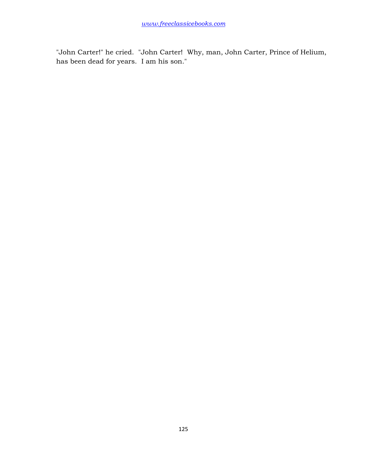"John Carter!" he cried. "John Carter! Why, man, John Carter, Prince of Helium, has been dead for years. I am his son."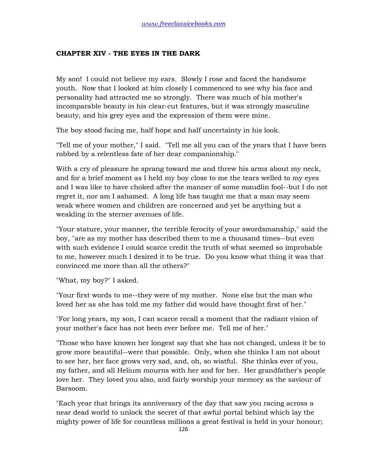## **CHAPTER XIV - THE EYES IN THE DARK**

My son! I could not believe my ears. Slowly I rose and faced the handsome youth. Now that I looked at him closely I commenced to see why his face and personality had attracted me so strongly. There was much of his mother's incomparable beauty in his clear-cut features, but it was strongly masculine beauty, and his grey eyes and the expression of them were mine.

The boy stood facing me, half hope and half uncertainty in his look.

"Tell me of your mother," I said. "Tell me all you can of the years that I have been robbed by a relentless fate of her dear companionship."

With a cry of pleasure he sprang toward me and threw his arms about my neck, and for a brief moment as I held my boy close to me the tears welled to my eyes and I was like to have choked after the manner of some maudlin fool--but I do not regret it, nor am I ashamed. A long life has taught me that a man may seem weak where women and children are concerned and yet be anything but a weakling in the sterner avenues of life.

"Your stature, your manner, the terrible ferocity of your swordsmanship," said the boy, "are as my mother has described them to me a thousand times--but even with such evidence I could scarce credit the truth of what seemed so improbable to me, however much I desired it to be true. Do you know what thing it was that convinced me more than all the others?"

"What, my boy?" I asked.

"Your first words to me--they were of my mother. None else but the man who loved her as she has told me my father did would have thought first of her."

"For long years, my son, I can scarce recall a moment that the radiant vision of your mother's face has not been ever before me. Tell me of her."

"Those who have known her longest say that she has not changed, unless it be to grow more beautiful--were that possible. Only, when she thinks I am not about to see her, her face grows very sad, and, oh, so wistful. She thinks ever of you, my father, and all Helium mourns with her and for her. Her grandfather's people love her. They loved you also, and fairly worship your memory as the saviour of Barsoom.

"Each year that brings its anniversary of the day that saw you racing across a near dead world to unlock the secret of that awful portal behind which lay the mighty power of life for countless millions a great festival is held in your honour;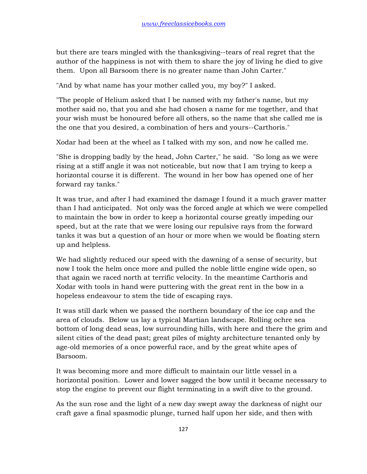but there are tears mingled with the thanksgiving--tears of real regret that the author of the happiness is not with them to share the joy of living he died to give them. Upon all Barsoom there is no greater name than John Carter."

"And by what name has your mother called you, my boy?" I asked.

"The people of Helium asked that I be named with my father's name, but my mother said no, that you and she had chosen a name for me together, and that your wish must be honoured before all others, so the name that she called me is the one that you desired, a combination of hers and yours--Carthoris."

Xodar had been at the wheel as I talked with my son, and now he called me.

"She is dropping badly by the head, John Carter," he said. "So long as we were rising at a stiff angle it was not noticeable, but now that I am trying to keep a horizontal course it is different. The wound in her bow has opened one of her forward ray tanks."

It was true, and after I had examined the damage I found it a much graver matter than I had anticipated. Not only was the forced angle at which we were compelled to maintain the bow in order to keep a horizontal course greatly impeding our speed, but at the rate that we were losing our repulsive rays from the forward tanks it was but a question of an hour or more when we would be floating stern up and helpless.

We had slightly reduced our speed with the dawning of a sense of security, but now I took the helm once more and pulled the noble little engine wide open, so that again we raced north at terrific velocity. In the meantime Carthoris and Xodar with tools in hand were puttering with the great rent in the bow in a hopeless endeavour to stem the tide of escaping rays.

It was still dark when we passed the northern boundary of the ice cap and the area of clouds. Below us lay a typical Martian landscape. Rolling ochre sea bottom of long dead seas, low surrounding hills, with here and there the grim and silent cities of the dead past; great piles of mighty architecture tenanted only by age-old memories of a once powerful race, and by the great white apes of Barsoom.

It was becoming more and more difficult to maintain our little vessel in a horizontal position. Lower and lower sagged the bow until it became necessary to stop the engine to prevent our flight terminating in a swift dive to the ground.

As the sun rose and the light of a new day swept away the darkness of night our craft gave a final spasmodic plunge, turned half upon her side, and then with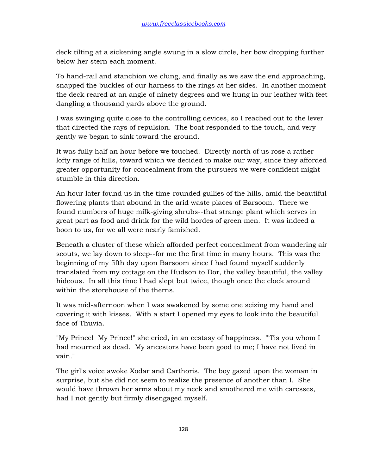deck tilting at a sickening angle swung in a slow circle, her bow dropping further below her stern each moment.

To hand-rail and stanchion we clung, and finally as we saw the end approaching, snapped the buckles of our harness to the rings at her sides. In another moment the deck reared at an angle of ninety degrees and we hung in our leather with feet dangling a thousand yards above the ground.

I was swinging quite close to the controlling devices, so I reached out to the lever that directed the rays of repulsion. The boat responded to the touch, and very gently we began to sink toward the ground.

It was fully half an hour before we touched. Directly north of us rose a rather lofty range of hills, toward which we decided to make our way, since they afforded greater opportunity for concealment from the pursuers we were confident might stumble in this direction.

An hour later found us in the time-rounded gullies of the hills, amid the beautiful flowering plants that abound in the arid waste places of Barsoom. There we found numbers of huge milk-giving shrubs--that strange plant which serves in great part as food and drink for the wild hordes of green men. It was indeed a boon to us, for we all were nearly famished.

Beneath a cluster of these which afforded perfect concealment from wandering air scouts, we lay down to sleep--for me the first time in many hours. This was the beginning of my fifth day upon Barsoom since I had found myself suddenly translated from my cottage on the Hudson to Dor, the valley beautiful, the valley hideous. In all this time I had slept but twice, though once the clock around within the storehouse of the therns.

It was mid-afternoon when I was awakened by some one seizing my hand and covering it with kisses. With a start I opened my eyes to look into the beautiful face of Thuvia.

"My Prince! My Prince!" she cried, in an ecstasy of happiness. "'Tis you whom I had mourned as dead. My ancestors have been good to me; I have not lived in vain."

The girl's voice awoke Xodar and Carthoris. The boy gazed upon the woman in surprise, but she did not seem to realize the presence of another than I. She would have thrown her arms about my neck and smothered me with caresses, had I not gently but firmly disengaged myself.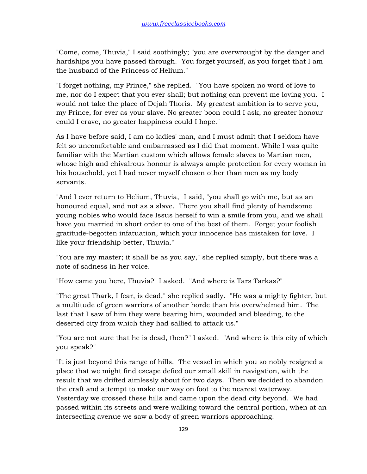"Come, come, Thuvia," I said soothingly; "you are overwrought by the danger and hardships you have passed through. You forget yourself, as you forget that I am the husband of the Princess of Helium."

"I forget nothing, my Prince," she replied. "You have spoken no word of love to me, nor do I expect that you ever shall; but nothing can prevent me loving you. I would not take the place of Dejah Thoris. My greatest ambition is to serve you, my Prince, for ever as your slave. No greater boon could I ask, no greater honour could I crave, no greater happiness could I hope."

As I have before said, I am no ladies' man, and I must admit that I seldom have felt so uncomfortable and embarrassed as I did that moment. While I was quite familiar with the Martian custom which allows female slaves to Martian men, whose high and chivalrous honour is always ample protection for every woman in his household, yet I had never myself chosen other than men as my body servants.

"And I ever return to Helium, Thuvia," I said, "you shall go with me, but as an honoured equal, and not as a slave. There you shall find plenty of handsome young nobles who would face Issus herself to win a smile from you, and we shall have you married in short order to one of the best of them. Forget your foolish gratitude-begotten infatuation, which your innocence has mistaken for love. I like your friendship better, Thuvia."

"You are my master; it shall be as you say," she replied simply, but there was a note of sadness in her voice.

"How came you here, Thuvia?" I asked. "And where is Tars Tarkas?"

"The great Thark, I fear, is dead," she replied sadly. "He was a mighty fighter, but a multitude of green warriors of another horde than his overwhelmed him. The last that I saw of him they were bearing him, wounded and bleeding, to the deserted city from which they had sallied to attack us."

"You are not sure that he is dead, then?" I asked. "And where is this city of which you speak?"

"It is just beyond this range of hills. The vessel in which you so nobly resigned a place that we might find escape defied our small skill in navigation, with the result that we drifted aimlessly about for two days. Then we decided to abandon the craft and attempt to make our way on foot to the nearest waterway. Yesterday we crossed these hills and came upon the dead city beyond. We had passed within its streets and were walking toward the central portion, when at an intersecting avenue we saw a body of green warriors approaching.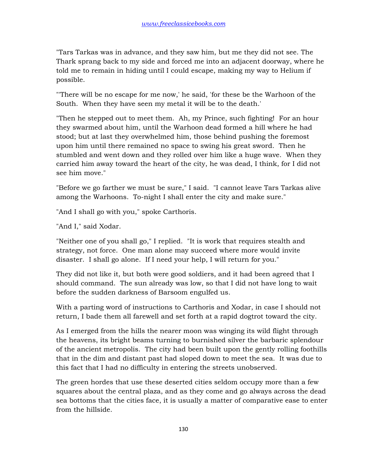"Tars Tarkas was in advance, and they saw him, but me they did not see. The Thark sprang back to my side and forced me into an adjacent doorway, where he told me to remain in hiding until I could escape, making my way to Helium if possible.

"'There will be no escape for me now,' he said, 'for these be the Warhoon of the South. When they have seen my metal it will be to the death.'

"Then he stepped out to meet them. Ah, my Prince, such fighting! For an hour they swarmed about him, until the Warhoon dead formed a hill where he had stood; but at last they overwhelmed him, those behind pushing the foremost upon him until there remained no space to swing his great sword. Then he stumbled and went down and they rolled over him like a huge wave. When they carried him away toward the heart of the city, he was dead, I think, for I did not see him move."

"Before we go farther we must be sure," I said. "I cannot leave Tars Tarkas alive among the Warhoons. To-night I shall enter the city and make sure."

"And I shall go with you," spoke Carthoris.

"And I," said Xodar.

"Neither one of you shall go," I replied. "It is work that requires stealth and strategy, not force. One man alone may succeed where more would invite disaster. I shall go alone. If I need your help, I will return for you."

They did not like it, but both were good soldiers, and it had been agreed that I should command. The sun already was low, so that I did not have long to wait before the sudden darkness of Barsoom engulfed us.

With a parting word of instructions to Carthoris and Xodar, in case I should not return, I bade them all farewell and set forth at a rapid dogtrot toward the city.

As I emerged from the hills the nearer moon was winging its wild flight through the heavens, its bright beams turning to burnished silver the barbaric splendour of the ancient metropolis. The city had been built upon the gently rolling foothills that in the dim and distant past had sloped down to meet the sea. It was due to this fact that I had no difficulty in entering the streets unobserved.

The green hordes that use these deserted cities seldom occupy more than a few squares about the central plaza, and as they come and go always across the dead sea bottoms that the cities face, it is usually a matter of comparative ease to enter from the hillside.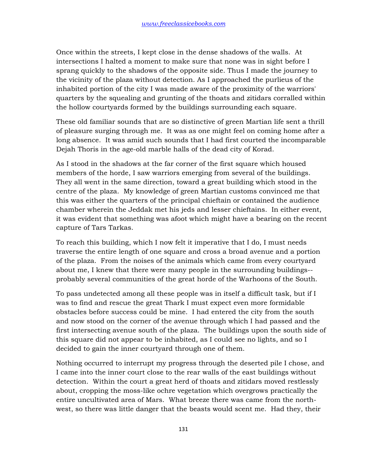Once within the streets, I kept close in the dense shadows of the walls. At intersections I halted a moment to make sure that none was in sight before I sprang quickly to the shadows of the opposite side. Thus I made the journey to the vicinity of the plaza without detection. As I approached the purlieus of the inhabited portion of the city I was made aware of the proximity of the warriors' quarters by the squealing and grunting of the thoats and zitidars corralled within the hollow courtyards formed by the buildings surrounding each square.

These old familiar sounds that are so distinctive of green Martian life sent a thrill of pleasure surging through me. It was as one might feel on coming home after a long absence. It was amid such sounds that I had first courted the incomparable Dejah Thoris in the age-old marble halls of the dead city of Korad.

As I stood in the shadows at the far corner of the first square which housed members of the horde, I saw warriors emerging from several of the buildings. They all went in the same direction, toward a great building which stood in the centre of the plaza. My knowledge of green Martian customs convinced me that this was either the quarters of the principal chieftain or contained the audience chamber wherein the Jeddak met his jeds and lesser chieftains. In either event, it was evident that something was afoot which might have a bearing on the recent capture of Tars Tarkas.

To reach this building, which I now felt it imperative that I do, I must needs traverse the entire length of one square and cross a broad avenue and a portion of the plaza. From the noises of the animals which came from every courtyard about me, I knew that there were many people in the surrounding buildings- probably several communities of the great horde of the Warhoons of the South.

To pass undetected among all these people was in itself a difficult task, but if I was to find and rescue the great Thark I must expect even more formidable obstacles before success could be mine. I had entered the city from the south and now stood on the corner of the avenue through which I had passed and the first intersecting avenue south of the plaza. The buildings upon the south side of this square did not appear to be inhabited, as I could see no lights, and so I decided to gain the inner courtyard through one of them.

Nothing occurred to interrupt my progress through the deserted pile I chose, and I came into the inner court close to the rear walls of the east buildings without detection. Within the court a great herd of thoats and zitidars moved restlessly about, cropping the moss-like ochre vegetation which overgrows practically the entire uncultivated area of Mars. What breeze there was came from the northwest, so there was little danger that the beasts would scent me. Had they, their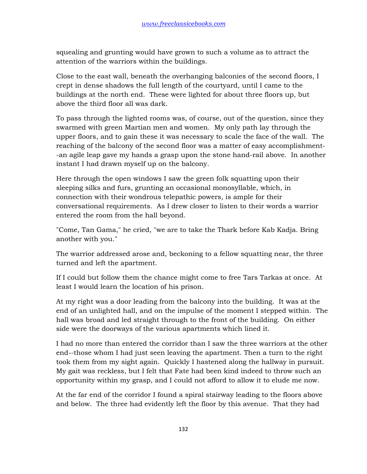squealing and grunting would have grown to such a volume as to attract the attention of the warriors within the buildings.

Close to the east wall, beneath the overhanging balconies of the second floors, I crept in dense shadows the full length of the courtyard, until I came to the buildings at the north end. These were lighted for about three floors up, but above the third floor all was dark.

To pass through the lighted rooms was, of course, out of the question, since they swarmed with green Martian men and women. My only path lay through the upper floors, and to gain these it was necessary to scale the face of the wall. The reaching of the balcony of the second floor was a matter of easy accomplishment- -an agile leap gave my hands a grasp upon the stone hand-rail above. In another instant I had drawn myself up on the balcony.

Here through the open windows I saw the green folk squatting upon their sleeping silks and furs, grunting an occasional monosyllable, which, in connection with their wondrous telepathic powers, is ample for their conversational requirements. As I drew closer to listen to their words a warrior entered the room from the hall beyond.

"Come, Tan Gama," he cried, "we are to take the Thark before Kab Kadja. Bring another with you."

The warrior addressed arose and, beckoning to a fellow squatting near, the three turned and left the apartment.

If I could but follow them the chance might come to free Tars Tarkas at once. At least I would learn the location of his prison.

At my right was a door leading from the balcony into the building. It was at the end of an unlighted hall, and on the impulse of the moment I stepped within. The hall was broad and led straight through to the front of the building. On either side were the doorways of the various apartments which lined it.

I had no more than entered the corridor than I saw the three warriors at the other end--those whom I had just seen leaving the apartment. Then a turn to the right took them from my sight again. Quickly I hastened along the hallway in pursuit. My gait was reckless, but I felt that Fate had been kind indeed to throw such an opportunity within my grasp, and I could not afford to allow it to elude me now.

At the far end of the corridor I found a spiral stairway leading to the floors above and below. The three had evidently left the floor by this avenue. That they had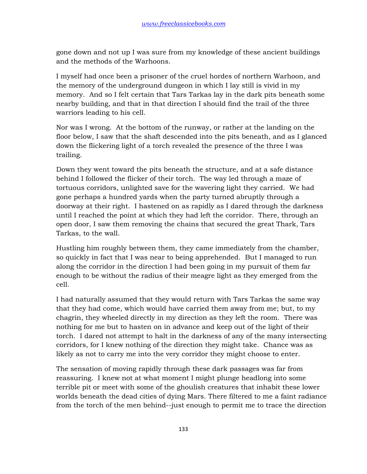gone down and not up I was sure from my knowledge of these ancient buildings and the methods of the Warhoons.

I myself had once been a prisoner of the cruel hordes of northern Warhoon, and the memory of the underground dungeon in which I lay still is vivid in my memory. And so I felt certain that Tars Tarkas lay in the dark pits beneath some nearby building, and that in that direction I should find the trail of the three warriors leading to his cell.

Nor was I wrong. At the bottom of the runway, or rather at the landing on the floor below, I saw that the shaft descended into the pits beneath, and as I glanced down the flickering light of a torch revealed the presence of the three I was trailing.

Down they went toward the pits beneath the structure, and at a safe distance behind I followed the flicker of their torch. The way led through a maze of tortuous corridors, unlighted save for the wavering light they carried. We had gone perhaps a hundred yards when the party turned abruptly through a doorway at their right. I hastened on as rapidly as I dared through the darkness until I reached the point at which they had left the corridor. There, through an open door, I saw them removing the chains that secured the great Thark, Tars Tarkas, to the wall.

Hustling him roughly between them, they came immediately from the chamber, so quickly in fact that I was near to being apprehended. But I managed to run along the corridor in the direction I had been going in my pursuit of them far enough to be without the radius of their meagre light as they emerged from the cell.

I had naturally assumed that they would return with Tars Tarkas the same way that they had come, which would have carried them away from me; but, to my chagrin, they wheeled directly in my direction as they left the room. There was nothing for me but to hasten on in advance and keep out of the light of their torch. I dared not attempt to halt in the darkness of any of the many intersecting corridors, for I knew nothing of the direction they might take. Chance was as likely as not to carry me into the very corridor they might choose to enter.

The sensation of moving rapidly through these dark passages was far from reassuring. I knew not at what moment I might plunge headlong into some terrible pit or meet with some of the ghoulish creatures that inhabit these lower worlds beneath the dead cities of dying Mars. There filtered to me a faint radiance from the torch of the men behind--just enough to permit me to trace the direction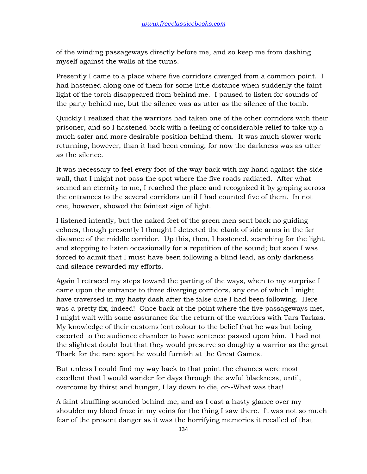of the winding passageways directly before me, and so keep me from dashing myself against the walls at the turns.

Presently I came to a place where five corridors diverged from a common point. I had hastened along one of them for some little distance when suddenly the faint light of the torch disappeared from behind me. I paused to listen for sounds of the party behind me, but the silence was as utter as the silence of the tomb.

Quickly I realized that the warriors had taken one of the other corridors with their prisoner, and so I hastened back with a feeling of considerable relief to take up a much safer and more desirable position behind them. It was much slower work returning, however, than it had been coming, for now the darkness was as utter as the silence.

It was necessary to feel every foot of the way back with my hand against the side wall, that I might not pass the spot where the five roads radiated. After what seemed an eternity to me, I reached the place and recognized it by groping across the entrances to the several corridors until I had counted five of them. In not one, however, showed the faintest sign of light.

I listened intently, but the naked feet of the green men sent back no guiding echoes, though presently I thought I detected the clank of side arms in the far distance of the middle corridor. Up this, then, I hastened, searching for the light, and stopping to listen occasionally for a repetition of the sound; but soon I was forced to admit that I must have been following a blind lead, as only darkness and silence rewarded my efforts.

Again I retraced my steps toward the parting of the ways, when to my surprise I came upon the entrance to three diverging corridors, any one of which I might have traversed in my hasty dash after the false clue I had been following. Here was a pretty fix, indeed! Once back at the point where the five passageways met, I might wait with some assurance for the return of the warriors with Tars Tarkas. My knowledge of their customs lent colour to the belief that he was but being escorted to the audience chamber to have sentence passed upon him. I had not the slightest doubt but that they would preserve so doughty a warrior as the great Thark for the rare sport he would furnish at the Great Games.

But unless I could find my way back to that point the chances were most excellent that I would wander for days through the awful blackness, until, overcome by thirst and hunger, I lay down to die, or--What was that!

A faint shuffling sounded behind me, and as I cast a hasty glance over my shoulder my blood froze in my veins for the thing I saw there. It was not so much fear of the present danger as it was the horrifying memories it recalled of that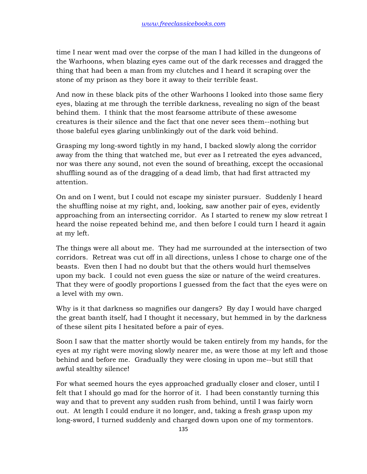time I near went mad over the corpse of the man I had killed in the dungeons of the Warhoons, when blazing eyes came out of the dark recesses and dragged the thing that had been a man from my clutches and I heard it scraping over the stone of my prison as they bore it away to their terrible feast.

And now in these black pits of the other Warhoons I looked into those same fiery eyes, blazing at me through the terrible darkness, revealing no sign of the beast behind them. I think that the most fearsome attribute of these awesome creatures is their silence and the fact that one never sees them--nothing but those baleful eyes glaring unblinkingly out of the dark void behind.

Grasping my long-sword tightly in my hand, I backed slowly along the corridor away from the thing that watched me, but ever as I retreated the eyes advanced, nor was there any sound, not even the sound of breathing, except the occasional shuffling sound as of the dragging of a dead limb, that had first attracted my attention.

On and on I went, but I could not escape my sinister pursuer. Suddenly I heard the shuffling noise at my right, and, looking, saw another pair of eyes, evidently approaching from an intersecting corridor. As I started to renew my slow retreat I heard the noise repeated behind me, and then before I could turn I heard it again at my left.

The things were all about me. They had me surrounded at the intersection of two corridors. Retreat was cut off in all directions, unless I chose to charge one of the beasts. Even then I had no doubt but that the others would hurl themselves upon my back. I could not even guess the size or nature of the weird creatures. That they were of goodly proportions I guessed from the fact that the eyes were on a level with my own.

Why is it that darkness so magnifies our dangers? By day I would have charged the great banth itself, had I thought it necessary, but hemmed in by the darkness of these silent pits I hesitated before a pair of eyes.

Soon I saw that the matter shortly would be taken entirely from my hands, for the eyes at my right were moving slowly nearer me, as were those at my left and those behind and before me. Gradually they were closing in upon me--but still that awful stealthy silence!

For what seemed hours the eyes approached gradually closer and closer, until I felt that I should go mad for the horror of it. I had been constantly turning this way and that to prevent any sudden rush from behind, until I was fairly worn out. At length I could endure it no longer, and, taking a fresh grasp upon my long-sword, I turned suddenly and charged down upon one of my tormentors.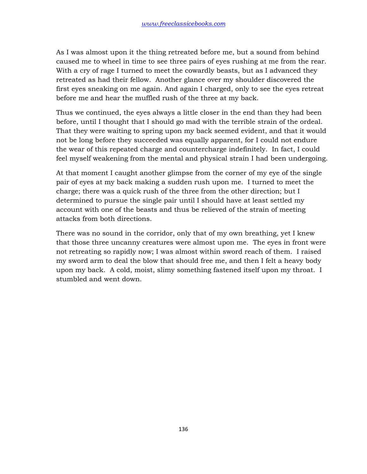As I was almost upon it the thing retreated before me, but a sound from behind caused me to wheel in time to see three pairs of eyes rushing at me from the rear. With a cry of rage I turned to meet the cowardly beasts, but as I advanced they retreated as had their fellow. Another glance over my shoulder discovered the first eyes sneaking on me again. And again I charged, only to see the eyes retreat before me and hear the muffled rush of the three at my back.

Thus we continued, the eyes always a little closer in the end than they had been before, until I thought that I should go mad with the terrible strain of the ordeal. That they were waiting to spring upon my back seemed evident, and that it would not be long before they succeeded was equally apparent, for I could not endure the wear of this repeated charge and countercharge indefinitely. In fact, I could feel myself weakening from the mental and physical strain I had been undergoing.

At that moment I caught another glimpse from the corner of my eye of the single pair of eyes at my back making a sudden rush upon me. I turned to meet the charge; there was a quick rush of the three from the other direction; but I determined to pursue the single pair until I should have at least settled my account with one of the beasts and thus be relieved of the strain of meeting attacks from both directions.

There was no sound in the corridor, only that of my own breathing, yet I knew that those three uncanny creatures were almost upon me. The eyes in front were not retreating so rapidly now; I was almost within sword reach of them. I raised my sword arm to deal the blow that should free me, and then I felt a heavy body upon my back. A cold, moist, slimy something fastened itself upon my throat. I stumbled and went down.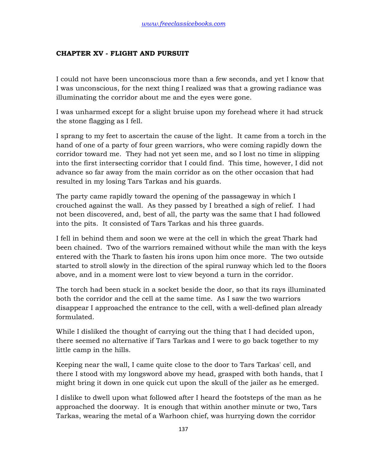# **CHAPTER XV - FLIGHT AND PURSUIT**

I could not have been unconscious more than a few seconds, and yet I know that I was unconscious, for the next thing I realized was that a growing radiance was illuminating the corridor about me and the eyes were gone.

I was unharmed except for a slight bruise upon my forehead where it had struck the stone flagging as I fell.

I sprang to my feet to ascertain the cause of the light. It came from a torch in the hand of one of a party of four green warriors, who were coming rapidly down the corridor toward me. They had not yet seen me, and so I lost no time in slipping into the first intersecting corridor that I could find. This time, however, I did not advance so far away from the main corridor as on the other occasion that had resulted in my losing Tars Tarkas and his guards.

The party came rapidly toward the opening of the passageway in which I crouched against the wall. As they passed by I breathed a sigh of relief. I had not been discovered, and, best of all, the party was the same that I had followed into the pits. It consisted of Tars Tarkas and his three guards.

I fell in behind them and soon we were at the cell in which the great Thark had been chained. Two of the warriors remained without while the man with the keys entered with the Thark to fasten his irons upon him once more. The two outside started to stroll slowly in the direction of the spiral runway which led to the floors above, and in a moment were lost to view beyond a turn in the corridor.

The torch had been stuck in a socket beside the door, so that its rays illuminated both the corridor and the cell at the same time. As I saw the two warriors disappear I approached the entrance to the cell, with a well-defined plan already formulated.

While I disliked the thought of carrying out the thing that I had decided upon, there seemed no alternative if Tars Tarkas and I were to go back together to my little camp in the hills.

Keeping near the wall, I came quite close to the door to Tars Tarkas' cell, and there I stood with my longsword above my head, grasped with both hands, that I might bring it down in one quick cut upon the skull of the jailer as he emerged.

I dislike to dwell upon what followed after I heard the footsteps of the man as he approached the doorway. It is enough that within another minute or two, Tars Tarkas, wearing the metal of a Warhoon chief, was hurrying down the corridor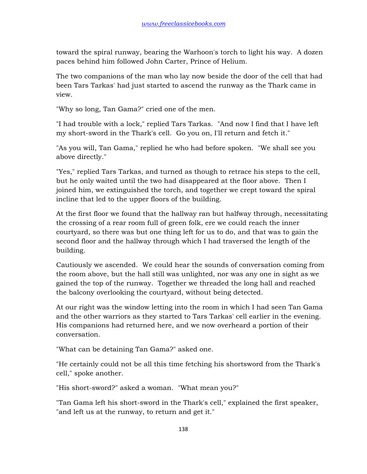toward the spiral runway, bearing the Warhoon's torch to light his way. A dozen paces behind him followed John Carter, Prince of Helium.

The two companions of the man who lay now beside the door of the cell that had been Tars Tarkas' had just started to ascend the runway as the Thark came in view.

"Why so long, Tan Gama?" cried one of the men.

"I had trouble with a lock," replied Tars Tarkas. "And now I find that I have left my short-sword in the Thark's cell. Go you on, I'll return and fetch it."

"As you will, Tan Gama," replied he who had before spoken. "We shall see you above directly."

"Yes," replied Tars Tarkas, and turned as though to retrace his steps to the cell, but he only waited until the two had disappeared at the floor above. Then I joined him, we extinguished the torch, and together we crept toward the spiral incline that led to the upper floors of the building.

At the first floor we found that the hallway ran but halfway through, necessitating the crossing of a rear room full of green folk, ere we could reach the inner courtyard, so there was but one thing left for us to do, and that was to gain the second floor and the hallway through which I had traversed the length of the building.

Cautiously we ascended. We could hear the sounds of conversation coming from the room above, but the hall still was unlighted, nor was any one in sight as we gained the top of the runway. Together we threaded the long hall and reached the balcony overlooking the courtyard, without being detected.

At our right was the window letting into the room in which I had seen Tan Gama and the other warriors as they started to Tars Tarkas' cell earlier in the evening. His companions had returned here, and we now overheard a portion of their conversation.

"What can be detaining Tan Gama?" asked one.

"He certainly could not be all this time fetching his shortsword from the Thark's cell," spoke another.

"His short-sword?" asked a woman. "What mean you?"

"Tan Gama left his short-sword in the Thark's cell," explained the first speaker, "and left us at the runway, to return and get it."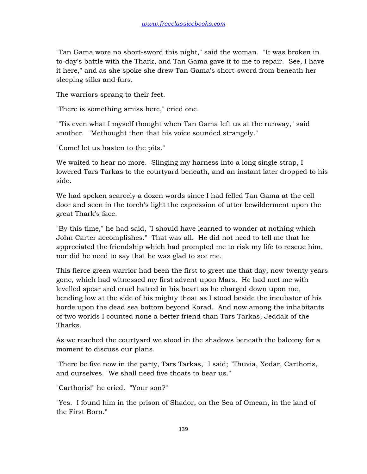"Tan Gama wore no short-sword this night," said the woman. "It was broken in to-day's battle with the Thark, and Tan Gama gave it to me to repair. See, I have it here," and as she spoke she drew Tan Gama's short-sword from beneath her sleeping silks and furs.

The warriors sprang to their feet.

"There is something amiss here," cried one.

"'Tis even what I myself thought when Tan Gama left us at the runway," said another. "Methought then that his voice sounded strangely."

"Come! let us hasten to the pits."

We waited to hear no more. Slinging my harness into a long single strap, I lowered Tars Tarkas to the courtyard beneath, and an instant later dropped to his side.

We had spoken scarcely a dozen words since I had felled Tan Gama at the cell door and seen in the torch's light the expression of utter bewilderment upon the great Thark's face.

"By this time," he had said, "I should have learned to wonder at nothing which John Carter accomplishes." That was all. He did not need to tell me that he appreciated the friendship which had prompted me to risk my life to rescue him, nor did he need to say that he was glad to see me.

This fierce green warrior had been the first to greet me that day, now twenty years gone, which had witnessed my first advent upon Mars. He had met me with levelled spear and cruel hatred in his heart as he charged down upon me, bending low at the side of his mighty thoat as I stood beside the incubator of his horde upon the dead sea bottom beyond Korad. And now among the inhabitants of two worlds I counted none a better friend than Tars Tarkas, Jeddak of the Tharks.

As we reached the courtyard we stood in the shadows beneath the balcony for a moment to discuss our plans.

"There be five now in the party, Tars Tarkas," I said; "Thuvia, Xodar, Carthoris, and ourselves. We shall need five thoats to bear us."

"Carthoris!" he cried. "Your son?"

"Yes. I found him in the prison of Shador, on the Sea of Omean, in the land of the First Born."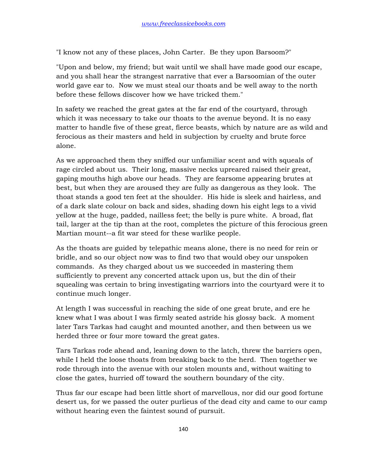"I know not any of these places, John Carter. Be they upon Barsoom?"

"Upon and below, my friend; but wait until we shall have made good our escape, and you shall hear the strangest narrative that ever a Barsoomian of the outer world gave ear to. Now we must steal our thoats and be well away to the north before these fellows discover how we have tricked them."

In safety we reached the great gates at the far end of the courtyard, through which it was necessary to take our thoats to the avenue beyond. It is no easy matter to handle five of these great, fierce beasts, which by nature are as wild and ferocious as their masters and held in subjection by cruelty and brute force alone.

As we approached them they sniffed our unfamiliar scent and with squeals of rage circled about us. Their long, massive necks upreared raised their great, gaping mouths high above our heads. They are fearsome appearing brutes at best, but when they are aroused they are fully as dangerous as they look. The thoat stands a good ten feet at the shoulder. His hide is sleek and hairless, and of a dark slate colour on back and sides, shading down his eight legs to a vivid yellow at the huge, padded, nailless feet; the belly is pure white. A broad, flat tail, larger at the tip than at the root, completes the picture of this ferocious green Martian mount--a fit war steed for these warlike people.

As the thoats are guided by telepathic means alone, there is no need for rein or bridle, and so our object now was to find two that would obey our unspoken commands. As they charged about us we succeeded in mastering them sufficiently to prevent any concerted attack upon us, but the din of their squealing was certain to bring investigating warriors into the courtyard were it to continue much longer.

At length I was successful in reaching the side of one great brute, and ere he knew what I was about I was firmly seated astride his glossy back. A moment later Tars Tarkas had caught and mounted another, and then between us we herded three or four more toward the great gates.

Tars Tarkas rode ahead and, leaning down to the latch, threw the barriers open, while I held the loose thoats from breaking back to the herd. Then together we rode through into the avenue with our stolen mounts and, without waiting to close the gates, hurried off toward the southern boundary of the city.

Thus far our escape had been little short of marvellous, nor did our good fortune desert us, for we passed the outer purlieus of the dead city and came to our camp without hearing even the faintest sound of pursuit.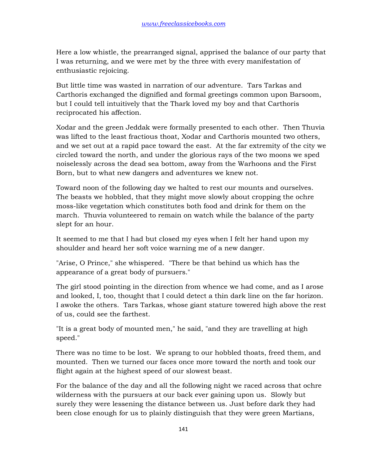Here a low whistle, the prearranged signal, apprised the balance of our party that I was returning, and we were met by the three with every manifestation of enthusiastic rejoicing.

But little time was wasted in narration of our adventure. Tars Tarkas and Carthoris exchanged the dignified and formal greetings common upon Barsoom, but I could tell intuitively that the Thark loved my boy and that Carthoris reciprocated his affection.

Xodar and the green Jeddak were formally presented to each other. Then Thuvia was lifted to the least fractious thoat, Xodar and Carthoris mounted two others, and we set out at a rapid pace toward the east. At the far extremity of the city we circled toward the north, and under the glorious rays of the two moons we sped noiselessly across the dead sea bottom, away from the Warhoons and the First Born, but to what new dangers and adventures we knew not.

Toward noon of the following day we halted to rest our mounts and ourselves. The beasts we hobbled, that they might move slowly about cropping the ochre moss-like vegetation which constitutes both food and drink for them on the march. Thuvia volunteered to remain on watch while the balance of the party slept for an hour.

It seemed to me that I had but closed my eyes when I felt her hand upon my shoulder and heard her soft voice warning me of a new danger.

"Arise, O Prince," she whispered. "There be that behind us which has the appearance of a great body of pursuers."

The girl stood pointing in the direction from whence we had come, and as I arose and looked, I, too, thought that I could detect a thin dark line on the far horizon. I awoke the others. Tars Tarkas, whose giant stature towered high above the rest of us, could see the farthest.

"It is a great body of mounted men," he said, "and they are travelling at high speed."

There was no time to be lost. We sprang to our hobbled thoats, freed them, and mounted. Then we turned our faces once more toward the north and took our flight again at the highest speed of our slowest beast.

For the balance of the day and all the following night we raced across that ochre wilderness with the pursuers at our back ever gaining upon us. Slowly but surely they were lessening the distance between us. Just before dark they had been close enough for us to plainly distinguish that they were green Martians,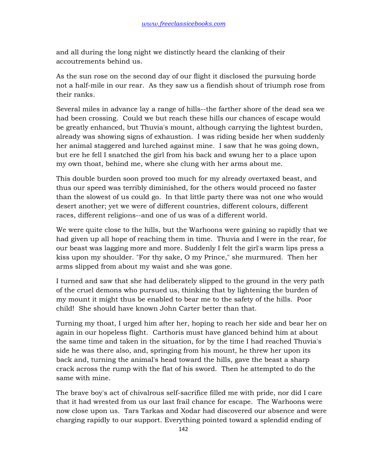and all during the long night we distinctly heard the clanking of their accoutrements behind us.

As the sun rose on the second day of our flight it disclosed the pursuing horde not a half-mile in our rear. As they saw us a fiendish shout of triumph rose from their ranks.

Several miles in advance lay a range of hills--the farther shore of the dead sea we had been crossing. Could we but reach these hills our chances of escape would be greatly enhanced, but Thuvia's mount, although carrying the lightest burden, already was showing signs of exhaustion. I was riding beside her when suddenly her animal staggered and lurched against mine. I saw that he was going down, but ere he fell I snatched the girl from his back and swung her to a place upon my own thoat, behind me, where she clung with her arms about me.

This double burden soon proved too much for my already overtaxed beast, and thus our speed was terribly diminished, for the others would proceed no faster than the slowest of us could go. In that little party there was not one who would desert another; yet we were of different countries, different colours, different races, different religions--and one of us was of a different world.

We were quite close to the hills, but the Warhoons were gaining so rapidly that we had given up all hope of reaching them in time. Thuvia and I were in the rear, for our beast was lagging more and more. Suddenly I felt the girl's warm lips press a kiss upon my shoulder. "For thy sake, O my Prince," she murmured. Then her arms slipped from about my waist and she was gone.

I turned and saw that she had deliberately slipped to the ground in the very path of the cruel demons who pursued us, thinking that by lightening the burden of my mount it might thus be enabled to bear me to the safety of the hills. Poor child! She should have known John Carter better than that.

Turning my thoat, I urged him after her, hoping to reach her side and bear her on again in our hopeless flight. Carthoris must have glanced behind him at about the same time and taken in the situation, for by the time I had reached Thuvia's side he was there also, and, springing from his mount, he threw her upon its back and, turning the animal's head toward the hills, gave the beast a sharp crack across the rump with the flat of his sword. Then he attempted to do the same with mine.

The brave boy's act of chivalrous self-sacrifice filled me with pride, nor did I care that it had wrested from us our last frail chance for escape. The Warhoons were now close upon us. Tars Tarkas and Xodar had discovered our absence and were charging rapidly to our support. Everything pointed toward a splendid ending of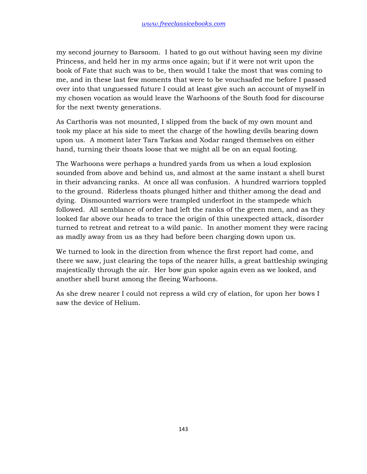my second journey to Barsoom. I hated to go out without having seen my divine Princess, and held her in my arms once again; but if it were not writ upon the book of Fate that such was to be, then would I take the most that was coming to me, and in these last few moments that were to be vouchsafed me before I passed over into that unguessed future I could at least give such an account of myself in my chosen vocation as would leave the Warhoons of the South food for discourse for the next twenty generations.

As Carthoris was not mounted, I slipped from the back of my own mount and took my place at his side to meet the charge of the howling devils bearing down upon us. A moment later Tars Tarkas and Xodar ranged themselves on either hand, turning their thoats loose that we might all be on an equal footing.

The Warhoons were perhaps a hundred yards from us when a loud explosion sounded from above and behind us, and almost at the same instant a shell burst in their advancing ranks. At once all was confusion. A hundred warriors toppled to the ground. Riderless thoats plunged hither and thither among the dead and dying. Dismounted warriors were trampled underfoot in the stampede which followed. All semblance of order had left the ranks of the green men, and as they looked far above our heads to trace the origin of this unexpected attack, disorder turned to retreat and retreat to a wild panic. In another moment they were racing as madly away from us as they had before been charging down upon us.

We turned to look in the direction from whence the first report had come, and there we saw, just clearing the tops of the nearer hills, a great battleship swinging majestically through the air. Her bow gun spoke again even as we looked, and another shell burst among the fleeing Warhoons.

As she drew nearer I could not repress a wild cry of elation, for upon her bows I saw the device of Helium.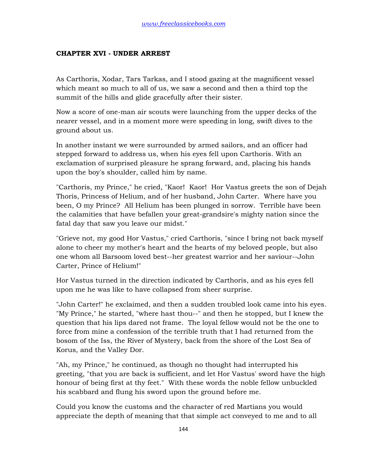### **CHAPTER XVI - UNDER ARREST**

As Carthoris, Xodar, Tars Tarkas, and I stood gazing at the magnificent vessel which meant so much to all of us, we saw a second and then a third top the summit of the hills and glide gracefully after their sister.

Now a score of one-man air scouts were launching from the upper decks of the nearer vessel, and in a moment more were speeding in long, swift dives to the ground about us.

In another instant we were surrounded by armed sailors, and an officer had stepped forward to address us, when his eyes fell upon Carthoris. With an exclamation of surprised pleasure he sprang forward, and, placing his hands upon the boy's shoulder, called him by name.

"Carthoris, my Prince," he cried, "Kaor! Kaor! Hor Vastus greets the son of Dejah Thoris, Princess of Helium, and of her husband, John Carter. Where have you been, O my Prince? All Helium has been plunged in sorrow. Terrible have been the calamities that have befallen your great-grandsire's mighty nation since the fatal day that saw you leave our midst."

"Grieve not, my good Hor Vastus," cried Carthoris, "since I bring not back myself alone to cheer my mother's heart and the hearts of my beloved people, but also one whom all Barsoom loved best--her greatest warrior and her saviour--John Carter, Prince of Helium!"

Hor Vastus turned in the direction indicated by Carthoris, and as his eyes fell upon me he was like to have collapsed from sheer surprise.

"John Carter!" he exclaimed, and then a sudden troubled look came into his eyes. "My Prince," he started, "where hast thou--" and then he stopped, but I knew the question that his lips dared not frame. The loyal fellow would not be the one to force from mine a confession of the terrible truth that I had returned from the bosom of the Iss, the River of Mystery, back from the shore of the Lost Sea of Korus, and the Valley Dor.

"Ah, my Prince," he continued, as though no thought had interrupted his greeting, "that you are back is sufficient, and let Hor Vastus' sword have the high honour of being first at thy feet." With these words the noble fellow unbuckled his scabbard and flung his sword upon the ground before me.

Could you know the customs and the character of red Martians you would appreciate the depth of meaning that that simple act conveyed to me and to all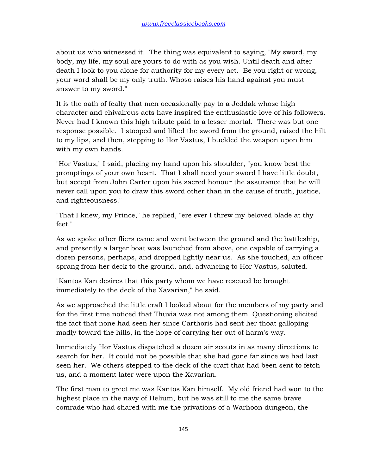about us who witnessed it. The thing was equivalent to saying, "My sword, my body, my life, my soul are yours to do with as you wish. Until death and after death I look to you alone for authority for my every act. Be you right or wrong, your word shall be my only truth. Whoso raises his hand against you must answer to my sword."

It is the oath of fealty that men occasionally pay to a Jeddak whose high character and chivalrous acts have inspired the enthusiastic love of his followers. Never had I known this high tribute paid to a lesser mortal. There was but one response possible. I stooped and lifted the sword from the ground, raised the hilt to my lips, and then, stepping to Hor Vastus, I buckled the weapon upon him with my own hands.

"Hor Vastus," I said, placing my hand upon his shoulder, "you know best the promptings of your own heart. That I shall need your sword I have little doubt, but accept from John Carter upon his sacred honour the assurance that he will never call upon you to draw this sword other than in the cause of truth, justice, and righteousness."

"That I knew, my Prince," he replied, "ere ever I threw my beloved blade at thy feet."

As we spoke other fliers came and went between the ground and the battleship, and presently a larger boat was launched from above, one capable of carrying a dozen persons, perhaps, and dropped lightly near us. As she touched, an officer sprang from her deck to the ground, and, advancing to Hor Vastus, saluted.

"Kantos Kan desires that this party whom we have rescued be brought immediately to the deck of the Xavarian," he said.

As we approached the little craft I looked about for the members of my party and for the first time noticed that Thuvia was not among them. Questioning elicited the fact that none had seen her since Carthoris had sent her thoat galloping madly toward the hills, in the hope of carrying her out of harm's way.

Immediately Hor Vastus dispatched a dozen air scouts in as many directions to search for her. It could not be possible that she had gone far since we had last seen her. We others stepped to the deck of the craft that had been sent to fetch us, and a moment later were upon the Xavarian.

The first man to greet me was Kantos Kan himself. My old friend had won to the highest place in the navy of Helium, but he was still to me the same brave comrade who had shared with me the privations of a Warhoon dungeon, the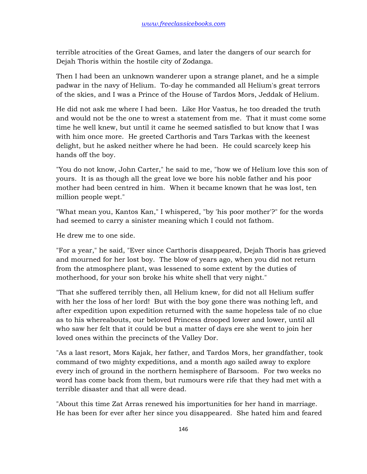terrible atrocities of the Great Games, and later the dangers of our search for Dejah Thoris within the hostile city of Zodanga.

Then I had been an unknown wanderer upon a strange planet, and he a simple padwar in the navy of Helium. To-day he commanded all Helium's great terrors of the skies, and I was a Prince of the House of Tardos Mors, Jeddak of Helium.

He did not ask me where I had been. Like Hor Vastus, he too dreaded the truth and would not be the one to wrest a statement from me. That it must come some time he well knew, but until it came he seemed satisfied to but know that I was with him once more. He greeted Carthoris and Tars Tarkas with the keenest delight, but he asked neither where he had been. He could scarcely keep his hands off the boy.

"You do not know, John Carter," he said to me, "how we of Helium love this son of yours. It is as though all the great love we bore his noble father and his poor mother had been centred in him. When it became known that he was lost, ten million people wept."

"What mean you, Kantos Kan," I whispered, "by 'his poor mother'?" for the words had seemed to carry a sinister meaning which I could not fathom.

He drew me to one side.

"For a year," he said, "Ever since Carthoris disappeared, Dejah Thoris has grieved and mourned for her lost boy. The blow of years ago, when you did not return from the atmosphere plant, was lessened to some extent by the duties of motherhood, for your son broke his white shell that very night."

"That she suffered terribly then, all Helium knew, for did not all Helium suffer with her the loss of her lord! But with the boy gone there was nothing left, and after expedition upon expedition returned with the same hopeless tale of no clue as to his whereabouts, our beloved Princess drooped lower and lower, until all who saw her felt that it could be but a matter of days ere she went to join her loved ones within the precincts of the Valley Dor.

"As a last resort, Mors Kajak, her father, and Tardos Mors, her grandfather, took command of two mighty expeditions, and a month ago sailed away to explore every inch of ground in the northern hemisphere of Barsoom. For two weeks no word has come back from them, but rumours were rife that they had met with a terrible disaster and that all were dead.

"About this time Zat Arras renewed his importunities for her hand in marriage. He has been for ever after her since you disappeared. She hated him and feared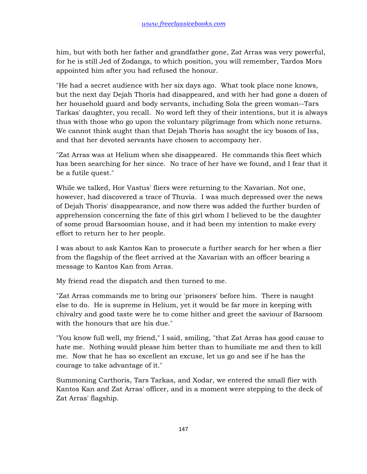him, but with both her father and grandfather gone, Zat Arras was very powerful, for he is still Jed of Zodanga, to which position, you will remember, Tardos Mors appointed him after you had refused the honour.

"He had a secret audience with her six days ago. What took place none knows, but the next day Dejah Thoris had disappeared, and with her had gone a dozen of her household guard and body servants, including Sola the green woman--Tars Tarkas' daughter, you recall. No word left they of their intentions, but it is always thus with those who go upon the voluntary pilgrimage from which none returns. We cannot think aught than that Dejah Thoris has sought the icy bosom of Iss, and that her devoted servants have chosen to accompany her.

"Zat Arras was at Helium when she disappeared. He commands this fleet which has been searching for her since. No trace of her have we found, and I fear that it be a futile quest."

While we talked, Hor Vastus' fliers were returning to the Xavarian. Not one, however, had discovered a trace of Thuvia. I was much depressed over the news of Dejah Thoris' disappearance, and now there was added the further burden of apprehension concerning the fate of this girl whom I believed to be the daughter of some proud Barsoomian house, and it had been my intention to make every effort to return her to her people.

I was about to ask Kantos Kan to prosecute a further search for her when a flier from the flagship of the fleet arrived at the Xavarian with an officer bearing a message to Kantos Kan from Arras.

My friend read the dispatch and then turned to me.

"Zat Arras commands me to bring our 'prisoners' before him. There is naught else to do. He is supreme in Helium, yet it would be far more in keeping with chivalry and good taste were he to come hither and greet the saviour of Barsoom with the honours that are his due."

"You know full well, my friend," I said, smiling, "that Zat Arras has good cause to hate me. Nothing would please him better than to humiliate me and then to kill me. Now that he has so excellent an excuse, let us go and see if he has the courage to take advantage of it."

Summoning Carthoris, Tars Tarkas, and Xodar, we entered the small flier with Kantos Kan and Zat Arras' officer, and in a moment were stepping to the deck of Zat Arras' flagship.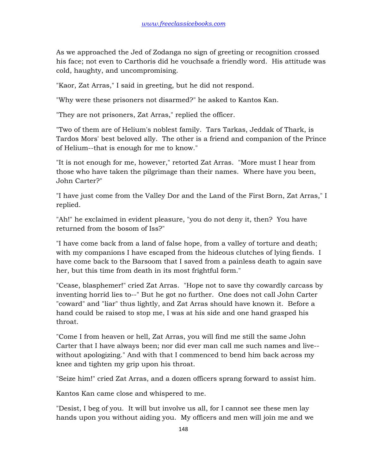As we approached the Jed of Zodanga no sign of greeting or recognition crossed his face; not even to Carthoris did he vouchsafe a friendly word. His attitude was cold, haughty, and uncompromising.

"Kaor, Zat Arras," I said in greeting, but he did not respond.

"Why were these prisoners not disarmed?" he asked to Kantos Kan.

"They are not prisoners, Zat Arras," replied the officer.

"Two of them are of Helium's noblest family. Tars Tarkas, Jeddak of Thark, is Tardos Mors' best beloved ally. The other is a friend and companion of the Prince of Helium--that is enough for me to know."

"It is not enough for me, however," retorted Zat Arras. "More must I hear from those who have taken the pilgrimage than their names. Where have you been, John Carter?"

"I have just come from the Valley Dor and the Land of the First Born, Zat Arras," I replied.

"Ah!" he exclaimed in evident pleasure, "you do not deny it, then? You have returned from the bosom of Iss?"

"I have come back from a land of false hope, from a valley of torture and death; with my companions I have escaped from the hideous clutches of lying fiends. I have come back to the Barsoom that I saved from a painless death to again save her, but this time from death in its most frightful form."

"Cease, blasphemer!" cried Zat Arras. "Hope not to save thy cowardly carcass by inventing horrid lies to--" But he got no further. One does not call John Carter "coward" and "liar" thus lightly, and Zat Arras should have known it. Before a hand could be raised to stop me, I was at his side and one hand grasped his throat.

"Come I from heaven or hell, Zat Arras, you will find me still the same John Carter that I have always been; nor did ever man call me such names and live- without apologizing." And with that I commenced to bend him back across my knee and tighten my grip upon his throat.

"Seize him!" cried Zat Arras, and a dozen officers sprang forward to assist him.

Kantos Kan came close and whispered to me.

"Desist, I beg of you. It will but involve us all, for I cannot see these men lay hands upon you without aiding you. My officers and men will join me and we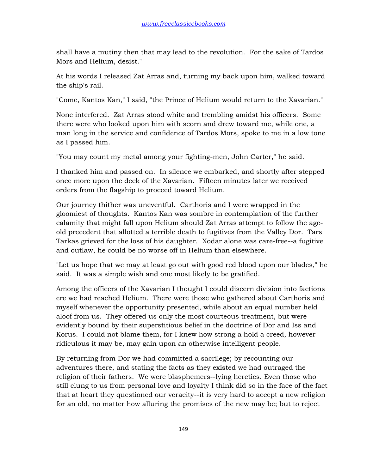shall have a mutiny then that may lead to the revolution. For the sake of Tardos Mors and Helium, desist."

At his words I released Zat Arras and, turning my back upon him, walked toward the ship's rail.

"Come, Kantos Kan," I said, "the Prince of Helium would return to the Xavarian."

None interfered. Zat Arras stood white and trembling amidst his officers. Some there were who looked upon him with scorn and drew toward me, while one, a man long in the service and confidence of Tardos Mors, spoke to me in a low tone as I passed him.

"You may count my metal among your fighting-men, John Carter," he said.

I thanked him and passed on. In silence we embarked, and shortly after stepped once more upon the deck of the Xavarian. Fifteen minutes later we received orders from the flagship to proceed toward Helium.

Our journey thither was uneventful. Carthoris and I were wrapped in the gloomiest of thoughts. Kantos Kan was sombre in contemplation of the further calamity that might fall upon Helium should Zat Arras attempt to follow the ageold precedent that allotted a terrible death to fugitives from the Valley Dor. Tars Tarkas grieved for the loss of his daughter. Xodar alone was care-free--a fugitive and outlaw, he could be no worse off in Helium than elsewhere.

"Let us hope that we may at least go out with good red blood upon our blades," he said. It was a simple wish and one most likely to be gratified.

Among the officers of the Xavarian I thought I could discern division into factions ere we had reached Helium. There were those who gathered about Carthoris and myself whenever the opportunity presented, while about an equal number held aloof from us. They offered us only the most courteous treatment, but were evidently bound by their superstitious belief in the doctrine of Dor and Iss and Korus. I could not blame them, for I knew how strong a hold a creed, however ridiculous it may be, may gain upon an otherwise intelligent people.

By returning from Dor we had committed a sacrilege; by recounting our adventures there, and stating the facts as they existed we had outraged the religion of their fathers. We were blasphemers--lying heretics. Even those who still clung to us from personal love and loyalty I think did so in the face of the fact that at heart they questioned our veracity--it is very hard to accept a new religion for an old, no matter how alluring the promises of the new may be; but to reject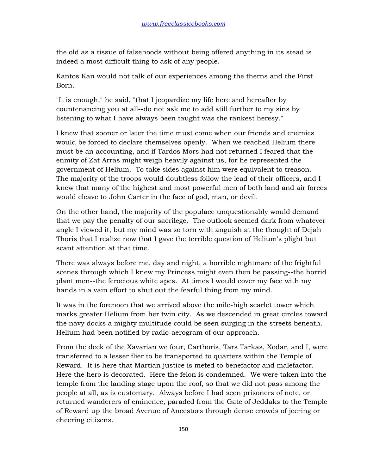the old as a tissue of falsehoods without being offered anything in its stead is indeed a most difficult thing to ask of any people.

Kantos Kan would not talk of our experiences among the therns and the First Born.

"It is enough," he said, "that I jeopardize my life here and hereafter by countenancing you at all--do not ask me to add still further to my sins by listening to what I have always been taught was the rankest heresy."

I knew that sooner or later the time must come when our friends and enemies would be forced to declare themselves openly. When we reached Helium there must be an accounting, and if Tardos Mors had not returned I feared that the enmity of Zat Arras might weigh heavily against us, for he represented the government of Helium. To take sides against him were equivalent to treason. The majority of the troops would doubtless follow the lead of their officers, and I knew that many of the highest and most powerful men of both land and air forces would cleave to John Carter in the face of god, man, or devil.

On the other hand, the majority of the populace unquestionably would demand that we pay the penalty of our sacrilege. The outlook seemed dark from whatever angle I viewed it, but my mind was so torn with anguish at the thought of Dejah Thoris that I realize now that I gave the terrible question of Helium's plight but scant attention at that time.

There was always before me, day and night, a horrible nightmare of the frightful scenes through which I knew my Princess might even then be passing--the horrid plant men--the ferocious white apes. At times I would cover my face with my hands in a vain effort to shut out the fearful thing from my mind.

It was in the forenoon that we arrived above the mile-high scarlet tower which marks greater Helium from her twin city. As we descended in great circles toward the navy docks a mighty multitude could be seen surging in the streets beneath. Helium had been notified by radio-aerogram of our approach.

From the deck of the Xavarian we four, Carthoris, Tars Tarkas, Xodar, and I, were transferred to a lesser flier to be transported to quarters within the Temple of Reward. It is here that Martian justice is meted to benefactor and malefactor. Here the hero is decorated. Here the felon is condemned. We were taken into the temple from the landing stage upon the roof, so that we did not pass among the people at all, as is customary. Always before I had seen prisoners of note, or returned wanderers of eminence, paraded from the Gate of Jeddaks to the Temple of Reward up the broad Avenue of Ancestors through dense crowds of jeering or cheering citizens.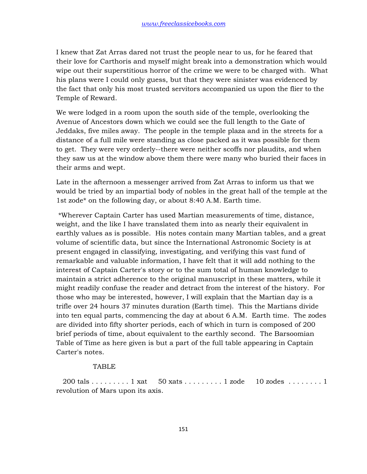I knew that Zat Arras dared not trust the people near to us, for he feared that their love for Carthoris and myself might break into a demonstration which would wipe out their superstitious horror of the crime we were to be charged with. What his plans were I could only guess, but that they were sinister was evidenced by the fact that only his most trusted servitors accompanied us upon the flier to the Temple of Reward.

We were lodged in a room upon the south side of the temple, overlooking the Avenue of Ancestors down which we could see the full length to the Gate of Jeddaks, five miles away. The people in the temple plaza and in the streets for a distance of a full mile were standing as close packed as it was possible for them to get. They were very orderly--there were neither scoffs nor plaudits, and when they saw us at the window above them there were many who buried their faces in their arms and wept.

Late in the afternoon a messenger arrived from Zat Arras to inform us that we would be tried by an impartial body of nobles in the great hall of the temple at the 1st zode\* on the following day, or about 8:40 A.M. Earth time.

 \*Wherever Captain Carter has used Martian measurements of time, distance, weight, and the like I have translated them into as nearly their equivalent in earthly values as is possible. His notes contain many Martian tables, and a great volume of scientific data, but since the International Astronomic Society is at present engaged in classifying, investigating, and verifying this vast fund of remarkable and valuable information, I have felt that it will add nothing to the interest of Captain Carter's story or to the sum total of human knowledge to maintain a strict adherence to the original manuscript in these matters, while it might readily confuse the reader and detract from the interest of the history. For those who may be interested, however, I will explain that the Martian day is a trifle over 24 hours 37 minutes duration (Earth time). This the Martians divide into ten equal parts, commencing the day at about 6 A.M. Earth time. The zodes are divided into fifty shorter periods, each of which in turn is composed of 200 brief periods of time, about equivalent to the earthly second. The Barsoomian Table of Time as here given is but a part of the full table appearing in Captain Carter's notes.

# **TABLE**

200 tals  $\dots \dots$  . . . . . 1 xat 50 xats  $\dots \dots$  . . 1 zode 10 zodes  $\dots \dots$  . 1 revolution of Mars upon its axis.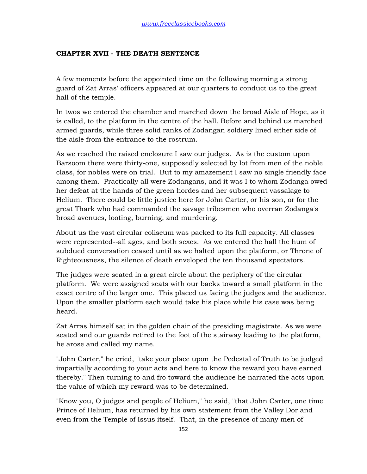# **CHAPTER XVII - THE DEATH SENTENCE**

A few moments before the appointed time on the following morning a strong guard of Zat Arras' officers appeared at our quarters to conduct us to the great hall of the temple.

In twos we entered the chamber and marched down the broad Aisle of Hope, as it is called, to the platform in the centre of the hall. Before and behind us marched armed guards, while three solid ranks of Zodangan soldiery lined either side of the aisle from the entrance to the rostrum.

As we reached the raised enclosure I saw our judges. As is the custom upon Barsoom there were thirty-one, supposedly selected by lot from men of the noble class, for nobles were on trial. But to my amazement I saw no single friendly face among them. Practically all were Zodangans, and it was I to whom Zodanga owed her defeat at the hands of the green hordes and her subsequent vassalage to Helium. There could be little justice here for John Carter, or his son, or for the great Thark who had commanded the savage tribesmen who overran Zodanga's broad avenues, looting, burning, and murdering.

About us the vast circular coliseum was packed to its full capacity. All classes were represented--all ages, and both sexes. As we entered the hall the hum of subdued conversation ceased until as we halted upon the platform, or Throne of Righteousness, the silence of death enveloped the ten thousand spectators.

The judges were seated in a great circle about the periphery of the circular platform. We were assigned seats with our backs toward a small platform in the exact centre of the larger one. This placed us facing the judges and the audience. Upon the smaller platform each would take his place while his case was being heard.

Zat Arras himself sat in the golden chair of the presiding magistrate. As we were seated and our guards retired to the foot of the stairway leading to the platform, he arose and called my name.

"John Carter," he cried, "take your place upon the Pedestal of Truth to be judged impartially according to your acts and here to know the reward you have earned thereby." Then turning to and fro toward the audience he narrated the acts upon the value of which my reward was to be determined.

"Know you, O judges and people of Helium," he said, "that John Carter, one time Prince of Helium, has returned by his own statement from the Valley Dor and even from the Temple of Issus itself. That, in the presence of many men of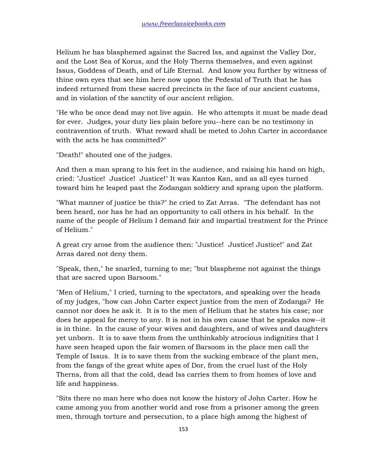Helium he has blasphemed against the Sacred Iss, and against the Valley Dor, and the Lost Sea of Korus, and the Holy Therns themselves, and even against Issus, Goddess of Death, and of Life Eternal. And know you further by witness of thine own eyes that see him here now upon the Pedestal of Truth that he has indeed returned from these sacred precincts in the face of our ancient customs, and in violation of the sanctity of our ancient religion.

"He who be once dead may not live again. He who attempts it must be made dead for ever. Judges, your duty lies plain before you--here can be no testimony in contravention of truth. What reward shall be meted to John Carter in accordance with the acts he has committed?"

"Death!" shouted one of the judges.

And then a man sprang to his feet in the audience, and raising his hand on high, cried: "Justice! Justice! Justice!" It was Kantos Kan, and as all eyes turned toward him he leaped past the Zodangan soldiery and sprang upon the platform.

"What manner of justice be this?" he cried to Zat Arras. "The defendant has not been heard, nor has he had an opportunity to call others in his behalf. In the name of the people of Helium I demand fair and impartial treatment for the Prince of Helium."

A great cry arose from the audience then: "Justice! Justice! Justice!" and Zat Arras dared not deny them.

"Speak, then," he snarled, turning to me; "but blaspheme not against the things that are sacred upon Barsoom."

"Men of Helium," I cried, turning to the spectators, and speaking over the heads of my judges, "how can John Carter expect justice from the men of Zodanga? He cannot nor does he ask it. It is to the men of Helium that he states his case; nor does he appeal for mercy to any. It is not in his own cause that he speaks now--it is in thine. In the cause of your wives and daughters, and of wives and daughters yet unborn. It is to save them from the unthinkably atrocious indignities that I have seen heaped upon the fair women of Barsoom in the place men call the Temple of Issus. It is to save them from the sucking embrace of the plant men, from the fangs of the great white apes of Dor, from the cruel lust of the Holy Therns, from all that the cold, dead Iss carries them to from homes of love and life and happiness.

"Sits there no man here who does not know the history of John Carter. How he came among you from another world and rose from a prisoner among the green men, through torture and persecution, to a place high among the highest of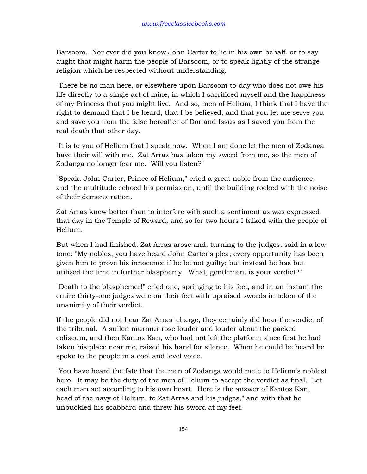Barsoom. Nor ever did you know John Carter to lie in his own behalf, or to say aught that might harm the people of Barsoom, or to speak lightly of the strange religion which he respected without understanding.

"There be no man here, or elsewhere upon Barsoom to-day who does not owe his life directly to a single act of mine, in which I sacrificed myself and the happiness of my Princess that you might live. And so, men of Helium, I think that I have the right to demand that I be heard, that I be believed, and that you let me serve you and save you from the false hereafter of Dor and Issus as I saved you from the real death that other day.

"It is to you of Helium that I speak now. When I am done let the men of Zodanga have their will with me. Zat Arras has taken my sword from me, so the men of Zodanga no longer fear me. Will you listen?"

"Speak, John Carter, Prince of Helium," cried a great noble from the audience, and the multitude echoed his permission, until the building rocked with the noise of their demonstration.

Zat Arras knew better than to interfere with such a sentiment as was expressed that day in the Temple of Reward, and so for two hours I talked with the people of Helium.

But when I had finished, Zat Arras arose and, turning to the judges, said in a low tone: "My nobles, you have heard John Carter's plea; every opportunity has been given him to prove his innocence if he be not guilty; but instead he has but utilized the time in further blasphemy. What, gentlemen, is your verdict?"

"Death to the blasphemer!" cried one, springing to his feet, and in an instant the entire thirty-one judges were on their feet with upraised swords in token of the unanimity of their verdict.

If the people did not hear Zat Arras' charge, they certainly did hear the verdict of the tribunal. A sullen murmur rose louder and louder about the packed coliseum, and then Kantos Kan, who had not left the platform since first he had taken his place near me, raised his hand for silence. When he could be heard he spoke to the people in a cool and level voice.

"You have heard the fate that the men of Zodanga would mete to Helium's noblest hero. It may be the duty of the men of Helium to accept the verdict as final. Let each man act according to his own heart. Here is the answer of Kantos Kan, head of the navy of Helium, to Zat Arras and his judges," and with that he unbuckled his scabbard and threw his sword at my feet.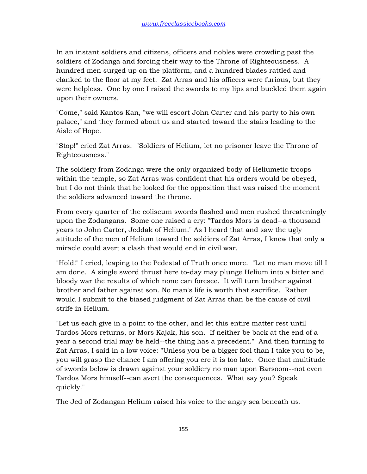In an instant soldiers and citizens, officers and nobles were crowding past the soldiers of Zodanga and forcing their way to the Throne of Righteousness. A hundred men surged up on the platform, and a hundred blades rattled and clanked to the floor at my feet. Zat Arras and his officers were furious, but they were helpless. One by one I raised the swords to my lips and buckled them again upon their owners.

"Come," said Kantos Kan, "we will escort John Carter and his party to his own palace," and they formed about us and started toward the stairs leading to the Aisle of Hope.

"Stop!" cried Zat Arras. "Soldiers of Helium, let no prisoner leave the Throne of Righteousness."

The soldiery from Zodanga were the only organized body of Heliumetic troops within the temple, so Zat Arras was confident that his orders would be obeyed, but I do not think that he looked for the opposition that was raised the moment the soldiers advanced toward the throne.

From every quarter of the coliseum swords flashed and men rushed threateningly upon the Zodangans. Some one raised a cry: "Tardos Mors is dead--a thousand years to John Carter, Jeddak of Helium." As I heard that and saw the ugly attitude of the men of Helium toward the soldiers of Zat Arras, I knew that only a miracle could avert a clash that would end in civil war.

"Hold!" I cried, leaping to the Pedestal of Truth once more. "Let no man move till I am done. A single sword thrust here to-day may plunge Helium into a bitter and bloody war the results of which none can foresee. It will turn brother against brother and father against son. No man's life is worth that sacrifice. Rather would I submit to the biased judgment of Zat Arras than be the cause of civil strife in Helium.

"Let us each give in a point to the other, and let this entire matter rest until Tardos Mors returns, or Mors Kajak, his son. If neither be back at the end of a year a second trial may be held--the thing has a precedent." And then turning to Zat Arras, I said in a low voice: "Unless you be a bigger fool than I take you to be, you will grasp the chance I am offering you ere it is too late. Once that multitude of swords below is drawn against your soldiery no man upon Barsoom--not even Tardos Mors himself--can avert the consequences. What say you? Speak quickly."

The Jed of Zodangan Helium raised his voice to the angry sea beneath us.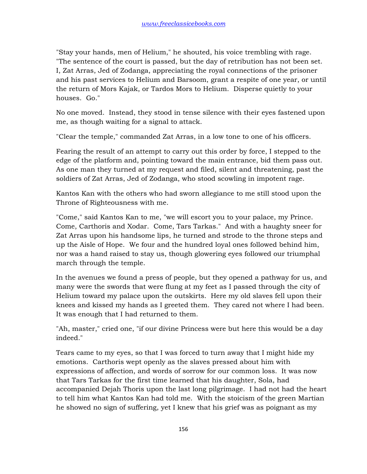"Stay your hands, men of Helium," he shouted, his voice trembling with rage. "The sentence of the court is passed, but the day of retribution has not been set. I, Zat Arras, Jed of Zodanga, appreciating the royal connections of the prisoner and his past services to Helium and Barsoom, grant a respite of one year, or until the return of Mors Kajak, or Tardos Mors to Helium. Disperse quietly to your houses. Go."

No one moved. Instead, they stood in tense silence with their eyes fastened upon me, as though waiting for a signal to attack.

"Clear the temple," commanded Zat Arras, in a low tone to one of his officers.

Fearing the result of an attempt to carry out this order by force, I stepped to the edge of the platform and, pointing toward the main entrance, bid them pass out. As one man they turned at my request and filed, silent and threatening, past the soldiers of Zat Arras, Jed of Zodanga, who stood scowling in impotent rage.

Kantos Kan with the others who had sworn allegiance to me still stood upon the Throne of Righteousness with me.

"Come," said Kantos Kan to me, "we will escort you to your palace, my Prince. Come, Carthoris and Xodar. Come, Tars Tarkas." And with a haughty sneer for Zat Arras upon his handsome lips, he turned and strode to the throne steps and up the Aisle of Hope. We four and the hundred loyal ones followed behind him, nor was a hand raised to stay us, though glowering eyes followed our triumphal march through the temple.

In the avenues we found a press of people, but they opened a pathway for us, and many were the swords that were flung at my feet as I passed through the city of Helium toward my palace upon the outskirts. Here my old slaves fell upon their knees and kissed my hands as I greeted them. They cared not where I had been. It was enough that I had returned to them.

"Ah, master," cried one, "if our divine Princess were but here this would be a day indeed."

Tears came to my eyes, so that I was forced to turn away that I might hide my emotions. Carthoris wept openly as the slaves pressed about him with expressions of affection, and words of sorrow for our common loss. It was now that Tars Tarkas for the first time learned that his daughter, Sola, had accompanied Dejah Thoris upon the last long pilgrimage. I had not had the heart to tell him what Kantos Kan had told me. With the stoicism of the green Martian he showed no sign of suffering, yet I knew that his grief was as poignant as my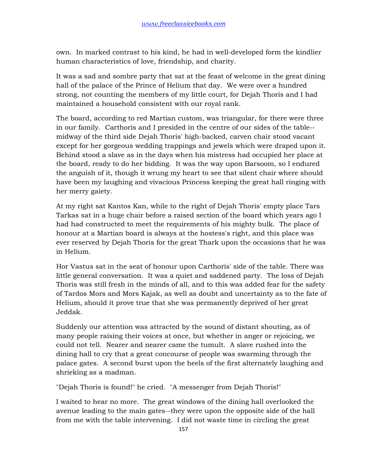own. In marked contrast to his kind, he had in well-developed form the kindlier human characteristics of love, friendship, and charity.

It was a sad and sombre party that sat at the feast of welcome in the great dining hall of the palace of the Prince of Helium that day. We were over a hundred strong, not counting the members of my little court, for Dejah Thoris and I had maintained a household consistent with our royal rank.

The board, according to red Martian custom, was triangular, for there were three in our family. Carthoris and I presided in the centre of our sides of the table- midway of the third side Dejah Thoris' high-backed, carven chair stood vacant except for her gorgeous wedding trappings and jewels which were draped upon it. Behind stood a slave as in the days when his mistress had occupied her place at the board, ready to do her bidding. It was the way upon Barsoom, so I endured the anguish of it, though it wrung my heart to see that silent chair where should have been my laughing and vivacious Princess keeping the great hall ringing with her merry gaiety.

At my right sat Kantos Kan, while to the right of Dejah Thoris' empty place Tars Tarkas sat in a huge chair before a raised section of the board which years ago I had had constructed to meet the requirements of his mighty bulk. The place of honour at a Martian board is always at the hostess's right, and this place was ever reserved by Dejah Thoris for the great Thark upon the occasions that he was in Helium.

Hor Vastus sat in the seat of honour upon Carthoris' side of the table. There was little general conversation. It was a quiet and saddened party. The loss of Dejah Thoris was still fresh in the minds of all, and to this was added fear for the safety of Tardos Mors and Mors Kajak, as well as doubt and uncertainty as to the fate of Helium, should it prove true that she was permanently deprived of her great Jeddak.

Suddenly our attention was attracted by the sound of distant shouting, as of many people raising their voices at once, but whether in anger or rejoicing, we could not tell. Nearer and nearer came the tumult. A slave rushed into the dining hall to cry that a great concourse of people was swarming through the palace gates. A second burst upon the heels of the first alternately laughing and shrieking as a madman.

"Dejah Thoris is found!" he cried. "A messenger from Dejah Thoris!"

I waited to hear no more. The great windows of the dining hall overlooked the avenue leading to the main gates--they were upon the opposite side of the hall from me with the table intervening. I did not waste time in circling the great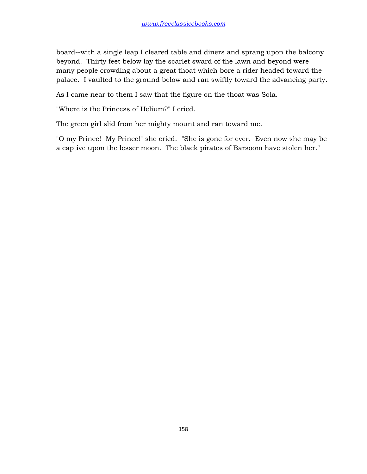board--with a single leap I cleared table and diners and sprang upon the balcony beyond. Thirty feet below lay the scarlet sward of the lawn and beyond were many people crowding about a great thoat which bore a rider headed toward the palace. I vaulted to the ground below and ran swiftly toward the advancing party.

As I came near to them I saw that the figure on the thoat was Sola.

"Where is the Princess of Helium?" I cried.

The green girl slid from her mighty mount and ran toward me.

"O my Prince! My Prince!" she cried. "She is gone for ever. Even now she may be a captive upon the lesser moon. The black pirates of Barsoom have stolen her."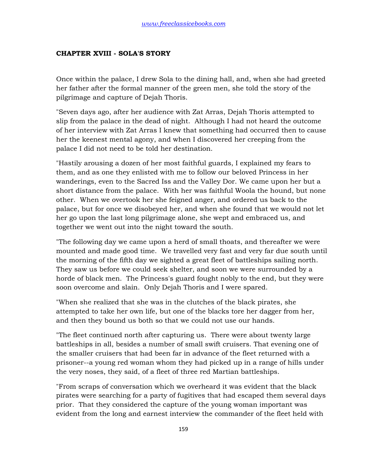### **CHAPTER XVIII - SOLA'S STORY**

Once within the palace, I drew Sola to the dining hall, and, when she had greeted her father after the formal manner of the green men, she told the story of the pilgrimage and capture of Dejah Thoris.

"Seven days ago, after her audience with Zat Arras, Dejah Thoris attempted to slip from the palace in the dead of night. Although I had not heard the outcome of her interview with Zat Arras I knew that something had occurred then to cause her the keenest mental agony, and when I discovered her creeping from the palace I did not need to be told her destination.

"Hastily arousing a dozen of her most faithful guards, I explained my fears to them, and as one they enlisted with me to follow our beloved Princess in her wanderings, even to the Sacred Iss and the Valley Dor. We came upon her but a short distance from the palace. With her was faithful Woola the hound, but none other. When we overtook her she feigned anger, and ordered us back to the palace, but for once we disobeyed her, and when she found that we would not let her go upon the last long pilgrimage alone, she wept and embraced us, and together we went out into the night toward the south.

"The following day we came upon a herd of small thoats, and thereafter we were mounted and made good time. We travelled very fast and very far due south until the morning of the fifth day we sighted a great fleet of battleships sailing north. They saw us before we could seek shelter, and soon we were surrounded by a horde of black men. The Princess's guard fought nobly to the end, but they were soon overcome and slain. Only Dejah Thoris and I were spared.

"When she realized that she was in the clutches of the black pirates, she attempted to take her own life, but one of the blacks tore her dagger from her, and then they bound us both so that we could not use our hands.

"The fleet continued north after capturing us. There were about twenty large battleships in all, besides a number of small swift cruisers. That evening one of the smaller cruisers that had been far in advance of the fleet returned with a prisoner--a young red woman whom they had picked up in a range of hills under the very noses, they said, of a fleet of three red Martian battleships.

"From scraps of conversation which we overheard it was evident that the black pirates were searching for a party of fugitives that had escaped them several days prior. That they considered the capture of the young woman important was evident from the long and earnest interview the commander of the fleet held with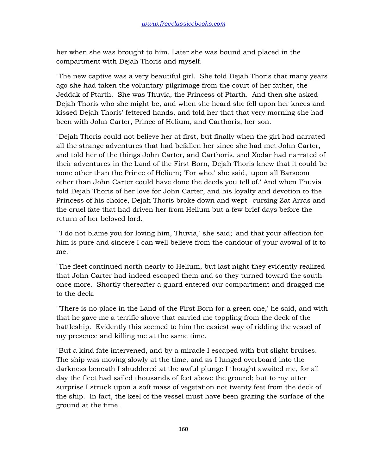her when she was brought to him. Later she was bound and placed in the compartment with Dejah Thoris and myself.

"The new captive was a very beautiful girl. She told Dejah Thoris that many years ago she had taken the voluntary pilgrimage from the court of her father, the Jeddak of Ptarth. She was Thuvia, the Princess of Ptarth. And then she asked Dejah Thoris who she might be, and when she heard she fell upon her knees and kissed Dejah Thoris' fettered hands, and told her that that very morning she had been with John Carter, Prince of Helium, and Carthoris, her son.

"Dejah Thoris could not believe her at first, but finally when the girl had narrated all the strange adventures that had befallen her since she had met John Carter, and told her of the things John Carter, and Carthoris, and Xodar had narrated of their adventures in the Land of the First Born, Dejah Thoris knew that it could be none other than the Prince of Helium; 'For who,' she said, 'upon all Barsoom other than John Carter could have done the deeds you tell of.' And when Thuvia told Dejah Thoris of her love for John Carter, and his loyalty and devotion to the Princess of his choice, Dejah Thoris broke down and wept--cursing Zat Arras and the cruel fate that had driven her from Helium but a few brief days before the return of her beloved lord.

"'I do not blame you for loving him, Thuvia,' she said; 'and that your affection for him is pure and sincere I can well believe from the candour of your avowal of it to me.'

"The fleet continued north nearly to Helium, but last night they evidently realized that John Carter had indeed escaped them and so they turned toward the south once more. Shortly thereafter a guard entered our compartment and dragged me to the deck.

"'There is no place in the Land of the First Born for a green one,' he said, and with that he gave me a terrific shove that carried me toppling from the deck of the battleship. Evidently this seemed to him the easiest way of ridding the vessel of my presence and killing me at the same time.

"But a kind fate intervened, and by a miracle I escaped with but slight bruises. The ship was moving slowly at the time, and as I lunged overboard into the darkness beneath I shuddered at the awful plunge I thought awaited me, for all day the fleet had sailed thousands of feet above the ground; but to my utter surprise I struck upon a soft mass of vegetation not twenty feet from the deck of the ship. In fact, the keel of the vessel must have been grazing the surface of the ground at the time.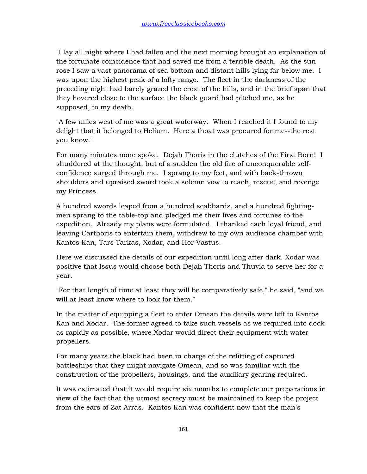"I lay all night where I had fallen and the next morning brought an explanation of the fortunate coincidence that had saved me from a terrible death. As the sun rose I saw a vast panorama of sea bottom and distant hills lying far below me. I was upon the highest peak of a lofty range. The fleet in the darkness of the preceding night had barely grazed the crest of the hills, and in the brief span that they hovered close to the surface the black guard had pitched me, as he supposed, to my death.

"A few miles west of me was a great waterway. When I reached it I found to my delight that it belonged to Helium. Here a thoat was procured for me--the rest you know."

For many minutes none spoke. Dejah Thoris in the clutches of the First Born! I shuddered at the thought, but of a sudden the old fire of unconquerable selfconfidence surged through me. I sprang to my feet, and with back-thrown shoulders and upraised sword took a solemn vow to reach, rescue, and revenge my Princess.

A hundred swords leaped from a hundred scabbards, and a hundred fightingmen sprang to the table-top and pledged me their lives and fortunes to the expedition. Already my plans were formulated. I thanked each loyal friend, and leaving Carthoris to entertain them, withdrew to my own audience chamber with Kantos Kan, Tars Tarkas, Xodar, and Hor Vastus.

Here we discussed the details of our expedition until long after dark. Xodar was positive that Issus would choose both Dejah Thoris and Thuvia to serve her for a year.

"For that length of time at least they will be comparatively safe," he said, "and we will at least know where to look for them."

In the matter of equipping a fleet to enter Omean the details were left to Kantos Kan and Xodar. The former agreed to take such vessels as we required into dock as rapidly as possible, where Xodar would direct their equipment with water propellers.

For many years the black had been in charge of the refitting of captured battleships that they might navigate Omean, and so was familiar with the construction of the propellers, housings, and the auxiliary gearing required.

It was estimated that it would require six months to complete our preparations in view of the fact that the utmost secrecy must be maintained to keep the project from the ears of Zat Arras. Kantos Kan was confident now that the man's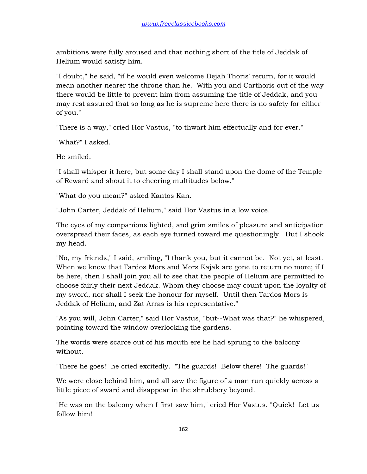ambitions were fully aroused and that nothing short of the title of Jeddak of Helium would satisfy him.

"I doubt," he said, "if he would even welcome Dejah Thoris' return, for it would mean another nearer the throne than he. With you and Carthoris out of the way there would be little to prevent him from assuming the title of Jeddak, and you may rest assured that so long as he is supreme here there is no safety for either of you."

"There is a way," cried Hor Vastus, "to thwart him effectually and for ever."

"What?" I asked.

He smiled.

"I shall whisper it here, but some day I shall stand upon the dome of the Temple of Reward and shout it to cheering multitudes below."

"What do you mean?" asked Kantos Kan.

"John Carter, Jeddak of Helium," said Hor Vastus in a low voice.

The eyes of my companions lighted, and grim smiles of pleasure and anticipation overspread their faces, as each eye turned toward me questioningly. But I shook my head.

"No, my friends," I said, smiling, "I thank you, but it cannot be. Not yet, at least. When we know that Tardos Mors and Mors Kajak are gone to return no more; if I be here, then I shall join you all to see that the people of Helium are permitted to choose fairly their next Jeddak. Whom they choose may count upon the loyalty of my sword, nor shall I seek the honour for myself. Until then Tardos Mors is Jeddak of Helium, and Zat Arras is his representative."

"As you will, John Carter," said Hor Vastus, "but--What was that?" he whispered, pointing toward the window overlooking the gardens.

The words were scarce out of his mouth ere he had sprung to the balcony without.

"There he goes!" he cried excitedly. "The guards! Below there! The guards!"

We were close behind him, and all saw the figure of a man run quickly across a little piece of sward and disappear in the shrubbery beyond.

"He was on the balcony when I first saw him," cried Hor Vastus. "Quick! Let us follow him!"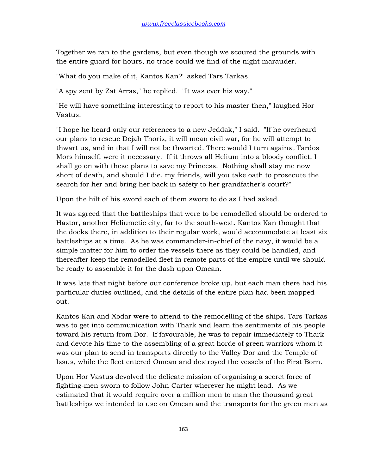Together we ran to the gardens, but even though we scoured the grounds with the entire guard for hours, no trace could we find of the night marauder.

"What do you make of it, Kantos Kan?" asked Tars Tarkas.

"A spy sent by Zat Arras," he replied. "It was ever his way."

"He will have something interesting to report to his master then," laughed Hor Vastus.

"I hope he heard only our references to a new Jeddak," I said. "If he overheard our plans to rescue Dejah Thoris, it will mean civil war, for he will attempt to thwart us, and in that I will not be thwarted. There would I turn against Tardos Mors himself, were it necessary. If it throws all Helium into a bloody conflict, I shall go on with these plans to save my Princess. Nothing shall stay me now short of death, and should I die, my friends, will you take oath to prosecute the search for her and bring her back in safety to her grandfather's court?"

Upon the hilt of his sword each of them swore to do as I had asked.

It was agreed that the battleships that were to be remodelled should be ordered to Hastor, another Heliumetic city, far to the south-west. Kantos Kan thought that the docks there, in addition to their regular work, would accommodate at least six battleships at a time. As he was commander-in-chief of the navy, it would be a simple matter for him to order the vessels there as they could be handled, and thereafter keep the remodelled fleet in remote parts of the empire until we should be ready to assemble it for the dash upon Omean.

It was late that night before our conference broke up, but each man there had his particular duties outlined, and the details of the entire plan had been mapped out.

Kantos Kan and Xodar were to attend to the remodelling of the ships. Tars Tarkas was to get into communication with Thark and learn the sentiments of his people toward his return from Dor. If favourable, he was to repair immediately to Thark and devote his time to the assembling of a great horde of green warriors whom it was our plan to send in transports directly to the Valley Dor and the Temple of Issus, while the fleet entered Omean and destroyed the vessels of the First Born.

Upon Hor Vastus devolved the delicate mission of organising a secret force of fighting-men sworn to follow John Carter wherever he might lead. As we estimated that it would require over a million men to man the thousand great battleships we intended to use on Omean and the transports for the green men as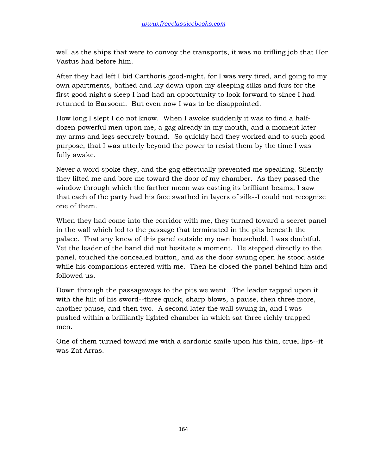well as the ships that were to convoy the transports, it was no trifling job that Hor Vastus had before him.

After they had left I bid Carthoris good-night, for I was very tired, and going to my own apartments, bathed and lay down upon my sleeping silks and furs for the first good night's sleep I had had an opportunity to look forward to since I had returned to Barsoom. But even now I was to be disappointed.

How long I slept I do not know. When I awoke suddenly it was to find a halfdozen powerful men upon me, a gag already in my mouth, and a moment later my arms and legs securely bound. So quickly had they worked and to such good purpose, that I was utterly beyond the power to resist them by the time I was fully awake.

Never a word spoke they, and the gag effectually prevented me speaking. Silently they lifted me and bore me toward the door of my chamber. As they passed the window through which the farther moon was casting its brilliant beams, I saw that each of the party had his face swathed in layers of silk--I could not recognize one of them.

When they had come into the corridor with me, they turned toward a secret panel in the wall which led to the passage that terminated in the pits beneath the palace. That any knew of this panel outside my own household, I was doubtful. Yet the leader of the band did not hesitate a moment. He stepped directly to the panel, touched the concealed button, and as the door swung open he stood aside while his companions entered with me. Then he closed the panel behind him and followed us.

Down through the passageways to the pits we went. The leader rapped upon it with the hilt of his sword--three quick, sharp blows, a pause, then three more, another pause, and then two. A second later the wall swung in, and I was pushed within a brilliantly lighted chamber in which sat three richly trapped men.

One of them turned toward me with a sardonic smile upon his thin, cruel lips--it was Zat Arras.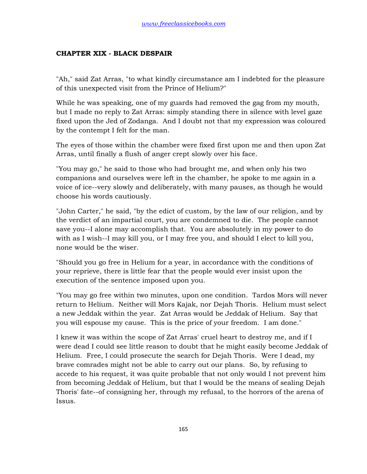## **CHAPTER XIX - BLACK DESPAIR**

"Ah," said Zat Arras, "to what kindly circumstance am I indebted for the pleasure of this unexpected visit from the Prince of Helium?"

While he was speaking, one of my guards had removed the gag from my mouth, but I made no reply to Zat Arras: simply standing there in silence with level gaze fixed upon the Jed of Zodanga. And I doubt not that my expression was coloured by the contempt I felt for the man.

The eyes of those within the chamber were fixed first upon me and then upon Zat Arras, until finally a flush of anger crept slowly over his face.

"You may go," he said to those who had brought me, and when only his two companions and ourselves were left in the chamber, he spoke to me again in a voice of ice--very slowly and deliberately, with many pauses, as though he would choose his words cautiously.

"John Carter," he said, "by the edict of custom, by the law of our religion, and by the verdict of an impartial court, you are condemned to die. The people cannot save you--I alone may accomplish that. You are absolutely in my power to do with as I wish--I may kill you, or I may free you, and should I elect to kill you, none would be the wiser.

"Should you go free in Helium for a year, in accordance with the conditions of your reprieve, there is little fear that the people would ever insist upon the execution of the sentence imposed upon you.

"You may go free within two minutes, upon one condition. Tardos Mors will never return to Helium. Neither will Mors Kajak, nor Dejah Thoris. Helium must select a new Jeddak within the year. Zat Arras would be Jeddak of Helium. Say that you will espouse my cause. This is the price of your freedom. I am done."

I knew it was within the scope of Zat Arras' cruel heart to destroy me, and if I were dead I could see little reason to doubt that he might easily become Jeddak of Helium. Free, I could prosecute the search for Dejah Thoris. Were I dead, my brave comrades might not be able to carry out our plans. So, by refusing to accede to his request, it was quite probable that not only would I not prevent him from becoming Jeddak of Helium, but that I would be the means of sealing Dejah Thoris' fate--of consigning her, through my refusal, to the horrors of the arena of Issus.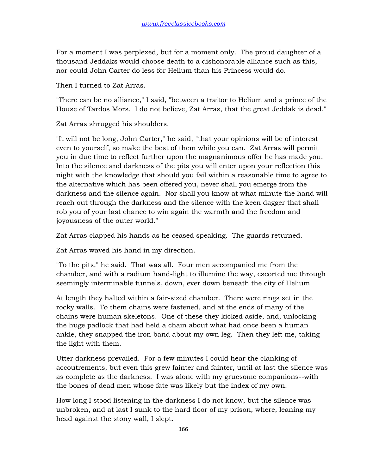For a moment I was perplexed, but for a moment only. The proud daughter of a thousand Jeddaks would choose death to a dishonorable alliance such as this, nor could John Carter do less for Helium than his Princess would do.

Then I turned to Zat Arras.

"There can be no alliance," I said, "between a traitor to Helium and a prince of the House of Tardos Mors. I do not believe, Zat Arras, that the great Jeddak is dead."

Zat Arras shrugged his shoulders.

"It will not be long, John Carter," he said, "that your opinions will be of interest even to yourself, so make the best of them while you can. Zat Arras will permit you in due time to reflect further upon the magnanimous offer he has made you. Into the silence and darkness of the pits you will enter upon your reflection this night with the knowledge that should you fail within a reasonable time to agree to the alternative which has been offered you, never shall you emerge from the darkness and the silence again. Nor shall you know at what minute the hand will reach out through the darkness and the silence with the keen dagger that shall rob you of your last chance to win again the warmth and the freedom and joyousness of the outer world."

Zat Arras clapped his hands as he ceased speaking. The guards returned.

Zat Arras waved his hand in my direction.

"To the pits," he said. That was all. Four men accompanied me from the chamber, and with a radium hand-light to illumine the way, escorted me through seemingly interminable tunnels, down, ever down beneath the city of Helium.

At length they halted within a fair-sized chamber. There were rings set in the rocky walls. To them chains were fastened, and at the ends of many of the chains were human skeletons. One of these they kicked aside, and, unlocking the huge padlock that had held a chain about what had once been a human ankle, they snapped the iron band about my own leg. Then they left me, taking the light with them.

Utter darkness prevailed. For a few minutes I could hear the clanking of accoutrements, but even this grew fainter and fainter, until at last the silence was as complete as the darkness. I was alone with my gruesome companions--with the bones of dead men whose fate was likely but the index of my own.

How long I stood listening in the darkness I do not know, but the silence was unbroken, and at last I sunk to the hard floor of my prison, where, leaning my head against the stony wall, I slept.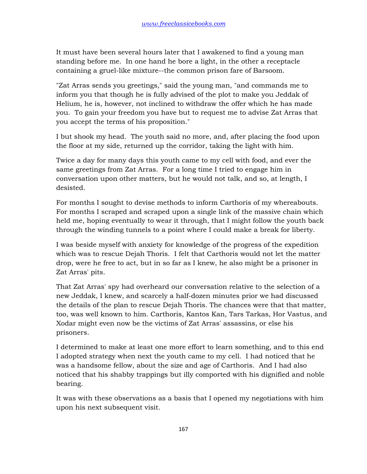It must have been several hours later that I awakened to find a young man standing before me. In one hand he bore a light, in the other a receptacle containing a gruel-like mixture--the common prison fare of Barsoom.

"Zat Arras sends you greetings," said the young man, "and commands me to inform you that though he is fully advised of the plot to make you Jeddak of Helium, he is, however, not inclined to withdraw the offer which he has made you. To gain your freedom you have but to request me to advise Zat Arras that you accept the terms of his proposition."

I but shook my head. The youth said no more, and, after placing the food upon the floor at my side, returned up the corridor, taking the light with him.

Twice a day for many days this youth came to my cell with food, and ever the same greetings from Zat Arras. For a long time I tried to engage him in conversation upon other matters, but he would not talk, and so, at length, I desisted.

For months I sought to devise methods to inform Carthoris of my whereabouts. For months I scraped and scraped upon a single link of the massive chain which held me, hoping eventually to wear it through, that I might follow the youth back through the winding tunnels to a point where I could make a break for liberty.

I was beside myself with anxiety for knowledge of the progress of the expedition which was to rescue Dejah Thoris. I felt that Carthoris would not let the matter drop, were he free to act, but in so far as I knew, he also might be a prisoner in Zat Arras' pits.

That Zat Arras' spy had overheard our conversation relative to the selection of a new Jeddak, I knew, and scarcely a half-dozen minutes prior we had discussed the details of the plan to rescue Dejah Thoris. The chances were that that matter, too, was well known to him. Carthoris, Kantos Kan, Tars Tarkas, Hor Vastus, and Xodar might even now be the victims of Zat Arras' assassins, or else his prisoners.

I determined to make at least one more effort to learn something, and to this end I adopted strategy when next the youth came to my cell. I had noticed that he was a handsome fellow, about the size and age of Carthoris. And I had also noticed that his shabby trappings but illy comported with his dignified and noble bearing.

It was with these observations as a basis that I opened my negotiations with him upon his next subsequent visit.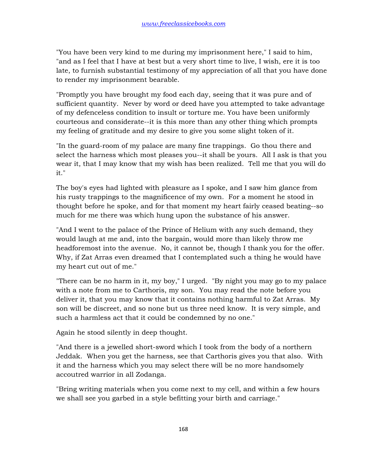"You have been very kind to me during my imprisonment here," I said to him, "and as I feel that I have at best but a very short time to live, I wish, ere it is too late, to furnish substantial testimony of my appreciation of all that you have done to render my imprisonment bearable.

"Promptly you have brought my food each day, seeing that it was pure and of sufficient quantity. Never by word or deed have you attempted to take advantage of my defenceless condition to insult or torture me. You have been uniformly courteous and considerate--it is this more than any other thing which prompts my feeling of gratitude and my desire to give you some slight token of it.

"In the guard-room of my palace are many fine trappings. Go thou there and select the harness which most pleases you--it shall be yours. All I ask is that you wear it, that I may know that my wish has been realized. Tell me that you will do it."

The boy's eyes had lighted with pleasure as I spoke, and I saw him glance from his rusty trappings to the magnificence of my own. For a moment he stood in thought before he spoke, and for that moment my heart fairly ceased beating--so much for me there was which hung upon the substance of his answer.

"And I went to the palace of the Prince of Helium with any such demand, they would laugh at me and, into the bargain, would more than likely throw me headforemost into the avenue. No, it cannot be, though I thank you for the offer. Why, if Zat Arras even dreamed that I contemplated such a thing he would have my heart cut out of me."

"There can be no harm in it, my boy," I urged. "By night you may go to my palace with a note from me to Carthoris, my son. You may read the note before you deliver it, that you may know that it contains nothing harmful to Zat Arras. My son will be discreet, and so none but us three need know. It is very simple, and such a harmless act that it could be condemned by no one."

Again he stood silently in deep thought.

"And there is a jewelled short-sword which I took from the body of a northern Jeddak. When you get the harness, see that Carthoris gives you that also. With it and the harness which you may select there will be no more handsomely accoutred warrior in all Zodanga.

"Bring writing materials when you come next to my cell, and within a few hours we shall see you garbed in a style befitting your birth and carriage."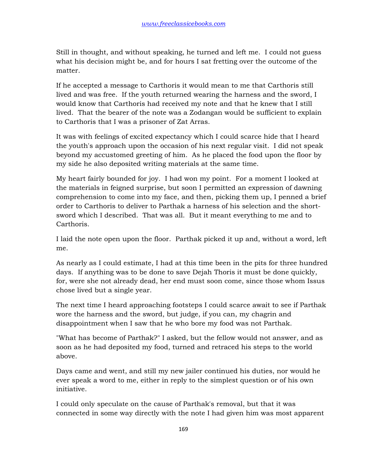Still in thought, and without speaking, he turned and left me. I could not guess what his decision might be, and for hours I sat fretting over the outcome of the matter.

If he accepted a message to Carthoris it would mean to me that Carthoris still lived and was free. If the youth returned wearing the harness and the sword, I would know that Carthoris had received my note and that he knew that I still lived. That the bearer of the note was a Zodangan would be sufficient to explain to Carthoris that I was a prisoner of Zat Arras.

It was with feelings of excited expectancy which I could scarce hide that I heard the youth's approach upon the occasion of his next regular visit. I did not speak beyond my accustomed greeting of him. As he placed the food upon the floor by my side he also deposited writing materials at the same time.

My heart fairly bounded for joy. I had won my point. For a moment I looked at the materials in feigned surprise, but soon I permitted an expression of dawning comprehension to come into my face, and then, picking them up, I penned a brief order to Carthoris to deliver to Parthak a harness of his selection and the shortsword which I described. That was all. But it meant everything to me and to Carthoris.

I laid the note open upon the floor. Parthak picked it up and, without a word, left me.

As nearly as I could estimate, I had at this time been in the pits for three hundred days. If anything was to be done to save Dejah Thoris it must be done quickly, for, were she not already dead, her end must soon come, since those whom Issus chose lived but a single year.

The next time I heard approaching footsteps I could scarce await to see if Parthak wore the harness and the sword, but judge, if you can, my chagrin and disappointment when I saw that he who bore my food was not Parthak.

"What has become of Parthak?" I asked, but the fellow would not answer, and as soon as he had deposited my food, turned and retraced his steps to the world above.

Days came and went, and still my new jailer continued his duties, nor would he ever speak a word to me, either in reply to the simplest question or of his own initiative.

I could only speculate on the cause of Parthak's removal, but that it was connected in some way directly with the note I had given him was most apparent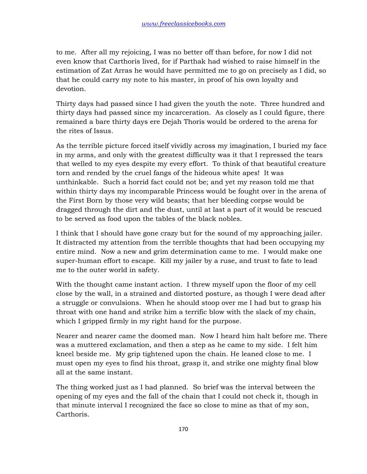to me. After all my rejoicing, I was no better off than before, for now I did not even know that Carthoris lived, for if Parthak had wished to raise himself in the estimation of Zat Arras he would have permitted me to go on precisely as I did, so that he could carry my note to his master, in proof of his own loyalty and devotion.

Thirty days had passed since I had given the youth the note. Three hundred and thirty days had passed since my incarceration. As closely as I could figure, there remained a bare thirty days ere Dejah Thoris would be ordered to the arena for the rites of Issus.

As the terrible picture forced itself vividly across my imagination, I buried my face in my arms, and only with the greatest difficulty was it that I repressed the tears that welled to my eyes despite my every effort. To think of that beautiful creature torn and rended by the cruel fangs of the hideous white apes! It was unthinkable. Such a horrid fact could not be; and yet my reason told me that within thirty days my incomparable Princess would be fought over in the arena of the First Born by those very wild beasts; that her bleeding corpse would be dragged through the dirt and the dust, until at last a part of it would be rescued to be served as food upon the tables of the black nobles.

I think that I should have gone crazy but for the sound of my approaching jailer. It distracted my attention from the terrible thoughts that had been occupying my entire mind. Now a new and grim determination came to me. I would make one super-human effort to escape. Kill my jailer by a ruse, and trust to fate to lead me to the outer world in safety.

With the thought came instant action. I threw myself upon the floor of my cell close by the wall, in a strained and distorted posture, as though I were dead after a struggle or convulsions. When he should stoop over me I had but to grasp his throat with one hand and strike him a terrific blow with the slack of my chain, which I gripped firmly in my right hand for the purpose.

Nearer and nearer came the doomed man. Now I heard him halt before me. There was a muttered exclamation, and then a step as he came to my side. I felt him kneel beside me. My grip tightened upon the chain. He leaned close to me. I must open my eyes to find his throat, grasp it, and strike one mighty final blow all at the same instant.

The thing worked just as I had planned. So brief was the interval between the opening of my eyes and the fall of the chain that I could not check it, though in that minute interval I recognized the face so close to mine as that of my son, Carthoris.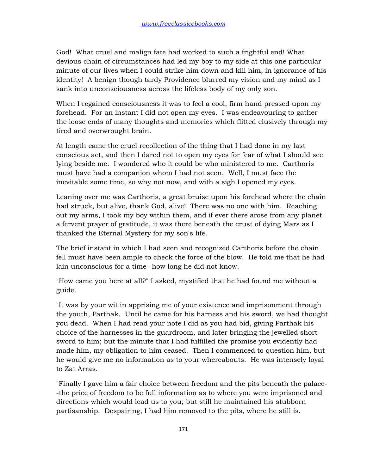God! What cruel and malign fate had worked to such a frightful end! What devious chain of circumstances had led my boy to my side at this one particular minute of our lives when I could strike him down and kill him, in ignorance of his identity! A benign though tardy Providence blurred my vision and my mind as I sank into unconsciousness across the lifeless body of my only son.

When I regained consciousness it was to feel a cool, firm hand pressed upon my forehead. For an instant I did not open my eyes. I was endeavouring to gather the loose ends of many thoughts and memories which flitted elusively through my tired and overwrought brain.

At length came the cruel recollection of the thing that I had done in my last conscious act, and then I dared not to open my eyes for fear of what I should see lying beside me. I wondered who it could be who ministered to me. Carthoris must have had a companion whom I had not seen. Well, I must face the inevitable some time, so why not now, and with a sigh I opened my eyes.

Leaning over me was Carthoris, a great bruise upon his forehead where the chain had struck, but alive, thank God, alive! There was no one with him. Reaching out my arms, I took my boy within them, and if ever there arose from any planet a fervent prayer of gratitude, it was there beneath the crust of dying Mars as I thanked the Eternal Mystery for my son's life.

The brief instant in which I had seen and recognized Carthoris before the chain fell must have been ample to check the force of the blow. He told me that he had lain unconscious for a time--how long he did not know.

"How came you here at all?" I asked, mystified that he had found me without a guide.

"It was by your wit in apprising me of your existence and imprisonment through the youth, Parthak. Until he came for his harness and his sword, we had thought you dead. When I had read your note I did as you had bid, giving Parthak his choice of the harnesses in the guardroom, and later bringing the jewelled shortsword to him; but the minute that I had fulfilled the promise you evidently had made him, my obligation to him ceased. Then I commenced to question him, but he would give me no information as to your whereabouts. He was intensely loyal to Zat Arras.

"Finally I gave him a fair choice between freedom and the pits beneath the palace- -the price of freedom to be full information as to where you were imprisoned and directions which would lead us to you; but still he maintained his stubborn partisanship. Despairing, I had him removed to the pits, where he still is.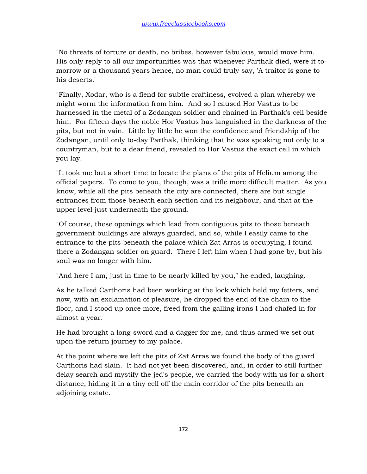"No threats of torture or death, no bribes, however fabulous, would move him. His only reply to all our importunities was that whenever Parthak died, were it tomorrow or a thousand years hence, no man could truly say, 'A traitor is gone to his deserts.'

"Finally, Xodar, who is a fiend for subtle craftiness, evolved a plan whereby we might worm the information from him. And so I caused Hor Vastus to be harnessed in the metal of a Zodangan soldier and chained in Parthak's cell beside him. For fifteen days the noble Hor Vastus has languished in the darkness of the pits, but not in vain. Little by little he won the confidence and friendship of the Zodangan, until only to-day Parthak, thinking that he was speaking not only to a countryman, but to a dear friend, revealed to Hor Vastus the exact cell in which you lay.

"It took me but a short time to locate the plans of the pits of Helium among the official papers. To come to you, though, was a trifle more difficult matter. As you know, while all the pits beneath the city are connected, there are but single entrances from those beneath each section and its neighbour, and that at the upper level just underneath the ground.

"Of course, these openings which lead from contiguous pits to those beneath government buildings are always guarded, and so, while I easily came to the entrance to the pits beneath the palace which Zat Arras is occupying, I found there a Zodangan soldier on guard. There I left him when I had gone by, but his soul was no longer with him.

"And here I am, just in time to be nearly killed by you," he ended, laughing.

As he talked Carthoris had been working at the lock which held my fetters, and now, with an exclamation of pleasure, he dropped the end of the chain to the floor, and I stood up once more, freed from the galling irons I had chafed in for almost a year.

He had brought a long-sword and a dagger for me, and thus armed we set out upon the return journey to my palace.

At the point where we left the pits of Zat Arras we found the body of the guard Carthoris had slain. It had not yet been discovered, and, in order to still further delay search and mystify the jed's people, we carried the body with us for a short distance, hiding it in a tiny cell off the main corridor of the pits beneath an adjoining estate.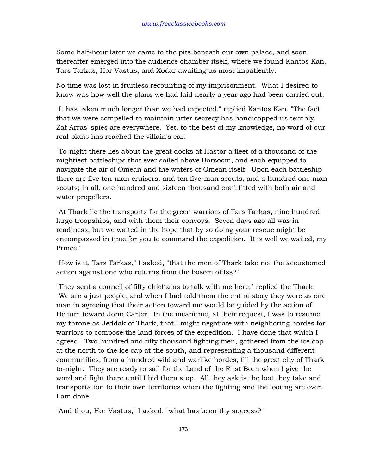Some half-hour later we came to the pits beneath our own palace, and soon thereafter emerged into the audience chamber itself, where we found Kantos Kan, Tars Tarkas, Hor Vastus, and Xodar awaiting us most impatiently.

No time was lost in fruitless recounting of my imprisonment. What I desired to know was how well the plans we had laid nearly a year ago had been carried out.

"It has taken much longer than we had expected," replied Kantos Kan. "The fact that we were compelled to maintain utter secrecy has handicapped us terribly. Zat Arras' spies are everywhere. Yet, to the best of my knowledge, no word of our real plans has reached the villain's ear.

"To-night there lies about the great docks at Hastor a fleet of a thousand of the mightiest battleships that ever sailed above Barsoom, and each equipped to navigate the air of Omean and the waters of Omean itself. Upon each battleship there are five ten-man cruisers, and ten five-man scouts, and a hundred one-man scouts; in all, one hundred and sixteen thousand craft fitted with both air and water propellers.

"At Thark lie the transports for the green warriors of Tars Tarkas, nine hundred large troopships, and with them their convoys. Seven days ago all was in readiness, but we waited in the hope that by so doing your rescue might be encompassed in time for you to command the expedition. It is well we waited, my Prince."

"How is it, Tars Tarkas," I asked, "that the men of Thark take not the accustomed action against one who returns from the bosom of Iss?"

"They sent a council of fifty chieftains to talk with me here," replied the Thark. "We are a just people, and when I had told them the entire story they were as one man in agreeing that their action toward me would be guided by the action of Helium toward John Carter. In the meantime, at their request, I was to resume my throne as Jeddak of Thark, that I might negotiate with neighboring hordes for warriors to compose the land forces of the expedition. I have done that which I agreed. Two hundred and fifty thousand fighting men, gathered from the ice cap at the north to the ice cap at the south, and representing a thousand different communities, from a hundred wild and warlike hordes, fill the great city of Thark to-night. They are ready to sail for the Land of the First Born when I give the word and fight there until I bid them stop. All they ask is the loot they take and transportation to their own territories when the fighting and the looting are over. I am done."

"And thou, Hor Vastus," I asked, "what has been thy success?"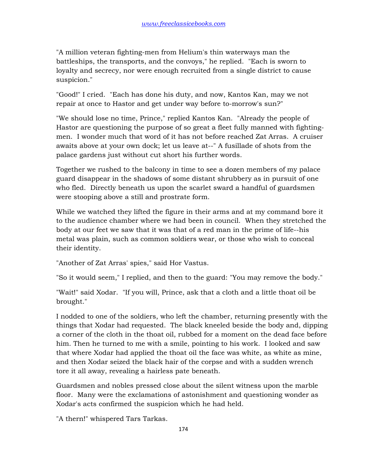"A million veteran fighting-men from Helium's thin waterways man the battleships, the transports, and the convoys," he replied. "Each is sworn to loyalty and secrecy, nor were enough recruited from a single district to cause suspicion."

"Good!" I cried. "Each has done his duty, and now, Kantos Kan, may we not repair at once to Hastor and get under way before to-morrow's sun?"

"We should lose no time, Prince," replied Kantos Kan. "Already the people of Hastor are questioning the purpose of so great a fleet fully manned with fightingmen. I wonder much that word of it has not before reached Zat Arras. A cruiser awaits above at your own dock; let us leave at--" A fusillade of shots from the palace gardens just without cut short his further words.

Together we rushed to the balcony in time to see a dozen members of my palace guard disappear in the shadows of some distant shrubbery as in pursuit of one who fled. Directly beneath us upon the scarlet sward a handful of guardsmen were stooping above a still and prostrate form.

While we watched they lifted the figure in their arms and at my command bore it to the audience chamber where we had been in council. When they stretched the body at our feet we saw that it was that of a red man in the prime of life--his metal was plain, such as common soldiers wear, or those who wish to conceal their identity.

"Another of Zat Arras' spies," said Hor Vastus.

"So it would seem," I replied, and then to the guard: "You may remove the body."

"Wait!" said Xodar. "If you will, Prince, ask that a cloth and a little thoat oil be brought."

I nodded to one of the soldiers, who left the chamber, returning presently with the things that Xodar had requested. The black kneeled beside the body and, dipping a corner of the cloth in the thoat oil, rubbed for a moment on the dead face before him. Then he turned to me with a smile, pointing to his work. I looked and saw that where Xodar had applied the thoat oil the face was white, as white as mine, and then Xodar seized the black hair of the corpse and with a sudden wrench tore it all away, revealing a hairless pate beneath.

Guardsmen and nobles pressed close about the silent witness upon the marble floor. Many were the exclamations of astonishment and questioning wonder as Xodar's acts confirmed the suspicion which he had held.

"A thern!" whispered Tars Tarkas.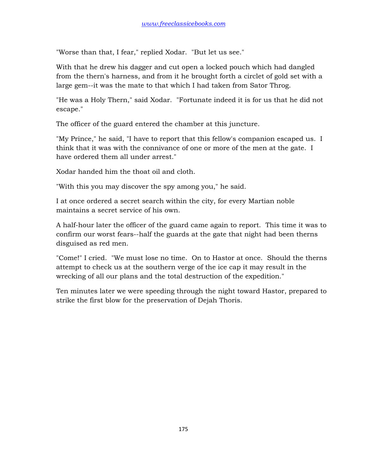"Worse than that, I fear," replied Xodar. "But let us see."

With that he drew his dagger and cut open a locked pouch which had dangled from the thern's harness, and from it he brought forth a circlet of gold set with a large gem--it was the mate to that which I had taken from Sator Throg.

"He was a Holy Thern," said Xodar. "Fortunate indeed it is for us that he did not escape."

The officer of the guard entered the chamber at this juncture.

"My Prince," he said, "I have to report that this fellow's companion escaped us. I think that it was with the connivance of one or more of the men at the gate. I have ordered them all under arrest."

Xodar handed him the thoat oil and cloth.

"With this you may discover the spy among you," he said.

I at once ordered a secret search within the city, for every Martian noble maintains a secret service of his own.

A half-hour later the officer of the guard came again to report. This time it was to confirm our worst fears--half the guards at the gate that night had been therns disguised as red men.

"Come!" I cried. "We must lose no time. On to Hastor at once. Should the therns attempt to check us at the southern verge of the ice cap it may result in the wrecking of all our plans and the total destruction of the expedition."

Ten minutes later we were speeding through the night toward Hastor, prepared to strike the first blow for the preservation of Dejah Thoris.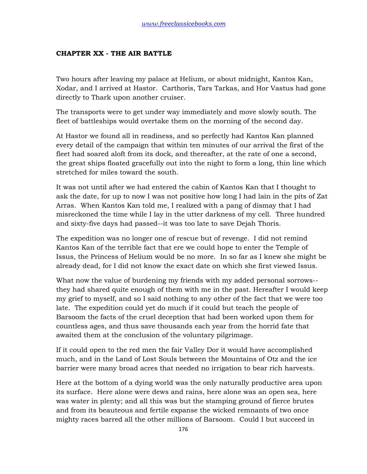#### **CHAPTER XX - THE AIR BATTLE**

Two hours after leaving my palace at Helium, or about midnight, Kantos Kan, Xodar, and I arrived at Hastor. Carthoris, Tars Tarkas, and Hor Vastus had gone directly to Thark upon another cruiser.

The transports were to get under way immediately and move slowly south. The fleet of battleships would overtake them on the morning of the second day.

At Hastor we found all in readiness, and so perfectly had Kantos Kan planned every detail of the campaign that within ten minutes of our arrival the first of the fleet had soared aloft from its dock, and thereafter, at the rate of one a second, the great ships floated gracefully out into the night to form a long, thin line which stretched for miles toward the south.

It was not until after we had entered the cabin of Kantos Kan that I thought to ask the date, for up to now I was not positive how long I had lain in the pits of Zat Arras. When Kantos Kan told me, I realized with a pang of dismay that I had misreckoned the time while I lay in the utter darkness of my cell. Three hundred and sixty-five days had passed--it was too late to save Dejah Thoris.

The expedition was no longer one of rescue but of revenge. I did not remind Kantos Kan of the terrible fact that ere we could hope to enter the Temple of Issus, the Princess of Helium would be no more. In so far as I knew she might be already dead, for I did not know the exact date on which she first viewed Issus.

What now the value of burdening my friends with my added personal sorrows- they had shared quite enough of them with me in the past. Hereafter I would keep my grief to myself, and so I said nothing to any other of the fact that we were too late. The expedition could yet do much if it could but teach the people of Barsoom the facts of the cruel deception that had been worked upon them for countless ages, and thus save thousands each year from the horrid fate that awaited them at the conclusion of the voluntary pilgrimage.

If it could open to the red men the fair Valley Dor it would have accomplished much, and in the Land of Lost Souls between the Mountains of Otz and the ice barrier were many broad acres that needed no irrigation to bear rich harvests.

Here at the bottom of a dying world was the only naturally productive area upon its surface. Here alone were dews and rains, here alone was an open sea, here was water in plenty; and all this was but the stamping ground of fierce brutes and from its beauteous and fertile expanse the wicked remnants of two once mighty races barred all the other millions of Barsoom. Could I but succeed in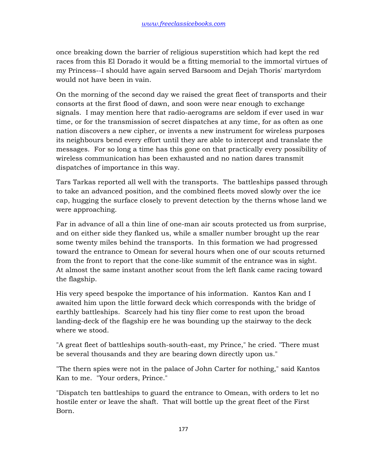once breaking down the barrier of religious superstition which had kept the red races from this El Dorado it would be a fitting memorial to the immortal virtues of my Princess--I should have again served Barsoom and Dejah Thoris' martyrdom would not have been in vain.

On the morning of the second day we raised the great fleet of transports and their consorts at the first flood of dawn, and soon were near enough to exchange signals. I may mention here that radio-aerograms are seldom if ever used in war time, or for the transmission of secret dispatches at any time, for as often as one nation discovers a new cipher, or invents a new instrument for wireless purposes its neighbours bend every effort until they are able to intercept and translate the messages. For so long a time has this gone on that practically every possibility of wireless communication has been exhausted and no nation dares transmit dispatches of importance in this way.

Tars Tarkas reported all well with the transports. The battleships passed through to take an advanced position, and the combined fleets moved slowly over the ice cap, hugging the surface closely to prevent detection by the therns whose land we were approaching.

Far in advance of all a thin line of one-man air scouts protected us from surprise, and on either side they flanked us, while a smaller number brought up the rear some twenty miles behind the transports. In this formation we had progressed toward the entrance to Omean for several hours when one of our scouts returned from the front to report that the cone-like summit of the entrance was in sight. At almost the same instant another scout from the left flank came racing toward the flagship.

His very speed bespoke the importance of his information. Kantos Kan and I awaited him upon the little forward deck which corresponds with the bridge of earthly battleships. Scarcely had his tiny flier come to rest upon the broad landing-deck of the flagship ere he was bounding up the stairway to the deck where we stood.

"A great fleet of battleships south-south-east, my Prince," he cried. "There must be several thousands and they are bearing down directly upon us."

"The thern spies were not in the palace of John Carter for nothing," said Kantos Kan to me. "Your orders, Prince."

"Dispatch ten battleships to guard the entrance to Omean, with orders to let no hostile enter or leave the shaft. That will bottle up the great fleet of the First Born.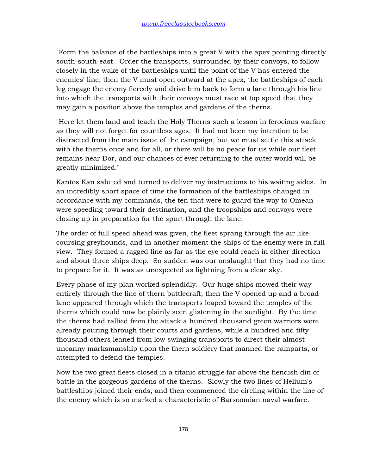"Form the balance of the battleships into a great V with the apex pointing directly south-south-east. Order the transports, surrounded by their convoys, to follow closely in the wake of the battleships until the point of the V has entered the enemies' line, then the V must open outward at the apex, the battleships of each leg engage the enemy fiercely and drive him back to form a lane through his line into which the transports with their convoys must race at top speed that they may gain a position above the temples and gardens of the therns.

"Here let them land and teach the Holy Therns such a lesson in ferocious warfare as they will not forget for countless ages. It had not been my intention to be distracted from the main issue of the campaign, but we must settle this attack with the therns once and for all, or there will be no peace for us while our fleet remains near Dor, and our chances of ever returning to the outer world will be greatly minimized."

Kantos Kan saluted and turned to deliver my instructions to his waiting aides. In an incredibly short space of time the formation of the battleships changed in accordance with my commands, the ten that were to guard the way to Omean were speeding toward their destination, and the troopships and convoys were closing up in preparation for the spurt through the lane.

The order of full speed ahead was given, the fleet sprang through the air like coursing greyhounds, and in another moment the ships of the enemy were in full view. They formed a ragged line as far as the eye could reach in either direction and about three ships deep. So sudden was our onslaught that they had no time to prepare for it. It was as unexpected as lightning from a clear sky.

Every phase of my plan worked splendidly. Our huge ships mowed their way entirely through the line of thern battlecraft; then the V opened up and a broad lane appeared through which the transports leaped toward the temples of the therns which could now be plainly seen glistening in the sunlight. By the time the therns had rallied from the attack a hundred thousand green warriors were already pouring through their courts and gardens, while a hundred and fifty thousand others leaned from low swinging transports to direct their almost uncanny marksmanship upon the thern soldiery that manned the ramparts, or attempted to defend the temples.

Now the two great fleets closed in a titanic struggle far above the fiendish din of battle in the gorgeous gardens of the therns. Slowly the two lines of Helium's battleships joined their ends, and then commenced the circling within the line of the enemy which is so marked a characteristic of Barsoomian naval warfare.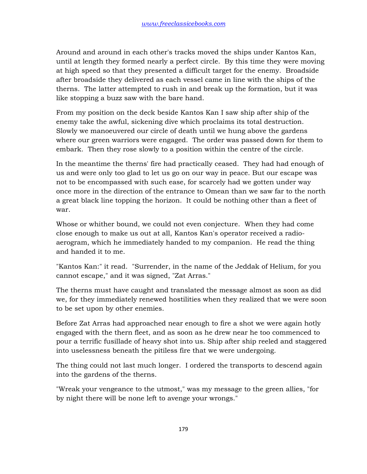Around and around in each other's tracks moved the ships under Kantos Kan, until at length they formed nearly a perfect circle. By this time they were moving at high speed so that they presented a difficult target for the enemy. Broadside after broadside they delivered as each vessel came in line with the ships of the therns. The latter attempted to rush in and break up the formation, but it was like stopping a buzz saw with the bare hand.

From my position on the deck beside Kantos Kan I saw ship after ship of the enemy take the awful, sickening dive which proclaims its total destruction. Slowly we manoeuvered our circle of death until we hung above the gardens where our green warriors were engaged. The order was passed down for them to embark. Then they rose slowly to a position within the centre of the circle.

In the meantime the therns' fire had practically ceased. They had had enough of us and were only too glad to let us go on our way in peace. But our escape was not to be encompassed with such ease, for scarcely had we gotten under way once more in the direction of the entrance to Omean than we saw far to the north a great black line topping the horizon. It could be nothing other than a fleet of war.

Whose or whither bound, we could not even conjecture. When they had come close enough to make us out at all, Kantos Kan's operator received a radioaerogram, which he immediately handed to my companion. He read the thing and handed it to me.

"Kantos Kan:" it read. "Surrender, in the name of the Jeddak of Helium, for you cannot escape," and it was signed, "Zat Arras."

The therns must have caught and translated the message almost as soon as did we, for they immediately renewed hostilities when they realized that we were soon to be set upon by other enemies.

Before Zat Arras had approached near enough to fire a shot we were again hotly engaged with the thern fleet, and as soon as he drew near he too commenced to pour a terrific fusillade of heavy shot into us. Ship after ship reeled and staggered into uselessness beneath the pitiless fire that we were undergoing.

The thing could not last much longer. I ordered the transports to descend again into the gardens of the therns.

"Wreak your vengeance to the utmost," was my message to the green allies, "for by night there will be none left to avenge your wrongs."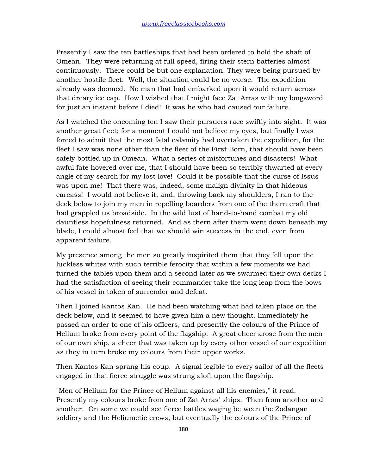Presently I saw the ten battleships that had been ordered to hold the shaft of Omean. They were returning at full speed, firing their stern batteries almost continuously. There could be but one explanation. They were being pursued by another hostile fleet. Well, the situation could be no worse. The expedition already was doomed. No man that had embarked upon it would return across that dreary ice cap. How I wished that I might face Zat Arras with my longsword for just an instant before I died! It was he who had caused our failure.

As I watched the oncoming ten I saw their pursuers race swiftly into sight. It was another great fleet; for a moment I could not believe my eyes, but finally I was forced to admit that the most fatal calamity had overtaken the expedition, for the fleet I saw was none other than the fleet of the First Born, that should have been safely bottled up in Omean. What a series of misfortunes and disasters! What awful fate hovered over me, that I should have been so terribly thwarted at every angle of my search for my lost love! Could it be possible that the curse of Issus was upon me! That there was, indeed, some malign divinity in that hideous carcass! I would not believe it, and, throwing back my shoulders, I ran to the deck below to join my men in repelling boarders from one of the thern craft that had grappled us broadside. In the wild lust of hand-to-hand combat my old dauntless hopefulness returned. And as thern after thern went down beneath my blade, I could almost feel that we should win success in the end, even from apparent failure.

My presence among the men so greatly inspirited them that they fell upon the luckless whites with such terrible ferocity that within a few moments we had turned the tables upon them and a second later as we swarmed their own decks I had the satisfaction of seeing their commander take the long leap from the bows of his vessel in token of surrender and defeat.

Then I joined Kantos Kan. He had been watching what had taken place on the deck below, and it seemed to have given him a new thought. Immediately he passed an order to one of his officers, and presently the colours of the Prince of Helium broke from every point of the flagship. A great cheer arose from the men of our own ship, a cheer that was taken up by every other vessel of our expedition as they in turn broke my colours from their upper works.

Then Kantos Kan sprang his coup. A signal legible to every sailor of all the fleets engaged in that fierce struggle was strung aloft upon the flagship.

"Men of Helium for the Prince of Helium against all his enemies," it read. Presently my colours broke from one of Zat Arras' ships. Then from another and another. On some we could see fierce battles waging between the Zodangan soldiery and the Heliumetic crews, but eventually the colours of the Prince of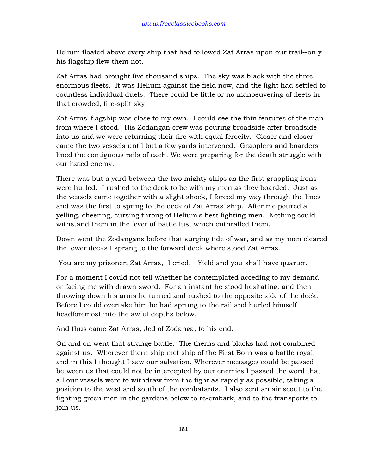Helium floated above every ship that had followed Zat Arras upon our trail--only his flagship flew them not.

Zat Arras had brought five thousand ships. The sky was black with the three enormous fleets. It was Helium against the field now, and the fight had settled to countless individual duels. There could be little or no manoeuvering of fleets in that crowded, fire-split sky.

Zat Arras' flagship was close to my own. I could see the thin features of the man from where I stood. His Zodangan crew was pouring broadside after broadside into us and we were returning their fire with equal ferocity. Closer and closer came the two vessels until but a few yards intervened. Grapplers and boarders lined the contiguous rails of each. We were preparing for the death struggle with our hated enemy.

There was but a yard between the two mighty ships as the first grappling irons were hurled. I rushed to the deck to be with my men as they boarded. Just as the vessels came together with a slight shock, I forced my way through the lines and was the first to spring to the deck of Zat Arras' ship. After me poured a yelling, cheering, cursing throng of Helium's best fighting-men. Nothing could withstand them in the fever of battle lust which enthralled them.

Down went the Zodangans before that surging tide of war, and as my men cleared the lower decks I sprang to the forward deck where stood Zat Arras.

"You are my prisoner, Zat Arras," I cried. "Yield and you shall have quarter."

For a moment I could not tell whether he contemplated acceding to my demand or facing me with drawn sword. For an instant he stood hesitating, and then throwing down his arms he turned and rushed to the opposite side of the deck. Before I could overtake him he had sprung to the rail and hurled himself headforemost into the awful depths below.

And thus came Zat Arras, Jed of Zodanga, to his end.

On and on went that strange battle. The therns and blacks had not combined against us. Wherever thern ship met ship of the First Born was a battle royal, and in this I thought I saw our salvation. Wherever messages could be passed between us that could not be intercepted by our enemies I passed the word that all our vessels were to withdraw from the fight as rapidly as possible, taking a position to the west and south of the combatants. I also sent an air scout to the fighting green men in the gardens below to re-embark, and to the transports to join us.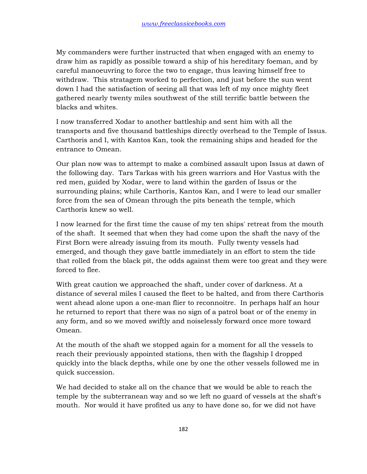My commanders were further instructed that when engaged with an enemy to draw him as rapidly as possible toward a ship of his hereditary foeman, and by careful manoeuvring to force the two to engage, thus leaving himself free to withdraw. This stratagem worked to perfection, and just before the sun went down I had the satisfaction of seeing all that was left of my once mighty fleet gathered nearly twenty miles southwest of the still terrific battle between the blacks and whites.

I now transferred Xodar to another battleship and sent him with all the transports and five thousand battleships directly overhead to the Temple of Issus. Carthoris and I, with Kantos Kan, took the remaining ships and headed for the entrance to Omean.

Our plan now was to attempt to make a combined assault upon Issus at dawn of the following day. Tars Tarkas with his green warriors and Hor Vastus with the red men, guided by Xodar, were to land within the garden of Issus or the surrounding plains; while Carthoris, Kantos Kan, and I were to lead our smaller force from the sea of Omean through the pits beneath the temple, which Carthoris knew so well.

I now learned for the first time the cause of my ten ships' retreat from the mouth of the shaft. It seemed that when they had come upon the shaft the navy of the First Born were already issuing from its mouth. Fully twenty vessels had emerged, and though they gave battle immediately in an effort to stem the tide that rolled from the black pit, the odds against them were too great and they were forced to flee.

With great caution we approached the shaft, under cover of darkness. At a distance of several miles I caused the fleet to be halted, and from there Carthoris went ahead alone upon a one-man flier to reconnoitre. In perhaps half an hour he returned to report that there was no sign of a patrol boat or of the enemy in any form, and so we moved swiftly and noiselessly forward once more toward Omean.

At the mouth of the shaft we stopped again for a moment for all the vessels to reach their previously appointed stations, then with the flagship I dropped quickly into the black depths, while one by one the other vessels followed me in quick succession.

We had decided to stake all on the chance that we would be able to reach the temple by the subterranean way and so we left no guard of vessels at the shaft's mouth. Nor would it have profited us any to have done so, for we did not have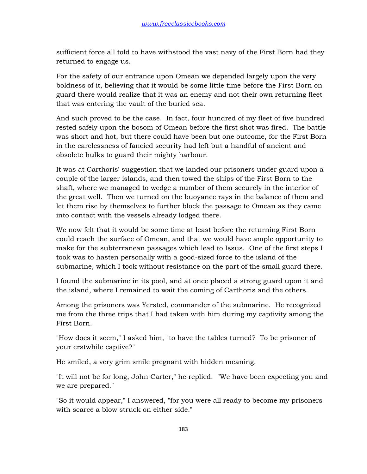sufficient force all told to have withstood the vast navy of the First Born had they returned to engage us.

For the safety of our entrance upon Omean we depended largely upon the very boldness of it, believing that it would be some little time before the First Born on guard there would realize that it was an enemy and not their own returning fleet that was entering the vault of the buried sea.

And such proved to be the case. In fact, four hundred of my fleet of five hundred rested safely upon the bosom of Omean before the first shot was fired. The battle was short and hot, but there could have been but one outcome, for the First Born in the carelessness of fancied security had left but a handful of ancient and obsolete hulks to guard their mighty harbour.

It was at Carthoris' suggestion that we landed our prisoners under guard upon a couple of the larger islands, and then towed the ships of the First Born to the shaft, where we managed to wedge a number of them securely in the interior of the great well. Then we turned on the buoyance rays in the balance of them and let them rise by themselves to further block the passage to Omean as they came into contact with the vessels already lodged there.

We now felt that it would be some time at least before the returning First Born could reach the surface of Omean, and that we would have ample opportunity to make for the subterranean passages which lead to Issus. One of the first steps I took was to hasten personally with a good-sized force to the island of the submarine, which I took without resistance on the part of the small guard there.

I found the submarine in its pool, and at once placed a strong guard upon it and the island, where I remained to wait the coming of Carthoris and the others.

Among the prisoners was Yersted, commander of the submarine. He recognized me from the three trips that I had taken with him during my captivity among the First Born.

"How does it seem," I asked him, "to have the tables turned? To be prisoner of your erstwhile captive?"

He smiled, a very grim smile pregnant with hidden meaning.

"It will not be for long, John Carter," he replied. "We have been expecting you and we are prepared."

"So it would appear," I answered, "for you were all ready to become my prisoners with scarce a blow struck on either side."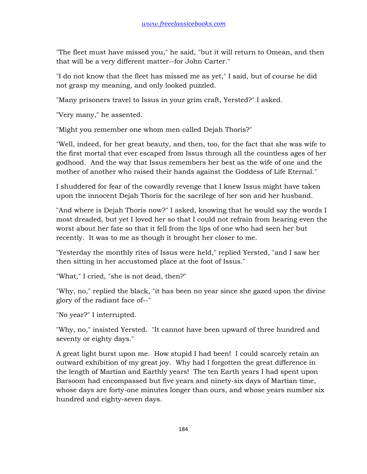"The fleet must have missed you," he said, "but it will return to Omean, and then that will be a very different matter--for John Carter."

"I do not know that the fleet has missed me as yet," I said, but of course he did not grasp my meaning, and only looked puzzled.

"Many prisoners travel to Issus in your grim craft, Yersted?" I asked.

"Very many," he assented.

"Might you remember one whom men called Dejah Thoris?"

"Well, indeed, for her great beauty, and then, too, for the fact that she was wife to the first mortal that ever escaped from Issus through all the countless ages of her godhood. And the way that Issus remembers her best as the wife of one and the mother of another who raised their hands against the Goddess of Life Eternal."

I shuddered for fear of the cowardly revenge that I knew Issus might have taken upon the innocent Dejah Thoris for the sacrilege of her son and her husband.

"And where is Dejah Thoris now?" I asked, knowing that he would say the words I most dreaded, but yet I loved her so that I could not refrain from hearing even the worst about her fate so that it fell from the lips of one who had seen her but recently. It was to me as though it brought her closer to me.

"Yesterday the monthly rites of Issus were held," replied Yersted, "and I saw her then sitting in her accustomed place at the foot of Issus."

"What," I cried, "she is not dead, then?"

"Why, no," replied the black, "it has been no year since she gazed upon the divine glory of the radiant face of--"

"No year?" I interrupted.

"Why, no," insisted Yersted. "It cannot have been upward of three hundred and seventy or eighty days."

A great light burst upon me. How stupid I had been! I could scarcely retain an outward exhibition of my great joy. Why had I forgotten the great difference in the length of Martian and Earthly years! The ten Earth years I had spent upon Barsoom had encompassed but five years and ninety-six days of Martian time, whose days are forty-one minutes longer than ours, and whose years number six hundred and eighty-seven days.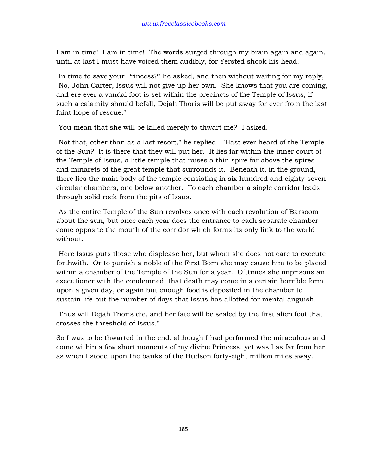I am in time! I am in time! The words surged through my brain again and again, until at last I must have voiced them audibly, for Yersted shook his head.

"In time to save your Princess?" he asked, and then without waiting for my reply, "No, John Carter, Issus will not give up her own. She knows that you are coming, and ere ever a vandal foot is set within the precincts of the Temple of Issus, if such a calamity should befall, Dejah Thoris will be put away for ever from the last faint hope of rescue."

"You mean that she will be killed merely to thwart me?" I asked.

"Not that, other than as a last resort," he replied. "Hast ever heard of the Temple of the Sun? It is there that they will put her. It lies far within the inner court of the Temple of Issus, a little temple that raises a thin spire far above the spires and minarets of the great temple that surrounds it. Beneath it, in the ground, there lies the main body of the temple consisting in six hundred and eighty-seven circular chambers, one below another. To each chamber a single corridor leads through solid rock from the pits of Issus.

"As the entire Temple of the Sun revolves once with each revolution of Barsoom about the sun, but once each year does the entrance to each separate chamber come opposite the mouth of the corridor which forms its only link to the world without.

"Here Issus puts those who displease her, but whom she does not care to execute forthwith. Or to punish a noble of the First Born she may cause him to be placed within a chamber of the Temple of the Sun for a year. Ofttimes she imprisons an executioner with the condemned, that death may come in a certain horrible form upon a given day, or again but enough food is deposited in the chamber to sustain life but the number of days that Issus has allotted for mental anguish.

"Thus will Dejah Thoris die, and her fate will be sealed by the first alien foot that crosses the threshold of Issus."

So I was to be thwarted in the end, although I had performed the miraculous and come within a few short moments of my divine Princess, yet was I as far from her as when I stood upon the banks of the Hudson forty-eight million miles away.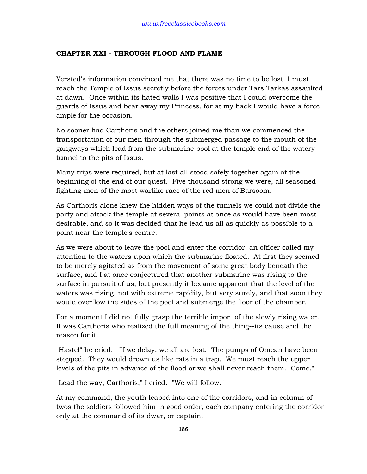## **CHAPTER XXI - THROUGH FLOOD AND FLAME**

Yersted's information convinced me that there was no time to be lost. I must reach the Temple of Issus secretly before the forces under Tars Tarkas assaulted at dawn. Once within its hated walls I was positive that I could overcome the guards of Issus and bear away my Princess, for at my back I would have a force ample for the occasion.

No sooner had Carthoris and the others joined me than we commenced the transportation of our men through the submerged passage to the mouth of the gangways which lead from the submarine pool at the temple end of the watery tunnel to the pits of Issus.

Many trips were required, but at last all stood safely together again at the beginning of the end of our quest. Five thousand strong we were, all seasoned fighting-men of the most warlike race of the red men of Barsoom.

As Carthoris alone knew the hidden ways of the tunnels we could not divide the party and attack the temple at several points at once as would have been most desirable, and so it was decided that he lead us all as quickly as possible to a point near the temple's centre.

As we were about to leave the pool and enter the corridor, an officer called my attention to the waters upon which the submarine floated. At first they seemed to be merely agitated as from the movement of some great body beneath the surface, and I at once conjectured that another submarine was rising to the surface in pursuit of us; but presently it became apparent that the level of the waters was rising, not with extreme rapidity, but very surely, and that soon they would overflow the sides of the pool and submerge the floor of the chamber.

For a moment I did not fully grasp the terrible import of the slowly rising water. It was Carthoris who realized the full meaning of the thing--its cause and the reason for it.

"Haste!" he cried. "If we delay, we all are lost. The pumps of Omean have been stopped. They would drown us like rats in a trap. We must reach the upper levels of the pits in advance of the flood or we shall never reach them. Come."

"Lead the way, Carthoris," I cried. "We will follow."

At my command, the youth leaped into one of the corridors, and in column of twos the soldiers followed him in good order, each company entering the corridor only at the command of its dwar, or captain.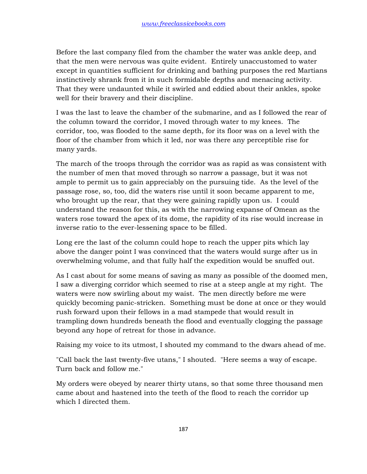Before the last company filed from the chamber the water was ankle deep, and that the men were nervous was quite evident. Entirely unaccustomed to water except in quantities sufficient for drinking and bathing purposes the red Martians instinctively shrank from it in such formidable depths and menacing activity. That they were undaunted while it swirled and eddied about their ankles, spoke well for their bravery and their discipline.

I was the last to leave the chamber of the submarine, and as I followed the rear of the column toward the corridor, I moved through water to my knees. The corridor, too, was flooded to the same depth, for its floor was on a level with the floor of the chamber from which it led, nor was there any perceptible rise for many yards.

The march of the troops through the corridor was as rapid as was consistent with the number of men that moved through so narrow a passage, but it was not ample to permit us to gain appreciably on the pursuing tide. As the level of the passage rose, so, too, did the waters rise until it soon became apparent to me, who brought up the rear, that they were gaining rapidly upon us. I could understand the reason for this, as with the narrowing expanse of Omean as the waters rose toward the apex of its dome, the rapidity of its rise would increase in inverse ratio to the ever-lessening space to be filled.

Long ere the last of the column could hope to reach the upper pits which lay above the danger point I was convinced that the waters would surge after us in overwhelming volume, and that fully half the expedition would be snuffed out.

As I cast about for some means of saving as many as possible of the doomed men, I saw a diverging corridor which seemed to rise at a steep angle at my right. The waters were now swirling about my waist. The men directly before me were quickly becoming panic-stricken. Something must be done at once or they would rush forward upon their fellows in a mad stampede that would result in trampling down hundreds beneath the flood and eventually clogging the passage beyond any hope of retreat for those in advance.

Raising my voice to its utmost, I shouted my command to the dwars ahead of me.

"Call back the last twenty-five utans," I shouted. "Here seems a way of escape. Turn back and follow me."

My orders were obeyed by nearer thirty utans, so that some three thousand men came about and hastened into the teeth of the flood to reach the corridor up which I directed them.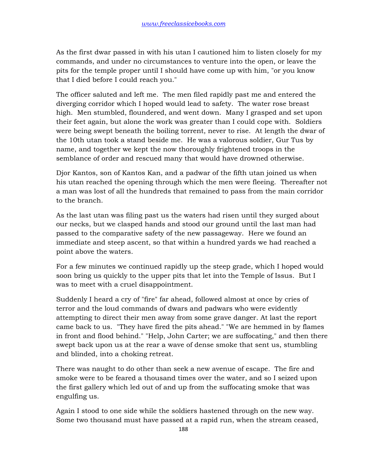As the first dwar passed in with his utan I cautioned him to listen closely for my commands, and under no circumstances to venture into the open, or leave the pits for the temple proper until I should have come up with him, "or you know that I died before I could reach you."

The officer saluted and left me. The men filed rapidly past me and entered the diverging corridor which I hoped would lead to safety. The water rose breast high. Men stumbled, floundered, and went down. Many I grasped and set upon their feet again, but alone the work was greater than I could cope with. Soldiers were being swept beneath the boiling torrent, never to rise. At length the dwar of the 10th utan took a stand beside me. He was a valorous soldier, Gur Tus by name, and together we kept the now thoroughly frightened troops in the semblance of order and rescued many that would have drowned otherwise.

Djor Kantos, son of Kantos Kan, and a padwar of the fifth utan joined us when his utan reached the opening through which the men were fleeing. Thereafter not a man was lost of all the hundreds that remained to pass from the main corridor to the branch.

As the last utan was filing past us the waters had risen until they surged about our necks, but we clasped hands and stood our ground until the last man had passed to the comparative safety of the new passageway. Here we found an immediate and steep ascent, so that within a hundred yards we had reached a point above the waters.

For a few minutes we continued rapidly up the steep grade, which I hoped would soon bring us quickly to the upper pits that let into the Temple of Issus. But I was to meet with a cruel disappointment.

Suddenly I heard a cry of "fire" far ahead, followed almost at once by cries of terror and the loud commands of dwars and padwars who were evidently attempting to direct their men away from some grave danger. At last the report came back to us. "They have fired the pits ahead." "We are hemmed in by flames in front and flood behind." "Help, John Carter; we are suffocating," and then there swept back upon us at the rear a wave of dense smoke that sent us, stumbling and blinded, into a choking retreat.

There was naught to do other than seek a new avenue of escape. The fire and smoke were to be feared a thousand times over the water, and so I seized upon the first gallery which led out of and up from the suffocating smoke that was engulfing us.

Again I stood to one side while the soldiers hastened through on the new way. Some two thousand must have passed at a rapid run, when the stream ceased,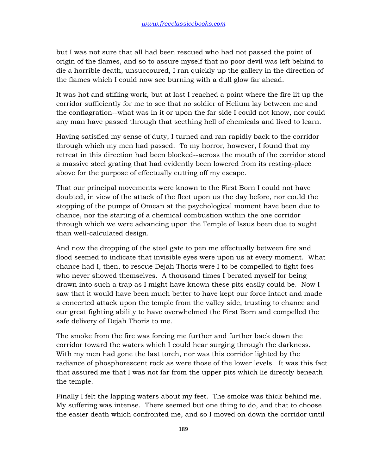but I was not sure that all had been rescued who had not passed the point of origin of the flames, and so to assure myself that no poor devil was left behind to die a horrible death, unsuccoured, I ran quickly up the gallery in the direction of the flames which I could now see burning with a dull glow far ahead.

It was hot and stifling work, but at last I reached a point where the fire lit up the corridor sufficiently for me to see that no soldier of Helium lay between me and the conflagration--what was in it or upon the far side I could not know, nor could any man have passed through that seething hell of chemicals and lived to learn.

Having satisfied my sense of duty, I turned and ran rapidly back to the corridor through which my men had passed. To my horror, however, I found that my retreat in this direction had been blocked--across the mouth of the corridor stood a massive steel grating that had evidently been lowered from its resting-place above for the purpose of effectually cutting off my escape.

That our principal movements were known to the First Born I could not have doubted, in view of the attack of the fleet upon us the day before, nor could the stopping of the pumps of Omean at the psychological moment have been due to chance, nor the starting of a chemical combustion within the one corridor through which we were advancing upon the Temple of Issus been due to aught than well-calculated design.

And now the dropping of the steel gate to pen me effectually between fire and flood seemed to indicate that invisible eyes were upon us at every moment. What chance had I, then, to rescue Dejah Thoris were I to be compelled to fight foes who never showed themselves. A thousand times I berated myself for being drawn into such a trap as I might have known these pits easily could be. Now I saw that it would have been much better to have kept our force intact and made a concerted attack upon the temple from the valley side, trusting to chance and our great fighting ability to have overwhelmed the First Born and compelled the safe delivery of Dejah Thoris to me.

The smoke from the fire was forcing me further and further back down the corridor toward the waters which I could hear surging through the darkness. With my men had gone the last torch, nor was this corridor lighted by the radiance of phosphorescent rock as were those of the lower levels. It was this fact that assured me that I was not far from the upper pits which lie directly beneath the temple.

Finally I felt the lapping waters about my feet. The smoke was thick behind me. My suffering was intense. There seemed but one thing to do, and that to choose the easier death which confronted me, and so I moved on down the corridor until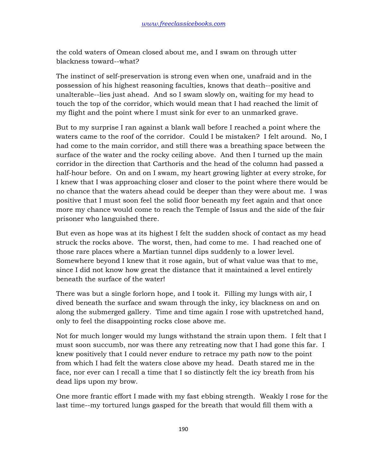the cold waters of Omean closed about me, and I swam on through utter blackness toward--what?

The instinct of self-preservation is strong even when one, unafraid and in the possession of his highest reasoning faculties, knows that death--positive and unalterable--lies just ahead. And so I swam slowly on, waiting for my head to touch the top of the corridor, which would mean that I had reached the limit of my flight and the point where I must sink for ever to an unmarked grave.

But to my surprise I ran against a blank wall before I reached a point where the waters came to the roof of the corridor. Could I be mistaken? I felt around. No, I had come to the main corridor, and still there was a breathing space between the surface of the water and the rocky ceiling above. And then I turned up the main corridor in the direction that Carthoris and the head of the column had passed a half-hour before. On and on I swam, my heart growing lighter at every stroke, for I knew that I was approaching closer and closer to the point where there would be no chance that the waters ahead could be deeper than they were about me. I was positive that I must soon feel the solid floor beneath my feet again and that once more my chance would come to reach the Temple of Issus and the side of the fair prisoner who languished there.

But even as hope was at its highest I felt the sudden shock of contact as my head struck the rocks above. The worst, then, had come to me. I had reached one of those rare places where a Martian tunnel dips suddenly to a lower level. Somewhere beyond I knew that it rose again, but of what value was that to me, since I did not know how great the distance that it maintained a level entirely beneath the surface of the water!

There was but a single forlorn hope, and I took it. Filling my lungs with air, I dived beneath the surface and swam through the inky, icy blackness on and on along the submerged gallery. Time and time again I rose with upstretched hand, only to feel the disappointing rocks close above me.

Not for much longer would my lungs withstand the strain upon them. I felt that I must soon succumb, nor was there any retreating now that I had gone this far. I knew positively that I could never endure to retrace my path now to the point from which I had felt the waters close above my head. Death stared me in the face, nor ever can I recall a time that I so distinctly felt the icy breath from his dead lips upon my brow.

One more frantic effort I made with my fast ebbing strength. Weakly I rose for the last time--my tortured lungs gasped for the breath that would fill them with a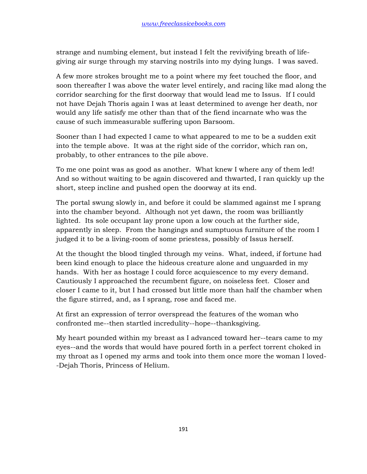strange and numbing element, but instead I felt the revivifying breath of lifegiving air surge through my starving nostrils into my dying lungs. I was saved.

A few more strokes brought me to a point where my feet touched the floor, and soon thereafter I was above the water level entirely, and racing like mad along the corridor searching for the first doorway that would lead me to Issus. If I could not have Dejah Thoris again I was at least determined to avenge her death, nor would any life satisfy me other than that of the fiend incarnate who was the cause of such immeasurable suffering upon Barsoom.

Sooner than I had expected I came to what appeared to me to be a sudden exit into the temple above. It was at the right side of the corridor, which ran on, probably, to other entrances to the pile above.

To me one point was as good as another. What knew I where any of them led! And so without waiting to be again discovered and thwarted, I ran quickly up the short, steep incline and pushed open the doorway at its end.

The portal swung slowly in, and before it could be slammed against me I sprang into the chamber beyond. Although not yet dawn, the room was brilliantly lighted. Its sole occupant lay prone upon a low couch at the further side, apparently in sleep. From the hangings and sumptuous furniture of the room I judged it to be a living-room of some priestess, possibly of Issus herself.

At the thought the blood tingled through my veins. What, indeed, if fortune had been kind enough to place the hideous creature alone and unguarded in my hands. With her as hostage I could force acquiescence to my every demand. Cautiously I approached the recumbent figure, on noiseless feet. Closer and closer I came to it, but I had crossed but little more than half the chamber when the figure stirred, and, as I sprang, rose and faced me.

At first an expression of terror overspread the features of the woman who confronted me--then startled incredulity--hope--thanksgiving.

My heart pounded within my breast as I advanced toward her--tears came to my eyes--and the words that would have poured forth in a perfect torrent choked in my throat as I opened my arms and took into them once more the woman I loved- -Dejah Thoris, Princess of Helium.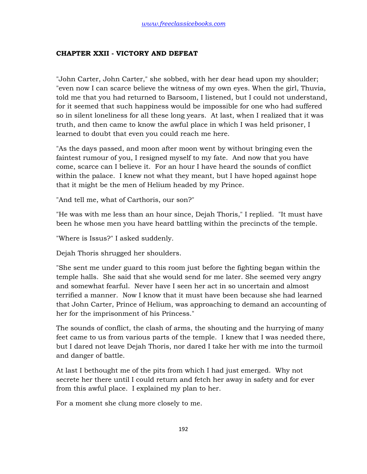## **CHAPTER XXII - VICTORY AND DEFEAT**

"John Carter, John Carter," she sobbed, with her dear head upon my shoulder; "even now I can scarce believe the witness of my own eyes. When the girl, Thuvia, told me that you had returned to Barsoom, I listened, but I could not understand, for it seemed that such happiness would be impossible for one who had suffered so in silent loneliness for all these long years. At last, when I realized that it was truth, and then came to know the awful place in which I was held prisoner, I learned to doubt that even you could reach me here.

"As the days passed, and moon after moon went by without bringing even the faintest rumour of you, I resigned myself to my fate. And now that you have come, scarce can I believe it. For an hour I have heard the sounds of conflict within the palace. I knew not what they meant, but I have hoped against hope that it might be the men of Helium headed by my Prince.

"And tell me, what of Carthoris, our son?"

"He was with me less than an hour since, Dejah Thoris," I replied. "It must have been he whose men you have heard battling within the precincts of the temple.

"Where is Issus?" I asked suddenly.

Dejah Thoris shrugged her shoulders.

"She sent me under guard to this room just before the fighting began within the temple halls. She said that she would send for me later. She seemed very angry and somewhat fearful. Never have I seen her act in so uncertain and almost terrified a manner. Now I know that it must have been because she had learned that John Carter, Prince of Helium, was approaching to demand an accounting of her for the imprisonment of his Princess."

The sounds of conflict, the clash of arms, the shouting and the hurrying of many feet came to us from various parts of the temple. I knew that I was needed there, but I dared not leave Dejah Thoris, nor dared I take her with me into the turmoil and danger of battle.

At last I bethought me of the pits from which I had just emerged. Why not secrete her there until I could return and fetch her away in safety and for ever from this awful place. I explained my plan to her.

For a moment she clung more closely to me.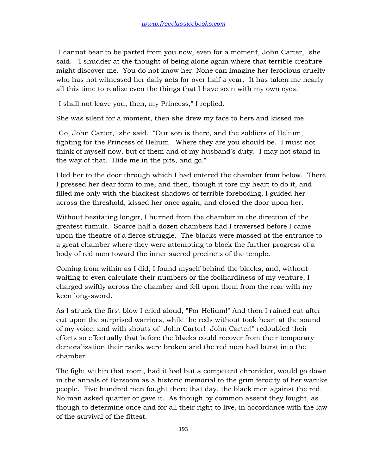"I cannot bear to be parted from you now, even for a moment, John Carter," she said. "I shudder at the thought of being alone again where that terrible creature might discover me. You do not know her. None can imagine her ferocious cruelty who has not witnessed her daily acts for over half a year. It has taken me nearly all this time to realize even the things that I have seen with my own eyes."

"I shall not leave you, then, my Princess," I replied.

She was silent for a moment, then she drew my face to hers and kissed me.

"Go, John Carter," she said. "Our son is there, and the soldiers of Helium, fighting for the Princess of Helium. Where they are you should be. I must not think of myself now, but of them and of my husband's duty. I may not stand in the way of that. Hide me in the pits, and go."

I led her to the door through which I had entered the chamber from below. There I pressed her dear form to me, and then, though it tore my heart to do it, and filled me only with the blackest shadows of terrible foreboding, I guided her across the threshold, kissed her once again, and closed the door upon her.

Without hesitating longer, I hurried from the chamber in the direction of the greatest tumult. Scarce half a dozen chambers had I traversed before I came upon the theatre of a fierce struggle. The blacks were massed at the entrance to a great chamber where they were attempting to block the further progress of a body of red men toward the inner sacred precincts of the temple.

Coming from within as I did, I found myself behind the blacks, and, without waiting to even calculate their numbers or the foolhardiness of my venture, I charged swiftly across the chamber and fell upon them from the rear with my keen long-sword.

As I struck the first blow I cried aloud, "For Helium!" And then I rained cut after cut upon the surprised warriors, while the reds without took heart at the sound of my voice, and with shouts of "John Carter! John Carter!" redoubled their efforts so effectually that before the blacks could recover from their temporary demoralization their ranks were broken and the red men had burst into the chamber.

The fight within that room, had it had but a competent chronicler, would go down in the annals of Barsoom as a historic memorial to the grim ferocity of her warlike people. Five hundred men fought there that day, the black men against the red. No man asked quarter or gave it. As though by common assent they fought, as though to determine once and for all their right to live, in accordance with the law of the survival of the fittest.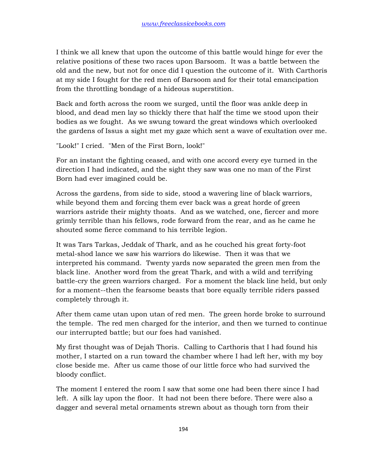I think we all knew that upon the outcome of this battle would hinge for ever the relative positions of these two races upon Barsoom. It was a battle between the old and the new, but not for once did I question the outcome of it. With Carthoris at my side I fought for the red men of Barsoom and for their total emancipation from the throttling bondage of a hideous superstition.

Back and forth across the room we surged, until the floor was ankle deep in blood, and dead men lay so thickly there that half the time we stood upon their bodies as we fought. As we swung toward the great windows which overlooked the gardens of Issus a sight met my gaze which sent a wave of exultation over me.

"Look!" I cried. "Men of the First Born, look!"

For an instant the fighting ceased, and with one accord every eye turned in the direction I had indicated, and the sight they saw was one no man of the First Born had ever imagined could be.

Across the gardens, from side to side, stood a wavering line of black warriors, while beyond them and forcing them ever back was a great horde of green warriors astride their mighty thoats. And as we watched, one, fiercer and more grimly terrible than his fellows, rode forward from the rear, and as he came he shouted some fierce command to his terrible legion.

It was Tars Tarkas, Jeddak of Thark, and as he couched his great forty-foot metal-shod lance we saw his warriors do likewise. Then it was that we interpreted his command. Twenty yards now separated the green men from the black line. Another word from the great Thark, and with a wild and terrifying battle-cry the green warriors charged. For a moment the black line held, but only for a moment--then the fearsome beasts that bore equally terrible riders passed completely through it.

After them came utan upon utan of red men. The green horde broke to surround the temple. The red men charged for the interior, and then we turned to continue our interrupted battle; but our foes had vanished.

My first thought was of Dejah Thoris. Calling to Carthoris that I had found his mother, I started on a run toward the chamber where I had left her, with my boy close beside me. After us came those of our little force who had survived the bloody conflict.

The moment I entered the room I saw that some one had been there since I had left. A silk lay upon the floor. It had not been there before. There were also a dagger and several metal ornaments strewn about as though torn from their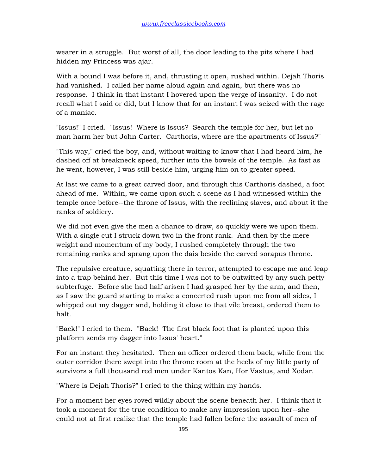wearer in a struggle. But worst of all, the door leading to the pits where I had hidden my Princess was ajar.

With a bound I was before it, and, thrusting it open, rushed within. Dejah Thoris had vanished. I called her name aloud again and again, but there was no response. I think in that instant I hovered upon the verge of insanity. I do not recall what I said or did, but I know that for an instant I was seized with the rage of a maniac.

"Issus!" I cried. "Issus! Where is Issus? Search the temple for her, but let no man harm her but John Carter. Carthoris, where are the apartments of Issus?"

"This way," cried the boy, and, without waiting to know that I had heard him, he dashed off at breakneck speed, further into the bowels of the temple. As fast as he went, however, I was still beside him, urging him on to greater speed.

At last we came to a great carved door, and through this Carthoris dashed, a foot ahead of me. Within, we came upon such a scene as I had witnessed within the temple once before--the throne of Issus, with the reclining slaves, and about it the ranks of soldiery.

We did not even give the men a chance to draw, so quickly were we upon them. With a single cut I struck down two in the front rank. And then by the mere weight and momentum of my body, I rushed completely through the two remaining ranks and sprang upon the dais beside the carved sorapus throne.

The repulsive creature, squatting there in terror, attempted to escape me and leap into a trap behind her. But this time I was not to be outwitted by any such petty subterfuge. Before she had half arisen I had grasped her by the arm, and then, as I saw the guard starting to make a concerted rush upon me from all sides, I whipped out my dagger and, holding it close to that vile breast, ordered them to halt.

"Back!" I cried to them. "Back! The first black foot that is planted upon this platform sends my dagger into Issus' heart."

For an instant they hesitated. Then an officer ordered them back, while from the outer corridor there swept into the throne room at the heels of my little party of survivors a full thousand red men under Kantos Kan, Hor Vastus, and Xodar.

"Where is Dejah Thoris?" I cried to the thing within my hands.

For a moment her eyes roved wildly about the scene beneath her. I think that it took a moment for the true condition to make any impression upon her--she could not at first realize that the temple had fallen before the assault of men of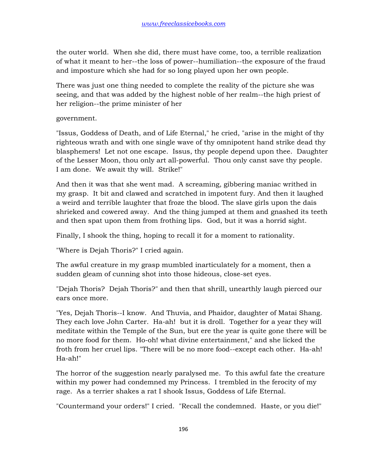the outer world. When she did, there must have come, too, a terrible realization of what it meant to her--the loss of power--humiliation--the exposure of the fraud and imposture which she had for so long played upon her own people.

There was just one thing needed to complete the reality of the picture she was seeing, and that was added by the highest noble of her realm--the high priest of her religion--the prime minister of her

government.

"Issus, Goddess of Death, and of Life Eternal," he cried, "arise in the might of thy righteous wrath and with one single wave of thy omnipotent hand strike dead thy blasphemers! Let not one escape. Issus, thy people depend upon thee. Daughter of the Lesser Moon, thou only art all-powerful. Thou only canst save thy people. I am done. We await thy will. Strike!"

And then it was that she went mad. A screaming, gibbering maniac writhed in my grasp. It bit and clawed and scratched in impotent fury. And then it laughed a weird and terrible laughter that froze the blood. The slave girls upon the dais shrieked and cowered away. And the thing jumped at them and gnashed its teeth and then spat upon them from frothing lips. God, but it was a horrid sight.

Finally, I shook the thing, hoping to recall it for a moment to rationality.

"Where is Dejah Thoris?" I cried again.

The awful creature in my grasp mumbled inarticulately for a moment, then a sudden gleam of cunning shot into those hideous, close-set eyes.

"Dejah Thoris? Dejah Thoris?" and then that shrill, unearthly laugh pierced our ears once more.

"Yes, Dejah Thoris--I know. And Thuvia, and Phaidor, daughter of Matai Shang. They each love John Carter. Ha-ah! but it is droll. Together for a year they will meditate within the Temple of the Sun, but ere the year is quite gone there will be no more food for them. Ho-oh! what divine entertainment," and she licked the froth from her cruel lips. "There will be no more food--except each other. Ha-ah! Ha-ah!"

The horror of the suggestion nearly paralysed me. To this awful fate the creature within my power had condemned my Princess. I trembled in the ferocity of my rage. As a terrier shakes a rat I shook Issus, Goddess of Life Eternal.

"Countermand your orders!" I cried. "Recall the condemned. Haste, or you die!"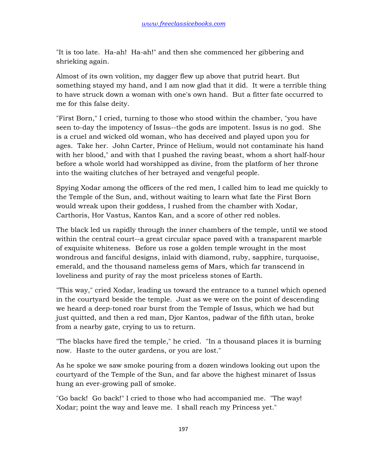"It is too late. Ha-ah! Ha-ah!" and then she commenced her gibbering and shrieking again.

Almost of its own volition, my dagger flew up above that putrid heart. But something stayed my hand, and I am now glad that it did. It were a terrible thing to have struck down a woman with one's own hand. But a fitter fate occurred to me for this false deity.

"First Born," I cried, turning to those who stood within the chamber, "you have seen to-day the impotency of Issus--the gods are impotent. Issus is no god. She is a cruel and wicked old woman, who has deceived and played upon you for ages. Take her. John Carter, Prince of Helium, would not contaminate his hand with her blood," and with that I pushed the raving beast, whom a short half-hour before a whole world had worshipped as divine, from the platform of her throne into the waiting clutches of her betrayed and vengeful people.

Spying Xodar among the officers of the red men, I called him to lead me quickly to the Temple of the Sun, and, without waiting to learn what fate the First Born would wreak upon their goddess, I rushed from the chamber with Xodar, Carthoris, Hor Vastus, Kantos Kan, and a score of other red nobles.

The black led us rapidly through the inner chambers of the temple, until we stood within the central court--a great circular space paved with a transparent marble of exquisite whiteness. Before us rose a golden temple wrought in the most wondrous and fanciful designs, inlaid with diamond, ruby, sapphire, turquoise, emerald, and the thousand nameless gems of Mars, which far transcend in loveliness and purity of ray the most priceless stones of Earth.

"This way," cried Xodar, leading us toward the entrance to a tunnel which opened in the courtyard beside the temple. Just as we were on the point of descending we heard a deep-toned roar burst from the Temple of Issus, which we had but just quitted, and then a red man, Djor Kantos, padwar of the fifth utan, broke from a nearby gate, crying to us to return.

"The blacks have fired the temple," he cried. "In a thousand places it is burning now. Haste to the outer gardens, or you are lost."

As he spoke we saw smoke pouring from a dozen windows looking out upon the courtyard of the Temple of the Sun, and far above the highest minaret of Issus hung an ever-growing pall of smoke.

"Go back! Go back!" I cried to those who had accompanied me. "The way! Xodar; point the way and leave me. I shall reach my Princess yet."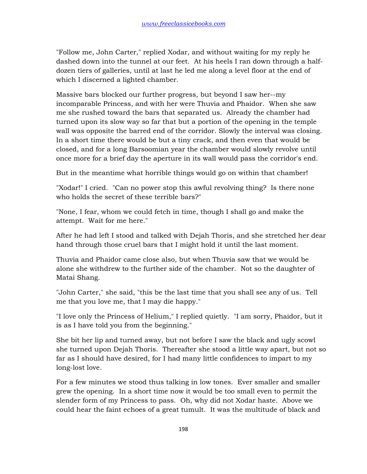"Follow me, John Carter," replied Xodar, and without waiting for my reply he dashed down into the tunnel at our feet. At his heels I ran down through a halfdozen tiers of galleries, until at last he led me along a level floor at the end of which I discerned a lighted chamber.

Massive bars blocked our further progress, but beyond I saw her--my incomparable Princess, and with her were Thuvia and Phaidor. When she saw me she rushed toward the bars that separated us. Already the chamber had turned upon its slow way so far that but a portion of the opening in the temple wall was opposite the barred end of the corridor. Slowly the interval was closing. In a short time there would be but a tiny crack, and then even that would be closed, and for a long Barsoomian year the chamber would slowly revolve until once more for a brief day the aperture in its wall would pass the corridor's end.

But in the meantime what horrible things would go on within that chamber!

"Xodar!" I cried. "Can no power stop this awful revolving thing? Is there none who holds the secret of these terrible bars?"

"None, I fear, whom we could fetch in time, though I shall go and make the attempt. Wait for me here."

After he had left I stood and talked with Dejah Thoris, and she stretched her dear hand through those cruel bars that I might hold it until the last moment.

Thuvia and Phaidor came close also, but when Thuvia saw that we would be alone she withdrew to the further side of the chamber. Not so the daughter of Matai Shang.

"John Carter," she said, "this be the last time that you shall see any of us. Tell me that you love me, that I may die happy."

"I love only the Princess of Helium," I replied quietly. "I am sorry, Phaidor, but it is as I have told you from the beginning."

She bit her lip and turned away, but not before I saw the black and ugly scowl she turned upon Dejah Thoris. Thereafter she stood a little way apart, but not so far as I should have desired, for I had many little confidences to impart to my long-lost love.

For a few minutes we stood thus talking in low tones. Ever smaller and smaller grew the opening. In a short time now it would be too small even to permit the slender form of my Princess to pass. Oh, why did not Xodar haste. Above we could hear the faint echoes of a great tumult. It was the multitude of black and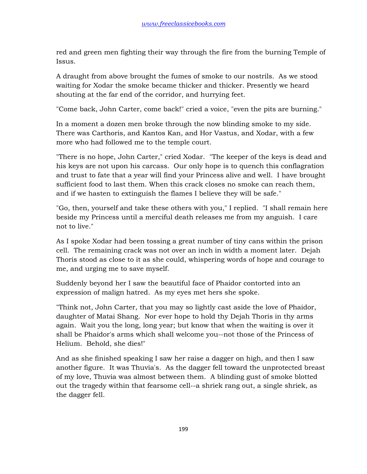red and green men fighting their way through the fire from the burning Temple of Issus.

A draught from above brought the fumes of smoke to our nostrils. As we stood waiting for Xodar the smoke became thicker and thicker. Presently we heard shouting at the far end of the corridor, and hurrying feet.

"Come back, John Carter, come back!" cried a voice, "even the pits are burning."

In a moment a dozen men broke through the now blinding smoke to my side. There was Carthoris, and Kantos Kan, and Hor Vastus, and Xodar, with a few more who had followed me to the temple court.

"There is no hope, John Carter," cried Xodar. "The keeper of the keys is dead and his keys are not upon his carcass. Our only hope is to quench this conflagration and trust to fate that a year will find your Princess alive and well. I have brought sufficient food to last them. When this crack closes no smoke can reach them, and if we hasten to extinguish the flames I believe they will be safe."

"Go, then, yourself and take these others with you," I replied. "I shall remain here beside my Princess until a merciful death releases me from my anguish. I care not to live."

As I spoke Xodar had been tossing a great number of tiny cans within the prison cell. The remaining crack was not over an inch in width a moment later. Dejah Thoris stood as close to it as she could, whispering words of hope and courage to me, and urging me to save myself.

Suddenly beyond her I saw the beautiful face of Phaidor contorted into an expression of malign hatred. As my eyes met hers she spoke.

"Think not, John Carter, that you may so lightly cast aside the love of Phaidor, daughter of Matai Shang. Nor ever hope to hold thy Dejah Thoris in thy arms again. Wait you the long, long year; but know that when the waiting is over it shall be Phaidor's arms which shall welcome you--not those of the Princess of Helium. Behold, she dies!"

And as she finished speaking I saw her raise a dagger on high, and then I saw another figure. It was Thuvia's. As the dagger fell toward the unprotected breast of my love, Thuvia was almost between them. A blinding gust of smoke blotted out the tragedy within that fearsome cell--a shriek rang out, a single shriek, as the dagger fell.